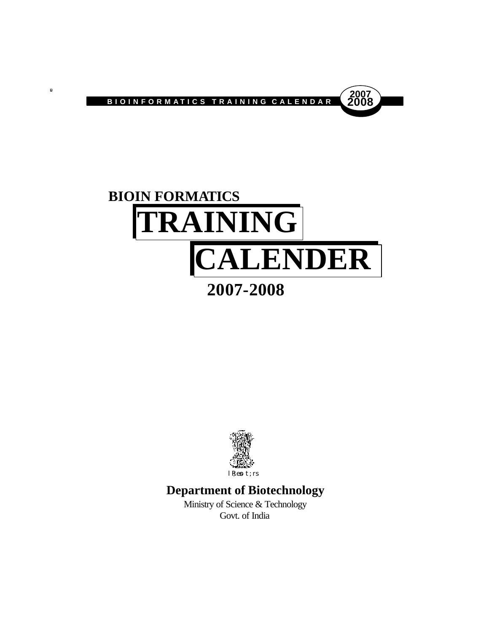

 $\blacksquare$ 





# **Department of Biotechnology**

Ministry of Science & Technology Govt. of India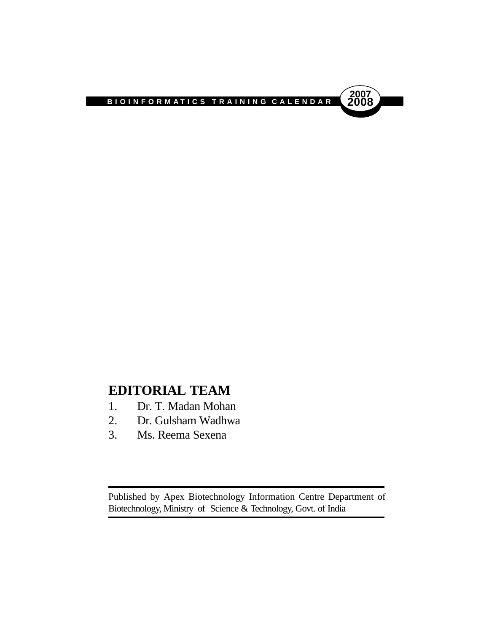

# **EDITORIAL TEAM**

- 1. Dr. T. Madan Mohan
- 2. Dr. Gulsham Wadhwa
- 3. Ms. Reema Sexena

Published by Apex Biotechnology Information Centre Department of Biotechnology, Ministry of Science & Technology, Govt. of India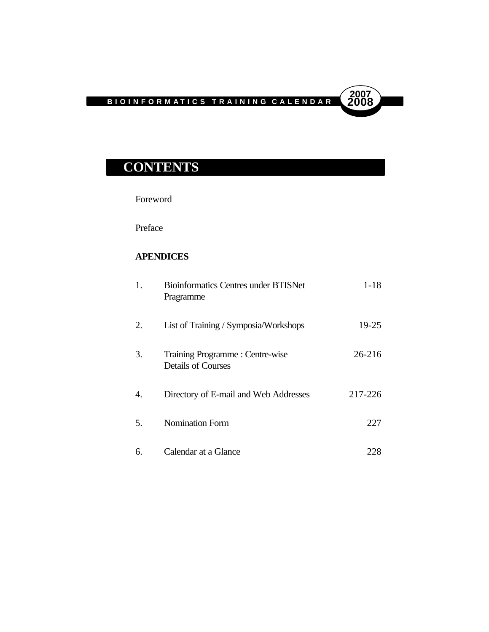**2007**

# **CONTENTS**

Foreword

Preface

# **APENDICES**

| 1. | <b>Bioinformatics Centres under BTISNet</b><br>Pragramme     | $1 - 18$  |
|----|--------------------------------------------------------------|-----------|
| 2. | List of Training / Symposia/Workshops                        | $19 - 25$ |
| 3. | Training Programme: Centre-wise<br><b>Details of Courses</b> | 26-216    |
| 4. | Directory of E-mail and Web Addresses                        | 217-226   |
| 5. | <b>Nomination Form</b>                                       | 227       |
| 6. | Calendar at a Glance                                         | 228       |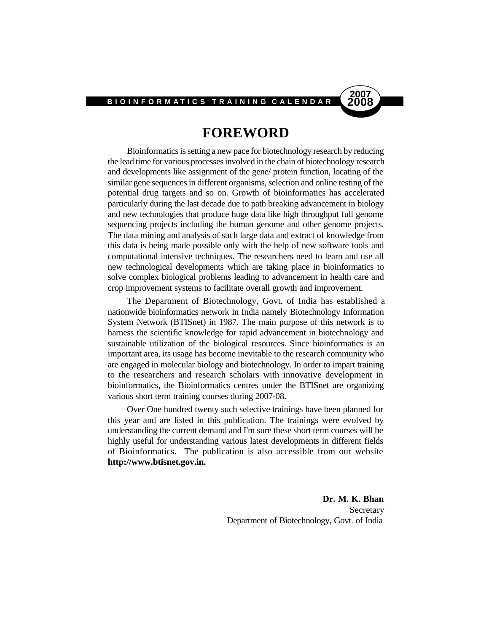# **2007**

# **FOREWORD**

Bioinformatics is setting a new pace for biotechnology research by reducing the lead time for various processes involved in the chain of biotechnology research and developments like assignment of the gene/ protein function, locating of the similar gene sequences in different organisms, selection and online testing of the potential drug targets and so on. Growth of bioinformatics has accelerated particularly during the last decade due to path breaking advancement in biology and new technologies that produce huge data like high throughput full genome sequencing projects including the human genome and other genome projects. The data mining and analysis of such large data and extract of knowledge from this data is being made possible only with the help of new software tools and computational intensive techniques. The researchers need to learn and use all new technological developments which are taking place in bioinformatics to solve complex biological problems leading to advancement in health care and crop improvement systems to facilitate overall growth and improvement.

The Department of Biotechnology, Govt. of India has established a nationwide bioinformatics network in India namely Biotechnology Information System Network (BTISnet) in 1987. The main purpose of this network is to harness the scientific knowledge for rapid advancement in biotechnology and sustainable utilization of the biological resources. Since bioinformatics is an important area, its usage has become inevitable to the research community who are engaged in molecular biology and biotechnology. In order to impart training to the researchers and research scholars with innovative development in bioinformatics, the Bioinformatics centres under the BTISnet are organizing various short term training courses during 2007-08.

Over One hundred twenty such selective trainings have been planned for this year and are listed in this publication. The trainings were evolved by understanding the current demand and I'm sure these short term courses will be highly useful for understanding various latest developments in different fields of Bioinformatics. The publication is also accessible from our website **http://www.btisnet.gov.in.**

> **Dr. M. K. Bhan** Secretary Department of Biotechnology, Govt. of India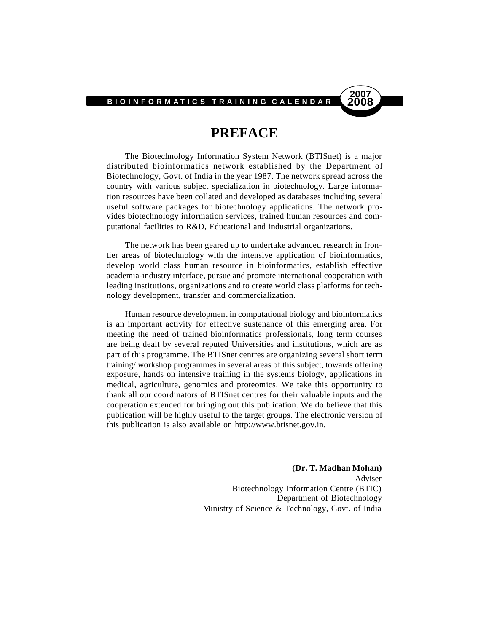# **2007**

# **PREFACE**

The Biotechnology Information System Network (BTISnet) is a major distributed bioinformatics network established by the Department of Biotechnology, Govt. of India in the year 1987. The network spread across the country with various subject specialization in biotechnology. Large information resources have been collated and developed as databases including several useful software packages for biotechnology applications. The network provides biotechnology information services, trained human resources and computational facilities to R&D, Educational and industrial organizations.

The network has been geared up to undertake advanced research in frontier areas of biotechnology with the intensive application of bioinformatics, develop world class human resource in bioinformatics, establish effective academia-industry interface, pursue and promote international cooperation with leading institutions, organizations and to create world class platforms for technology development, transfer and commercialization.

Human resource development in computational biology and bioinformatics is an important activity for effective sustenance of this emerging area. For meeting the need of trained bioinformatics professionals, long term courses are being dealt by several reputed Universities and institutions, which are as part of this programme. The BTISnet centres are organizing several short term training/ workshop programmes in several areas of this subject, towards offering exposure, hands on intensive training in the systems biology, applications in medical, agriculture, genomics and proteomics. We take this opportunity to thank all our coordinators of BTISnet centres for their valuable inputs and the cooperation extended for bringing out this publication. We do believe that this publication will be highly useful to the target groups. The electronic version of this publication is also available on http://www.btisnet.gov.in.

> **(Dr. T. Madhan Mohan)** Adviser Biotechnology Information Centre (BTIC) Department of Biotechnology Ministry of Science & Technology, Govt. of India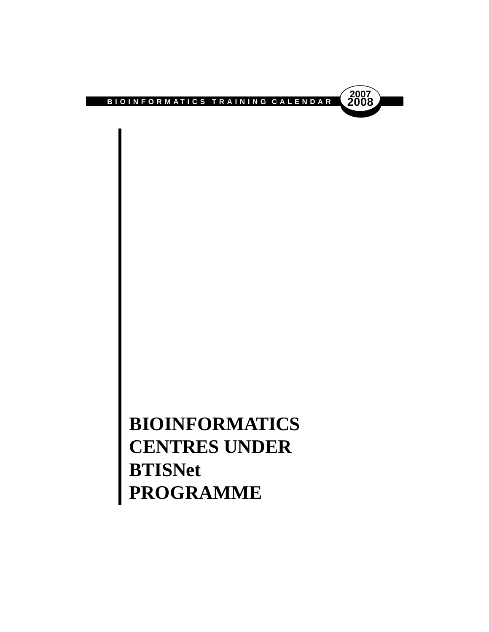

# **BIOINFORMATICS CENTRES UNDER BTISNet PROGRAMME**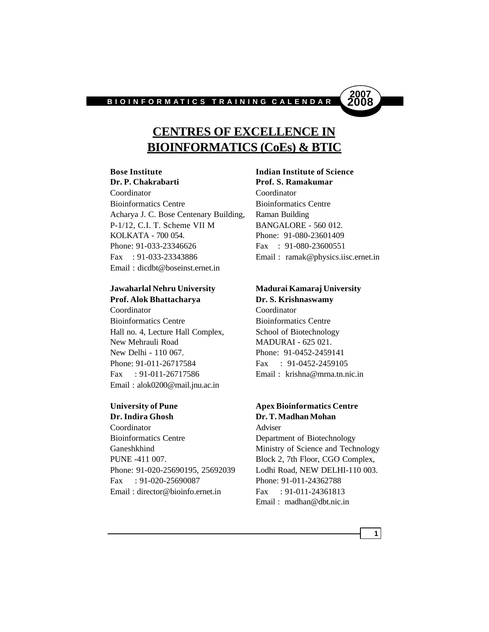

# **CENTRES OF EXCELLENCE IN BIOINFORMATICS (CoEs) & BTIC**

Coordinator Coordinator Bioinformatics Centre Bioinformatics Centre Acharya J. C. Bose Centenary Building, Raman Building P-1/12, C.I. T. Scheme VII M BANGALORE - 560 012. KOLKATA - 700 054. Phone: 91-080-23601409 Phone: 91-033-23346626 Fax: 91-080-23600551 Fax : 91-033-23343886 Email : ramak@physics.iisc.ernet.in Email : dicdbt@boseinst.ernet.in

# **Jawaharlal Nehru University Madurai Kamaraj University Prof. Alok Bhattacharya Dr. S. Krishnaswamy**

Coordinator Coordinator Bioinformatics Centre Bioinformatics Centre Hall no. 4, Lecture Hall Complex, School of Biotechnology New Mehrauli Road MADURAI - 625 021. New Delhi - 110 067. Phone: 91-0452-2459141 Phone: 91-011-26717584 Fax: 91-0452-2459105 Fax : 91-011-26717586 Email : krishna@mrna.tn.nic.in Email : alok0200@mail.jnu.ac.in

Coordinator Adviser Bioinformatics Centre Department of Biotechnology Ganeshkhind Ministry of Science and Technology PUNE -411 007. Block 2, 7th Floor, CGO Complex, Phone: 91-020-25690195, 25692039 Lodhi Road, NEW DELHI-110 003. Fax : 91-020-25690087 Phone: 91-011-24362788 Email: director@bioinfo.ernet.in Fax : 91-011-24361813

### **Bose Institute Indian Institute of Science Dr. P. Chakrabarti Prof. S. Ramakumar**

# **University of Pune Apex Bioinformatics Centre Dr. Indira Ghosh Dr. T. Madhan Mohan**

Email : madhan@dbt.nic.in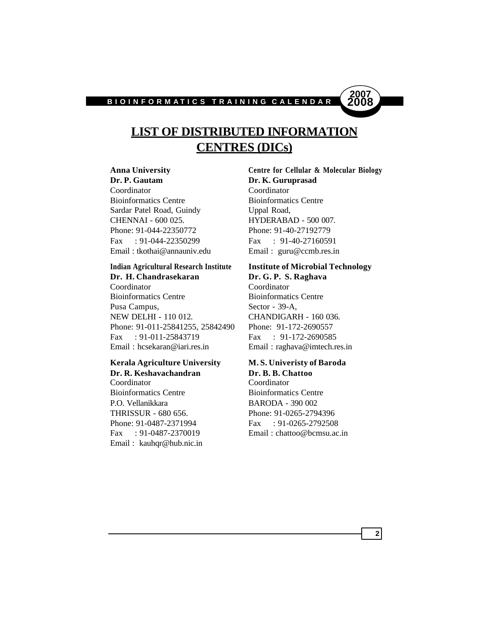

# **LIST OF DISTRIBUTED INFORMATION CENTRES (DICs)**

**Dr. P. Gautam Dr. K. Guruprasad** Coordinator Coordinator Bioinformatics Centre Bioinformatics Centre Sardar Patel Road, Guindy Uppal Road, CHENNAI - 600 025. HYDERABAD - 500 007. Phone: 91-044-22350772 Phone: 91-40-27192779 Fax : 91-044-22350299 Fax : 91-40-27160591 Email : tkothai@annauniv.edu Email : guru@ccmb.res.in

# **Indian Agricultural Research Institute Institute of Microbial Technology Dr. H. Chandrasekaran Dr. G. P. S. Raghava**

Coordinator Coordinator Bioinformatics Centre Bioinformatics Centre Pusa Campus, Sector - 39-A, NEW DELHI - 110 012. CHANDIGARH - 160 036. Phone: 91-011-25841255, 25842490 Phone: 91-172-2690557 Fax : 91-011-25843719 Fax : 91-172-2690585 Email : hcsekaran@iari.res.in Email : raghava@imtech.res.in

### **Kerala Agriculture University M. S. Univeristy of Baroda Dr. R. Keshavachandran Dr. B. B. Chattoo**

Coordinator Coordinator Bioinformatics Centre Bioinformatics Centre P.O. Vellanikkara BARODA - 390 002 THRISSUR - 680 656. Phone: 91-0265-2794396 Phone: 91-0487-2371994 Fax : 91-0265-2792508 Email : kauhqr@hub.nic.in

**Anna University Centre for Cellular & Molecular Biology**

Fax : 91-0487-2370019 Email : chattoo@bcmsu.ac.in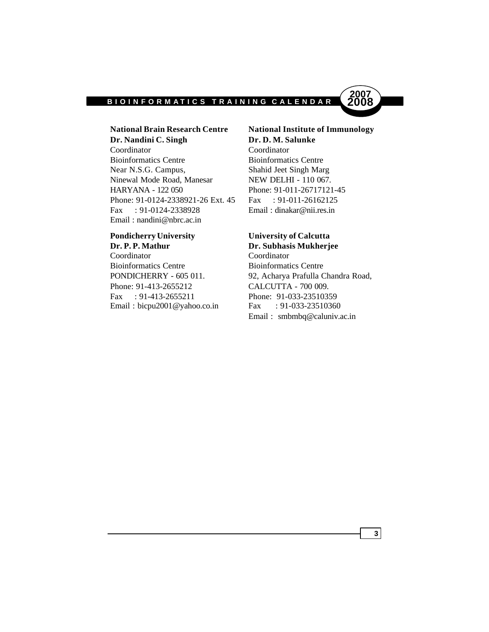

# **Dr. Nandini C. Singh Dr. D. M. Salunke** Coordinator Coordinator Bioinformatics Centre Bioinformatics Centre Near N.S.G. Campus, Shahid Jeet Singh Marg Ninewal Mode Road, Manesar NEW DELHI - 110 067. HARYANA - 122 050 Phone: 91-011-26717121-45 Phone: 91-0124-2338921-26 Ext. 45 Fax : 91-011-26162125 Fax : 91-0124-2338928 Email : dinakar@nii.res.in Email : nandini@nbrc.ac.in

# **Pondicherry University University of Calcutta**

**Dr. P. P. Mathur Dr. Subhasis Mukherjee** Coordinator Coordinator Bioinformatics Centre Bioinformatics Centre Phone: 91-413-2655212 CALCUTTA - 700 009. Fax : 91-413-2655211 Phone: 91-033-23510359 Email : bicpu2001@yahoo.co.in Fax : 91-033-23510360

# **National Brain Research Centre National Institute of Immunology**

PONDICHERRY - 605 011. 92, Acharya Prafulla Chandra Road, Email : smbmbq@caluniv.ac.in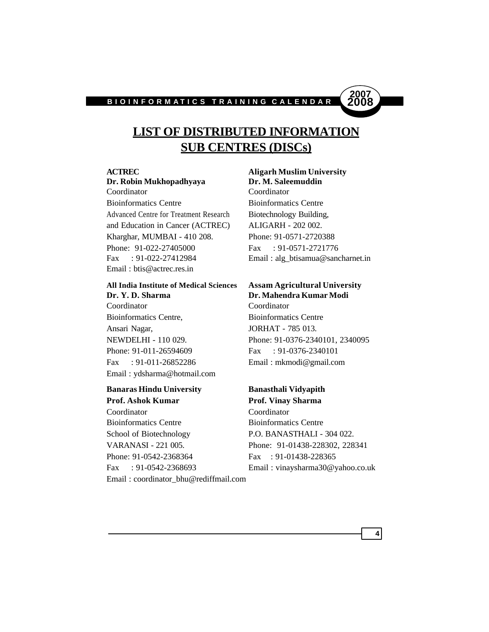

# **LIST OF DISTRIBUTED INFORMATION SUB CENTRES (DISCs)**

### **Dr. Robin Mukhopadhyaya Dr. M. Saleemuddin** Coordinator Coordinator

Bioinformatics Centre Bioinformatics Centre Advanced Centre for Treatment Research Biotechnology Building, and Education in Cancer (ACTREC) ALIGARH - 202 002. Kharghar, MUMBAI - 410 208. Phone: 91-0571-2720388 Phone: 91-022-27405000 Fax: 91-0571-2721776 Fax : 91-022-27412984 Email : alg\_btisamua@sancharnet.in Email : btis@actrec.res.in

# **All India Institute of Medical Sciences Assam Agricultural University Dr. Y. D. Sharma Dr. Mahendra Kumar Modi**

Coordinator Coordinator Bioinformatics Centre, Bioinformatics Centre Ansari Nagar, JORHAT - 785 013. Phone: 91-011-26594609 Fax: 91-0376-2340101 Fax : 91-011-26852286 Email : mkmodi@gmail.com Email : ydsharma@hotmail.com

# **Banaras Hindu University Banasthali Vidyapith Prof. Ashok Kumar Prof. Vinay Sharma**

Coordinator Coordinator Bioinformatics Centre Bioinformatics Centre School of Biotechnology P.O. BANASTHALI - 304 022. VARANASI - 221 005. Phone: 91-01438-228302, 228341 Phone: 91-0542-2368364 Fax: 91-01438-228365 Fax : 91-0542-2368693 Email : vinaysharma30@yahoo.co.uk Email : coordinator\_bhu@rediffmail.com

# **ACTREC Aligarh Muslim University**

NEWDELHI - 110 029. Phone: 91-0376-2340101, 2340095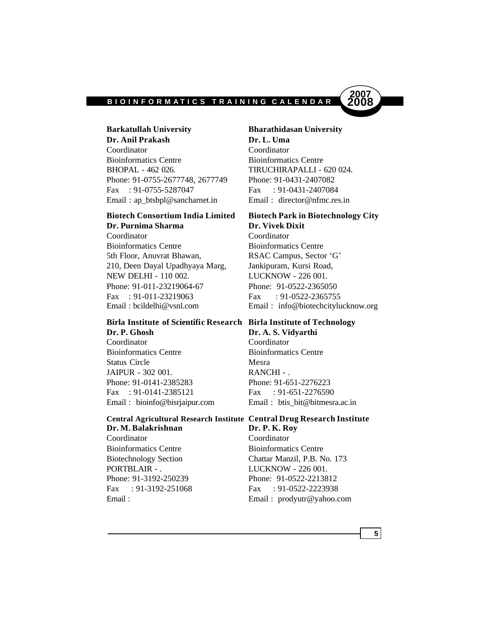

**Dr. Anil Prakash Dr. L. Uma** Coordinator Coordinator Bioinformatics Centre Bioinformatics Centre BHOPAL - 462 026. TIRUCHIRAPALLI - 620 024. Phone: 91-0755-2677748, 2677749 Phone: 91-0431-2407082 Fax : 91-0755-5287047 Fax : 91-0431-2407084 Email: ap\_btsbpl@sancharnet.in Email: director@nfmc.res.in

# **Biotech Consortium India Limited Biotech Park in Biotechnology City Dr. Purnima Sharma Dr. Vivek Dixit**

Coordinator Coordinator Bioinformatics Centre Bioinformatics Centre 5th Floor, Anuvrat Bhawan, RSAC Campus, Sector 'G' 210, Deen Dayal Upadhyaya Marg, Jankipuram, Kursi Road, NEW DELHI - 110 002. LUCKNOW - 226 001. Phone: 91-011-23219064-67 Phone: 91-0522-2365050 Fax : 91-011-23219063 Fax : 91-0522-2365755

# **Birla Institute of Scientific Research Birla Institute of Technology Dr. P. Ghosh Dr. A. S. Vidyarthi**

Coordinator Coordinator Bioinformatics Centre Bioinformatics Centre Status Circle Mesra JAIPUR - 302 001. RANCHI - . Phone: 91-0141-2385283 Phone: 91-651-2276223 Fax : 91-0141-2385121 Fax : 91-651-2276590

# **Central Agricultural Research Institute Central Drug Research Institute**

**Dr. M. Balakrishnan Dr. P. K. Roy** Coordinator Coordinator Bioinformatics Centre Bioinformatics Centre PORTBLAIR - . LUCKNOW - 226 001.

# **Barkatullah University Bharathidasan University**

**2007**

Email : bcildelhi@vsnl.com Email : info@biotechcitylucknow.org

Email : bioinfo@bisrjaipur.com Email : btis\_bit@bitmesra.ac.in

Biotechnology Section Chattar Manzil, P.B. No. 173 Phone: 91-3192-250239 Phone: 91-0522-2213812 Fax : 91-3192-251068 Fax : 91-0522-2223938 Email : Email : prodyutr@yahoo.com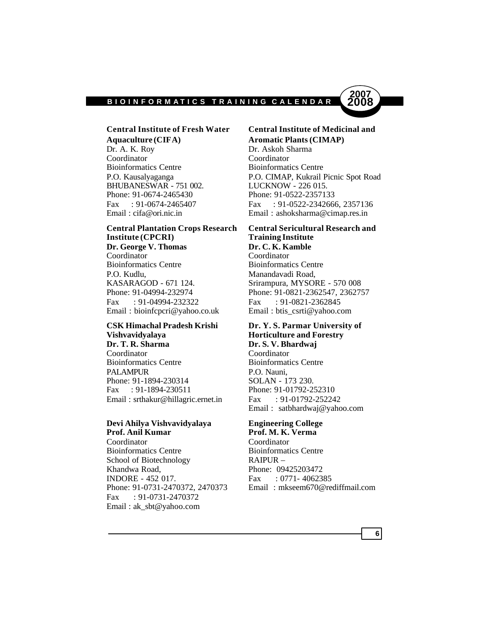

# **Central Institute of Fresh Water Central Institute of Medicinal and Aquaculture (CIFA) Aromatic Plants (CIMAP)**

Dr. A. K. Roy Dr. Askoh Sharma Coordinator Coordinator Bioinformatics Centre Bioinformatics Centre BHUBANESWAR - 751 002. LUCKNOW - 226 015. Phone: 91-0674-2465430 Phone: 91-0522-2357133 Email : cifa@ori.nic.in Email : ashoksharma@cimap.res.in

# **Institute (CPCRI) Training Institute Dr. George V. Thomas Dr. C. K. Kamble** Coordinator Coordinator

Bioinformatics Centre Bioinformatics Centre P.O. Kudlu, Manandavadi Road, KASARAGOD - 671 124. Srirampura, MYSORE - 570 008 Fax : 91-04994-232322 Fax : 91-0821-2362845 Email : bioinfcpcri@yahoo.co.uk Email : btis\_csrti@yahoo.com

# **Vishvavidyalaya Horticulture and Forestry Dr. T. R. Sharma Dr. S. V. Bhardwaj** Coordinator Coordinator

Bioinformatics Centre Bioinformatics Centre PALAMPUR P.O. Nauni, Phone: 91-1894-230314 SOLAN - 173 230. Fax : 91-1894-230511 Phone: 91-01792-252310 Email: srthakur@hillagric.ernet.in Fax : 91-01792-252242

### **Devi Ahilya Vishvavidyalaya Engineering College Prof. Anil Kumar Prof. M. K. Verma**

Coordinator Coordinator Bioinformatics Centre<br>
School of Biotechnology<br>
RAIPUR – School of Biotechnology Khandwa Road, Phone: 09425203472 INDORE - 452 017. Fax : 0771- 4062385 Fax : 91-0731-2470372 Email : ak\_sbt@yahoo.com

P.O. Kausalyaganga P.O. CIMAP, Kukrail Picnic Spot Road Fax : 91-0674-2465407 Fax : 91-0522-2342666, 2357136

# **Central Plantation Crops Research Central Sericultural Research and**

Phone: 91-04994-232974 Phone: 91-0821-2362547, 2362757

# **CSK Himachal Pradesh Krishi Dr. Y. S. Parmar University of**

Email : satbhardwaj@yahoo.com

Phone: 91-0731-2470372, 2470373 Email : mkseem670@rediffmail.com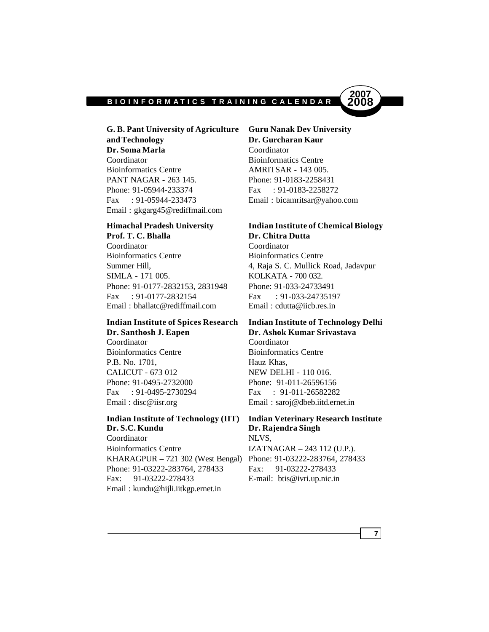

**G. B. Pant University of Agriculture Guru Nanak Dev University and Technology Dr. Gurcharan Kaur Dr. Soma Marla** Coordinator Coordinator Bioinformatics Centre Bioinformatics Centre **AMRITSAR** - 143 005. PANT NAGAR - 263 145. Phone: 91-0183-2258431 Phone: 91-05944-233374 Fax: 91-0183-2258272 Fax : 91-05944-233473 Email : bicamritsar@yahoo.com Email : gkgarg45@rediffmail.com

# **Prof. T. C. Bhalla Dr. Chitra Dutta**

Coordinator Coordinator Bioinformatics Centre Bioinformatics Centre SIMLA - 171 005. KOLKATA - 700 032. Phone: 91-0177-2832153, 2831948 Phone: 91-033-24733491 Fax : 91-0177-2832154 Fax : 91-033-24735197 Email : bhallatc@rediffmail.com Email : cdutta@iicb.res.in

# **Dr. Santhosh J. Eapen Dr. Ashok Kumar Srivastava**

Coordinator Coordinator Bioinformatics Centre Bioinformatics Centre P.B. No. 1701, Hauz Khas, CALICUT - 673 012 NEW DELHI - 110 016. Phone: 91-0495-2732000 Phone: 91-011-26596156

# **Indian Institute of Technology (IIT) Indian Veterinary Research Institute Dr. S.C. Kundu Dr. Rajendra Singh**

Coordinator NLVS, Bioinformatics Centre IZATNAGAR – 243 112 (U.P.). KHARAGPUR – 721 302 (West Bengal) Phone: 91-03222-283764, 278433 Phone: 91-03222-283764, 278433 Fax: 91-03222-278433 Fax: 91-03222-278433 E-mail: btis@ivri.up.nic.in Email : kundu@hijli.iitkgp.ernet.in

# **Himachal Pradesh University Indian Institute of Chemical Biology**

Summer Hill, 2008 4, Raja S. C. Mullick Road, Jadavpur

# **Indian Institute of Spices Research Indian Institute of Technology Delhi**

Fax : 91-0495-2730294 Fax : 91-011-26582282 Email : disc@iisr.org Email : saroj@dbeb.iitd.ernet.in

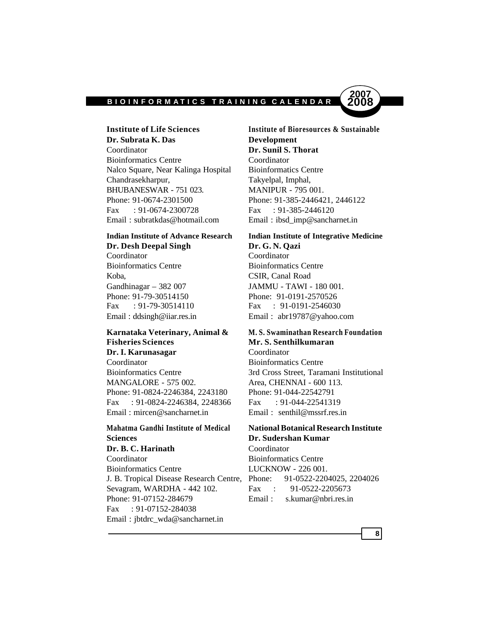

**Dr. Subrata K. Das Development** Coordinator **Dr. Sunil S. Thorat** Bioinformatics Centre Coordinator Nalco Square, Near Kalinga Hospital Bioinformatics Centre Chandrasekharpur, Takyelpal, Imphal, BHUBANESWAR - 751 023. MANIPUR - 795 001. Phone: 91-0674-2301500 Phone: 91-385-2446421, 2446122 Fax : 91-0674-2300728 Fax : 91-385-2446120 Email : subratkdas@hotmail.com Email : ibsd\_imp@sancharnet.in

# **Dr. Desh Deepal Singh Dr. G. N. Qazi**

Coordinator Coordinator Bioinformatics Centre Bioinformatics Centre Koba, CSIR, Canal Road Gandhinagar – 382 007 JAMMU - TAWI - 180 001. Phone: 91-79-30514150 Phone: 91-0191-2570526 Fax : 91-79-30514110 Fax : 91-0191-2546030

# **Fisheries Sciences Mr. S. Senthilkumaran Dr. I. Karunasagar** Coordinator

Coordinator Bioinformatics Centre MANGALORE - 575 002. Area, CHENNAI - 600 113. Phone: 91-0824-2246384, 2243180 Phone: 91-044-22542791 Fax : 91-0824-2246384, 2248366 Fax : 91-044-22541319 Email : mircen@sancharnet.in Email : senthil@mssrf.res.in

# **Mahatma Gandhi Institute of Medical National Botanical Research Institute Sciences Dr. Sudershan Kumar**

# **Dr. B. C. Harinath** Coordinator

Coordinator Bioinformatics Centre Bioinformatics Centre LUCKNOW - 226 001. J. B. Tropical Disease Research Centre, Phone: 91-0522-2204025, 2204026 Sevagram, WARDHA - 442 102. Fax : 91-0522-2205673 Phone: 91-07152-284679 Email: s.kumar@nbri.res.in Fax : 91-07152-284038 Email : jbtdrc\_wda@sancharnet.in

**Institute of Life Sciences Institute of Bioresources & Sustainable**

# **Indian Institute of Advance Research Indian Institute of Integrative Medicine**

Email : ddsingh@iiar.res.in Email : abr19787@yahoo.com

# **Karnataka Veterinary, Animal & M. S. Swaminathan Research Foundation**

Bioinformatics Centre 3rd Cross Street, Taramani Institutional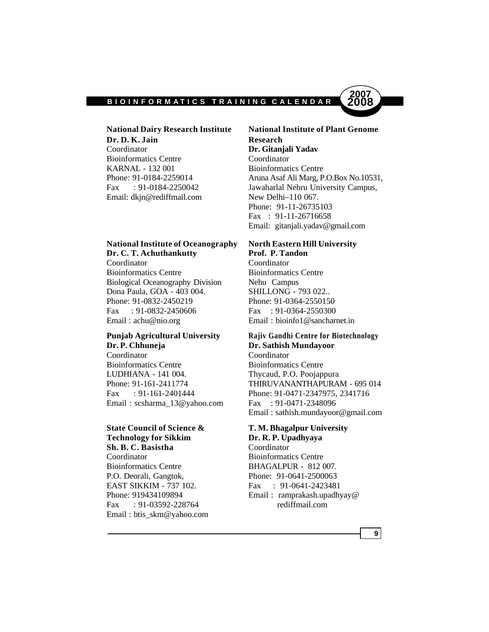

**Dr. D. K. Jain Research** Coordinator **Dr. Gitanjali Yadav** Bioinformatics Centre Coordinator KARNAL - 132 001 Bioinformatics Centre Fax : 91-0184-2250042 Jawaharlal Nehru University Campus, Email: dkjn@rediffmail.com New Delhi-110 067.

# **National Institute of Oceanography North Eastern Hill University Dr. C. T. Achuthankutty Prof. P. Tandon**

Coordinator Coordinator Bioinformatics Centre Bioinformatics Centre Biological Oceanography Division Nehu Campus Dona Paula, GOA - 403 004. SHILLONG - 793 022.. Phone: 91-0832-2450219 Phone: 91-0364-2550150 Fax : 91-0832-2450606 Fax : 91-0364-2550300 Email : achu@nio.org Email : bioinfo1@sancharnet.in

# **Dr. P. Chhuneja Dr. Sathish Mundayoor**

Coordinator Coordinator Bioinformatics Centre Bioinformatics Centre LUDHIANA - 141 004. Thycaud, P.O. Poojappura Email : scsharma\_13@yahoo.com Fax : 91-0471-2348096

# **State Council of Science & T. M. Bhagalpur University Technology for Sikkim Dr. R. P. Upadhyaya**

**Sh. B. C. Basistha** Coordinator Coordinator Bioinformatics Centre Bioinformatics Centre BHAGALPUR - 812 007. P.O. Deorali, Gangtok, Phone: 91-0641-2500063 EAST SIKKIM - 737 102. Fax : 91-0641-2423481 Fax : 91-03592-228764 rediffmail.com Email : btis\_skm@yahoo.com

**National Dairy Research Institute National Institute of Plant Genome** Phone: 91-0184-2259014 Aruna Asaf Ali Marg, P.O.Box No.10531, Phone: 91-11-26735103 Fax : 91-11-26716658 Email: gitanjali.yadav@gmail.com

# **Punjab Agricultural University Rajiv Gandhi Centre for Biotechnology**

Phone: 91-161-2411774 THIRUVANANTHAPURAM - 695 014 Fax : 91-161-2401444 Phone: 91-0471-2347975, 2341716 Email : sathish.mundayoor@gmail.com

Phone: 919434109894 Email: ramprakash.upadhyay@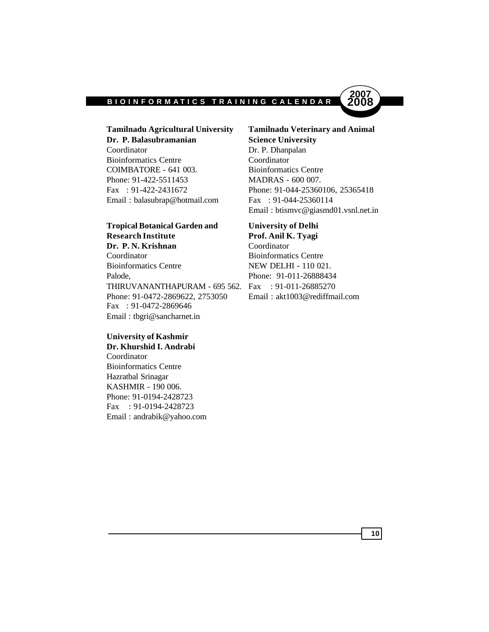

Coordinator Dr. P. Dhanpalan Bioinformatics Centre Coordinator COIMBATORE - 641 003. Bioinformatics Centre Phone: 91-422-5511453 MADRAS - 600 007. Email : balasubrap@hotmail.com Fax : 91-044-25360114

# **Tropical Botanical Garden and University of Delhi Research Institute Prof. Anil K. Tyagi Dr. P. N. Krishnan** Coordinator Coordinator Bioinformatics Centre

Palode. Phone: 91-011-26888434 THIRUVANANTHAPURAM - 695 562. Fax : 91-011-26885270 Phone: 91-0472-2869622, 2753050 Email : akt1003@rediffmail.com Fax : 91-0472-2869646 Email : tbgri@sancharnet.in

# **University of Kashmir Dr. Khurshid I. Andrabi**

Coordinator Bioinformatics Centre Hazratbal Srinagar KASHMIR - 190 006. Phone: 91-0194-2428723 Fax : 91-0194-2428723 Email : andrabik@yahoo.com

**Tamilnadu Agricultural University Tamilnadu Veterinary and Animal Dr. P. Balasubramanian Science University** Fax : 91-422-2431672 Phone: 91-044-25360106, 25365418 Email : btismvc@giasmd01.vsnl.net.in

Bioinformatics Centre NEW DELHI - 110 021.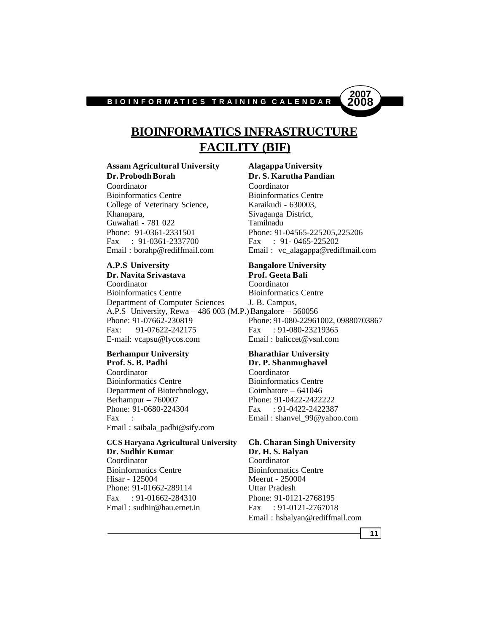

# **BIOINFORMATICS INFRASTRUCTURE FACILITY (BIF)**

# **Assam Agricultural University Alagappa University**

Coordinator Coordinator Bioinformatics Centre Bioinformatics Centre College of Veterinary Science, Karaikudi - 630003, Khanapara, Sivaganga District, Guwahati - 781 022 Tamilnadu Fax : 91-0361-2337700

**Dr. Navita Srivastava Prof. Geeta Bali** Coordinator Coordinator Bioinformatics Centre Bioinformatics Centre Department of Computer Sciences J. B. Campus, A.P.S University, Rewa – 486 003 (M.P.)Bangalore – 560056 Phone: 91-07662-230819 Phone: 91-080-22961002, 09880703867 Fax: 91-07622-242175 Fax: 91-080-23219365 E-mail: vcapsu@lycos.com Email : baliccet@vsnl.com

### **Berhampur University Bharathiar University Prof. S. B. Padhi Dr. P. Shanmughavel** Coordinator Coordinator Bioinformatics Centre Bioinformatics Centre

Department of Biotechnology, Coimbatore – 641046 Berhampur – 760007 Phone: 91-0422-2422222<br>Phone: 91-0680-224304 Fax: 91-0422-2422387 Fax : Email : shanvel 99@yahoo.com Email : saibala\_padhi@sify.com

### **CCS Haryana Agricultural University Ch. Charan Singh University Dr. Sudhir Kumar Dr. H. S. Balyan**<br> **Coordinator Coordinator Coordinator**

Bioinformatics Centre Bioinformatics Centre Hisar - 125004 Meerut - 250004 Phone: 91-01662-289114 Uttar Pradesh Fax : 91-01662-284310 Phone: 91-0121-2768195 Email: sudhir@hau.ernet.in Fax : 91-0121-2767018

# **Dr. Probodh Borah Dr. S. Karutha Pandian** Phone: 91-0361-2331501<br>
Fax : 91-0361-2337700<br>
Fax : 91-0465-225202 Email : borahp@rediffmail.com Email : vc\_alagappa@rediffmail.com

# **A.P.S University Bangalore University**

Phone: 91-0680-224304 Fax : 91-0422-2422387

Email : hsbalyan@rediffmail.com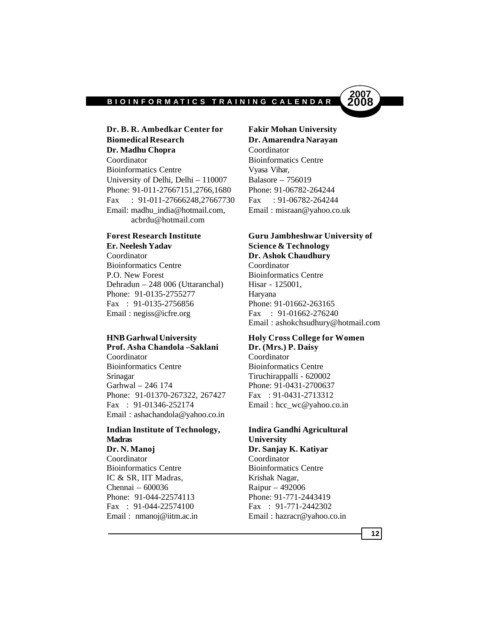

# **Dr. B. R. Ambedkar Center for Fakir Mohan University Biomedical Research Dr. Amarendra Narayan** Dr. Madhu Chopra Coordinator Coordinator Bioinformatics Centre Bioinformatics Centre Vyasa Vihar, University of Delhi, Delhi – 110007 Balasore – 756019 Phone: 91-011-27667151,2766,1680 Phone: 91-06782-264244 Fax : 91-011-27666248,27667730 Fax : 91-06782-264244 Email: madhu\_india@hotmail.com, Email : misraan@yahoo.co.uk acbrdu@hotmail.com

**Er. Neelesh Yadav Science & Technology** Coordinator **Dr. Ashok Chaudhury** Bioinformatics Centre Coordinator P.O. New Forest Bioinformatics Centre Dehradun – 248 006 (Uttaranchal) Hisar - 125001, Phone: 91-0135-2755277 Haryana Fax : 91-0135-2756856 Phone: 91-01662-263165 Email: negiss@icfre.org Fax : 91-01662-276240

**Prof. Asha Chandola –Saklani Dr. (Mrs.) P. Daisy** Coordinator Coordinator Bioinformatics Centre Bioinformatics Centre Srinagar Tiruchirappalli - 620002 Garhwal – 246 174 Phone: 91-0431-2700637 Phone: 91-01370-267322, 267427 Fax: 91-0431-2713312 Fax : 91-01346-252174 Email : hcc\_wc@yahoo.co.in Email : ashachandola@yahoo.co.in

# **Indian Institute of Technology, Indira Gandhi Agricultural Madras University**

**Dr. N. Manoj Dr. Sanjay K. Katiyar** Coordinator Coordinator Bioinformatics Centre Bioinformatics Centre IC & SR, IIT Madras, Krishak Nagar, Chennai – 600036 Raipur – 492006 Phone: 91-044-22574113 Phone: 91-771-2443419 Fax : 91-044-22574100 Fax : 91-771-2442302

# **Forest Research Institute Guru Jambheshwar University of**

Email : ashokchsudhury@hotmail.com

# **HNB Garhwal University Holy Cross College for Women**

Email: nmanoj@iitm.ac.in Email: hazracr@yahoo.co.in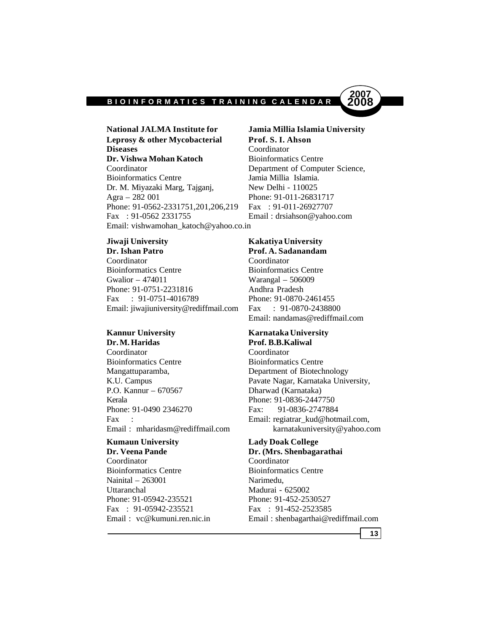

Leprosy & other Mycobacterial Prof. S. I. Ahson **Diseases** Coordinator **Dr. Vishwa Mohan Katoch** Bioinformatics Centre Coordinator Department of Computer Science, Bioinformatics Centre Jamia Millia Islamia. Dr. M. Miyazaki Marg, Tajganj, New Delhi - 110025 Agra – 282 001 Phone: 91-011-26831717 Phone: 91-0562-2331751,201,206,219 Fax: 91-011-26927707 Fax : 91-0562 2331755 Email : drsiahson@yahoo.com Email: vishwamohan\_katoch@yahoo.co.in

Coordinator Coordinator Bioinformatics Centre Bioinformatics Centre Gwalior – 474011 Warangal – 506009 Phone: 91-0751-2231816 Andhra Pradesh Fax : 91-0751-4016789 Phone: 91-0870-2461455 Email: jiwajiuniversity@rediffmail.com Fax : 91-0870-2438800

**Dr. M. Haridas Prof. B.B.Kaliwal** Coordinator Coordinator Bioinformatics Centre Bioinformatics Centre Mangattuparamba, Department of Biotechnology P.O. Kannur – 670567 Dharwad (Karnataka) Kerala Phone: 91-0836-2447750 Phone: 91-0490 2346270 Fax: 91-0836-2747884

# **Kumaun University Lady Doak College** Coordinator Coordinator

Bioinformatics Centre Bioinformatics Centre Nainital – 263001 Narimedu, Uttaranchal Madurai - 625002 Phone: 91-05942-235521 Phone: 91-452-2530527 Fax : 91-05942-235521 Fax : 91-452-2523585

**National JALMA Institute for Jamia Millia Islamia University**

### **Jiwaji University Kakatiya University**

**Dr. Ishan Patro Prof. A. Sadanandam** Email: nandamas@rediffmail.com

# **Kannur University Karnataka University**

K.U. Campus Pavate Nagar, Karnataka University, Fax : Email: regiatrar\_kud@hotmail.com, Email : mharidasm@rediffmail.com karnatakuniversity@yahoo.com

# **Dr. Veena Pande Dr. (Mrs. Shenbagarathai**

Email : vc@kumuni.ren.nic.in Email : shenbagarthai@rediffmail.com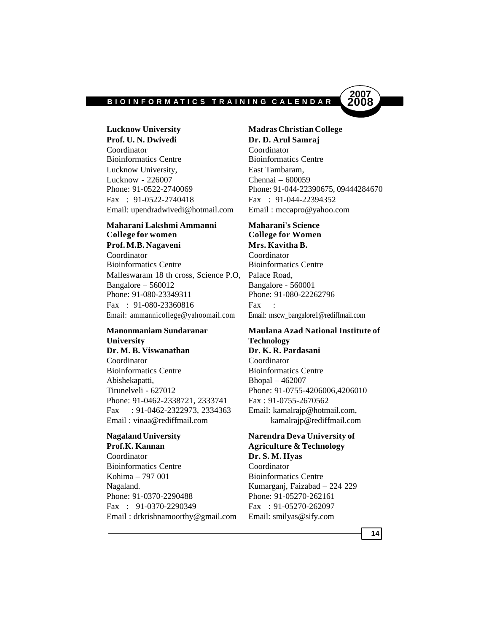

**Lucknow University Madras Christian College Prof. U. N. Dwivedi Dr. D. Arul Samraj** Coordinator Coordinator Bioinformatics Centre Bioinformatics Centre Lucknow University, East Tambaram, Lucknow - 226007 Chennai – 600059 Fax : 91-0522-2740418 Fax : 91-044-22394352 Email: upendradwivedi@hotmail.com Email : mccapro@yahoo.com

# **Maharani Lakshmi Ammanni Maharani's Science College for women College for Women Prof. M.B. Nagaveni Mrs. Kavitha B.**

Coordinator Coordinator Bioinformatics Centre Bioinformatics Centre Malleswaram 18 th cross, Science P.O, Palace Road, Bangalore – 560012 Bangalore - 560001 Phone: 91-080-23349311 Phone: 91-080-22262796 Fax : 91-080-23360816 Fax Email: ammannicollege@yahoomail.com Email: mscw\_bangalore1@rediffmail.com

# **University Technology**

**Dr. M. B. Viswanathan Dr. K. R. Pardasani** Coordinator Coordinator Bioinformatics Centre Bioinformatics Centre Abishekapatti, Bhopal – 462007 Tirunelveli - 627012 Phone: 91-0755-4206006,4206010 Phone: 91-0462-2338721, 2333741 Fax: 91-0755-2670562 Fax : 91-0462-2322973, 2334363 Email: kamalrajp@hotmail.com, Email : vinaa@rediffmail.com kamalrajp@rediffmail.com

Coordinator **Dr. S. M. IIyas** Bioinformatics Centre Coordinator Kohima – 797 001 Bioinformatics Centre Nagaland. Kumarganj, Faizabad – 224 229 Phone: 91-0370-2290488 Phone: 91-05270-262161 Fax : 91-0370-2290349 Fax : 91-05270-262097 Email : drkrishnamoorthy@gmail.com Email: smilyas@sify.com

Phone: 91-0522-2740069 Phone: 91-044-22390675, 09444284670

# **Manonmaniam Sundaranar Maulana Azad National Institute of**

# **Nagaland University Narendra Deva University of Prof.K. Kannan Agriculture & Technology**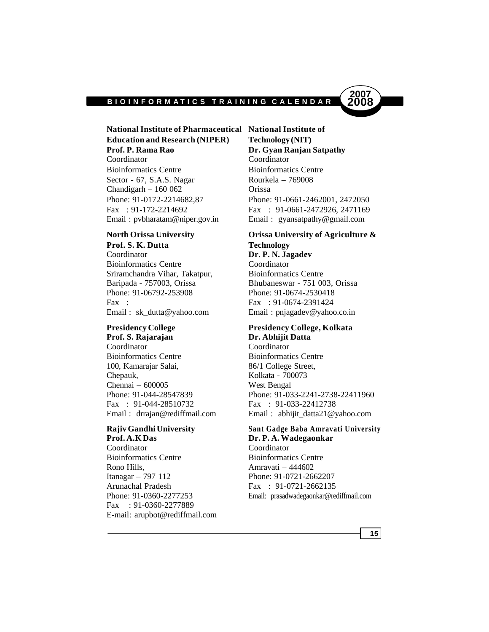

# **National Institute of Pharmaceutical National Institute of Education and Research (NIPER) Technology (NIT)**

Coordinator Coordinator Bioinformatics Centre Bioinformatics Centre Sector - 67, S.A.S. Nagar Rourkela – 769008 Chandigarh – 160 062 Orissa

# **Prof. S. K. Dutta Technology**

Coordinator **Dr. P. N. Jagadev** Bioinformatics Centre Coordinator Sriramchandra Vihar, Takatpur, Bioinformatics Centre Phone: 91-06792-253908 Phone: 91-0674-2530418 Fax : 91-0674-2391424

Coordinator Coordinator Bioinformatics Centre Bioinformatics Centre 100, Kamarajar Salai, 86/1 College Street, Chepauk, Kolkata - 700073 Chennai – 600005 West Bengal Fax : 91-044-28510732 Fax : 91-033-22412738

# **Prof. A.K Das Dr. P. A. Wadegaonkar**

Coordinator Coordinator Bioinformatics Centre Bioinformatics Centre Rono Hills, Amravati – 444602 Itanagar – 797 112 Phone: 91-0721-2662207 Arunachal Pradesh Fax : 91-0721-2662135 Fax : 91-0360-2277889 E-mail: arupbot@rediffmail.com

**Prof. P. Rama Rao Dr. Gyan Ranjan Satpathy** Phone: 91-0172-2214682,87 Phone: 91-0661-2462001, 2472050 Fax : 91-172-2214692 Fax : 91-0661-2472926, 2471169 Email : pvbharatam@niper.gov.in Email : gyansatpathy@gmail.com

# **North Orissa University Orissa University of Agriculture &**

Baripada - 757003, Orissa Bhubaneswar - 751 003, Orissa Email : sk\_dutta@yahoo.com Email : pnjagadev@yahoo.co.in

# **Presidency College Presidency College, Kolkata Prof. S. Rajarajan Dr. Abhijit Datta**

Phone: 91-044-28547839 Phone: 91-033-2241-2738-22411960 Email : drrajan@rediffmail.com Email : abhijit datta21@yahoo.com

# **Rajiv Gandhi University Sant Gadge Baba Amravati University**

Phone: 91-0360-2277253 Email: prasadwadegaonkar@rediffmail.com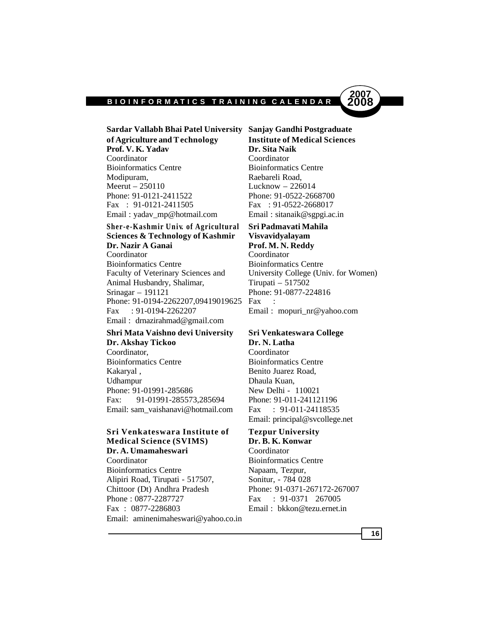

**Sardar Vallabh Bhai Patel University Sanjay Gandhi Postgraduate of Agriculture and Technology Institute of Medical Sciences Prof. V. K. Yadav Dr. Sita Naik** Coordinator Coordinator Bioinformatics Centre Bioinformatics Centre Modipuram, Raebareli Road,<br>
Meerut – 250110 Lucknow – 226 Phone: 91-0121-2411522 Phone: 91-0522-2668700 Fax : 91-0121-2411505 Fax : 91-0522-2668017 Email : yadav mp@hotmail.com Email : sitanaik@sgpgi.ac.in

**Sher-e-Kashmir Univ. of Agricultural Sri Padmavati Mahila Sciences & Technology of Kashmir Visvavidyalayam Dr. Nazir A Ganai Prof. M. N. Reddy** Coordinator Coordinator Bioinformatics Centre Bioinformatics Centre Faculty of Veterinary Sciences and University College (Univ. for Women) Animal Husbandry, Shalimar, Tirupati – 517502 Srinagar – 191121 Phone: 91-0877-224816 Phone: 91-0194-2262207,09419019625 Fax Fax : 91-0194-2262207 Email : mopuri\_nr@yahoo.com Email : drnazirahmad@gmail.com

# **Shri Mata Vaishno devi University Sri Venkateswara College Dr. Akshay Tickoo Dr. N. Latha** Coordinator, Coordinator

Bioinformatics Centre Bioinformatics Centre Kakaryal, Benito Juarez Road, Udhampur Dhaula Kuan, Phone: 91-01991-285686 New Delhi - 110021 Fax: 91-01991-285573,285694 Phone: 91-011-241121196 Email: sam\_vaishanavi@hotmail.com Fax : 91-011-24118535

# **Sri Venkateswara Institute of Tezpur University Medical Science (SVIMS) Dr. B. K. Konwar**

Dr. A. Umamaheswari Coordinator Coordinator Bioinformatics Centre Bioinformatics Centre Napaam, Tezpur,<br>Alipiri Road, Tirupati - 517507, Sonitur, - 784 028 Alipiri Road, Tirupati - 517507, Chittoor (Dt) Andhra Pradesh Phone: 91-0371-267172-267007 Phone : 0877-2287727 Fax : 91-0371 267005 Fax : 0877-2286803 Email : bkkon@tezu.ernet.in Email: aminenimaheswari@yahoo.co.in

# Lucknow  $- 226014$

Email: principal@svcollege.net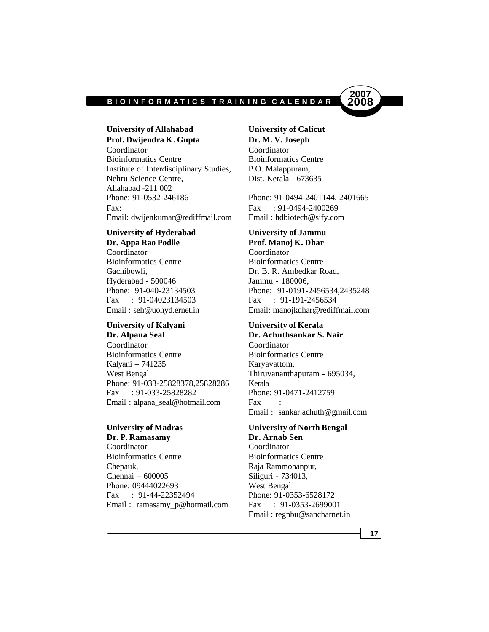

**University of Allahabad University of Calicut Prof. Dwijendra K. Gupta Dr. M. V. Joseph** Coordinator Coordinator Bioinformatics Centre Bioinformatics Centre Institute of Interdisciplinary Studies, P.O. Malappuram, Nehru Science Centre, Dist. Kerala - 673635 Allahabad -211 002 Phone: 91-0532-246186 Phone: 91-0494-2401144, 2401665 Fax: Fax: 591-0494-2400269 Email: dwijenkumar@rediffmail.com Email : hdbiotech@sify.com

### **University of Hyderabad University of Jammu Dr. Appa Rao Podile Prof. Manoj K. Dhar**

Coordinator Coordinator Bioinformatics Centre Bioinformatics Centre Gachibowli, Dr. B. R. Ambedkar Road, Hyderabad - 500046 Jammu - 180006, Fax : 91-04023134503 Fax : 91-191-2456534

# **University of Kalyani University of Kerala Dr. Alpana Seal Dr. Achuthsankar S. Nair**

Coordinator Coordinator Bioinformatics Centre Bioinformatics Centre Kalyani – 741235 Karyavattom, West Bengal Thiruvananthapuram - 695034, Phone: 91-033-25828378.25828286 Kerala Fax : 91-033-25828282 Phone: 91-0471-2412759 Email : alpana\_seal@hotmail.com Fax

**Dr. P. Ramasamy Dr. Arnab Sen** Coordinator Coordinator Bioinformatics Centre Bioinformatics Centre Chepauk, Raja Rammohanpur, Chennai – 600005 Siliguri - 734013, Phone: 09444022693 West Bengal Fax : 91-44-22352494 Phone: 91-0353-6528172 Email: ramasamy\_p@hotmail.com Fax : 91-0353-2699001

Phone: 91-040-23134503 Phone: 91-0191-2456534,2435248 Email : seh@uohyd.ernet.in Email: manojkdhar@rediffmail.com

Email : sankar.achuth@gmail.com

# **University of Madras University of North Bengal**

Email : regnbu@sancharnet.in

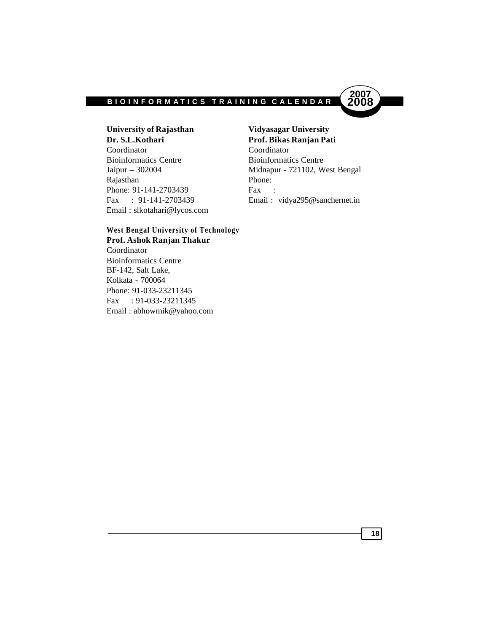

**University of Rajasthan Vidyasagar University Dr. S.L.Kothari Prof. Bikas Ranjan Pati** Coordinator Coordinator Bioinformatics Centre Bioinformatics Centre Rajasthan Phone: Phone: 91-141-2703439 Fax : Email : slkotahari@lycos.com

Jaipur – 302004 Midnapur - 721102, West Bengal Fax : 91-141-2703439 Email : vidya295@sanchernet.in

# **West Bengal University of Technology Prof. Ashok Ranjan Thakur**

Coordinator Bioinformatics Centre BF-142, Salt Lake, Kolkata - 700064 Phone: 91-033-23211345 Fax : 91-033-23211345 Email : abhowmik@yahoo.com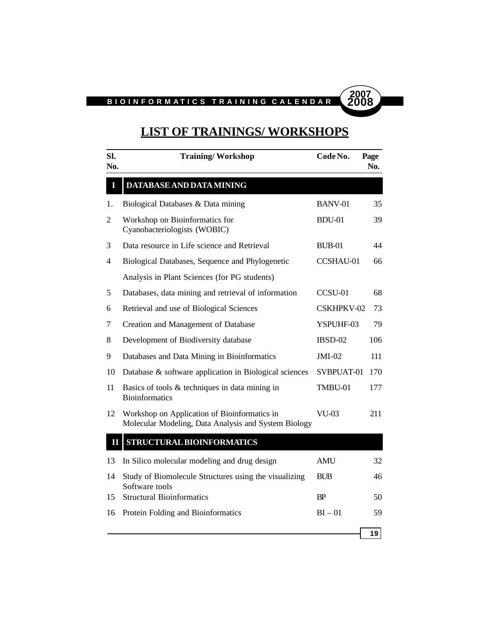

# **LIST OF TRAININGS/ WORKSHOPS**

| SI.<br>No.     | <b>Training/Workshop</b>                                                                             | Code No.      | Page<br>No. |
|----------------|------------------------------------------------------------------------------------------------------|---------------|-------------|
| $\mathbf I$    | DATABASE AND DATA MINING                                                                             |               |             |
| 1.             | Biological Databases & Data mining                                                                   | BANV-01       | 35          |
| $\overline{2}$ | Workshop on Bioinformatics for<br>Cyanobacteriologists (WOBIC)                                       | <b>BDU-01</b> | 39          |
| 3              | Data resource in Life science and Retrieval                                                          | $BUB-01$      | 44          |
| 4              | Biological Databases, Sequence and Phylogenetic                                                      | CCSHAU-01     | 66          |
|                | Analysis in Plant Sciences (for PG students)                                                         |               |             |
| 5              | Databases, data mining and retrieval of information                                                  | CCSU-01       | 68          |
| 6              | Retrieval and use of Biological Sciences                                                             | CSKHPKV-02    | 73          |
| 7              | Creation and Management of Database                                                                  | YSPUHF-03     | 79          |
| 8              | Development of Biodiversity database                                                                 | IBSD-02       | 106         |
| 9              | Databases and Data Mining in Bioinformatics                                                          | $JMI-02$      | 111         |
| 10             | Database & software application in Biological sciences                                               | SVBPUAT-01    | 170         |
| 11             | Basics of tools $&$ techniques in data mining in<br><b>Bioinformatics</b>                            | TMBU-01       | 177         |
| 12             | Workshop on Application of Bioinformatics in<br>Molecular Modeling, Data Analysis and System Biology | <b>VU-03</b>  | 211         |
| Ш              | STRUCTURAL BIOINFORMATICS                                                                            |               |             |
| 13             | In Silico molecular modeling and drug design                                                         | <b>AMU</b>    | 32          |
| 14             | Study of Biomolecule Structures using the visualizing<br>Software tools                              | <b>BUB</b>    | 46          |
| 15             | <b>Structural Bioinformatics</b>                                                                     | <b>BP</b>     | 50          |
| 16             | Protein Folding and Bioinformatics                                                                   | $BI - 01$     | 59          |
|                |                                                                                                      |               | 19          |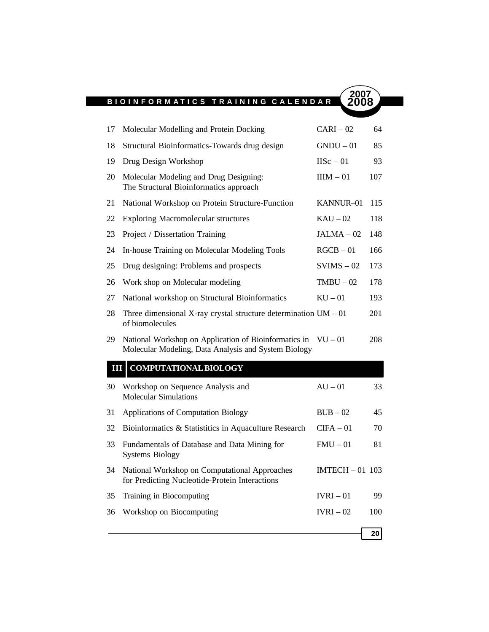

| 17 | Molecular Modelling and Protein Docking                                                                                 | $CARI - 02$            | 64  |
|----|-------------------------------------------------------------------------------------------------------------------------|------------------------|-----|
| 18 | Structural Bioinformatics-Towards drug design                                                                           | $GNDU - 01$            | 85  |
| 19 | Drug Design Workshop                                                                                                    | $IISc - 01$            | 93  |
| 20 | Molecular Modeling and Drug Designing:<br>The Structural Bioinformatics approach                                        | $IIIM - 01$            | 107 |
| 21 | National Workshop on Protein Structure-Function                                                                         | KANNUR-01              | 115 |
| 22 | <b>Exploring Macromolecular structures</b>                                                                              | $KAU - 02$             | 118 |
| 23 | Project / Dissertation Training                                                                                         | $JALMA - 02$           | 148 |
| 24 | In-house Training on Molecular Modeling Tools                                                                           | $RGCB - 01$            | 166 |
| 25 | Drug designing: Problems and prospects                                                                                  | $SVIMS - 02$           | 173 |
| 26 | Work shop on Molecular modeling                                                                                         | $TMBU - 02$            | 178 |
| 27 | National workshop on Structural Bioinformatics                                                                          | $KU - 01$              | 193 |
| 28 | Three dimensional X-ray crystal structure determination $UM - 01$<br>of biomolecules                                    |                        | 201 |
| 29 | National Workshop on Application of Bioinformatics in $VU - 01$<br>Molecular Modeling, Data Analysis and System Biology |                        | 208 |
| Ш  | <b>COMPUTATIONAL BIOLOGY</b>                                                                                            |                        |     |
| 30 | Workshop on Sequence Analysis and<br><b>Molecular Simulations</b>                                                       | $AU - 01$              | 33  |
| 31 | Applications of Computation Biology                                                                                     | $BUB - 02$             | 45  |
| 32 | Bioinformatics & Statistitics in Aquaculture Research                                                                   | $CIFA - 01$            | 70  |
| 33 | Fundamentals of Database and Data Mining for<br><b>Systems Biology</b>                                                  | $FMU - 01$             | 81  |
| 34 | National Workshop on Computational Approaches<br>for Predicting Nucleotide-Protein Interactions                         | <b>IMTECH - 01 103</b> |     |
| 35 | Training in Biocomputing                                                                                                | $IVRI - 01$            | 99  |
| 36 | Workshop on Biocomputing                                                                                                | $\text{IVRI}-02$       | 100 |
|    |                                                                                                                         |                        | 20  |
|    |                                                                                                                         |                        |     |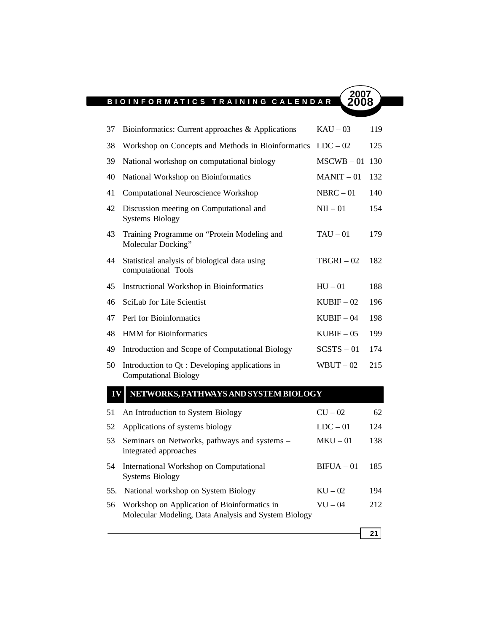

# **IV NETWORKS, PATHWAYS AND SYSTEM BIOLOGY**

| 51 | An Introduction to System Biology                                                                    | $CU - 02$    | 62   |
|----|------------------------------------------------------------------------------------------------------|--------------|------|
| 52 | Applications of systems biology                                                                      | $LDC - 01$   | 124  |
| 53 | Seminars on Networks, pathways and systems -<br>integrated approaches                                | $MKU - 01$   | 138  |
| 54 | International Workshop on Computational<br><b>Systems Biology</b>                                    | $BIFUA - 01$ | 185  |
|    | 55. National workshop on System Biology                                                              | $KU - 02$    | 194  |
| 56 | Workshop on Application of Bioinformatics in<br>Molecular Modeling, Data Analysis and System Biology | $VU - 04$    | 2.12 |
|    |                                                                                                      |              |      |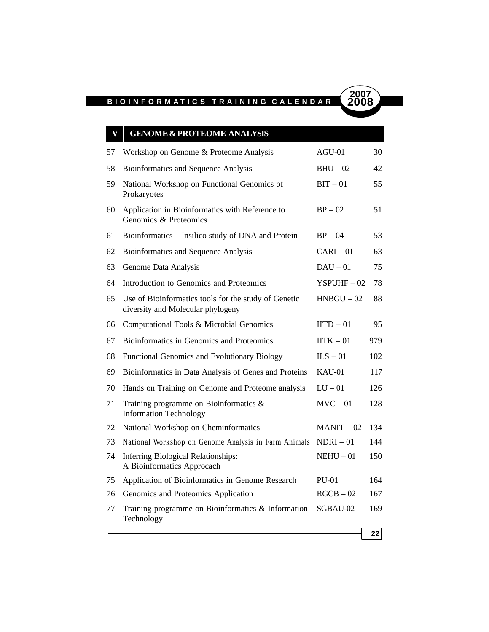| V  | <b>GENOME &amp; PROTEOME ANALYSIS</b>                                                     |                |     |
|----|-------------------------------------------------------------------------------------------|----------------|-----|
| 57 | Workshop on Genome & Proteome Analysis                                                    | $AGU-01$       | 30  |
| 58 | Bioinformatics and Sequence Analysis                                                      | $BHU - 02$     | 42  |
| 59 | National Workshop on Functional Genomics of<br>Prokaryotes                                | $BIT - 01$     | 55  |
| 60 | Application in Bioinformatics with Reference to<br>Genomics & Proteomics                  | $BP - 02$      | 51  |
| 61 | Bioinformatics - Insilico study of DNA and Protein                                        | $BP - 04$      | 53  |
| 62 | Bioinformatics and Sequence Analysis                                                      | $CARI - 01$    | 63  |
| 63 | Genome Data Analysis                                                                      | $DAU - 01$     | 75  |
| 64 | Introduction to Genomics and Proteomics                                                   | $YSPIJHF - 02$ | 78  |
| 65 | Use of Bioinformatics tools for the study of Genetic<br>diversity and Molecular phylogeny | $HNBGU-02$     | 88  |
| 66 | Computational Tools & Microbial Genomics                                                  | $IITD - 01$    | 95  |
| 67 | Bioinformatics in Genomics and Proteomics                                                 | $IITK - 01$    | 979 |
| 68 | Functional Genomics and Evolutionary Biology                                              | $ILS - 01$     | 102 |
| 69 | Bioinformatics in Data Analysis of Genes and Proteins                                     | KAU-01         | 117 |
| 70 | Hands on Training on Genome and Proteome analysis                                         | $LU - 01$      | 126 |
| 71 | Training programme on Bioinformatics $\&$<br><b>Information Technology</b>                | $MVC - 01$     | 128 |
| 72 | National Workshop on Cheminformatics                                                      | $MANIT - 02$   | 134 |
| 73 | National Workshop on Genome Analysis in Farm Animals                                      | $NDRI - 01$    | 144 |
| 74 | <b>Inferring Biological Relationships:</b><br>A Bioinformatics Approcach                  | $NEHIJ - 01$   | 150 |
| 75 | Application of Bioinformatics in Genome Research                                          | $PU-01$        | 164 |
| 76 | Genomics and Proteomics Application                                                       | $RGCB - 02$    | 167 |
| 77 | Training programme on Bioinformatics & Information<br>Technology                          | SGBAU-02       | 169 |
|    |                                                                                           |                | 22  |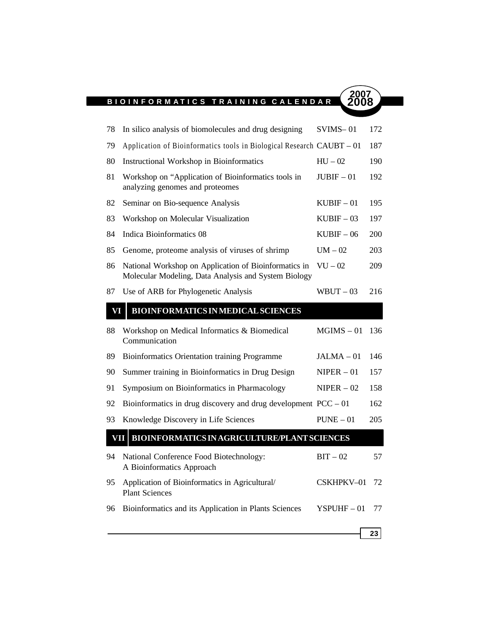ı

| 78  | In silico analysis of biomolecules and drug designing                                                         | $SVMS-01$    | 172        |
|-----|---------------------------------------------------------------------------------------------------------------|--------------|------------|
| 79  | Application of Bioinformatics tools in Biological Research CAUBT - 01                                         |              | 187        |
| 80  | Instructional Workshop in Bioinformatics                                                                      | $HU - 02$    | 190        |
| 81  | Workshop on "Application of Bioinformatics tools in<br>analyzing genomes and proteomes                        | $JUBIF-01$   | 192        |
| 82  | Seminar on Bio-sequence Analysis                                                                              | $KUBIF-01$   | 195        |
| 83  | Workshop on Molecular Visualization                                                                           | $KUBIF - 03$ | 197        |
| 84  | Indica Bioinformatics 08                                                                                      | $KUBIF - 06$ | <b>200</b> |
| 85  | Genome, proteome analysis of viruses of shrimp                                                                | $UM - 02$    | 203        |
| 86  | National Workshop on Application of Bioinformatics in<br>Molecular Modeling, Data Analysis and System Biology | $VU - 02$    | 209        |
| 87  | Use of ARB for Phylogenetic Analysis                                                                          | $WBUT-03$    | 216        |
| VI  | <b>BIOINFORMATICS IN MEDICAL SCIENCES</b>                                                                     |              |            |
| 88  | Workshop on Medical Informatics & Biomedical<br>Communication                                                 | $MGIMS - 01$ | 136        |
| 89  | Bioinformatics Orientation training Programme                                                                 | $JALMA - 01$ | 146        |
| 90  | Summer training in Bioinformatics in Drug Design                                                              | $NIPER - 01$ | 157        |
| 91  | Symposium on Bioinformatics in Pharmacology                                                                   | $NIPER - 02$ | 158        |
| 92  | Bioinformatics in drug discovery and drug development $PCC - 01$                                              |              | 162        |
| 93  | Knowledge Discovery in Life Sciences                                                                          | $PUNE - 01$  | 205        |
| VII | BIOINFORMATICS IN AGRICULTURE/PLANT SCIENCES                                                                  |              |            |
| 94  | National Conference Food Biotechnology:<br>A Bioinformatics Approach                                          | $BIT - 02$   | 57         |
| 95  | Application of Bioinformatics in Agricultural/<br><b>Plant Sciences</b>                                       | CSKHPKV-01   | 72         |
| 96  | Bioinformatics and its Application in Plants Sciences                                                         | $YSPUHF-01$  | 77         |
|     |                                                                                                               |              | 23         |
|     |                                                                                                               |              |            |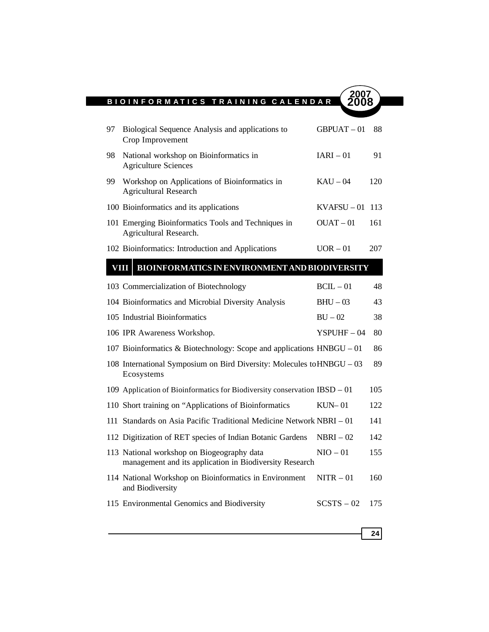| 97          | Biological Sequence Analysis and applications to<br>Crop Improvement                                  | $GBPUAT - 01$ | 88   |
|-------------|-------------------------------------------------------------------------------------------------------|---------------|------|
| 98          | National workshop on Bioinformatics in<br><b>Agriculture Sciences</b>                                 | $IARI - 01$   | 91   |
| 99          | Workshop on Applications of Bioinformatics in<br><b>Agricultural Research</b>                         | $KAU - 04$    | 120  |
|             | 100 Bioinformatics and its applications                                                               | $KVAFSU - 01$ | -113 |
|             | 101 Emerging Bioinformatics Tools and Techniques in<br>Agricultural Research.                         | $OUAT - 01$   | 161  |
|             | 102 Bioinformatics: Introduction and Applications                                                     | $UOR - 01$    | 207  |
| <b>VIII</b> | BIOINFORMATICS IN ENVIRONMENT AND BIODIVERSITY                                                        |               |      |
|             | 103 Commercialization of Biotechnology                                                                | $BCL - 01$    | 48   |
|             | 104 Bioinformatics and Microbial Diversity Analysis                                                   | $BHU - 03$    | 43   |
|             | 105 Industrial Bioinformatics                                                                         | $BU - 02$     | 38   |
|             | 106 IPR Awareness Workshop.                                                                           | $YSPUHF-04$   | 80   |
|             | 107 Bioinformatics & Biotechnology: Scope and applications $HNBGU - 01$                               |               | 86   |
|             | 108 International Symposium on Bird Diversity: Molecules to HNBGU - 03<br>Ecosystems                  |               | 89   |
|             | 109 Application of Bioinformatics for Biodiversity conservation IBSD - 01                             |               | 105  |
|             | 110 Short training on "Applications of Bioinformatics"                                                | $KUN-01$      | 122  |
|             | 111 Standards on Asia Pacific Traditional Medicine Network NBRI – 01                                  |               | 141  |
|             | 112 Digitization of RET species of Indian Botanic Gardens                                             | $NBRI - 02$   | 142  |
|             | 113 National workshop on Biogeography data<br>management and its application in Biodiversity Research | $NIO - 01$    | 155  |
|             | 114 National Workshop on Bioinformatics in Environment<br>and Biodiversity                            | $NITR - 01$   | 160  |
|             | 115 Environmental Genomics and Biodiversity                                                           | $SCSTS - 02$  | 175  |
|             |                                                                                                       |               | 24   |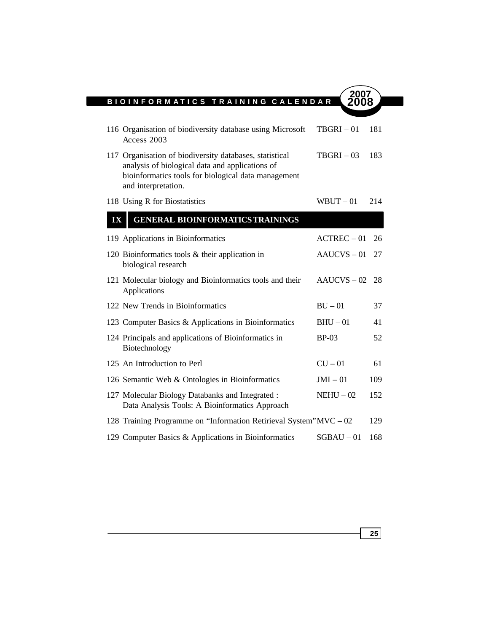ı

|    | 116 Organisation of biodiversity database using Microsoft<br>Access 2003                                                                                                                 | $TBGRI - 01$  | 181  |
|----|------------------------------------------------------------------------------------------------------------------------------------------------------------------------------------------|---------------|------|
|    | 117 Organisation of biodiversity databases, statistical<br>analysis of biological data and applications of<br>bioinformatics tools for biological data management<br>and interpretation. | $TBGRI - 03$  | 183  |
|    | 118 Using R for Biostatistics                                                                                                                                                            | $WBUT - 01$   | 214  |
| IX | <b>GENERAL BIOINFORMATICS TRAININGS</b>                                                                                                                                                  |               |      |
|    | 119 Applications in Bioinformatics                                                                                                                                                       | $ACTREC - 01$ | 26   |
|    | 120 Bioinformatics tools $\&$ their application in<br>biological research                                                                                                                | $AAUCVS - 01$ | 27   |
|    | 121 Molecular biology and Bioinformatics tools and their<br>Applications                                                                                                                 | $AAUCVS - 02$ | - 28 |
|    | 122 New Trends in Bioinformatics                                                                                                                                                         | $BU - 01$     | 37   |
|    | 123 Computer Basics & Applications in Bioinformatics                                                                                                                                     | $BHU - 01$    | 41   |
|    | 124 Principals and applications of Bioinformatics in<br>Biotechnology                                                                                                                    | $BP-03$       | 52   |
|    | 125 An Introduction to Perl                                                                                                                                                              | $CU - 01$     | 61   |
|    | 126 Semantic Web & Ontologies in Bioinformatics                                                                                                                                          | $JMI - 01$    | 109  |
|    | 127 Molecular Biology Databanks and Integrated :<br>Data Analysis Tools: A Bioinformatics Approach                                                                                       | $NEHU - 02$   | 152  |
|    | 128 Training Programme on "Information Retirieval System" MVC – 02                                                                                                                       |               | 129  |
|    | 129 Computer Basics & Applications in Bioinformatics                                                                                                                                     | $SGBAU - 01$  | 168  |

**25**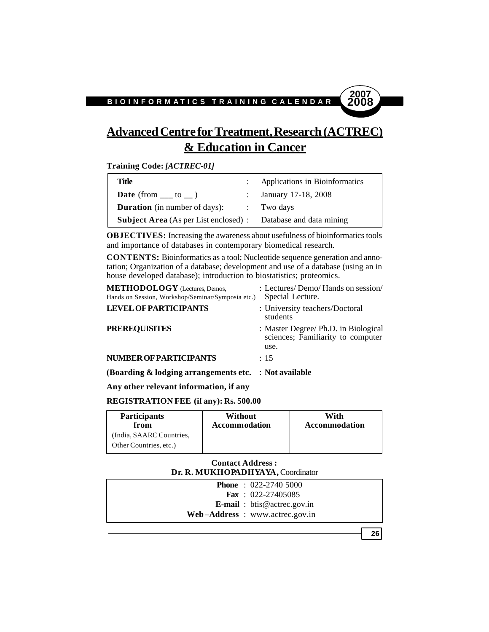# **Advanced Centre for Treatment, Research (ACTREC) & Education in Cancer**

**Training Code:** *[ACTREC-01]*

| Title                                                                 | : Applications in Bioinformatics |
|-----------------------------------------------------------------------|----------------------------------|
| <b>Date</b> (from $\_\_\_$ to $\_\_$ )                                | : January 17-18, 2008            |
| <b>Duration</b> (in number of days): : Two days                       |                                  |
| <b>Subject Area</b> (As per List enclosed) : Database and data mining |                                  |

**OBJECTIVES:** Increasing the awareness about usefulness of bioinformatics tools and importance of databases in contemporary biomedical research.

**CONTENTS:** Bioinformatics as a tool; Nucleotide sequence generation and annotation; Organization of a database; development and use of a database (using an in house developed database); introduction to biostatistics; proteomics.

| (Boarding $\&$ lodging arrangements etc. $\therefore$ Not available                       |                                                                                   |
|-------------------------------------------------------------------------------------------|-----------------------------------------------------------------------------------|
| <b>NUMBER OF PARTICIPANTS</b>                                                             | : 15                                                                              |
| <b>PREREQUISITES</b>                                                                      | : Master Degree/ Ph.D. in Biological<br>sciences; Familiarity to computer<br>use. |
| <b>LEVEL OF PARTICIPANTS</b>                                                              | : University teachers/Doctoral<br>students                                        |
| <b>METHODOLOGY</b> (Lectures, Demos,<br>Hands on Session, Workshop/Seminar/Symposia etc.) | : Lectures/Demo/Hands on session/<br>Special Lecture.                             |

**Any other relevant information, if any**

**REGISTRATION FEE (if any): Rs. 500.00**

| <b>Participants</b>                                | Without              | With                 |
|----------------------------------------------------|----------------------|----------------------|
| from                                               | <b>Accommodation</b> | <b>Accommodation</b> |
| (India, SAARC Countries,<br>Other Countries, etc.) |                      |                      |

# **Contact Address : Dr. R. MUKHOPADHYAYA,** Coordinator

| <b>Phone</b> : $022-27405000$      |
|------------------------------------|
| <b>Fax</b> : $022 - 27405085$      |
| <b>E-mail</b> : btis@actrec.gov.in |
| Web-Address: www.actrec.gov.in     |

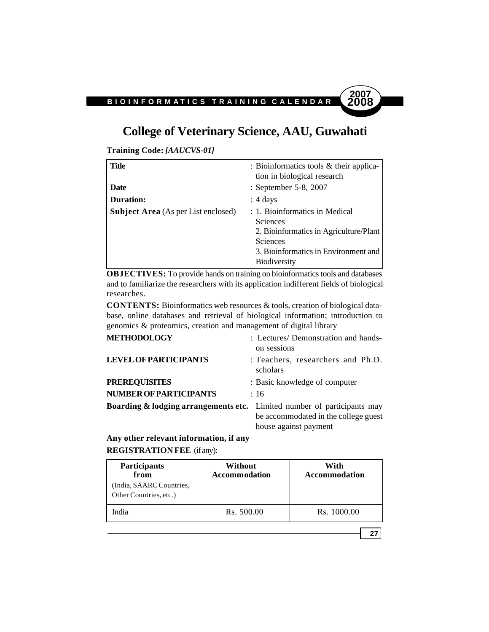# **College of Veterinary Science, AAU, Guwahati**

**Training Code:** *[AAUCVS-01]*

| Title                                      | : Bioinformatics tools & their applica-<br>tion in biological research                                                                                                        |
|--------------------------------------------|-------------------------------------------------------------------------------------------------------------------------------------------------------------------------------|
| Date                                       | : September 5-8, 2007                                                                                                                                                         |
| <b>Duration:</b>                           | $: 4 \text{ days}$                                                                                                                                                            |
| <b>Subject Area</b> (As per List enclosed) | : 1. Bioinformatics in Medical<br><b>Sciences</b><br>2. Bioinformatics in Agriculture/Plant<br><b>Sciences</b><br>3. Bioinformatics in Environment and<br><b>Biodiversity</b> |

**OBJECTIVES:** To provide hands on training on bioinformatics tools and databases and to familiarize the researchers with its application indifferent fields of biological researches.

**CONTENTS:** Bioinformatics web resources & tools, creation of biological database, online databases and retrieval of biological information; introduction to genomics & proteomics, creation and management of digital library

| <b>METHODOLOGY</b>                                                                 | : Lectures/ Demonstration and hands-<br>on sessions           |
|------------------------------------------------------------------------------------|---------------------------------------------------------------|
| <b>LEVEL OF PARTICIPANTS</b>                                                       | : Teachers, researchers and Ph.D.<br>scholars                 |
| <b>PREREQUISITES</b>                                                               | : Basic knowledge of computer                                 |
| <b>NUMBER OF PARTICIPANTS</b>                                                      | :16                                                           |
| <b>Boarding &amp; lodging arrangements etc.</b> Limited number of participants may | be accommodated in the college guest<br>house against payment |

# **Any other relevant information, if any REGISTRATION FEE** (if any):

| <b>Participants</b><br>from<br>(India, SAARC Countries,<br>Other Countries, etc.) | Without<br><b>Accommodation</b> | With<br><b>Accommodation</b> |
|-----------------------------------------------------------------------------------|---------------------------------|------------------------------|
| ndia                                                                              | Rs. 500.00                      | Rs. 1000.00                  |

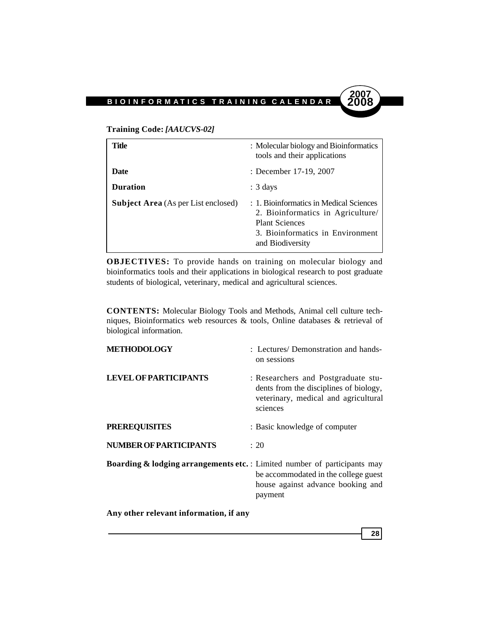

| Title                                      | : Molecular biology and Bioinformatics<br>tools and their applications                                                                                        |
|--------------------------------------------|---------------------------------------------------------------------------------------------------------------------------------------------------------------|
| Date                                       | : December 17-19, 2007                                                                                                                                        |
| <b>Duration</b>                            | $: 3 \text{ days}$                                                                                                                                            |
| <b>Subject Area</b> (As per List enclosed) | : 1. Bioinformatics in Medical Sciences<br>2. Bioinformatics in Agriculture/<br><b>Plant Sciences</b><br>3. Bioinformatics in Environment<br>and Biodiversity |

**OBJECTIVES:** To provide hands on training on molecular biology and bioinformatics tools and their applications in biological research to post graduate students of biological, veterinary, medical and agricultural sciences.

**CONTENTS:** Molecular Biology Tools and Methods, Animal cell culture techniques, Bioinformatics web resources & tools, Online databases & retrieval of biological information.

| <b>METHODOLOGY</b>                                                                   | : Lectures/Demonstration and hands-<br>on sessions                                                                                |
|--------------------------------------------------------------------------------------|-----------------------------------------------------------------------------------------------------------------------------------|
| <b>LEVEL OF PARTICIPANTS</b>                                                         | : Researchers and Postgraduate stu-<br>dents from the disciplines of biology,<br>veterinary, medical and agricultural<br>sciences |
| <b>PREREQUISITES</b>                                                                 | : Basic knowledge of computer                                                                                                     |
| <b>NUMBER OF PARTICIPANTS</b>                                                        | : 20                                                                                                                              |
| <b>Boarding &amp; lodging arrangements etc.</b> : Limited number of participants may | be accommodated in the college guest<br>house against advance booking and<br>payment                                              |

**Any other relevant information, if any**

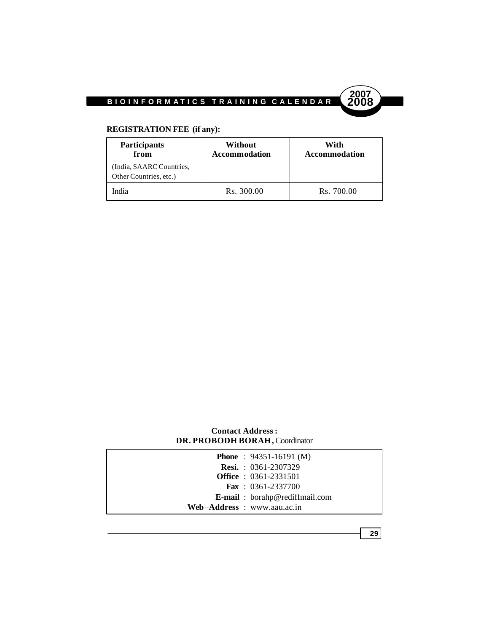

# **REGISTRATION FEE (if any):**

| <b>Participants</b><br>from                        | Without<br><b>Accommodation</b> | With<br>Accommodation |
|----------------------------------------------------|---------------------------------|-----------------------|
| (India, SAARC Countries,<br>Other Countries, etc.) |                                 |                       |
| India                                              | Rs. 300.00                      | Rs. 700.00            |

| <b>Contact Address:</b>        |  |
|--------------------------------|--|
| DR. PROBODH BORAH, Coordinator |  |

| <b>Phone</b> : $94351-16191$ (M)      |
|---------------------------------------|
| <b>Resi.</b> : $0361-2307329$         |
| <b>Office</b> : 0361-2331501          |
| <b>Fax</b> : $0361-2337700$           |
| <b>E-mail</b> : borahp@rediffmail.com |
| Web-Address: www.aau.ac.in            |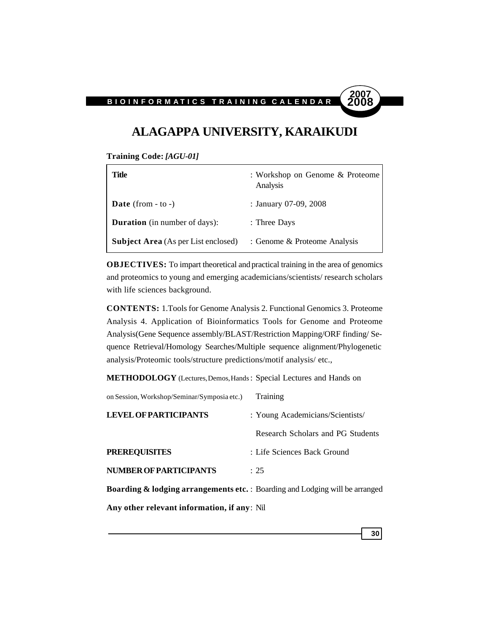

**30**

# **ALAGAPPA UNIVERSITY, KARAIKUDI**

**Training Code:** *[AGU-01]*

| Title                                      | : Workshop on Genome & Proteome<br>Analysis |
|--------------------------------------------|---------------------------------------------|
| <b>Date</b> (from $-$ to $-$ )             | : January 07-09, 2008                       |
| <b>Duration</b> (in number of days):       | : Three Days                                |
| <b>Subject Area</b> (As per List enclosed) | : Genome & Proteome Analysis                |

**OBJECTIVES:** To impart theoretical and practical training in the area of genomics and proteomics to young and emerging academicians/scientists/ research scholars with life sciences background.

**CONTENTS:** 1.Tools for Genome Analysis 2. Functional Genomics 3. Proteome Analysis 4. Application of Bioinformatics Tools for Genome and Proteome Analysis(Gene Sequence assembly/BLAST/Restriction Mapping/ORF finding/ Sequence Retrieval/Homology Searches/Multiple sequence alignment/Phylogenetic analysis/Proteomic tools/structure predictions/motif analysis/ etc.,

**METHODOLOGY** (Lectures, Demos, Hands: Special Lectures and Hands on

| on Session, Workshop/Seminar/Symposia etc.)                                             | Training                          |
|-----------------------------------------------------------------------------------------|-----------------------------------|
| <b>LEVEL OF PARTICIPANTS</b>                                                            | : Young Academicians/Scientists/  |
|                                                                                         | Research Scholars and PG Students |
| <b>PREREQUISITES</b>                                                                    | : Life Sciences Back Ground       |
| <b>NUMBER OF PARTICIPANTS</b>                                                           | : 25                              |
| <b>Boarding &amp; lodging arrangements etc.</b> : Boarding and Lodging will be arranged |                                   |
| Any other relevant information, if any: Nil                                             |                                   |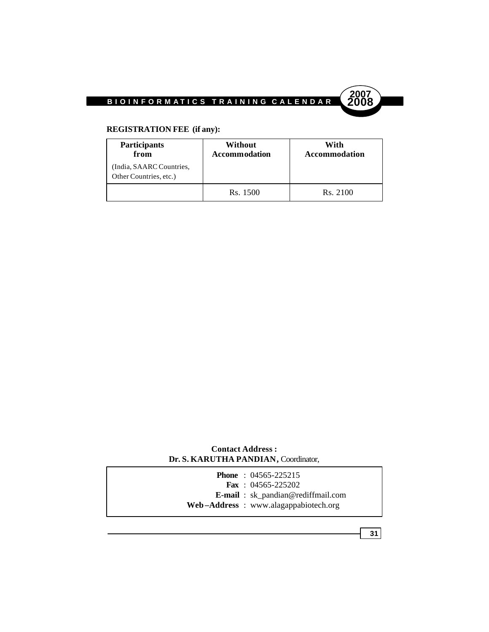

# **REGISTRATION FEE (if any):**

| Participants<br>from                               | Without<br><b>Accommodation</b> | With<br><b>Accommodation</b> |
|----------------------------------------------------|---------------------------------|------------------------------|
| (India, SAARC Countries,<br>Other Countries, etc.) |                                 |                              |
|                                                    | Rs. 1500                        | Rs. 2100                     |

## **Contact Address : Dr. S. KARUTHA PANDIAN,** Coordinator,

|  | <b>Phone</b> : $04565 - 225215$<br><b>Fax</b> : $04565 - 225202$                  |
|--|-----------------------------------------------------------------------------------|
|  | <b>E-mail</b> : sk_pandian@rediffmail.com<br>Web-Address: www.alagappabiotech.org |
|  |                                                                                   |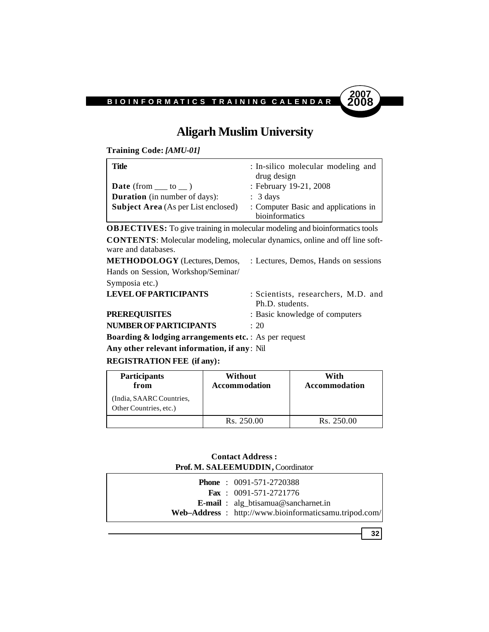

# **Aligarh Muslim University**

**Training Code:** *[AMU-01]*

| Title                                      | : In-silico molecular modeling and<br>drug design      |
|--------------------------------------------|--------------------------------------------------------|
| <b>Date</b> (from $\_\_\_$ to $\_\_$ )     | : February 19-21, 2008                                 |
| <b>Duration</b> (in number of days):       | $\therefore$ 3 days                                    |
| <b>Subject Area</b> (As per List enclosed) | : Computer Basic and applications in<br>bioinformatics |

**OBJECTIVES:** To give training in molecular modeling and bioinformatics tools **CONTENTS**: Molecular modeling, molecular dynamics, online and off line software and databases.

| <b>METHODOLOGY</b> (Lectures, Demos,                                                                                                                                                                                                                                                                                                                            | : Lectures, Demos, Hands on sessions                   |  |
|-----------------------------------------------------------------------------------------------------------------------------------------------------------------------------------------------------------------------------------------------------------------------------------------------------------------------------------------------------------------|--------------------------------------------------------|--|
| Hands on Session, Workshop/Seminar/                                                                                                                                                                                                                                                                                                                             |                                                        |  |
| Symposia etc.)                                                                                                                                                                                                                                                                                                                                                  |                                                        |  |
| <b>LEVEL OF PARTICIPANTS</b>                                                                                                                                                                                                                                                                                                                                    | : Scientists, researchers, M.D. and<br>Ph.D. students. |  |
| <b>PREREOUISITES</b>                                                                                                                                                                                                                                                                                                                                            | : Basic knowledge of computers                         |  |
| NUMBER OF PARTICIPANTS                                                                                                                                                                                                                                                                                                                                          | $\div$ 20                                              |  |
| $\mathbf{D}_{\mathbf{Q}}$ $\mathbf{D}_{\mathbf{Q}}$ $\mathbf{D}_{\mathbf{Q}}$ and $\mathbf{D}_{\mathbf{Q}}$ are $\mathbf{D}_{\mathbf{Q}}$ and $\mathbf{D}_{\mathbf{Q}}$ and $\mathbf{D}_{\mathbf{Q}}$ are $\mathbf{D}_{\mathbf{Q}}$ and $\mathbf{D}_{\mathbf{Q}}$ and $\mathbf{D}_{\mathbf{Q}}$ and $\mathbf{D}_{\mathbf{Q}}$ and $\mathbf{D}_{\mathbf{Q}}$ and |                                                        |  |

**Boarding & lodging arrangements etc.** : As per request

**Any other relevant information, if any**: Nil

## **REGISTRATION FEE (if any):**

| <b>Participants</b><br>from                        | Without<br><b>Accommodation</b> | With<br>Accommodation  |
|----------------------------------------------------|---------------------------------|------------------------|
| (India, SAARC Countries,<br>Other Countries, etc.) |                                 |                        |
|                                                    | Rs. 250.00                      | R <sub>s.</sub> 250.00 |

**Contact Address : Prof. M. SALEEMUDDIN,** Coordinator

|  | <b>Phone</b> : $0091-571-2720388$                      |
|--|--------------------------------------------------------|
|  | <b>Fax</b> : $0091-571-2721776$                        |
|  | <b>E-mail</b> : alg_btisamua@sancharnet.in             |
|  | Web-Address : http://www.bioinformaticsamu.tripod.com/ |

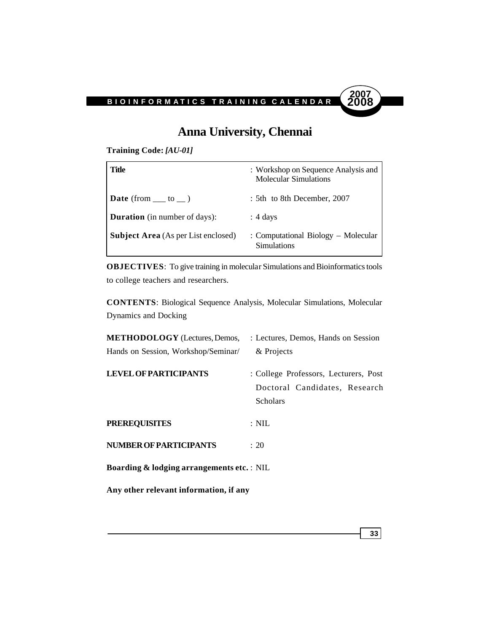# **Anna University, Chennai**

**Training Code:** *[AU-01]*

| Title                                      | : Workshop on Sequence Analysis and<br><b>Molecular Simulations</b> |
|--------------------------------------------|---------------------------------------------------------------------|
| <b>Date</b> (from $\_\_\_$ to $\_\_$ )     | : 5th to 8th December, 2007                                         |
| <b>Duration</b> (in number of days):       | $: 4 \text{ days}$                                                  |
| <b>Subject Area</b> (As per List enclosed) | : Computational Biology – Molecular<br>Simulations                  |

**OBJECTIVES**: To give training in molecular Simulations and Bioinformatics tools to college teachers and researchers.

**CONTENTS**: Biological Sequence Analysis, Molecular Simulations, Molecular Dynamics and Docking

| <b>METHODOLOGY</b> (Lectures, Demos,                 | : Lectures, Demos, Hands on Session                                                       |
|------------------------------------------------------|-------------------------------------------------------------------------------------------|
| Hands on Session, Workshop/Seminar/                  | & Projects                                                                                |
| <b>LEVEL OF PARTICIPANTS</b>                         | : College Professors, Lecturers, Post<br>Doctoral Candidates, Research<br><b>Scholars</b> |
| <b>PREREQUISITES</b>                                 | $:$ NIL                                                                                   |
| <b>NUMBER OF PARTICIPANTS</b>                        | : 20                                                                                      |
| <b>Boarding &amp; lodging arrangements etc.: NIL</b> |                                                                                           |
| Any other relevant information, if any               |                                                                                           |

**33**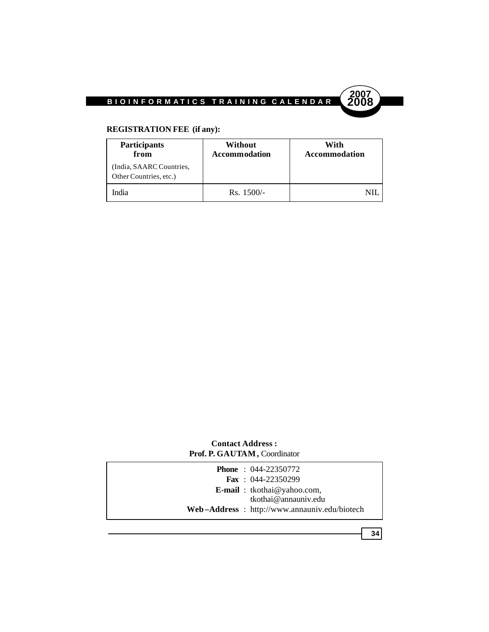

# **REGISTRATION FEE (if any):**

| <b>Participants</b><br>from                        | Without<br><b>Accommodation</b> | With<br><b>Accommodation</b> |
|----------------------------------------------------|---------------------------------|------------------------------|
| (India, SAARC Countries,<br>Other Countries, etc.) |                                 |                              |
| India                                              | $Rs. 1500/-$                    |                              |

# **Contact Address : Prof. P. GAUTAM,** Coordinator

| <b>E-mail</b> : tkothai@yahoo.com,           |
|----------------------------------------------|
| tkothai@annauniv.edu                         |
| Web-Address: http://www.annauniv.edu/biotech |
|                                              |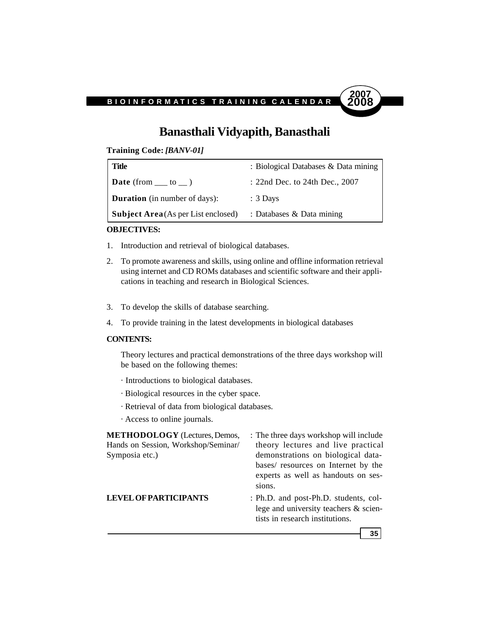

# **Banasthali Vidyapith, Banasthali**

**Training Code:** *[BANV-01]*

| Title                                      | : Biological Databases & Data mining |
|--------------------------------------------|--------------------------------------|
| <b>Date</b> (from $\_\_$ to $\_\)$ )       | : 22nd Dec. to 24th Dec., 2007       |
| <b>Duration</b> (in number of days):       | $: 3$ Days                           |
| <b>Subject Area</b> (As per List enclosed) | : Databases & Data mining            |

### **OBJECTIVES:**

- 1. Introduction and retrieval of biological databases.
- 2. To promote awareness and skills, using online and offline information retrieval using internet and CD ROMs databases and scientific software and their applications in teaching and research in Biological Sciences.
- 3. To develop the skills of database searching.
- 4. To provide training in the latest developments in biological databases

#### **CONTENTS:**

Theory lectures and practical demonstrations of the three days workshop will be based on the following themes:

- · Introductions to biological databases.
- · Biological resources in the cyber space.
- · Retrieval of data from biological databases.
- · Access to online journals.

**METHODOLOGY** (Lectures, Demos, : The three days workshop will include Hands on Session, Workshop/Seminar/ theory lectures and live practical Symposia etc.) demonstrations on biological databases/ resources on Internet by the experts as well as handouts on sessions. **LEVEL OF PARTICIPANTS** : Ph.D. and post-Ph.D. students, college and university teachers & scientists in research institutions.

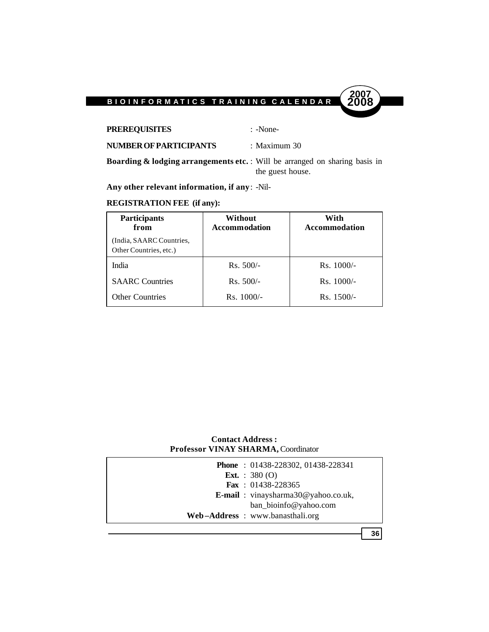

**PREREQUISITES** : -None-

**NUMBER OF PARTICIPANTS** : Maximum 30

**Boarding & lodging arrangements etc.** : Will be arranged on sharing basis in the guest house.

**Any other relevant information, if any**: -Nil-

## **REGISTRATION FEE (if any):**

| <b>Participants</b><br>from                        | Without<br><b>Accommodation</b> | With<br><b>Accommodation</b> |
|----------------------------------------------------|---------------------------------|------------------------------|
| (India, SAARC Countries,<br>Other Countries, etc.) |                                 |                              |
| India                                              | $Rs. 500/-$                     | $Rs. 1000/-$                 |
| <b>SAARC</b> Countries                             | $Rs. 500/-$                     | $Rs. 1000/-$                 |
| <b>Other Countries</b>                             | $Rs. 1000/-$                    | $Rs. 1500/-$                 |

## **Contact Address : Professor VINAY SHARMA,** Coordinator

| Phone: 01438-228302, 01438-228341  |
|------------------------------------|
| <b>Ext.</b> : 380 (O)              |
| <b>Fax</b> : $01438 - 228365$      |
| E-mail: vinaysharma30@yahoo.co.uk, |
| ban_bioinfo@yahoo.com              |
| Web-Address: www.banasthali.org    |
|                                    |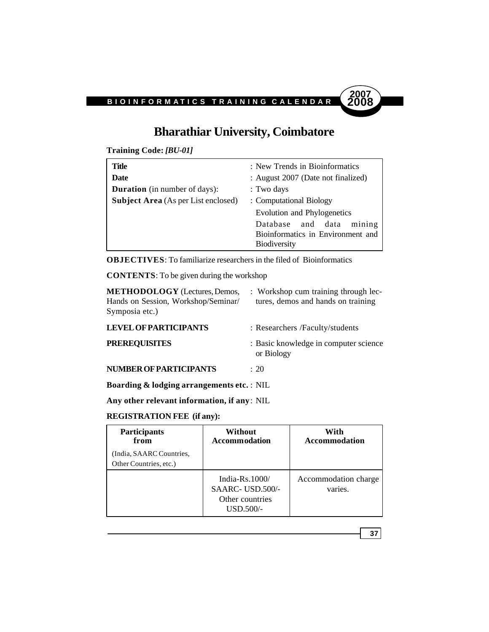

# **Bharathiar University, Coimbatore**

**Training Code:** *[BU-01]*

| Title                                      | : New Trends in Bioinformatics     |  |
|--------------------------------------------|------------------------------------|--|
| Date                                       | : August 2007 (Date not finalized) |  |
| <b>Duration</b> (in number of days):       | : Two days                         |  |
| <b>Subject Area</b> (As per List enclosed) | : Computational Biology            |  |
|                                            | Evolution and Phylogenetics        |  |
|                                            | mining<br>and<br>data<br>Database  |  |
|                                            | Bioinformatics in Environment and  |  |
|                                            | <b>Biodiversity</b>                |  |

**OBJECTIVES**: To familiarize researchers in the filed of Bioinformatics

**CONTENTS**: To be given during the workshop

| <b>METHODOLOGY</b> (Lectures, Demos,<br>Hands on Session, Workshop/Seminar/<br>Symposia etc.) | : Workshop cum training through lec-<br>tures, demos and hands on training |
|-----------------------------------------------------------------------------------------------|----------------------------------------------------------------------------|
| <b>LEVEL OF PARTICIPANTS</b>                                                                  | : Researchers / Faculty/students                                           |
| <b>PREREQUISITES</b>                                                                          | : Basic knowledge in computer science<br>or Biology                        |
| <b>NUMBER OF PARTICIPANTS</b>                                                                 | : 20                                                                       |

**Boarding & lodging arrangements etc.** : NIL

**Any other relevant information, if any**: NIL

## **REGISTRATION FEE (if any):**

| <b>Participants</b><br>from<br>(India, SAARC Countries,<br>Other Countries, etc.) | Without<br><b>Accommodation</b>                                        | With<br>Accommodation           |
|-----------------------------------------------------------------------------------|------------------------------------------------------------------------|---------------------------------|
|                                                                                   | India- $Rs.1000/$<br>SAARC-USD.500/-<br>Other countries<br>$USD.500/-$ | Accommodation charge<br>varies. |

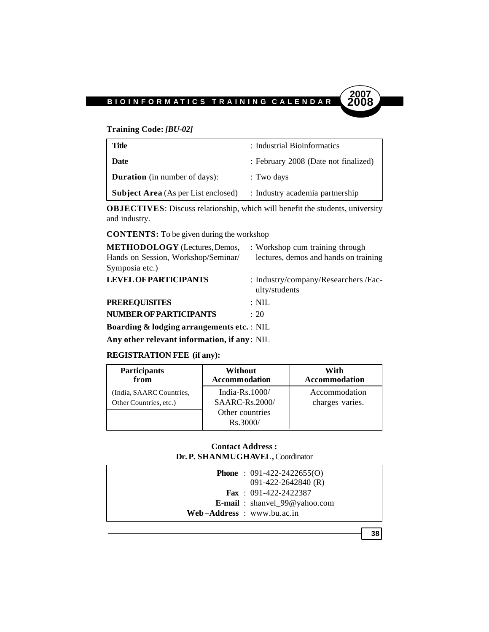# **Training Code:** *[BU-02]*

| <b>Title</b>                               | : Industrial Bioinformatics          |
|--------------------------------------------|--------------------------------------|
| <b>Date</b>                                | : February 2008 (Date not finalized) |
| <b>Duration</b> (in number of days):       | : Two days                           |
| <b>Subject Area</b> (As per List enclosed) | : Industry academia partnership      |

**OBJECTIVES**: Discuss relationship, which will benefit the students, university and industry.

**CONTENTS:** To be given during the workshop

| <b>METHODOLOGY</b> (Lectures, Demos,                 | : Workshop cum training through                       |
|------------------------------------------------------|-------------------------------------------------------|
| Hands on Session, Workshop/Seminar/                  | lectures, demos and hands on training                 |
| Symposia etc.)                                       |                                                       |
| <b>LEVEL OF PARTICIPANTS</b>                         | : Industry/company/Researchers /Fac-<br>ulty/students |
| <b>PREREQUISITES</b>                                 | $: \mathrm{NIL}$                                      |
| <b>NUMBER OF PARTICIPANTS</b>                        | $\div$ 20                                             |
| <b>Boarding &amp; lodging arrangements etc.:</b> NIL |                                                       |

**Any other relevant information, if any**: NIL

## **REGISTRATION FEE (if any):**

| <b>Participants</b>      | Without                     | With                 |
|--------------------------|-----------------------------|----------------------|
| from                     | <b>Accommodation</b>        | <b>Accommodation</b> |
| (India, SAARC Countries, | India- $Rs.1000/$           | Accommodation        |
| Other Countries, etc.)   | <b>SAARC-Rs.2000/</b>       | charges varies.      |
|                          | Other countries<br>Rs.3000/ |                      |

## **Contact Address : Dr. P. SHANMUGHAVEL,** Coordinator

| <b>Phone</b> : $091-422-2422655(0)$<br>$091 - 422 - 2642840$ (R) |
|------------------------------------------------------------------|
| <b>Fax</b> : $091-422-2422387$                                   |
| <b>E-mail</b> : shanvel_99@yahoo.com                             |
| Web-Address: www.bu.ac.in                                        |

**38**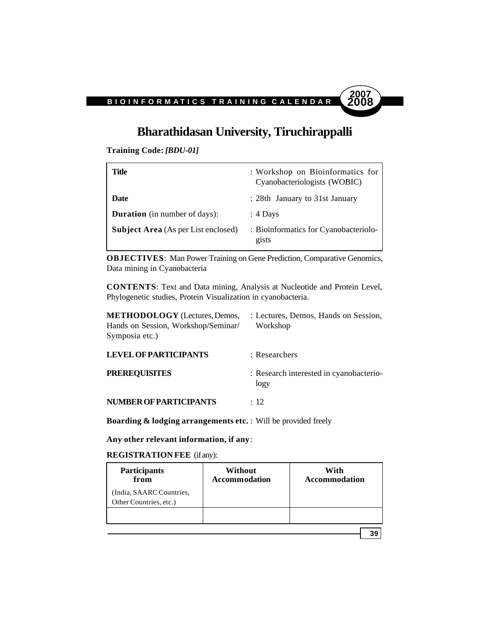# **Bharathidasan University, Tiruchirappalli**

**2007**

**Training Code:** *[BDU-01]*

| Title                                      | : Workshop on Bioinformatics for<br>Cyanobacteriologists (WOBIC) |
|--------------------------------------------|------------------------------------------------------------------|
| Date                                       | : 28th January to 31st January                                   |
| <b>Duration</b> (in number of days):       | $: 4$ Days                                                       |
| <b>Subject Area</b> (As per List enclosed) | : Bioinformatics for Cyanobacteriolo-<br>gists                   |

**OBJECTIVES**: Man Power Training on Gene Prediction, Comparative Genomics, Data mining in Cyanobacteria

**CONTENTS**: Text and Data mining, Analysis at Nucleotide and Protein Level, Phylogenetic studies, Protein Visualization in cyanobacteria.

| <b>METHODOLOGY</b> (Lectures, Demos,<br>Hands on Session, Workshop/Seminar/<br>Symposia etc.) | : Lectures, Demos, Hands on Session,<br>Workshop |
|-----------------------------------------------------------------------------------------------|--------------------------------------------------|
| <b>LEVEL OF PARTICIPANTS</b>                                                                  | : Researchers                                    |
| <b>PREREQUISITES</b>                                                                          | : Research interested in cyanobacterio-<br>logy  |
| NUMBER OF PARTICIPANTS                                                                        | $\div$ 12                                        |

**Boarding & lodging arrangements etc.** : Will be provided freely

**Any other relevant information, if any**:

**REGISTRATION FEE** (if any):

| Participants<br>from                               | Without<br><b>Accommodation</b> | With<br><b>Accommodation</b> |
|----------------------------------------------------|---------------------------------|------------------------------|
| (India, SAARC Countries,<br>Other Countries, etc.) |                                 |                              |
|                                                    |                                 |                              |
|                                                    |                                 | 39                           |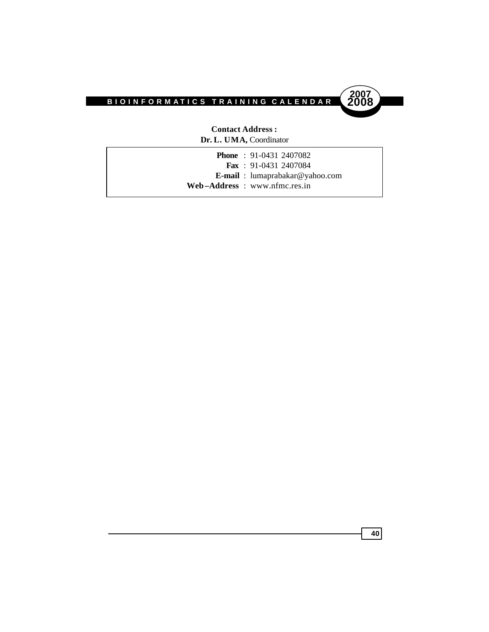



**Contact Address : Dr. L. UMA,** Coordinator

|  | <b>Phone</b> : 91-0431 2407082         |
|--|----------------------------------------|
|  | <b>Fax</b> : $91-0431$ 2407084         |
|  | <b>E-mail</b> : lumaprabakar@yahoo.com |
|  | $Web-Address: www.nfmc,res.in$         |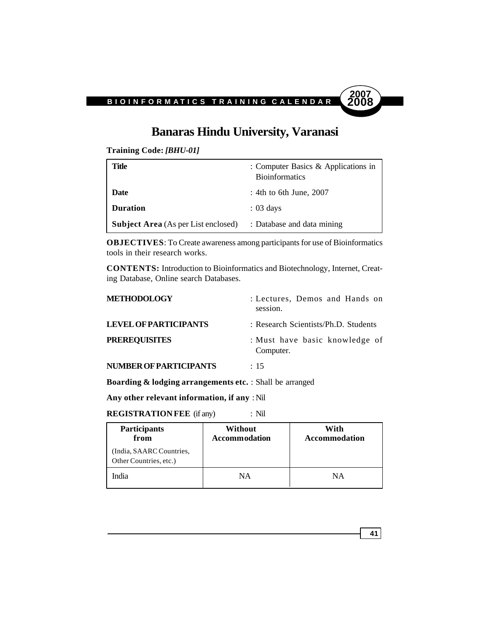

# **Banaras Hindu University, Varanasi**

**Training Code:** *[BHU-01]*

| Title                                      | : Computer Basics $\&$ Applications in<br><b>Bioinformatics</b> |
|--------------------------------------------|-----------------------------------------------------------------|
| Date                                       | : 4th to 6th June, $2007$                                       |
| <b>Duration</b>                            | $: 03 \text{ days}$                                             |
| <b>Subject Area</b> (As per List enclosed) | : Database and data mining                                      |

**OBJECTIVES**: To Create awareness among participants for use of Bioinformatics tools in their research works.

**CONTENTS:** Introduction to Bioinformatics and Biotechnology, Internet, Creating Database, Online search Databases.

| <b>METHODOLOGY</b>           | : Lectures, Demos and Hands on<br>session.  |
|------------------------------|---------------------------------------------|
| <b>LEVEL OF PARTICIPANTS</b> | : Research Scientists/Ph.D. Students        |
| <b>PREREQUISITES</b>         | : Must have basic knowledge of<br>Computer. |
| NUMBER OF PARTICIPANTS       | : 15                                        |

**Boarding & lodging arrangements etc.** : Shall be arranged

**Any other relevant information, if any** : Nil

**REGISTRATION FEE** (if any) : Nil

| <b>Participants</b><br>from                        | Without<br><b>Accommodation</b> | With<br><b>Accommodation</b> |
|----------------------------------------------------|---------------------------------|------------------------------|
| (India, SAARC Countries,<br>Other Countries, etc.) |                                 |                              |
| India                                              | NΑ                              | NΑ                           |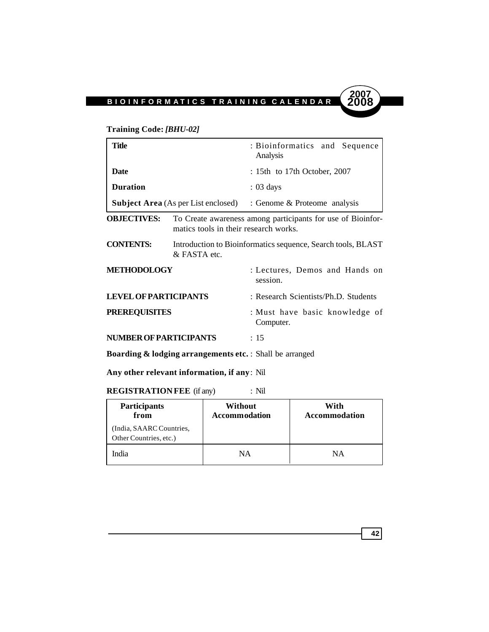

# **Training Code:** *[BHU-02]*

| Title                         |                                                                                                      | : Bioinformatics and Sequence<br>Analysis   |
|-------------------------------|------------------------------------------------------------------------------------------------------|---------------------------------------------|
| <b>Date</b>                   |                                                                                                      | $: 15th$ to 17th October, 2007              |
| <b>Duration</b>               | $: 03 \text{ days}$                                                                                  |                                             |
|                               | <b>Subject Area</b> (As per List enclosed)                                                           | : Genome & Proteome analysis                |
| <b>OBJECTIVES:</b>            | To Create awareness among participants for use of Bioinfor-<br>matics tools in their research works. |                                             |
| <b>CONTENTS:</b>              | Introduction to Bioinformatics sequence, Search tools, BLAST<br>& FASTA etc.                         |                                             |
| <b>METHODOLOGY</b>            |                                                                                                      | : Lectures, Demos and Hands on<br>session.  |
| <b>LEVEL OF PARTICIPANTS</b>  | : Research Scientists/Ph.D. Students                                                                 |                                             |
| <b>PREREQUISITES</b>          |                                                                                                      | : Must have basic knowledge of<br>Computer. |
| <b>NUMBER OF PARTICIPANTS</b> |                                                                                                      | : 15                                        |

**Boarding & lodging arrangements etc.** : Shall be arranged

**Any other relevant information, if any**: Nil

**REGISTRATION FEE** (if any) : Nil

| Participants<br>from                               | Without<br><b>Accommodation</b> | With<br><b>Accommodation</b> |
|----------------------------------------------------|---------------------------------|------------------------------|
| (India, SAARC Countries,<br>Other Countries, etc.) |                                 |                              |
| India                                              | NΑ                              | NΑ                           |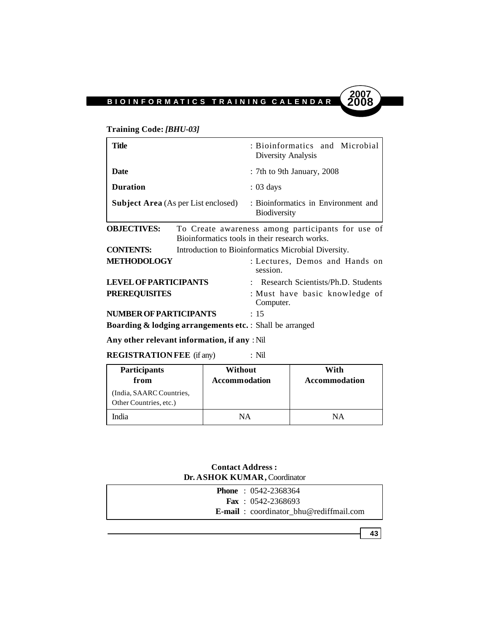# **Training Code:** *[BHU-03]*

| Title                                                                | : Bioinformatics and Microbial<br>Diversity Analysis                                               |  |  |
|----------------------------------------------------------------------|----------------------------------------------------------------------------------------------------|--|--|
| Date                                                                 | : 7th to 9th January, 2008                                                                         |  |  |
| <b>Duration</b>                                                      | $: 03 \text{ days}$                                                                                |  |  |
| <b>Subject Area</b> (As per List enclosed)                           | : Bioinformatics in Environment and<br><b>Biodiversity</b>                                         |  |  |
| <b>OBJECTIVES:</b>                                                   | To Create awareness among participants for use of<br>Bioinformatics tools in their research works. |  |  |
| <b>CONTENTS:</b>                                                     | Introduction to Bioinformatics Microbial Diversity.                                                |  |  |
| METHODOLOGY                                                          | : Lectures, Demos and Hands on<br>session.                                                         |  |  |
| <b>LEVEL OF PARTICIPANTS</b><br>: Research Scientists/Ph.D. Students |                                                                                                    |  |  |
| <b>PREREQUISITES</b>                                                 | : Must have basic knowledge of<br>Computer.                                                        |  |  |
| NUMBER OF PARTICIPANTS                                               | : 15                                                                                               |  |  |
| <b>Boarding &amp; lodging arrangements etc.</b> : Shall be arranged  |                                                                                                    |  |  |

# **Any other relevant information, if any** : Nil

**REGISTRATION FEE** (if any) : Nil

| <b>Participants</b><br>from                        | Without<br><b>Accommodation</b> | With<br>Accommodation |
|----------------------------------------------------|---------------------------------|-----------------------|
| (India, SAARC Countries,<br>Other Countries, etc.) |                                 |                       |
| India                                              | NΑ                              | NΑ                    |

# **Contact Address : Dr. ASHOK KUMAR,** Coordinator

| <b>Phone</b> : $0542 - 2368364$                |
|------------------------------------------------|
| <b>Fax</b> : $0542 - 2368693$                  |
| <b>E-mail</b> : coordinator bhu@rediffmail.com |

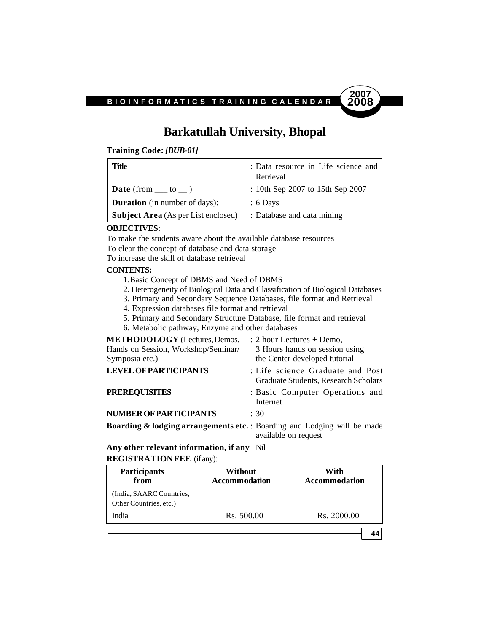

# **Barkatullah University, Bhopal**

**Training Code:** *[BUB-01]*

| Title                                      | : Data resource in Life science and<br>Retrieval |
|--------------------------------------------|--------------------------------------------------|
| $\vert$ Date (from $\vert$ to $\vert$ )    | : 10th Sep 2007 to 15th Sep 2007                 |
| <b>Duration</b> (in number of days):       | $: 6$ Days                                       |
| <b>Subject Area</b> (As per List enclosed) | : Database and data mining                       |

#### **OBJECTIVES:**

To make the students aware about the available database resources

To clear the concept of database and data storage

To increase the skill of database retrieval

#### **CONTENTS:**

- 1.Basic Concept of DBMS and Need of DBMS
- 2. Heterogeneity of Biological Data and Classification of Biological Databases
- 3. Primary and Secondary Sequence Databases, file format and Retrieval
- 4. Expression databases file format and retrieval
- 5. Primary and Secondary Structure Database, file format and retrieval
- 6. Metabolic pathway, Enzyme and other databases

| <b>METHODOLOGY</b> (Lectures, Demos, | $: 2$ hour Lectures + Demo,                                                                                 |
|--------------------------------------|-------------------------------------------------------------------------------------------------------------|
| Hands on Session, Workshop/Seminar/  | 3 Hours hands on session using                                                                              |
| Symposia etc.)                       | the Center developed tutorial                                                                               |
| <b>LEVEL OF PARTICIPANTS</b>         | : Life science Graduate and Post<br>Graduate Students, Research Scholars                                    |
| <b>PREREQUISITES</b>                 | : Basic Computer Operations and<br>Internet                                                                 |
| <b>NUMBER OF PARTICIPANTS</b>        | : 30                                                                                                        |
|                                      | <b>Boarding &amp; lodging arrangements etc.</b> : Boarding and Lodging will be made<br>available on request |

**Any other relevant information, if any** Nil

| <b>REGISTRATION FEE</b> (if any): |  |
|-----------------------------------|--|
|-----------------------------------|--|

| <b>Participants</b><br>from                        | Without<br><b>Accommodation</b> | With<br><b>Accommodation</b> |
|----------------------------------------------------|---------------------------------|------------------------------|
| (India, SAARC Countries,<br>Other Countries, etc.) |                                 |                              |
| India                                              | Rs. 500.00                      | Rs. 2000.00                  |
|                                                    |                                 |                              |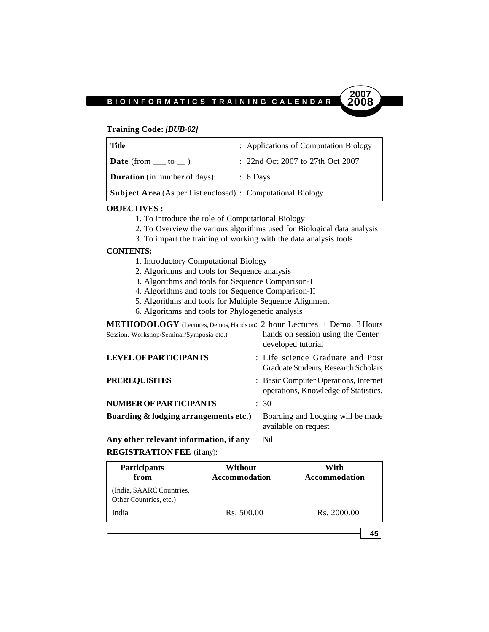#### **Training Code:** *[BUB-02]*

| Title                                                              | : Applications of Computation Biology |
|--------------------------------------------------------------------|---------------------------------------|
| <b>Date</b> (from $\_\_$ to $\_\_$ )                               | $: 22nd$ Oct 2007 to 27th Oct 2007    |
| <b>Duration</b> (in number of days):                               | $\therefore$ 6 Days                   |
| <b>Subject Area</b> (As per List enclosed) : Computational Biology |                                       |

#### **OBJECTIVES :**

- 1. To introduce the role of Computational Biology
- 2. To Overview the various algorithms used for Biological data analysis
- 3. To impart the training of working with the data analysis tools

#### **CONTENTS:**

- 1. Introductory Computational Biology
- 2. Algorithms and tools for Sequence analysis
- 3. Algorithms and tools for Sequence Comparison-I
- 4. Algorithms and tools for Sequence Comparison-II
- 5. Algorithms and tools for Multiple Sequence Alignment
- 6. Algorithms and tools for Phylogenetic analysis

| <b>METHODOLOGY</b> (Lectures, Demos, Hands on: 2 hour Lectures + Demo, 3 Hours<br>Session, Workshop/Seminar/Symposia etc.) | hands on session using the Center<br>developed tutorial                       |
|----------------------------------------------------------------------------------------------------------------------------|-------------------------------------------------------------------------------|
| <b>LEVEL OF PARTICIPANTS</b>                                                                                               | : Life science Graduate and Post<br>Graduate Students, Research Scholars      |
| <b>PREREQUISITES</b>                                                                                                       | : Basic Computer Operations, Internet<br>operations, Knowledge of Statistics. |
| NUMBER OF PARTICIPANTS                                                                                                     | $\therefore$ 30                                                               |
| Boarding & lodging arrangements etc.)                                                                                      | Boarding and Lodging will be made<br>available on request                     |

**Any other relevant information, if any** Nil **REGISTRATION FEE** (if any):

| <b>Participants</b><br>from                        | Without<br><b>Accommodation</b> | With<br><b>Accommodation</b> |
|----------------------------------------------------|---------------------------------|------------------------------|
| (India, SAARC Countries,<br>Other Countries, etc.) |                                 |                              |
| India                                              | Rs. 500.00                      | Rs. 2000.00                  |

**45**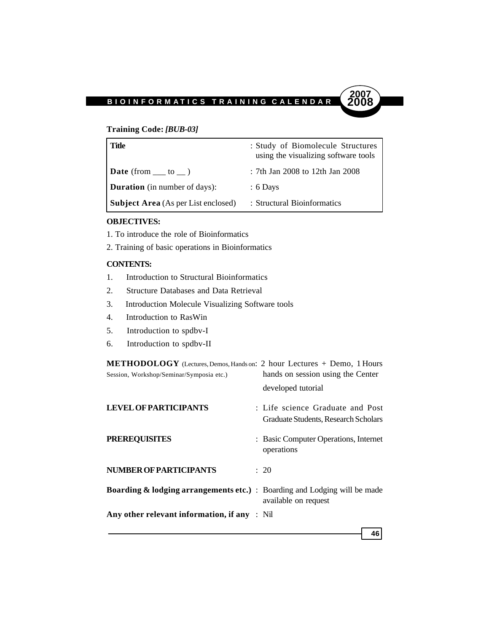## **Training Code:** *[BUB-03]*

| Title                                      | : Study of Biomolecule Structures<br>using the visualizing software tools |
|--------------------------------------------|---------------------------------------------------------------------------|
| <b>Date</b> (from $\_\_$ to $\_\)$ )       | : 7th Jan 2008 to 12th Jan 2008                                           |
| <b>Duration</b> (in number of days):       | $: 6$ Days                                                                |
| <b>Subject Area</b> (As per List enclosed) | : Structural Bioinformatics                                               |

**2007**

#### **OBJECTIVES:**

- 1. To introduce the role of Bioinformatics
- 2. Training of basic operations in Bioinformatics

# **CONTENTS:**

- 1. Introduction to Structural Bioinformatics
- 2. Structure Databases and Data Retrieval
- 3. Introduction Molecule Visualizing Software tools
- 4. Introduction to RasWin
- 5. Introduction to spdbv-I
- 6. Introduction to spdbv-II

| METHODOLOGY (Lectures, Demos, Hands on: 2 hour Lectures + Demo, 1 Hours              |                                       |
|--------------------------------------------------------------------------------------|---------------------------------------|
| Session, Workshop/Seminar/Symposia etc.)                                             | hands on session using the Center     |
|                                                                                      | developed tutorial                    |
| <b>LEVEL OF PARTICIPANTS</b>                                                         | : Life science Graduate and Post      |
|                                                                                      | Graduate Students, Research Scholars  |
| <b>PREREQUISITES</b>                                                                 | : Basic Computer Operations, Internet |
|                                                                                      | operations                            |
| <b>NUMBER OF PARTICIPANTS</b>                                                        | : 20                                  |
| <b>Boarding &amp; lodging arrangements etc.)</b> : Boarding and Lodging will be made |                                       |
|                                                                                      | available on request                  |
| Any other relevant information, if any $\therefore$ Nil                              |                                       |
|                                                                                      | 46                                    |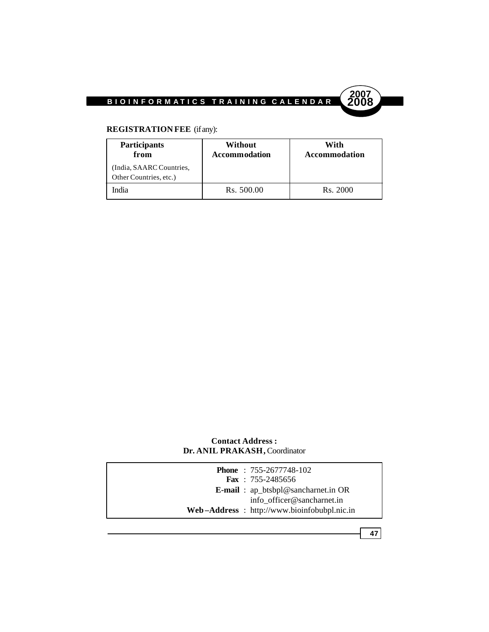

# **REGISTRATION FEE** (if any):

| <b>Participants</b><br>from                        | Without<br><b>Accommodation</b> | With<br><b>Accommodation</b> |
|----------------------------------------------------|---------------------------------|------------------------------|
| (India, SAARC Countries,<br>Other Countries, etc.) |                                 |                              |
| India                                              | Rs. 500.00                      | Rs. 2000                     |

# **Contact Address : Dr. ANIL PRAKASH,** Coordinator

|  | <b>Phone</b> : 755-2677748-102                 |
|--|------------------------------------------------|
|  | <b>Fax</b> : $755-2485656$                     |
|  | <b>E-mail</b> : $ap\_btsbpl@sancharnet.in OR$  |
|  | info officer@sancharnet.in                     |
|  | $Web-Address$ : http://www.bioinfobubpl.nic.in |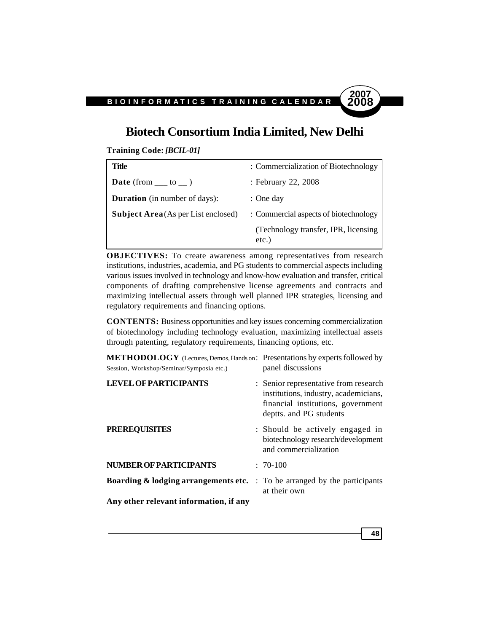# **Biotech Consortium India Limited, New Delhi**

**2007**

**48**

**Training Code:** *[BCIL-01]*

| Title                                      | : Commercialization of Biotechnology              |
|--------------------------------------------|---------------------------------------------------|
| <b>Date</b> (from $\_\_\_$ to $\_\_$ )     | : February 22, 2008                               |
| <b>Duration</b> (in number of days):       | $:$ One day                                       |
| <b>Subject Area</b> (As per List enclosed) | : Commercial aspects of biotechnology             |
|                                            | (Technology transfer, IPR, licensing)<br>$etc.$ ) |

**OBJECTIVES:** To create awareness among representatives from research institutions, industries, academia, and PG students to commercial aspects including various issues involved in technology and know-how evaluation and transfer, critical components of drafting comprehensive license agreements and contracts and maximizing intellectual assets through well planned IPR strategies, licensing and regulatory requirements and financing options.

**CONTENTS:** Business opportunities and key issues concerning commercialization of biotechnology including technology evaluation, maximizing intellectual assets through patenting, regulatory requirements, financing options, etc.

| METHODOLOGY (Lectures, Demos, Hands on: Presentations by experts followed by<br>Session, Workshop/Seminar/Symposia etc.) | panel discussions                                                                                                                               |
|--------------------------------------------------------------------------------------------------------------------------|-------------------------------------------------------------------------------------------------------------------------------------------------|
| <b>LEVEL OF PARTICIPANTS</b>                                                                                             | : Senior representative from research<br>institutions, industry, academicians,<br>financial institutions, government<br>deptts. and PG students |
| <b>PREREQUISITES</b>                                                                                                     | : Should be actively engaged in<br>biotechnology research/development<br>and commercialization                                                  |
| <b>NUMBER OF PARTICIPANTS</b>                                                                                            | $: 70-100$                                                                                                                                      |
| Boarding & lodging arrangements etc.                                                                                     | : To be arranged by the participants<br>at their own                                                                                            |
| Any other relevant information, if any                                                                                   |                                                                                                                                                 |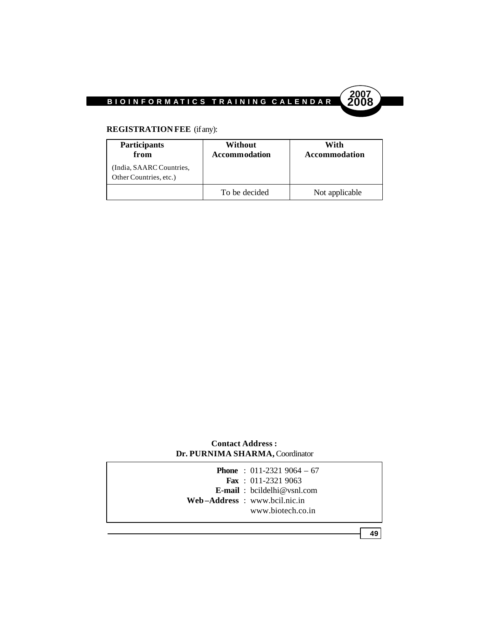

# **REGISTRATION FEE** (if any):

| <b>Participants</b><br>from                        | Without<br><b>Accommodation</b> | With<br>Accommodation |
|----------------------------------------------------|---------------------------------|-----------------------|
| (India, SAARC Countries,<br>Other Countries, etc.) |                                 |                       |
|                                                    | To be decided                   | Not applicable        |

# **Contact Address : Dr. PURNIMA SHARMA,** Coordinator

|  | <b>Phone</b> : $011-23219064-67$   |
|--|------------------------------------|
|  | <b>Fax</b> : $011-23219063$        |
|  | <b>E-mail</b> : bcildelhi@vsnl.com |
|  | $Web-Address: www.bcil.nic.in$     |
|  | www.biotech.co.in                  |
|  |                                    |

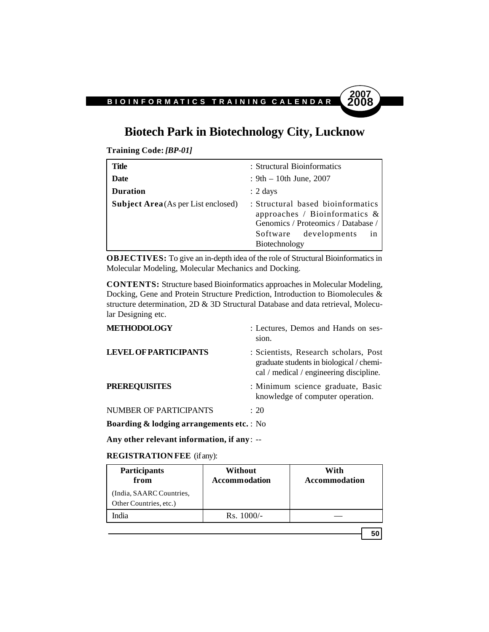# **Biotech Park in Biotechnology City, Lucknow**

**Training Code:** *[BP-01]*

| Title                                      | : Structural Bioinformatics                                                                                                                                             |
|--------------------------------------------|-------------------------------------------------------------------------------------------------------------------------------------------------------------------------|
| Date                                       | : $9th - 10th$ June, 2007                                                                                                                                               |
| <b>Duration</b>                            | $: 2 \text{ days}$                                                                                                                                                      |
| <b>Subject Area</b> (As per List enclosed) | : Structural based bioinformatics<br>approaches / Bioinformatics $\&$<br>Genomics / Proteomics / Database /<br>Software developments<br><sub>1</sub> n<br>Biotechnology |

**OBJECTIVES:** To give an in-depth idea of the role of Structural Bioinformatics in Molecular Modeling, Molecular Mechanics and Docking.

**CONTENTS:** Structure based Bioinformatics approaches in Molecular Modeling, Docking, Gene and Protein Structure Prediction, Introduction to Biomolecules & structure determination, 2D & 3D Structural Database and data retrieval, Molecular Designing etc.

| <b>METHODOLOGY</b>                                   | : Lectures, Demos and Hands on ses-<br>sion.                                                                                 |
|------------------------------------------------------|------------------------------------------------------------------------------------------------------------------------------|
| <b>LEVEL OF PARTICIPANTS</b>                         | : Scientists, Research scholars, Post<br>graduate students in biological / chemi-<br>cal / medical / engineering discipline. |
| <b>PREREQUISITES</b>                                 | : Minimum science graduate, Basic<br>knowledge of computer operation.                                                        |
| NUMBER OF PARTICIPANTS                               | $\div$ 20                                                                                                                    |
| <b>Boarding &amp; lodging arrangements etc.</b> : No |                                                                                                                              |

**Any other relevant information, if any**: --

#### **REGISTRATION FEE** (if any):

| <b>Participants</b><br>from                       | Without<br><b>Accommodation</b> | With<br>Accommodation |
|---------------------------------------------------|---------------------------------|-----------------------|
| India, SAARC Countries,<br>Other Countries, etc.) |                                 |                       |
| India                                             | $Rs. 1000/-$                    |                       |
|                                                   |                                 |                       |

**50**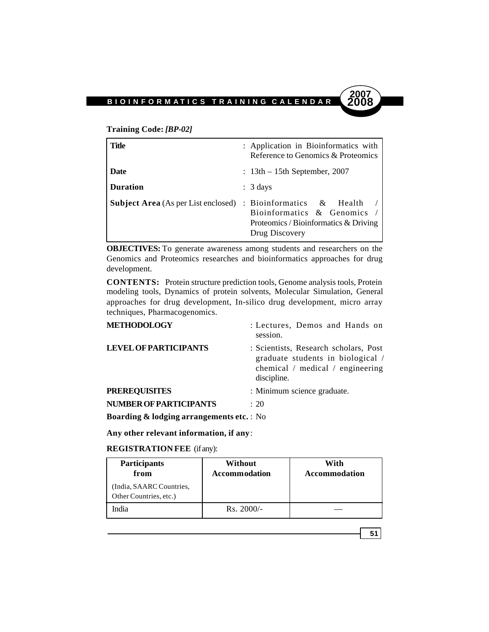**Training Code:** *[BP-02]*

| Title                                                                | : Application in Bioinformatics with<br>Reference to Genomics & Proteomics           |
|----------------------------------------------------------------------|--------------------------------------------------------------------------------------|
| Date                                                                 | $: 13th - 15th$ September, 2007                                                      |
| <b>Duration</b>                                                      | $: 3 \text{ days}$                                                                   |
| <b>Subject Area</b> (As per List enclosed) : Bioinformatics & Health | Bioinformatics & Genomics<br>Proteomics / Bioinformatics & Driving<br>Drug Discovery |

**OBJECTIVES:** To generate awareness among students and researchers on the Genomics and Proteomics researches and bioinformatics approaches for drug development.

**CONTENTS:** Protein structure prediction tools, Genome analysis tools, Protein modeling tools, Dynamics of protein solvents, Molecular Simulation, General approaches for drug development, In-silico drug development, micro array techniques, Pharmacogenomics.

| <b>METHODOLOGY</b>                                                                                                                                                                                                                               | : Lectures, Demos and Hands on<br>session.                                                                                        |
|--------------------------------------------------------------------------------------------------------------------------------------------------------------------------------------------------------------------------------------------------|-----------------------------------------------------------------------------------------------------------------------------------|
| <b>LEVEL OF PARTICIPANTS</b>                                                                                                                                                                                                                     | : Scientists, Research scholars, Post<br>graduate students in biological /<br>chemical $/$ medical $/$ engineering<br>discipline. |
| <b>PREREQUISITES</b>                                                                                                                                                                                                                             | : Minimum science graduate.                                                                                                       |
| <b>NUMBER OF PARTICIPANTS</b>                                                                                                                                                                                                                    | : 20                                                                                                                              |
| $D_{1}$ and $D_{2}$ and $D_{2}$ and $D_{3}$ and $D_{4}$ are a sequence of $D_{4}$ and $D_{5}$ and $D_{6}$ and $D_{7}$ and $D_{8}$ are $D_{1}$ and $D_{1}$ and $D_{2}$ are $D_{1}$ and $D_{2}$ are $D_{1}$ and $D_{2}$ are $D_{1}$ and $D_{2}$ ar |                                                                                                                                   |

**Boarding & lodging arrangements etc.** : No

**Any other relevant information, if any**:

**REGISTRATION FEE** (if any):

| <b>Participants</b><br>from                        | Without<br><b>Accommodation</b> | With<br><b>Accommodation</b> |
|----------------------------------------------------|---------------------------------|------------------------------|
| (India, SAARC Countries,<br>Other Countries, etc.) |                                 |                              |
| India                                              | $Rs. 2000/-$                    |                              |

**51**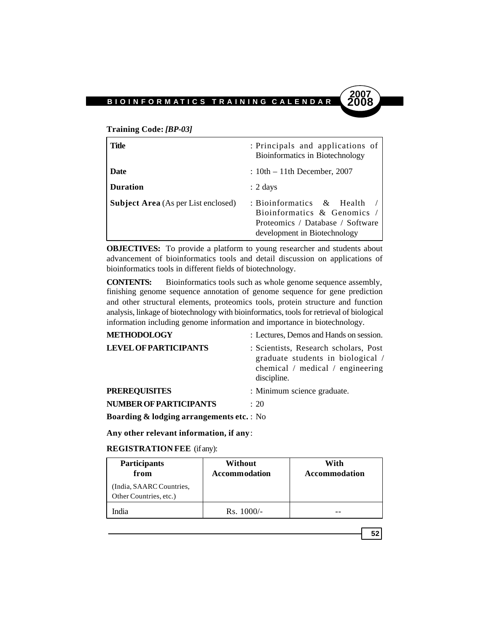**Training Code:** *[BP-03]*

| Title                                      | : Principals and applications of<br>Bioinformatics in Biotechnology                                                               |
|--------------------------------------------|-----------------------------------------------------------------------------------------------------------------------------------|
| <b>Date</b>                                | $: 10th - 11th$ December, 2007                                                                                                    |
| <b>Duration</b>                            | $: 2 \text{ days}$                                                                                                                |
| <b>Subject Area</b> (As per List enclosed) | : Bioinformatics $\&$ Health<br>Bioinformatics & Genomics $/$<br>Proteomics / Database / Software<br>development in Biotechnology |

**2007**

**52**

**OBJECTIVES:** To provide a platform to young researcher and students about advancement of bioinformatics tools and detail discussion on applications of bioinformatics tools in different fields of biotechnology.

**CONTENTS:** Bioinformatics tools such as whole genome sequence assembly, finishing genome sequence annotation of genome sequence for gene prediction and other structural elements, proteomics tools, protein structure and function analysis, linkage of biotechnology with bioinformatics, tools for retrieval of biological information including genome information and importance in biotechnology.

| <b>METHODOLOGY</b>                                  | : Lectures, Demos and Hands on session.                                                                                       |
|-----------------------------------------------------|-------------------------------------------------------------------------------------------------------------------------------|
| <b>LEVEL OF PARTICIPANTS</b>                        | : Scientists, Research scholars, Post<br>graduate students in biological /<br>chemical / medical / engineering<br>discipline. |
| <b>PREREQUISITES</b>                                | : Minimum science graduate.                                                                                                   |
| <b>NUMBER OF PARTICIPANTS</b>                       | : 20                                                                                                                          |
| <b>Boarding &amp; lodging arrangements etc.:</b> No |                                                                                                                               |

**Any other relevant information, if any**:

**REGISTRATION FEE** (if any):

| <b>Participants</b><br>from                        | Without<br><b>Accommodation</b> | With<br>Accommodation |
|----------------------------------------------------|---------------------------------|-----------------------|
| (India, SAARC Countries,<br>Other Countries, etc.) |                                 |                       |
| India                                              | $Rs. 1000/-$                    |                       |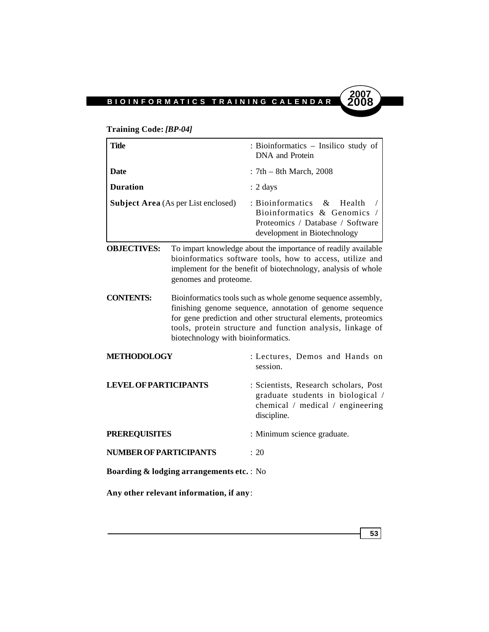

## **Training Code:** *[BP-04]*

| Title                                      |                                                                                                                                                                                                                      | : Bioinformatics – Insilico study of<br>DNA and Protein                                                                              |
|--------------------------------------------|----------------------------------------------------------------------------------------------------------------------------------------------------------------------------------------------------------------------|--------------------------------------------------------------------------------------------------------------------------------------|
| Date                                       |                                                                                                                                                                                                                      | $: 7th - 8th March, 2008$                                                                                                            |
| <b>Duration</b>                            |                                                                                                                                                                                                                      | $: 2 \text{ days}$                                                                                                                   |
| <b>Subject Area</b> (As per List enclosed) |                                                                                                                                                                                                                      | : Bioinformatics $\&$<br>- Health<br>Bioinformatics & Genomics /<br>Proteomics / Database / Software<br>development in Biotechnology |
| <b>OBJECTIVES:</b>                         | To impart knowledge about the importance of readily available<br>bioinformatics software tools, how to access, utilize and<br>implement for the benefit of biotechnology, analysis of whole<br>genomes and proteome. |                                                                                                                                      |
| CONTENTS.                                  | Rioinformatics tools such as whole genome sequence assembly                                                                                                                                                          |                                                                                                                                      |

- **CONTENTS:** Bioinformatics tools such as whole genome sequence assembly, finishing genome sequence, annotation of genome sequence for gene prediction and other structural elements, proteomics tools, protein structure and function analysis, linkage of biotechnology with bioinformatics.
- **METHODOLOGY** : Lectures, Demos and Hands on session. **LEVEL OF PARTICIPANTS** : Scientists, Research scholars, Post graduate students in biological / chemical / medical / engineering discipline. **PREREQUISITES** : Minimum science graduate.
- **NUMBER OF PARTICIPANTS** : 20

**Boarding & lodging arrangements etc.** : No

**Any other relevant information, if any**:

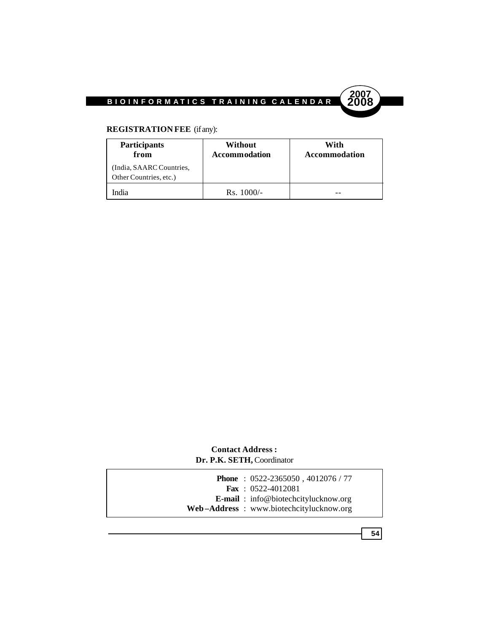

# **REGISTRATION FEE** (if any):

| <b>Participants</b><br>from                        | Without<br>Accommodation | With<br><b>Accommodation</b> |
|----------------------------------------------------|--------------------------|------------------------------|
| (India, SAARC Countries,<br>Other Countries, etc.) |                          |                              |
| India                                              | $Rs. 1000/-$             |                              |

# **Contact Address : Dr. P.K. SETH,** Coordinator

|  | <b>Phone</b> : $0522 - 2365050$ , $4012076 / 77$ |
|--|--------------------------------------------------|
|  | <b>Fax</b> : $0522-4012081$                      |
|  | <b>E-mail</b> : info@biotechcitylucknow.org      |
|  | Web-Address: www.biotechcitylucknow.org          |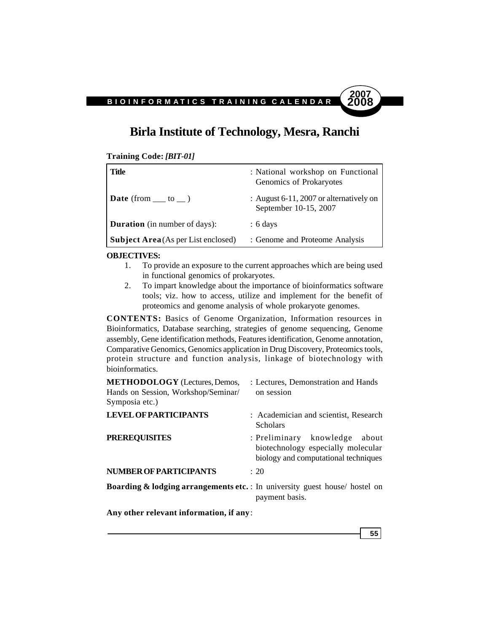# **Birla Institute of Technology, Mesra, Ranchi**

**Training Code:** *[BIT-01]*

| Title                                      | : National workshop on Functional<br>Genomics of Prokaryotes     |
|--------------------------------------------|------------------------------------------------------------------|
| <b>Date</b> (from $\_\_$ to $\_\)$ )       | : August 6-11, 2007 or alternatively on<br>September 10-15, 2007 |
| <b>Duration</b> (in number of days):       | $: 6 \text{ days}$                                               |
| <b>Subject Area</b> (As per List enclosed) | : Genome and Proteome Analysis                                   |

#### **OBJECTIVES:**

- 1. To provide an exposure to the current approaches which are being used in functional genomics of prokaryotes.
- 2. To impart knowledge about the importance of bioinformatics software tools; viz. how to access, utilize and implement for the benefit of proteomics and genome analysis of whole prokaryote genomes.

**CONTENTS:** Basics of Genome Organization, Information resources in Bioinformatics, Database searching, strategies of genome sequencing, Genome assembly, Gene identification methods, Features identification, Genome annotation, Comparative Genomics, Genomics application in Drug Discovery, Proteomics tools, protein structure and function analysis, linkage of biotechnology with bioinformatics.

| <b>METHODOLOGY</b> (Lectures, Demos,<br>Hands on Session, Workshop/Seminar/<br>Symposia etc.) | : Lectures, Demonstration and Hands<br>on session                                                              |
|-----------------------------------------------------------------------------------------------|----------------------------------------------------------------------------------------------------------------|
| <b>LEVEL OF PARTICIPANTS</b>                                                                  | : Academician and scientist, Research<br><b>Scholars</b>                                                       |
| <b>PREREQUISITES</b>                                                                          | : Preliminary knowledge<br>about<br>biotechnology especially molecular<br>biology and computational techniques |
| <b>NUMBER OF PARTICIPANTS</b>                                                                 | $\div$ 20                                                                                                      |
| <b>Boarding &amp; lodging arrangements etc.</b> : In university guest house/ hostel on        | payment basis.                                                                                                 |

**Any other relevant information, if any**: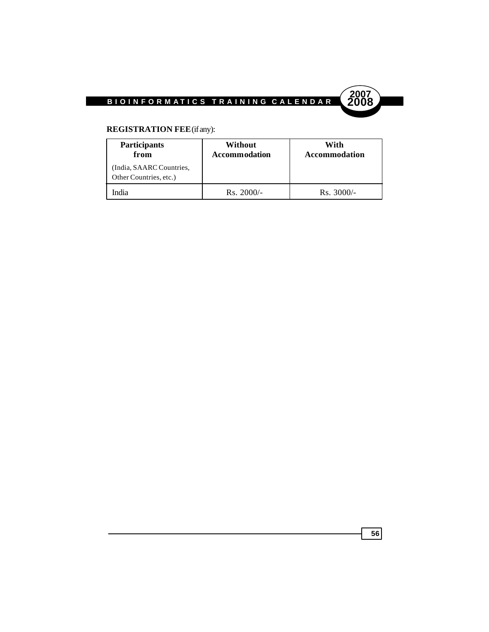

# **REGISTRATION FEE** (if any):

| <b>Participants</b><br>from                        | Without<br><b>Accommodation</b> | With<br>Accommodation |  |
|----------------------------------------------------|---------------------------------|-----------------------|--|
| (India, SAARC Countries,<br>Other Countries, etc.) |                                 |                       |  |
| ndia                                               | $Rs. 2000/-$                    | $Rs. 3000/-$          |  |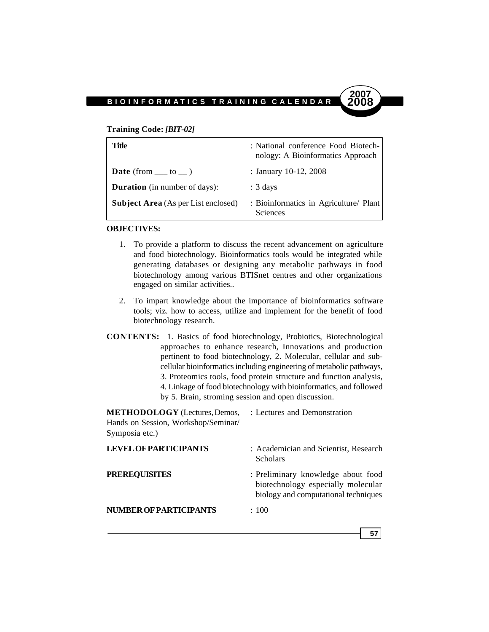# **2007**

#### **Training Code:** *[BIT-02]*

| Title                                      | : National conference Food Biotech-<br>nology: A Bioinformatics Approach |
|--------------------------------------------|--------------------------------------------------------------------------|
| <b>Date</b> (from $\_\_$ to $\_\)$ )       | : January 10-12, 2008                                                    |
| <b>Duration</b> (in number of days):       | $: 3 \text{ days}$                                                       |
| <b>Subject Area</b> (As per List enclosed) | : Bioinformatics in Agriculture/ Plant<br>Sciences                       |

## **OBJECTIVES:**

- 1. To provide a platform to discuss the recent advancement on agriculture and food biotechnology. Bioinformatics tools would be integrated while generating databases or designing any metabolic pathways in food biotechnology among various BTISnet centres and other organizations engaged on similar activities..
- 2. To impart knowledge about the importance of bioinformatics software tools; viz. how to access, utilize and implement for the benefit of food biotechnology research.
- **CONTENTS:** 1. Basics of food biotechnology, Probiotics, Biotechnological approaches to enhance research, Innovations and production pertinent to food biotechnology, 2. Molecular, cellular and subcellular bioinformatics including engineering of metabolic pathways, 3. Proteomics tools, food protein structure and function analysis, 4. Linkage of food biotechnology with bioinformatics, and followed by 5. Brain, stroming session and open discussion.

**METHODOLOGY** (Lectures, Demos, : Lectures and Demonstration Hands on Session, Workshop/Seminar/ Symposia etc.) **LEVEL OF PARTICIPANTS** : Academician and Scientist, Research **Scholars** 

**PREREQUISITES** : Preliminary knowledge about food biotechnology especially molecular biology and computational techniques

**NUMBER OF PARTICIPANTS** : 100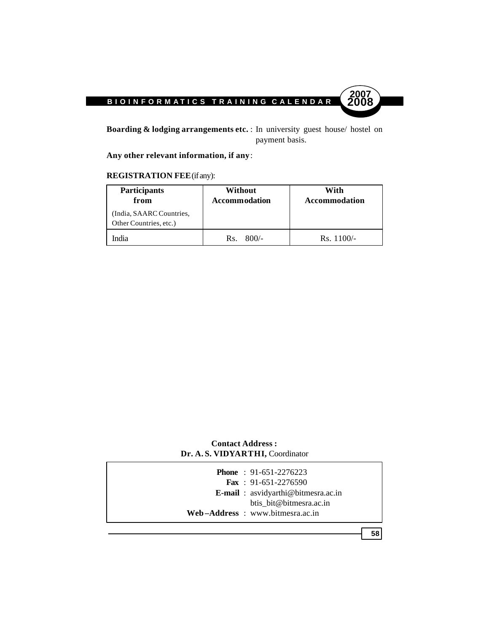

**Boarding & lodging arrangements etc.** : In university guest house/ hostel on payment basis.

**Any other relevant information, if any**:

# **REGISTRATION FEE** (if any):

| <b>Participants</b><br>from                        | Without<br><b>Accommodation</b> | With<br>Accommodation |
|----------------------------------------------------|---------------------------------|-----------------------|
| (India, SAARC Countries,<br>Other Countries, etc.) |                                 |                       |
| India                                              | $800/-$<br>Rs.                  | $Rs. 1100/-$          |

# **Contact Address : Dr. A. S. VIDYARTHI,** Coordinator

|  | <b>Phone</b> : $91-651-2276223$    |
|--|------------------------------------|
|  | <b>Fax</b> : $91-651-2276590$      |
|  | E-mail: asvidyarthi@bitmesra.ac.in |
|  | btis bit@bitmesra.ac.in            |
|  | $Web-Address: www.bitmesra.ac.in$  |
|  |                                    |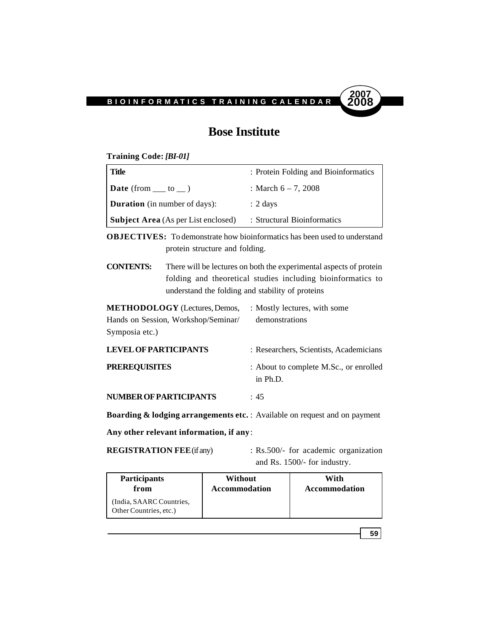

# **Bose Institute**

**Training Code:** *[BI-01]*

| Title                                      | : Protein Folding and Bioinformatics |
|--------------------------------------------|--------------------------------------|
| $\vert$ Date (from __ to _)                | : March $6 - 7$ , 2008               |
| <b>Duration</b> (in number of days):       | $: 2 \text{ days}$                   |
| <b>Subject Area</b> (As per List enclosed) | : Structural Bioinformatics          |

**OBJECTIVES:** To demonstrate how bioinformatics has been used to understand protein structure and folding.

**CONTENTS:** There will be lectures on both the experimental aspects of protein folding and theoretical studies including bioinformatics to understand the folding and stability of proteins

**METHODOLOGY** (Lectures, Demos, : Mostly lectures, with some Hands on Session, Workshop/Seminar/ demonstrations Symposia etc.)

| <b>LEVEL OF PARTICIPANTS</b>  | : Researchers, Scientists, Academicians            |  |
|-------------------------------|----------------------------------------------------|--|
| <b>PREREOUISITES</b>          | : About to complete M.Sc., or enrolled<br>in Ph.D. |  |
| <b>NUMBER OF PARTICIPANTS</b> | :45                                                |  |

**Boarding & lodging arrangements etc.** : Available on request and on payment **Any other relevant information, if any**:

**REGISTRATION FEE** (if any) : Rs.500/- for academic organization and Rs. 1500/- for industry.

| <b>Participants</b>                                | Without       | With          |
|----------------------------------------------------|---------------|---------------|
| from                                               | Accommodation | Accommodation |
| (India, SAARC Countries,<br>Other Countries, etc.) |               |               |

$$
\textcolor{blue}{\bf 59}
$$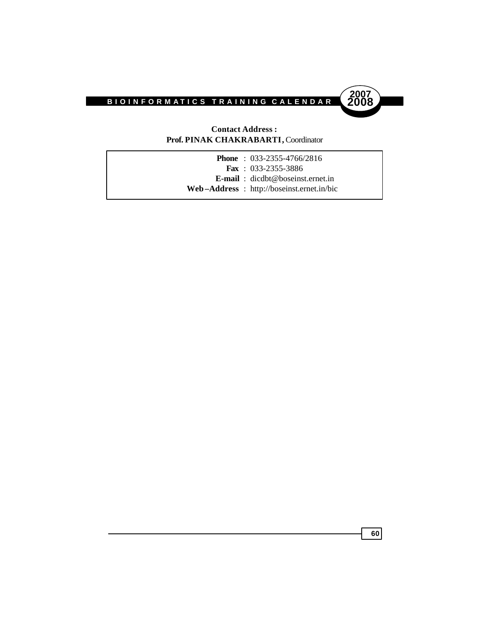

## **Contact Address : Prof. PINAK CHAKRABARTI,** Coordinator

|  | <b>Phone</b> : $033-2355-4766/2816$               |
|--|---------------------------------------------------|
|  | <b>Fax</b> : $033-2355-3886$                      |
|  | <b>E-mail</b> : $\text{dicdbt@boseinst.ernet.in}$ |
|  | Web-Address : http://boseinst.ernet.in/bic        |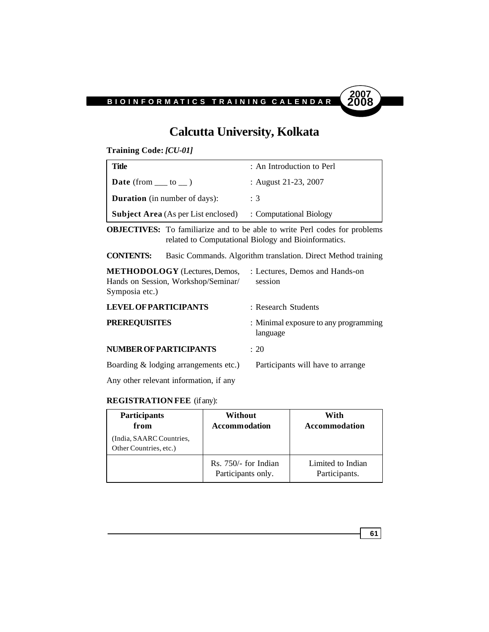

# **Calcutta University, Kolkata**

**Training Code:** *[CU-01]*

| Title                                      | : An Introduction to Perl |
|--------------------------------------------|---------------------------|
| <b>Date</b> (from $\_\_$ to $\_\)$ )       | : August 21-23, 2007      |
| <b>Duration</b> (in number of days):       | : 3                       |
| <b>Subject Area</b> (As per List enclosed) | : Computational Biology   |

**OBJECTIVES:** To familiarize and to be able to write Perl codes for problems related to Computational Biology and Bioinformatics.

**CONTENTS:** Basic Commands. Algorithm translation. Direct Method training

| : Lectures, Demos and Hands-on<br>session         |  |
|---------------------------------------------------|--|
| : Research Students                               |  |
| : Minimal exposure to any programming<br>language |  |
| : 20                                              |  |
| Participants will have to arrange                 |  |
|                                                   |  |

Any other relevant information, if any

## **REGISTRATION FEE** (if any):

| <b>Participants</b><br>from<br>(India, SAARC Countries,<br>Other Countries, etc.) | Without<br><b>Accommodation</b>              | With<br>Accommodation              |
|-----------------------------------------------------------------------------------|----------------------------------------------|------------------------------------|
|                                                                                   | $Rs. 750/-$ for Indian<br>Participants only. | Limited to Indian<br>Participants. |

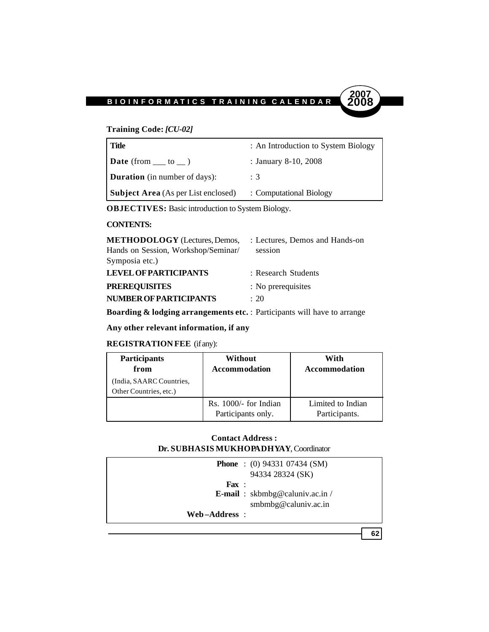

## **Training Code:** *[CU-02]*

| Title                                      | : An Introduction to System Biology |
|--------------------------------------------|-------------------------------------|
| <b>Date</b> (from $\_\_$ to $\_\)$ )       | : January 8-10, 2008                |
| <b>Duration</b> (in number of days):       | : 3                                 |
| <b>Subject Area</b> (As per List enclosed) | : Computational Biology             |

**OBJECTIVES:** Basic introduction to System Biology.

## **CONTENTS:**

| <b>METHODOLOGY</b> (Lectures, Demos, | : Lectures, Demos and Hands-on |
|--------------------------------------|--------------------------------|
| Hands on Session, Workshop/Seminar/  | session                        |
| Symposia etc.)                       |                                |
| <b>LEVEL OF PARTICIPANTS</b>         | : Research Students            |
| <b>PREREQUISITES</b>                 | : No prerequisites             |
| NUMBER OF PARTICIPANTS               | $\div$ 20                      |

**Boarding & lodging arrangements etc.** : Participants will have to arrange

**Any other relevant information, if any**

## **REGISTRATION FEE** (if any):

| <b>Participants</b><br>from                        | Without<br><b>Accommodation</b>               | With<br>Accommodation              |
|----------------------------------------------------|-----------------------------------------------|------------------------------------|
| (India, SAARC Countries,<br>Other Countries, etc.) |                                               |                                    |
|                                                    | $Rs. 1000/-$ for Indian<br>Participants only. | Limited to Indian<br>Participants. |

## **Contact Address : Dr. SUBHASIS MUKHOPADHYAY**, Coordinator

|                  | <b>Phone</b> : (0) 94331 07434 (SM)<br>94334 28324 (SK)         |
|------------------|-----------------------------------------------------------------|
| $\mathbf{F}$ ax: | <b>E-mail</b> : $skbmbg@caluniv.ac.in/$<br>smbmbg@caluniv.ac.in |
| Web-Address:     |                                                                 |
|                  | 62                                                              |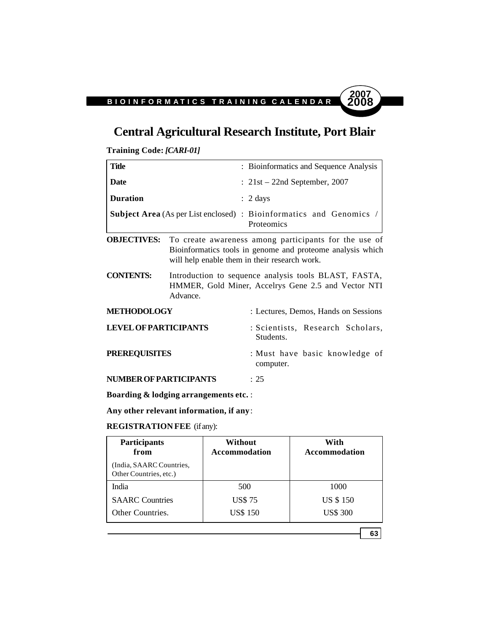# **Central Agricultural Research Institute, Port Blair**

**Training Code:** *[CARI-01]*

| <b>Title</b>                                                                  |          | : Bioinformatics and Sequence Analysis                                                                                                                               |
|-------------------------------------------------------------------------------|----------|----------------------------------------------------------------------------------------------------------------------------------------------------------------------|
| Date                                                                          |          | $: 21st - 22nd$ September, 2007                                                                                                                                      |
| <b>Duration</b>                                                               |          | $: 2 \text{ days}$                                                                                                                                                   |
|                                                                               |          | <b>Subject Area</b> (As per List enclosed) : Bioinformatics and Genomics<br>Proteomics                                                                               |
| <b>OBJECTIVES:</b>                                                            |          | To create awareness among participants for the use of<br>Bioinformatics tools in genome and proteome analysis which<br>will help enable them in their research work. |
| <b>CONTENTS:</b>                                                              | Advance. | Introduction to sequence analysis tools BLAST, FASTA,<br>HMMER, Gold Miner, Accelrys Gene 2.5 and Vector NTI                                                         |
| <b>METHODOLOGY</b>                                                            |          | : Lectures, Demos, Hands on Sessions                                                                                                                                 |
| <b>LEVEL OF PARTICIPANTS</b>                                                  |          | : Scientists, Research Scholars,<br>Students.                                                                                                                        |
| <b>PREREQUISITES</b>                                                          |          | : Must have basic knowledge of<br>computer.                                                                                                                          |
| NUMBER OF PARTICIPANTS                                                        |          | : 25                                                                                                                                                                 |
| $\mathbf{r}$ $\mathbf{r}$ $\mathbf{r}$ $\mathbf{r}$ $\mathbf{r}$ $\mathbf{r}$ |          |                                                                                                                                                                      |

**Boarding & lodging arrangements etc.** :

**Any other relevant information, if any**:

# **REGISTRATION FEE** (if any):

| Participants<br>from                               | Without<br><b>Accommodation</b> | With<br><b>Accommodation</b> |
|----------------------------------------------------|---------------------------------|------------------------------|
| (India, SAARC Countries,<br>Other Countries, etc.) |                                 |                              |
| India                                              | 500                             | 1000                         |
| <b>SAARC</b> Countries                             | <b>US\$75</b>                   | <b>US \$150</b>              |
| Other Countries.                                   | <b>US\$ 150</b>                 | <b>US\$ 300</b>              |

**63**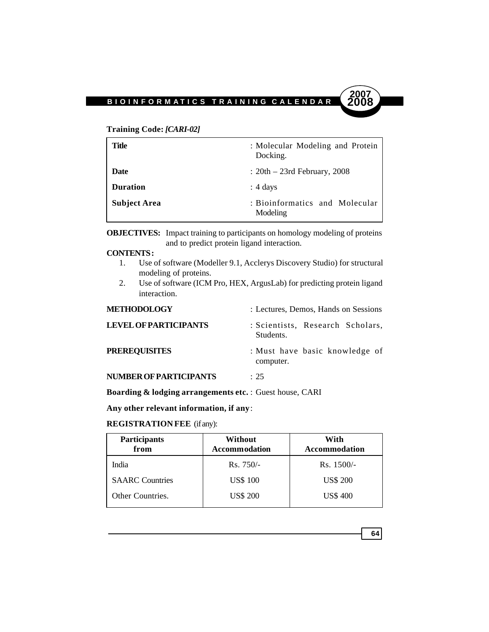#### **Training Code:** *[CARI-02]*

| Title               | : Molecular Modeling and Protein<br>Docking. |
|---------------------|----------------------------------------------|
| Date                | $: 20th - 23rd$ February, 2008               |
| <b>Duration</b>     | $: 4 \text{ days}$                           |
| <b>Subject Area</b> | : Bioinformatics and Molecular<br>Modeling   |

**OBJECTIVES:** Impact training to participants on homology modeling of proteins and to predict protein ligand interaction.

#### **CONTENTS :**

- 1. Use of software (Modeller 9.1, Acclerys Discovery Studio) for structural modeling of proteins.
- 2. Use of software (ICM Pro, HEX, ArgusLab) for predicting protein ligand interaction.

| <b>METHODOLOGY</b>            | : Lectures, Demos, Hands on Sessions          |  |
|-------------------------------|-----------------------------------------------|--|
| <b>LEVEL OF PARTICIPANTS</b>  | : Scientists, Research Scholars,<br>Students. |  |
| <b>PREREQUISITES</b>          | : Must have basic knowledge of<br>computer.   |  |
| <b>NUMBER OF PARTICIPANTS</b> | $\cdot$ 25                                    |  |

**Boarding & lodging arrangements etc.** : Guest house, CARI

**Any other relevant information, if any**:

#### **REGISTRATION FEE** (if any):

| Participants<br>from   | Without<br><b>Accommodation</b> | With<br><b>Accommodation</b> |
|------------------------|---------------------------------|------------------------------|
| India                  | $Rs.750/-$                      | $Rs. 1500/-$                 |
| <b>SAARC</b> Countries | <b>US\$ 100</b>                 | <b>US\$ 200</b>              |
| Other Countries.       | <b>US\$ 200</b>                 | <b>US\$ 400</b>              |

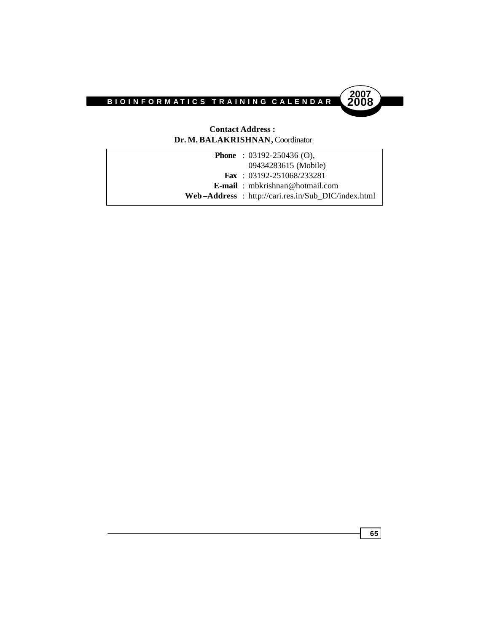

# **Contact Address : Dr. M. BALAKRISHNAN,** Coordinator

| <b>Phone</b> : $03192 - 250436$ (O),               |
|----------------------------------------------------|
| 09434283615 (Mobile)                               |
| <b>Fax</b> : $03192 - 251068/233281$               |
| <b>E-mail</b> : mbkrishnan@hotmail.com             |
| Web-Address: http://cari.res.in/Sub_DIC/index.html |
|                                                    |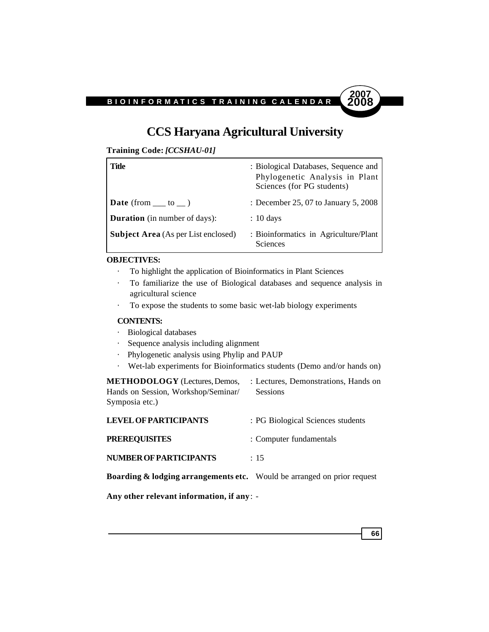

# **CCS Haryana Agricultural University**

| Training Code: [CCSHAU-01] |  |  |  |
|----------------------------|--|--|--|
|----------------------------|--|--|--|

| Title                                      | : Biological Databases, Sequence and<br>Phylogenetic Analysis in Plant<br>Sciences (for PG students) |
|--------------------------------------------|------------------------------------------------------------------------------------------------------|
| <b>Date</b> (from $\_\_$ to $\_\)$ )       | : December 25, 07 to January 5, 2008                                                                 |
| <b>Duration</b> (in number of days):       | $: 10 \text{ days}$                                                                                  |
| <b>Subject Area</b> (As per List enclosed) | : Bioinformatics in Agriculture/Plant<br><b>Sciences</b>                                             |

## **OBJECTIVES:**

- · To highlight the application of Bioinformatics in Plant Sciences
- · To familiarize the use of Biological databases and sequence analysis in agricultural science
- · To expose the students to some basic wet-lab biology experiments

## **CONTENTS:**

- · Biological databases
- · Sequence analysis including alignment
- · Phylogenetic analysis using Phylip and PAUP
- · Wet-lab experiments for Bioinformatics students (Demo and/or hands on)

**METHODOLOGY** (Lectures, Demos, : Lectures, Demonstrations, Hands on Hands on Session, Workshop/Seminar/ Sessions Symposia etc.)

| <b>LEVEL OF PARTICIPANTS</b>  | : PG Biological Sciences students |
|-------------------------------|-----------------------------------|
| <b>PREREOUISITES</b>          | : Computer fundamentals           |
| <b>NUMBER OF PARTICIPANTS</b> | $\div$ 15                         |

**Boarding & lodging arrangements etc.** Would be arranged on prior request

**Any other relevant information, if any**: -

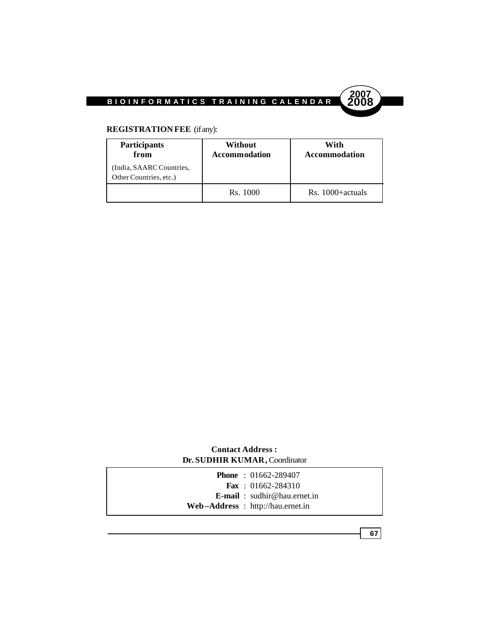

### **REGISTRATION FEE** (if any):

| Participants<br>from                               | Without<br><b>Accommodation</b> | With<br>Accommodation |
|----------------------------------------------------|---------------------------------|-----------------------|
| (India, SAARC Countries,<br>Other Countries, etc.) |                                 |                       |
|                                                    | Rs. 1000                        | Rs. 1000+actuals      |

#### **Contact Address : Dr. SUDHIR KUMAR,** Coordinator

| <b>Phone</b> : $01662 - 289407$     |
|-------------------------------------|
| <b>Fax</b> : $01662 - 284310$       |
| <b>E-mail</b> : sudhir@hau.ernet.in |
| $Web-Address : http://hau.ernet.in$ |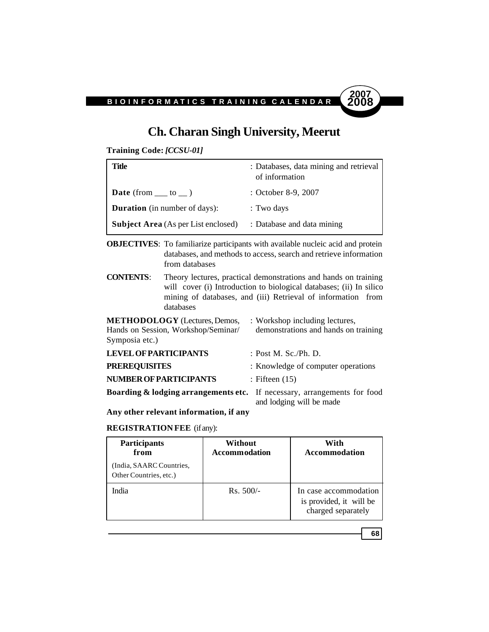

### **Ch. Charan Singh University, Meerut**

**Training Code:** *[CCSU-01]*

| Title                                      | : Databases, data mining and retrieval<br>of information |
|--------------------------------------------|----------------------------------------------------------|
| <b>Date</b> (from $\_\_$ to $\_\)$ )       | : October 8-9, 2007                                      |
| <b>Duration</b> (in number of days):       | : Two days                                               |
| <b>Subject Area</b> (As per List enclosed) | : Database and data mining                               |

**OBJECTIVES**: To familiarize participants with available nucleic acid and protein databases, and methods to access, search and retrieve information from databases

**CONTENTS**: Theory lectures, practical demonstrations and hands on training will cover (i) Introduction to biological databases; (ii) In silico mining of databases, and (iii) Retrieval of information from databases

| <b>METHODOLOGY</b> (Lectures, Demos,<br>Hands on Session, Workshop/Seminar/<br>Symposia etc.) | : Workshop including lectures,<br>demonstrations and hands on training |
|-----------------------------------------------------------------------------------------------|------------------------------------------------------------------------|
| <b>LEVEL OF PARTICIPANTS</b>                                                                  | : Post M. Sc./Ph. D.                                                   |
| <b>PREREQUISITES</b>                                                                          | : Knowledge of computer operations                                     |
| <b>NUMBER OF PARTICIPANTS</b>                                                                 | : Fifteen $(15)$                                                       |
| <b>Boarding &amp; lodging arrangements etc.</b> If necessary, arrangements for food           | and lodging will be made                                               |

**Any other relevant information, if any**

#### **REGISTRATION FEE** (if any):

| Participants<br>from                               | Without<br><b>Accommodation</b> | With<br>Accommodation                                                  |
|----------------------------------------------------|---------------------------------|------------------------------------------------------------------------|
| (India, SAARC Countries,<br>Other Countries, etc.) |                                 |                                                                        |
| India                                              | $Rs. 500/-$                     | In case accommodation<br>is provided, it will be<br>charged separately |

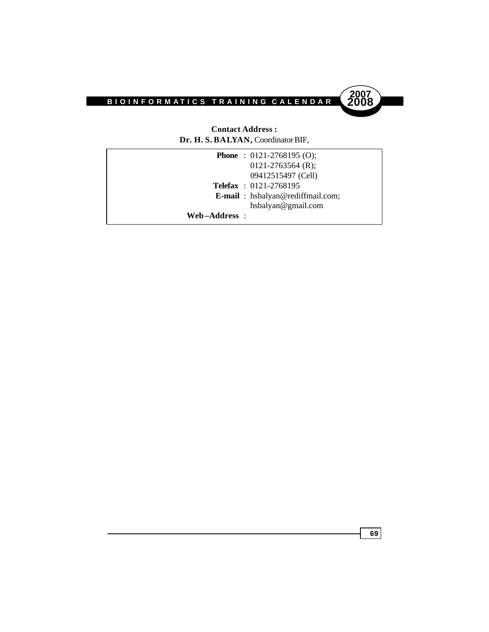



#### **Contact Address : Dr. H. S. BALYAN,** Coordinator BIF,

|              | <b>Phone</b> : $0121-2768195$ (O);       |
|--------------|------------------------------------------|
|              | $0121 - 2763564$ (R);                    |
|              | 09412515497 (Cell)                       |
|              | <b>Telefax</b> : 0121-2768195            |
|              | <b>E-mail</b> : hsbalyan@rediffmail.com; |
|              | hsbalyan@gmail.com                       |
| Web-Address: |                                          |
|              |                                          |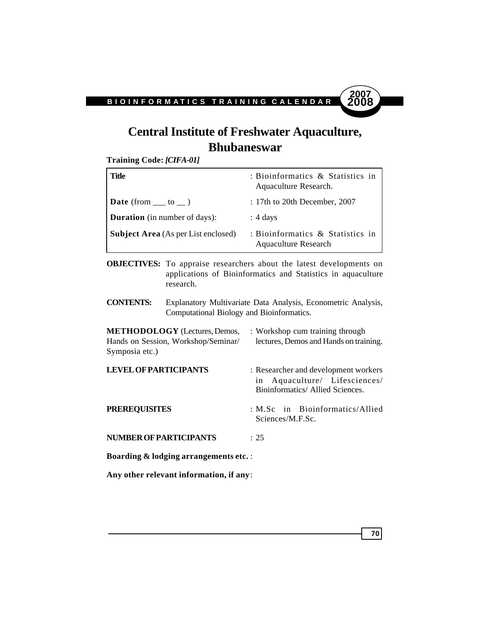### **Central Institute of Freshwater Aquaculture, Bhubaneswar**

**Training Code:** *[CIFA-01]*

| Title                                      | : Bioinformatics $\&$ Statistics in<br>Aquaculture Research.    |
|--------------------------------------------|-----------------------------------------------------------------|
| <b>Date</b> (from $\_\_$ to $\_\)$ )       | $: 17$ th to 20th December, 2007                                |
| <b>Duration</b> (in number of days):       | $: 4 \text{ days}$                                              |
| <b>Subject Area</b> (As per List enclosed) | : Bioinformatics & Statistics in<br><b>Aquaculture Research</b> |

**OBJECTIVES:** To appraise researchers about the latest developments on applications of Bioinformatics and Statistics in aquaculture research.

**CONTENTS:** Explanatory Multivariate Data Analysis, Econometric Analysis, Computational Biology and Bioinformatics.

| <b>METHODOLOGY</b> (Lectures, Demos,<br>Hands on Session, Workshop/Seminar/<br>Symposia etc.) | : Workshop cum training through<br>lectures, Demos and Hands on training.                                 |
|-----------------------------------------------------------------------------------------------|-----------------------------------------------------------------------------------------------------------|
| <b>LEVEL OF PARTICIPANTS</b>                                                                  | : Researcher and development workers<br>in Aquaculture/ Lifesciences/<br>Bioinformatics/ Allied Sciences. |
| <b>PREREQUISITES</b>                                                                          | : M.Sc in Bioinformatics/Allied<br>Sciences/M.F.Sc.                                                       |
| <b>NUMBER OF PARTICIPANTS</b>                                                                 | : 25                                                                                                      |
| <b>Boarding &amp; lodging arrangements etc.:</b>                                              |                                                                                                           |

**Any other relevant information, if any**:

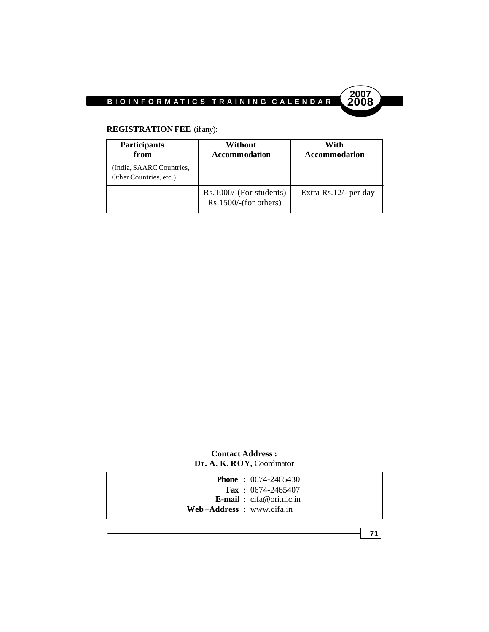



#### **REGISTRATION FEE** (if any):

| <b>Participants</b><br>from                        | Without<br><b>Accommodation</b>                    | With<br>Accommodation |
|----------------------------------------------------|----------------------------------------------------|-----------------------|
| (India, SAARC Countries,<br>Other Countries, etc.) |                                                    |                       |
|                                                    | $Rs.1000$ /-(For students)<br>Rs.1500/(for others) | Extra Rs.12/- per day |

#### **Contact Address : Dr. A. K. ROY,** Coordinator



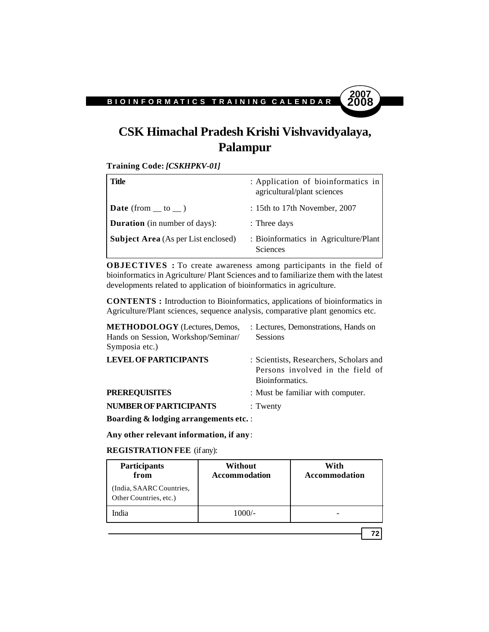### **CSK Himachal Pradesh Krishi Vishvavidyalaya, Palampur**

**Training Code:** *[CSKHPKV-01]*

| Title                                      | : Application of bioinformatics in<br>agricultural/plant sciences |
|--------------------------------------------|-------------------------------------------------------------------|
| <b>Date</b> (from $\_\$ to $\_\)$ )        | $: 15$ th to 17th November, 2007                                  |
| <b>Duration</b> (in number of days):       | : Three days                                                      |
| <b>Subject Area</b> (As per List enclosed) | : Bioinformatics in Agriculture/Plant<br><b>Sciences</b>          |

**OBJECTIVES :** To create awareness among participants in the field of bioinformatics in Agriculture/ Plant Sciences and to familiarize them with the latest developments related to application of bioinformatics in agriculture.

**CONTENTS :** Introduction to Bioinformatics, applications of bioinformatics in Agriculture/Plant sciences, sequence analysis, comparative plant genomics etc.

| <b>METHODOLOGY</b> (Lectures, Demos,<br>Hands on Session, Workshop/Seminar/<br>Symposia etc.) | : Lectures, Demonstrations, Hands on<br><b>Sessions</b>                                        |
|-----------------------------------------------------------------------------------------------|------------------------------------------------------------------------------------------------|
| <b>LEVEL OF PARTICIPANTS</b>                                                                  | : Scientists, Researchers, Scholars and<br>Persons involved in the field of<br>Bioinformatics. |
| <b>PREREQUISITES</b>                                                                          | : Must be familiar with computer.                                                              |
| <b>NUMBER OF PARTICIPANTS</b>                                                                 | $:$ Twenty                                                                                     |
| <b>Boarding &amp; lodging arrangements etc.:</b>                                              |                                                                                                |

**Any other relevant information, if any**:

#### **REGISTRATION FEE** (if any):

| <b>Participants</b><br>from                        | Without<br><b>Accommodation</b> | With<br><b>Accommodation</b> |
|----------------------------------------------------|---------------------------------|------------------------------|
| (India, SAARC Countries,<br>Other Countries, etc.) |                                 |                              |
| India                                              | $1000/-$                        |                              |
|                                                    |                                 |                              |

**72**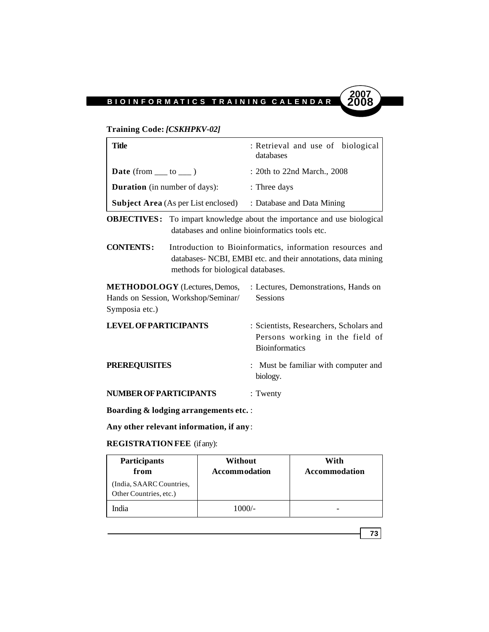### **Training Code:** *[CSKHPKV-02]*

| <b>Title</b>                                              |                                                                             | : Retrieval and use of biological<br>databases                                                                             |  |
|-----------------------------------------------------------|-----------------------------------------------------------------------------|----------------------------------------------------------------------------------------------------------------------------|--|
| Date (from $\rule{1em}{0.15mm}$ to $\rule{1em}{0.15mm}$ ) |                                                                             | : 20th to 22nd March., 2008                                                                                                |  |
| <b>Duration</b> (in number of days):                      |                                                                             | : Three days                                                                                                               |  |
|                                                           | <b>Subject Area</b> (As per List enclosed)                                  | : Database and Data Mining                                                                                                 |  |
| <b>OBJECTIVES:</b>                                        |                                                                             | To impart knowledge about the importance and use biological<br>databases and online bioinformatics tools etc.              |  |
| <b>CONTENTS:</b>                                          | methods for biological databases.                                           | Introduction to Bioinformatics, information resources and<br>databases- NCBI, EMBI etc. and their annotations, data mining |  |
| Symposia etc.)                                            | <b>METHODOLOGY</b> (Lectures, Demos,<br>Hands on Session, Workshop/Seminar/ | : Lectures, Demonstrations, Hands on<br><b>Sessions</b>                                                                    |  |
| <b>LEVEL OF PARTICIPANTS</b>                              |                                                                             | : Scientists, Researchers, Scholars and<br>Persons working in the field of<br><b>Bioinformatics</b>                        |  |
| <b>PREREQUISITES</b>                                      |                                                                             | : Must be familiar with computer and<br>biology.                                                                           |  |
| <b>NUMBER OF PARTICIPANTS</b>                             |                                                                             | : Twenty                                                                                                                   |  |
| <b>DU</b> 11 01 11                                        |                                                                             |                                                                                                                            |  |

**Boarding & lodging arrangements etc.** :

**Any other relevant information, if any**:

#### **REGISTRATION FEE** (if any):

| <b>Participants</b><br>from                       | Without<br><b>Accommodation</b> | With<br>Accommodation |
|---------------------------------------------------|---------------------------------|-----------------------|
| India, SAARC Countries,<br>Other Countries, etc.) |                                 |                       |
| India                                             | $1000/-$                        |                       |

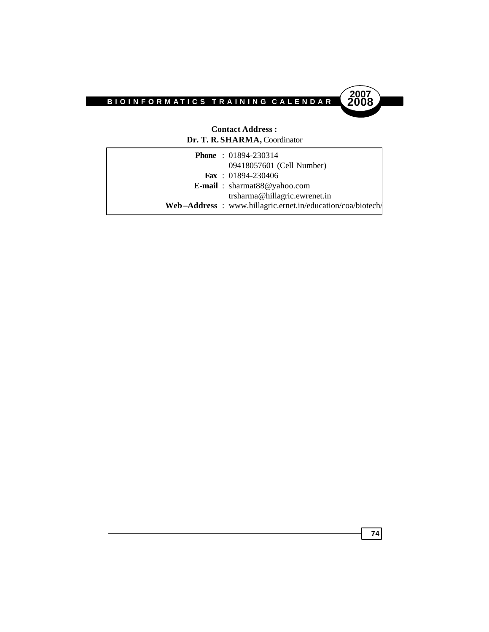

#### **Contact Address : Dr. T. R. SHARMA,** Coordinator

| <b>Phone</b> : $01894-230314$                              |  |
|------------------------------------------------------------|--|
| 09418057601 (Cell Number)                                  |  |
| <b>Fax</b> : $01894-230406$                                |  |
| <b>E-mail</b> : $sharmat88@yahoo.com$                      |  |
| trsharma@hillagric.ewrenet.in                              |  |
| Web-Address: www.hillagric.ernet.in/education/coa/biotech/ |  |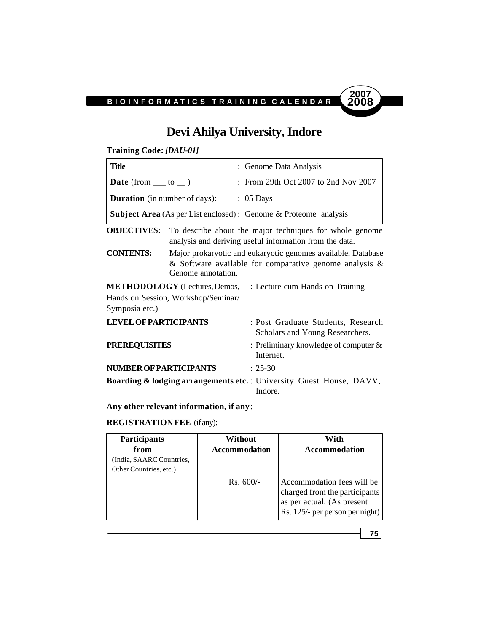

## **Devi Ahilya University, Indore**

**Training Code:** *[DAU-01]*

| Title                                |                                     | : Genome Data Analysis                                                                                                    |
|--------------------------------------|-------------------------------------|---------------------------------------------------------------------------------------------------------------------------|
|                                      |                                     |                                                                                                                           |
| <b>Date</b> (from $\_\_$ to $\_\)$ ) |                                     | : From 29th Oct 2007 to 2nd Nov 2007                                                                                      |
| <b>Duration</b> (in number of days): |                                     | $: 05$ Days                                                                                                               |
|                                      |                                     | <b>Subject Area</b> (As per List enclosed) : Genome & Proteome analysis                                                   |
| <b>OBJECTIVES:</b>                   |                                     | To describe about the major techniques for whole genome<br>analysis and deriving useful information from the data.        |
| <b>CONTENTS:</b>                     | Genome annotation.                  | Major prokaryotic and eukaryotic genomes available, Database<br>& Software available for comparative genome analysis $\&$ |
|                                      |                                     | <b>METHODOLOGY</b> (Lectures, Demos, : Lecture cum Hands on Training                                                      |
|                                      | Hands on Session, Workshop/Seminar/ |                                                                                                                           |
| Symposia etc.)                       |                                     |                                                                                                                           |
| <b>LEVEL OF PARTICIPANTS</b>         |                                     | : Post Graduate Students, Research<br>Scholars and Young Researchers.                                                     |
| <b>PREREQUISITES</b>                 |                                     | : Preliminary knowledge of computer $\&$<br>Internet.                                                                     |
| <b>NUMBER OF PARTICIPANTS</b>        |                                     | $: 25-30$                                                                                                                 |
|                                      |                                     | Boarding & lodging arrangements etc. : University Guest House, DAVV,<br>Indore.                                           |

**Any other relevant information, if any**:

**REGISTRATION FEE** (if any):

| <b>Participants</b><br>from<br>(India, SAARC Countries,<br>Other Countries, etc.) | Without<br><b>Accommodation</b> | With<br><b>Accommodation</b>                                                                                                 |
|-----------------------------------------------------------------------------------|---------------------------------|------------------------------------------------------------------------------------------------------------------------------|
|                                                                                   | $Rs. 600/-$                     | Accommodation fees will be<br>charged from the participants<br>as per actual. (As present<br>Rs. 125/- per person per night) |

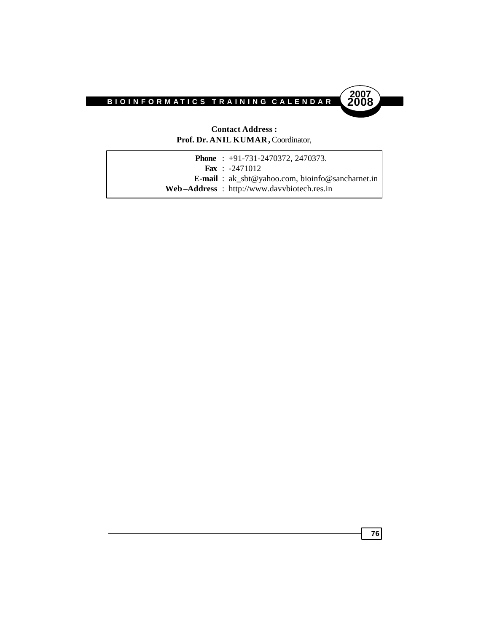

#### **Contact Address : Prof. Dr. ANIL KUMAR,** Coordinator,

|  | <b>Phone</b> : $+91-731-2470372$ , 2470373.                 |
|--|-------------------------------------------------------------|
|  | <b>Fax</b> : $-2471012$                                     |
|  | <b>E-mail</b> : $ak\_sbt@yahoo.com$ , bioinfo@sancharnet.in |
|  | Web-Address: http://www.davvbiotech.res.in                  |
|  |                                                             |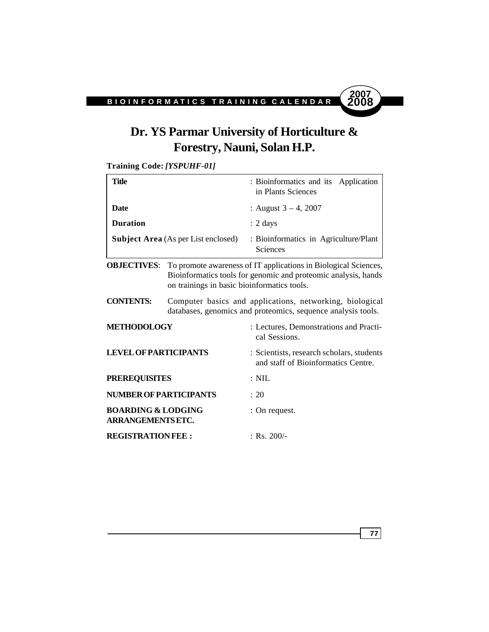# **2007**

## **Dr. YS Parmar University of Horticulture & Forestry, Nauni, Solan H.P.**

**Training Code:** *[YSPUHF-01]*

| Title                                                     |                                             | : Bioinformatics and its Application<br>in Plants Sciences                                                                        |
|-----------------------------------------------------------|---------------------------------------------|-----------------------------------------------------------------------------------------------------------------------------------|
| <b>Date</b>                                               |                                             | : August $3 - 4$ , 2007                                                                                                           |
| <b>Duration</b>                                           |                                             | $: 2 \text{ days}$                                                                                                                |
| <b>Subject Area</b> (As per List enclosed)                |                                             | : Bioinformatics in Agriculture/Plant<br>Sciences                                                                                 |
| <b>OBJECTIVES:</b>                                        | on trainings in basic bioinformatics tools. | To promote awareness of IT applications in Biological Sciences,<br>Bioinformatics tools for genomic and proteomic analysis, hands |
| <b>CONTENTS:</b>                                          |                                             | Computer basics and applications, networking, biological<br>databases, genomics and proteomics, sequence analysis tools.          |
| <b>METHODOLOGY</b>                                        |                                             | : Lectures, Demonstrations and Practi-<br>cal Sessions.                                                                           |
| <b>LEVEL OF PARTICIPANTS</b>                              |                                             | : Scientists, research scholars, students<br>and staff of Bioinformatics Centre.                                                  |
| <b>PREREQUISITES</b>                                      |                                             | $: \mathrm{NIL}$                                                                                                                  |
| <b>NUMBER OF PARTICIPANTS</b>                             |                                             | : 20                                                                                                                              |
| <b>BOARDING &amp; LODGING</b><br><b>ARRANGEMENTS ETC.</b> |                                             | : On request.                                                                                                                     |
| <b>REGISTRATIONFEE:</b>                                   |                                             | $:$ Rs. 200/-                                                                                                                     |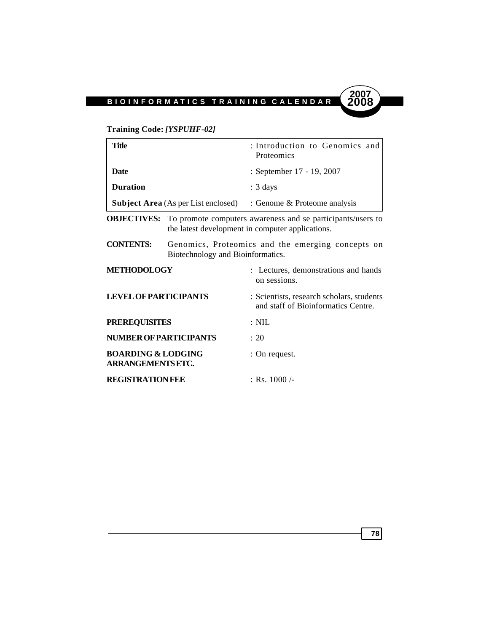

### **Training Code:** *[YSPUHF-02]*

| <b>Title</b>                                              |                                            | : Introduction to Genomics and<br>Proteomics                                                                    |
|-----------------------------------------------------------|--------------------------------------------|-----------------------------------------------------------------------------------------------------------------|
| <b>Date</b>                                               |                                            | : September 17 - 19, 2007                                                                                       |
| <b>Duration</b>                                           |                                            | $: 3 \text{ days}$                                                                                              |
|                                                           | <b>Subject Area</b> (As per List enclosed) | : Genome & Proteome analysis                                                                                    |
| <b>OBJECTIVES:</b>                                        |                                            | To promote computers awareness and se participants/users to<br>the latest development in computer applications. |
| <b>CONTENTS:</b>                                          | Biotechnology and Bioinformatics.          | Genomics, Proteomics and the emerging concepts on                                                               |
| <b>METHODOLOGY</b>                                        |                                            | : Lectures, demonstrations and hands<br>on sessions.                                                            |
| <b>LEVEL OF PARTICIPANTS</b>                              |                                            | : Scientists, research scholars, students<br>and staff of Bioinformatics Centre.                                |
| <b>PREREQUISITES</b>                                      |                                            | $: \mathrm{NIL}$                                                                                                |
| <b>NUMBER OF PARTICIPANTS</b>                             |                                            | : 20                                                                                                            |
| <b>BOARDING &amp; LODGING</b><br><b>ARRANGEMENTS ETC.</b> |                                            | : On request.                                                                                                   |
| <b>REGISTRATION FEE</b>                                   |                                            | $\pm$ Rs. 1000 /-                                                                                               |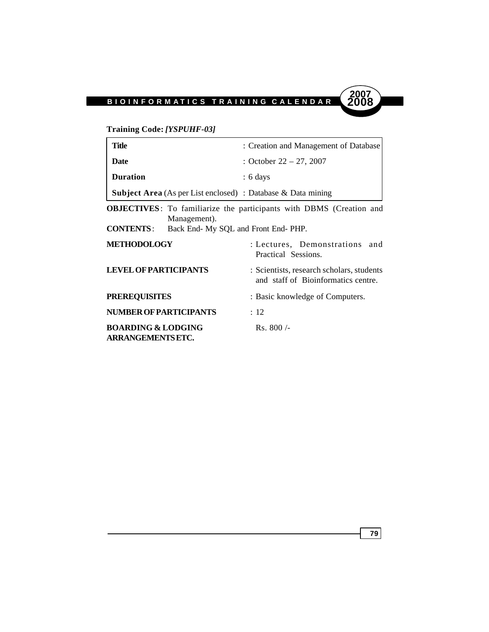

**Training Code:** *[YSPUHF-03]*

| <b>Title</b>                                                             | : Creation and Management of Database                                            |
|--------------------------------------------------------------------------|----------------------------------------------------------------------------------|
| Date                                                                     | : October $22 - 27$ , 2007                                                       |
| <b>Duration</b>                                                          | $: 6 \text{ days}$                                                               |
| <b>Subject Area</b> (As per List enclosed) : Database & Data mining      |                                                                                  |
| Management).<br><b>CONTENTS:</b><br>Back End- My SQL and Front End- PHP. | <b>OBJECTIVES</b> : To familiarize the participants with DBMS (Creation and      |
| <b>METHODOLOGY</b>                                                       | : Lectures, Demonstrations<br>and<br>Practical Sessions.                         |
| <b>LEVEL OF PARTICIPANTS</b>                                             | : Scientists, research scholars, students<br>and staff of Bioinformatics centre. |
| <b>PREREQUISITES</b>                                                     | : Basic knowledge of Computers.                                                  |
| <b>NUMBER OF PARTICIPANTS</b>                                            | $\therefore$ 12                                                                  |
| <b>BOARDING &amp; LODGING</b><br><b>ARRANGEMENTS ETC.</b>                | $Rs.800/-$                                                                       |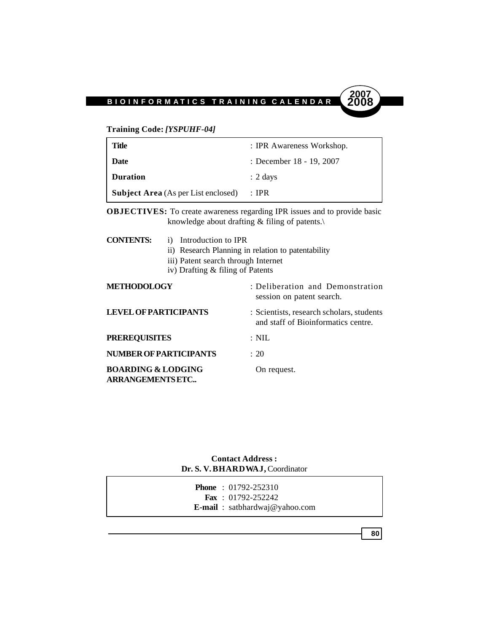

#### **Training Code:** *[YSPUHF-04]*

| Title                                      | : IPR Awareness Workshop. |
|--------------------------------------------|---------------------------|
| Date                                       | : December 18 - 19, 2007  |
| <b>Duration</b>                            | $: 2 \text{ days}$        |
| <b>Subject Area</b> (As per List enclosed) | : IPR                     |

**OBJECTIVES:** To create awareness regarding IPR issues and to provide basic knowledge about drafting & filing of patents.\

| <b>CONTENTS:</b>                                         | i) Introduction to IPR<br>iii) Patent search through Internet<br>iv) Drafting & filing of Patents | ii) Research Planning in relation to patentability                               |
|----------------------------------------------------------|---------------------------------------------------------------------------------------------------|----------------------------------------------------------------------------------|
| <b>METHODOLOGY</b>                                       |                                                                                                   | : Deliberation and Demonstration<br>session on patent search.                    |
| <b>LEVEL OF PARTICIPANTS</b>                             |                                                                                                   | : Scientists, research scholars, students<br>and staff of Bioinformatics centre. |
| <b>PREREQUISITES</b>                                     |                                                                                                   | $: \mathrm{NIL}$                                                                 |
|                                                          | <b>NUMBER OF PARTICIPANTS</b>                                                                     | : 20                                                                             |
| <b>BOARDING &amp; LODGING</b><br><b>ARRANGEMENTS ETC</b> |                                                                                                   | On request.                                                                      |

**Contact Address : Dr. S. V. BHARDWAJ,** Coordinator

|  | <b>Phone</b> : $01792 - 252310$          |
|--|------------------------------------------|
|  | <b>Fax</b> : $01792 - 252242$            |
|  | <b>E-mail</b> : $s$ atbhardwaj@yahoo.com |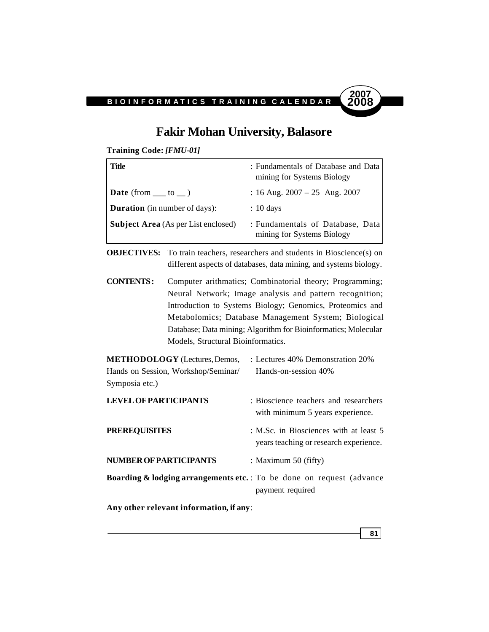

**81**

### **Fakir Mohan University, Balasore**

**Training Code:** *[FMU-01]*

| Title                                      | : Fundamentals of Database and Data<br>mining for Systems Biology |
|--------------------------------------------|-------------------------------------------------------------------|
| $\vert$ Date (from $\vert$ to $\vert$ )    | : 16 Aug. $2007 - 25$ Aug. $2007$                                 |
| <b>Duration</b> (in number of days):       | $: 10 \text{ days}$                                               |
| <b>Subject Area</b> (As per List enclosed) | : Fundamentals of Database, Data<br>mining for Systems Biology    |

**OBJECTIVES:** To train teachers, researchers and students in Bioscience(s) on different aspects of databases, data mining, and systems biology.

**CONTENTS :** Computer arithmatics; Combinatorial theory; Programming; Neural Network; Image analysis and pattern recognition; Introduction to Systems Biology; Genomics, Proteomics and Metabolomics; Database Management System; Biological Database; Data mining; Algorithm for Bioinformatics; Molecular Models, Structural Bioinformatics.

**METHODOLOGY** (Lectures, Demos, : Lectures 40% Demonstration 20% Hands on Session, Workshop/Seminar/ Hands-on-session 40% Symposia etc.) **LEVEL OF PARTICIPANTS** : Bioscience teachers and researchers

|                                                                                  | with minimum 5 years experience.                                                 |
|----------------------------------------------------------------------------------|----------------------------------------------------------------------------------|
| <b>PREREQUISITES</b>                                                             | : M.Sc. in Biosciences with at least 5<br>years teaching or research experience. |
| NUMBER OF PARTICIPANTS                                                           | : Maximum $50$ (fifty)                                                           |
| <b>Boarding &amp; lodging arrangements etc.</b> : To be done on request (advance | payment required                                                                 |

**Any other relevant information, if any**: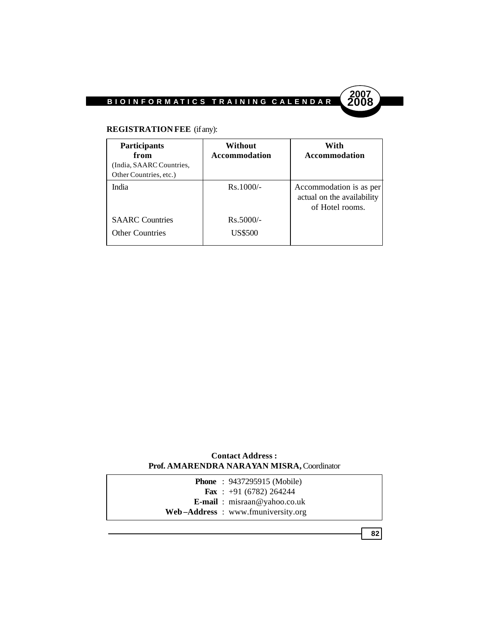

### **REGISTRATION FEE** (if any):

| <b>Participants</b><br>from<br>(India, SAARC Countries,<br>Other Countries, etc.) | Without<br><b>Accommodation</b> | With<br><b>Accommodation</b>                                             |
|-----------------------------------------------------------------------------------|---------------------------------|--------------------------------------------------------------------------|
| India                                                                             | $Rs.1000/-$                     | Accommodation is as per<br>actual on the availability<br>of Hotel rooms. |
| <b>SAARC</b> Countries<br><b>Other Countries</b>                                  | $Rs.5000/-$<br><b>US\$500</b>   |                                                                          |

#### **Contact Address : Prof. AMARENDRA NARAYAN MISRA,** Coordinator

| <b>Phone</b> : $9437295915$ (Mobile)  |
|---------------------------------------|
| <b>Fax</b> : $+91$ (6782) 264244      |
| <b>E-mail</b> : $misraan@yahoo.co.uk$ |
| Web–Address: www.fmuniversity.org     |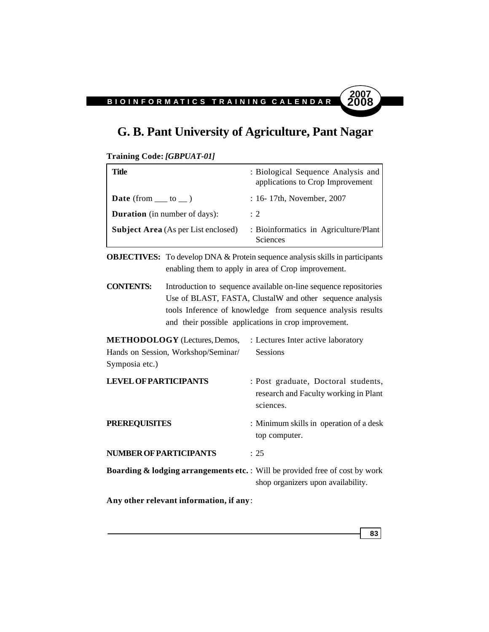### **G. B. Pant University of Agriculture, Pant Nagar**

```
Training Code: [GBPUAT-01]
```

| : 16-17th, November, 2007<br><b>Date</b> (from $\_\_$ to $\_\)$ )                                      |  |
|--------------------------------------------------------------------------------------------------------|--|
|                                                                                                        |  |
| <b>Duration</b> (in number of days):<br>$\div 2$                                                       |  |
| : Bioinformatics in Agriculture/Plant<br><b>Subject Area</b> (As per List enclosed)<br><b>Sciences</b> |  |

**OBJECTIVES:** To develop DNA & Protein sequence analysis skills in participants enabling them to apply in area of Crop improvement.

**CONTENTS:** Introduction to sequence available on-line sequence repositories Use of BLAST, FASTA, ClustalW and other sequence analysis tools Inference of knowledge from sequence analysis results and their possible applications in crop improvement.

| <b>METHODOLOGY</b> (Lectures, Demos,<br>Hands on Session, Workshop/Seminar/<br>Symposia etc.) | : Lectures Inter active laboratory<br><b>Sessions</b>                                     |
|-----------------------------------------------------------------------------------------------|-------------------------------------------------------------------------------------------|
| <b>LEVEL OF PARTICIPANTS</b>                                                                  | : Post graduate, Doctoral students,<br>research and Faculty working in Plant<br>sciences. |
| <b>PREREQUISITES</b>                                                                          | : Minimum skills in operation of a desk<br>top computer.                                  |

**NUMBER OF PARTICIPANTS** : 25 **Boarding & lodging arrangements etc.** : Will be provided free of cost by work

**Any other relevant information, if any**:



shop organizers upon availability.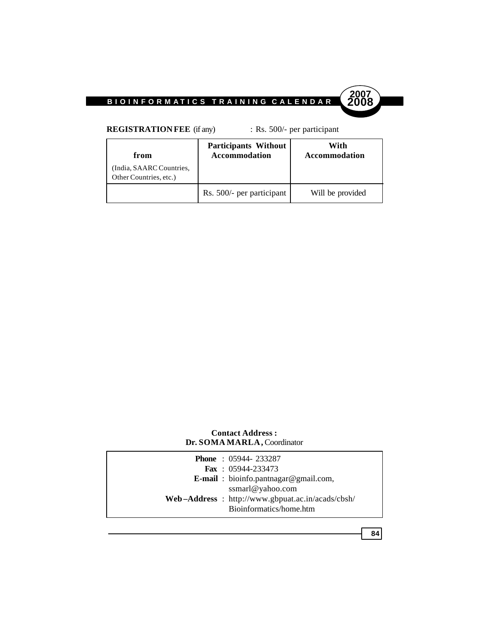

**REGISTRATION FEE** (if any) : Rs. 500/- per participant

| from                                              | <b>Participants Without</b><br><b>Accommodation</b> | With<br><b>Accommodation</b> |
|---------------------------------------------------|-----------------------------------------------------|------------------------------|
| India, SAARC Countries,<br>Other Countries, etc.) |                                                     |                              |
|                                                   | Rs. 500/- per participant                           | Will be provided             |

#### **Contact Address : Dr. SOMA MARLA,** Coordinator

| <b>Phone</b> : 05944-233287                      |
|--------------------------------------------------|
| Fax: $05944-233473$                              |
| <b>E-mail</b> : bioinfo.pantnagar@gmail.com,     |
| ssmarl@yahoo.com                                 |
| Web-Address: http://www.gbpuat.ac.in/acads/cbsh/ |
| Bioinformatics/home.htm                          |

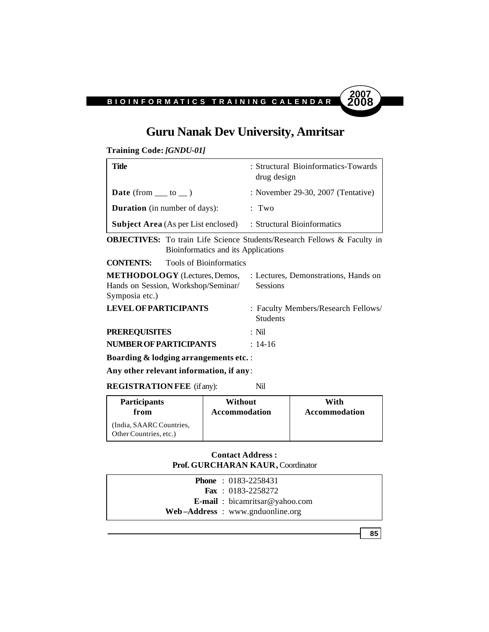### **Guru Nanak Dev University, Amritsar**

**Training Code:** *[GNDU-01]*

| Title                                      | : Structural Bioinformatics-Towards<br>drug design |
|--------------------------------------------|----------------------------------------------------|
| <b>Date</b> (from $\_\_$ to $\_\)$ )       | : November 29-30, 2007 (Tentative)                 |
| <b>Duration</b> (in number of days):       | : Two                                              |
| <b>Subject Area</b> (As per List enclosed) | : Structural Bioinformatics                        |

**OBJECTIVES:** To train Life Science Students/Research Fellows & Faculty in Bioinformatics and its Applications

**CONTENTS:** Tools of Bioinformatics

| <b>METHODOLOGY</b> (Lectures, Demos,                  | : Lectures, Demonstrations, Hands on                   |
|-------------------------------------------------------|--------------------------------------------------------|
| Hands on Session, Workshop/Seminar/<br>Symposia etc.) | <b>Sessions</b>                                        |
| <b>LEVEL OF PARTICIPANTS</b>                          | : Faculty Members/Research Fellows/<br><b>Students</b> |
| <b>PREREQUISITES</b>                                  | $\cdot$ Nil                                            |
| NUMBER OF PARTICIPANTS                                | $\cdot$ 14-16                                          |

**Boarding & lodging arrangements etc.** :

**Any other relevant information, if any**:

**REGISTRATION FEE** (if any): Nil

| <b>Participants</b>                                | Without       | With          |
|----------------------------------------------------|---------------|---------------|
| from                                               | Accommodation | Accommodation |
| (India, SAARC Countries,<br>Other Countries, etc.) |               |               |

#### **Contact Address : Prof. GURCHARAN KAUR,** Coordinator

| <b>Phone</b> : $0183 - 2258431$       |
|---------------------------------------|
| <b>Fax</b> : $0183-2258272$           |
| <b>E-mail</b> : bicamritsar@yahoo.com |
| $Web-Address: www.gnduonline.org$     |

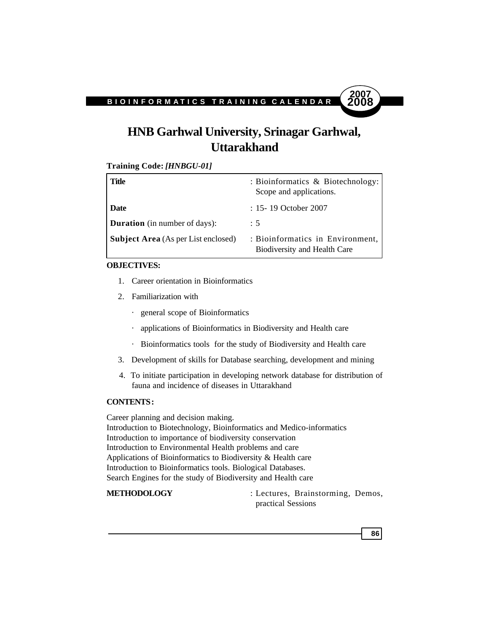

### **HNB Garhwal University, Srinagar Garhwal, Uttarakhand**

**Training Code:** *[HNBGU-01]*

| <b>Title</b>                               | : Bioinformatics & Biotechnology:<br>Scope and applications.     |
|--------------------------------------------|------------------------------------------------------------------|
| <b>Date</b>                                | : 15-19 October 2007                                             |
| <b>Duration</b> (in number of days):       | $\therefore$ 5                                                   |
| <b>Subject Area</b> (As per List enclosed) | : Bioinformatics in Environment,<br>Biodiversity and Health Care |

#### **OBJECTIVES:**

- 1. Career orientation in Bioinformatics
- 2. Familiarization with
	- · general scope of Bioinformatics
	- · applications of Bioinformatics in Biodiversity and Health care
	- · Bioinformatics tools for the study of Biodiversity and Health care
- 3. Development of skills for Database searching, development and mining
- 4. To initiate participation in developing network database for distribution of fauna and incidence of diseases in Uttarakhand

#### **CONTENTS :**

Career planning and decision making. Introduction to Biotechnology, Bioinformatics and Medico-informatics Introduction to importance of biodiversity conservation Introduction to Environmental Health problems and care Applications of Bioinformatics to Biodiversity & Health care Introduction to Bioinformatics tools. Biological Databases. Search Engines for the study of Biodiversity and Health care

**METHODOLOGY** : Lectures, Brainstorming, Demos, practical Sessions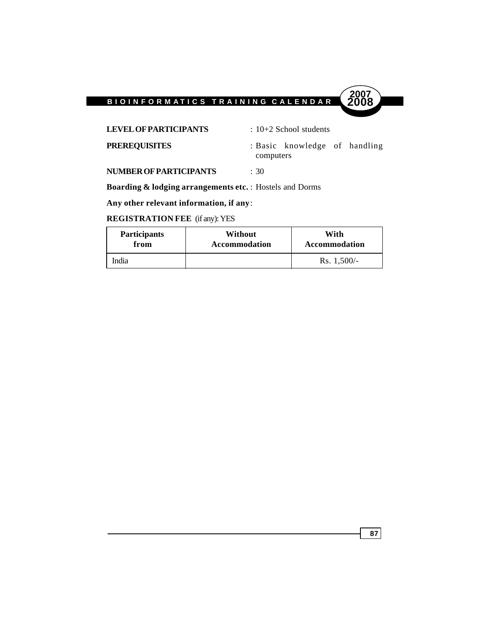

LEVEL OF PARTICIPANTS : 10+2 School students

**PREREQUISITES** : Basic knowledge of handling computers

**NUMBER OF PARTICIPANTS** : 30

**Boarding & lodging arrangements etc.** : Hostels and Dorms

**Any other relevant information, if any**:

### **REGISTRATION FEE** (if any): YES

| <b>Participants</b> | Without       | With          |
|---------------------|---------------|---------------|
| from                | Accommodation | Accommodation |
| India               |               | Rs. $1,500/-$ |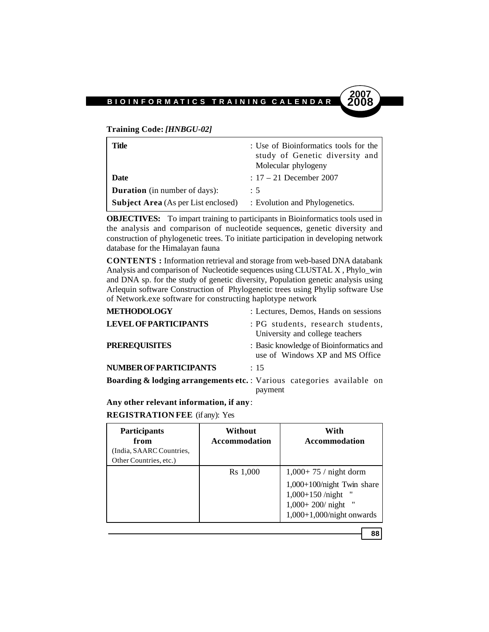**Training Code:** *[HNBGU-02]*

| Title                                      | : Use of Bioinformatics tools for the<br>study of Genetic diversity and<br>Molecular phylogeny |
|--------------------------------------------|------------------------------------------------------------------------------------------------|
| Date                                       | $: 17 - 21$ December 2007                                                                      |
| <b>Duration</b> (in number of days):       | : 5                                                                                            |
| <b>Subject Area</b> (As per List enclosed) | : Evolution and Phylogenetics.                                                                 |

**OBJECTIVES:** To impart training to participants in Bioinformatics tools used in the analysis and comparison of nucleotide sequences, genetic diversity and construction of phylogenetic trees. To initiate participation in developing network database for the Himalayan fauna

**CONTENTS :** Information retrieval and storage from web-based DNA databank Analysis and comparison of Nucleotide sequences using CLUSTAL X , Phylo\_win and DNA sp. for the study of genetic diversity, Population genetic analysis using Arlequin software Construction of Phylogenetic trees using Phylip software Use of Network.exe software for constructing haplotype network

| <b>METHODOLOGY</b>                                                                | : Lectures, Demos, Hands on sessions                                       |
|-----------------------------------------------------------------------------------|----------------------------------------------------------------------------|
| <b>LEVEL OF PARTICIPANTS</b>                                                      | : PG students, research students,<br>University and college teachers       |
| <b>PREREQUISITES</b>                                                              | : Basic knowledge of Bioinformatics and<br>use of Windows XP and MS Office |
| <b>NUMBER OF PARTICIPANTS</b>                                                     | : 15                                                                       |
| <b>Boarding &amp; lodging arrangements etc.</b> : Various categories available on | payment                                                                    |

**Any other relevant information, if any**:

#### **REGISTRATION FEE** (if any): Yes

| <b>Participants</b><br>from<br>(India, SAARC Countries,<br>Other Countries, etc.) | Without<br><b>Accommodation</b> | With<br><b>Accommodation</b>                                                                                                              |
|-----------------------------------------------------------------------------------|---------------------------------|-------------------------------------------------------------------------------------------------------------------------------------------|
|                                                                                   | Rs 1,000                        | $1,000+75$ / night dorm<br>$1,000+100/night$ Twin share<br>$1,000+150$ /night<br>$1,000+200$ / night<br>.,<br>$1,000+1,000/night$ onwards |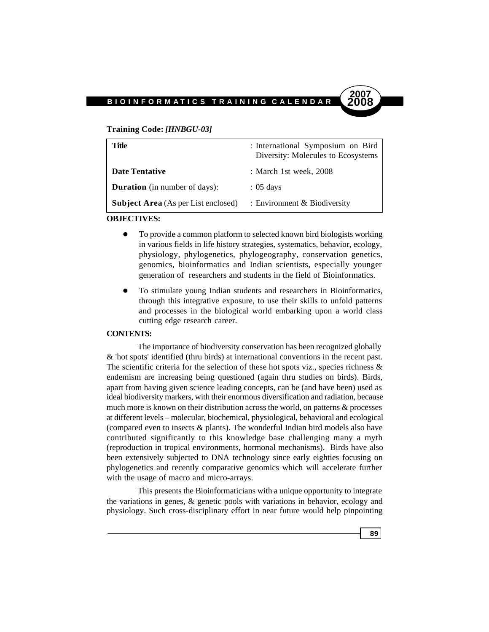#### **Training Code:** *[HNBGU-03]*

| Title                                      | : International Symposium on Bird<br>Diversity: Molecules to Ecosystems |
|--------------------------------------------|-------------------------------------------------------------------------|
| <b>Date Tentative</b>                      | : March 1st week, $2008$                                                |
| <b>Duration</b> (in number of days):       | $: 05 \text{ days}$                                                     |
| <b>Subject Area</b> (As per List enclosed) | : Environment $& Biodiversity$                                          |

#### **OBJECTIVES:**

- To provide a common platform to selected known bird biologists working in various fields in life history strategies, systematics, behavior, ecology, physiology, phylogenetics, phylogeography, conservation genetics, genomics, bioinformatics and Indian scientists, especially younger generation of researchers and students in the field of Bioinformatics.
- To stimulate young Indian students and researchers in Bioinformatics, through this integrative exposure, to use their skills to unfold patterns and processes in the biological world embarking upon a world class cutting edge research career.

#### **CONTENTS:**

The importance of biodiversity conservation has been recognized globally & 'hot spots' identified (thru birds) at international conventions in the recent past. The scientific criteria for the selection of these hot spots viz., species richness  $\&$ endemism are increasing being questioned (again thru studies on birds). Birds, apart from having given science leading concepts, can be (and have been) used as ideal biodiversity markers, with their enormous diversification and radiation, because much more is known on their distribution across the world, on patterns & processes at different levels – molecular, biochemical, physiological, behavioral and ecological (compared even to insects & plants). The wonderful Indian bird models also have contributed significantly to this knowledge base challenging many a myth (reproduction in tropical environments, hormonal mechanisms). Birds have also been extensively subjected to DNA technology since early eighties focusing on phylogenetics and recently comparative genomics which will accelerate further with the usage of macro and micro-arrays.

This presents the Bioinformaticians with a unique opportunity to integrate the variations in genes, & genetic pools with variations in behavior, ecology and physiology. Such cross-disciplinary effort in near future would help pinpointing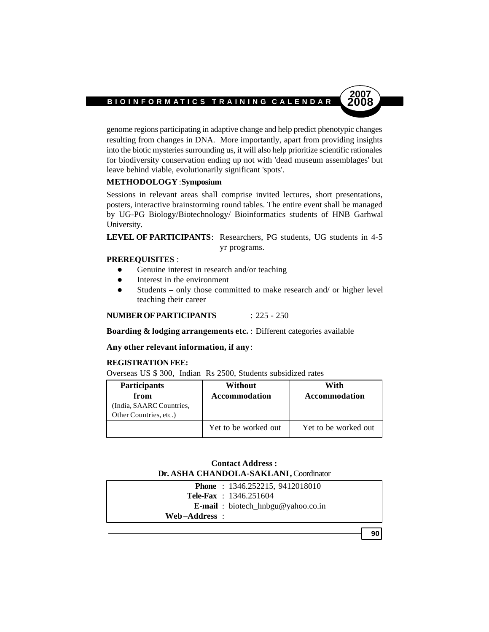genome regions participating in adaptive change and help predict phenotypic changes resulting from changes in DNA. More importantly, apart from providing insights into the biotic mysteries surrounding us, it will also help prioritize scientific rationales for biodiversity conservation ending up not with 'dead museum assemblages' but leave behind viable, evolutionarily significant 'spots'.

#### **METHODOLOGY** : **Symposium**

Sessions in relevant areas shall comprise invited lectures, short presentations, posters, interactive brainstorming round tables. The entire event shall be managed by UG-PG Biology/Biotechnology/ Bioinformatics students of HNB Garhwal University.

LEVEL OF PARTICIPANTS: Researchers, PG students, UG students in 4-5 yr programs.

#### **PREREQUISITES** :

- **•** Genuine interest in research and/or teaching
- Interest in the environment
- $\bullet$  Students only those committed to make research and/ or higher level teaching their career

**NUMBER OF PARTICIPANTS** : 225 - 250

**Boarding & lodging arrangements etc.** : Different categories available

**Any other relevant information, if any**:

#### **REGISTRATION FEE:**

Overseas US \$ 300, Indian Rs 2500, Students subsidized rates

| <b>Participants</b><br>from<br>(India, SAARC Countries,<br>Other Countries, etc.) | Without<br>Accommodation | With<br>Accommodation |
|-----------------------------------------------------------------------------------|--------------------------|-----------------------|
|                                                                                   | Yet to be worked out     | Yet to be worked out  |

| <b>Contact Address :</b>               |
|----------------------------------------|
| Dr. ASHA CHANDOLA-SAKLANI, Coordinator |

|               | <b>Phone</b> : $1346.252215$ , $9412018010$ |
|---------------|---------------------------------------------|
|               | <b>Tele-Fax</b> : $1346.251604$             |
|               | <b>E-mail</b> : biotech_hnbgu@yahoo.co.in   |
| Web–Address : |                                             |
|               |                                             |

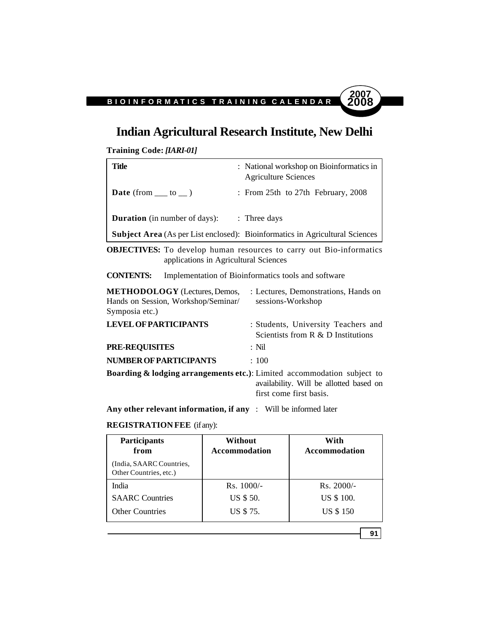### **Indian Agricultural Research Institute, New Delhi**

**Training Code:** *[IARI-01]*

| Title                                | : National workshop on Bioinformatics in<br><b>Agriculture Sciences</b>             |
|--------------------------------------|-------------------------------------------------------------------------------------|
| <b>Date</b> (from $\_\_$ to $\_\)$ ) | : From 25th to 27th February, 2008                                                  |
| <b>Duration</b> (in number of days): | $:$ Three days                                                                      |
|                                      | <b>Subject Area</b> (As per List enclosed): Bioinformatics in Agricultural Sciences |

**OBJECTIVES:** To develop human resources to carry out Bio-informatics applications in Agricultural Sciences

**CONTENTS:** Implementation of Bioinformatics tools and software

| <b>METHODOLOGY</b> (Lectures, Demos, | : Lectures, Demonstrations, Hands on                                                |
|--------------------------------------|-------------------------------------------------------------------------------------|
| Hands on Session, Workshop/Seminar/  | sessions-Workshop                                                                   |
| Symposia etc.)                       |                                                                                     |
| <b>LEVEL OF PARTICIPANTS</b>         | : Students, University Teachers and<br>Scientists from $R \& D$ Institutions        |
| <b>PRE-REQUISITES</b>                | $:$ Nil                                                                             |
| <b>NUMBER OF PARTICIPANTS</b>        | :100                                                                                |
|                                      | <b>Boarding &amp; lodging arrangements etc.</b> ): Limited accommodation subject to |
|                                      | availability. Will be allotted based on                                             |
|                                      | first come first basis.                                                             |

**Any other relevant information, if any** : Will be informed later

#### **REGISTRATION FEE** (if any):

| <b>Participants</b><br>from                        | Without<br><b>Accommodation</b> | With<br><b>Accommodation</b> |  |
|----------------------------------------------------|---------------------------------|------------------------------|--|
| (India, SAARC Countries,<br>Other Countries, etc.) |                                 |                              |  |
| India                                              | $Rs. 1000/-$                    | $Rs. 2000/-$                 |  |
| <b>SAARC</b> Countries                             | US \$ 50.                       | US \$ 100.                   |  |
| <b>Other Countries</b>                             | US \$75.                        | <b>US \$150</b>              |  |

**91**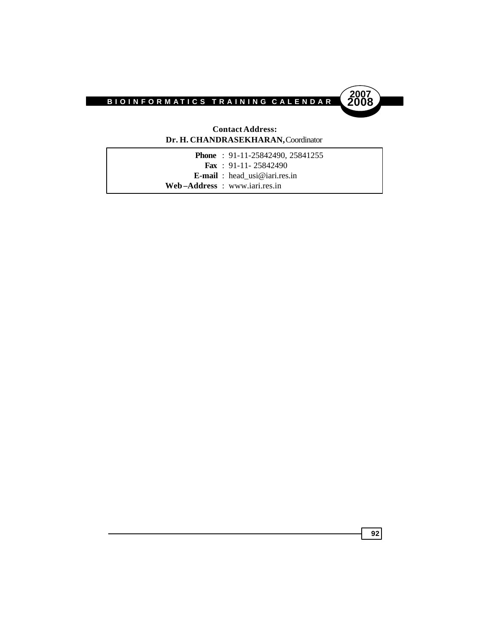

#### **Contact Address: Dr. H. CHANDRASEKHARAN,** Coordinator

| <b>Phone</b> : $91-11-25842490$ , $25841255$ |
|----------------------------------------------|
| <b>Fax</b> : 91-11-25842490                  |
| <b>E-mail</b> : head usi@iari.res.in         |
| Web-Address: www.iari.res.in                 |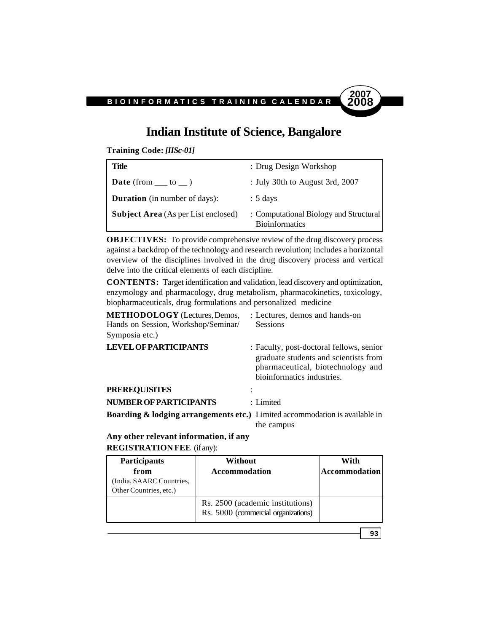

### **Indian Institute of Science, Bangalore**

**Training Code:** *[IISc-01]*

| Title                                      | : Drug Design Workshop                                          |
|--------------------------------------------|-----------------------------------------------------------------|
| <b>Date</b> (from $\_\_\_$ to $\_\_$ )     | : July 30th to August 3rd, 2007                                 |
| <b>Duration</b> (in number of days):       | $: 5 \text{ days}$                                              |
| <b>Subject Area</b> (As per List enclosed) | : Computational Biology and Structural<br><b>Bioinformatics</b> |

**OBJECTIVES:** To provide comprehensive review of the drug discovery process against a backdrop of the technology and research revolution; includes a horizontal overview of the disciplines involved in the drug discovery process and vertical delve into the critical elements of each discipline.

**CONTENTS:** Target identification and validation, lead discovery and optimization, enzymology and pharmacology, drug metabolism, pharmacokinetics, toxicology, biopharmaceuticals, drug formulations and personalized medicine

| <b>METHODOLOGY</b> (Lectures, Demos,<br>Hands on Session, Workshop/Seminar/<br>Symposia etc.) | : Lectures, demos and hands-on<br><b>Sessions</b>                                                                                                    |
|-----------------------------------------------------------------------------------------------|------------------------------------------------------------------------------------------------------------------------------------------------------|
| <b>LEVEL OF PARTICIPANTS</b>                                                                  | : Faculty, post-doctoral fellows, senior<br>graduate students and scientists from<br>pharmaceutical, biotechnology and<br>bioinformatics industries. |
| <b>PREREQUISITES</b>                                                                          |                                                                                                                                                      |
| <b>NUMBER OF PARTICIPANTS</b>                                                                 | : Limited                                                                                                                                            |
| <b>Boarding &amp; lodging arrangements etc.)</b> Limited accommodation is available in        | the campus                                                                                                                                           |

**Any other relevant information, if any REGISTRATION FEE** (if any):

| <b>Participants</b><br>from<br>India, SAARC Countries,<br>Other Countries, etc.) | Without<br><b>Accommodation</b>                                         | With<br><b>Accommodation</b> |
|----------------------------------------------------------------------------------|-------------------------------------------------------------------------|------------------------------|
|                                                                                  | Rs. 2500 (academic institutions)<br>Rs. 5000 (commercial organizations) |                              |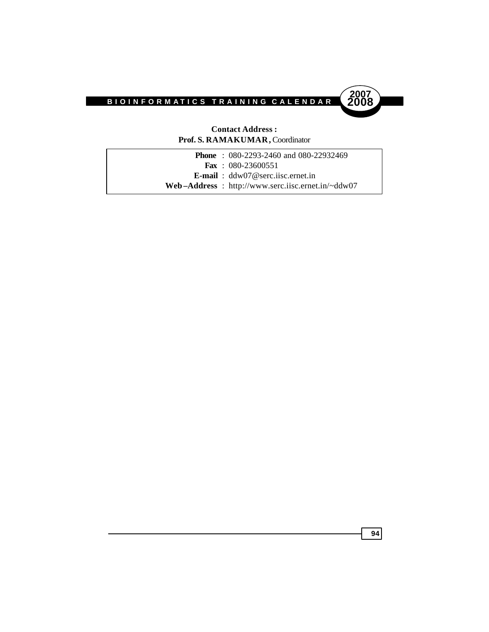

#### **Contact Address : Prof. S. RAMAKUMAR,** Coordinator

|  | <b>Phone</b> : 080-2293-2460 and 080-22932469     |
|--|---------------------------------------------------|
|  | <b>Fax</b> : $080-23600551$                       |
|  | <b>E-mail</b> : $ddw07@sec.$ isc. ernet. in       |
|  | Web-Address: http://www.serc.iisc.ernet.in/~ddw07 |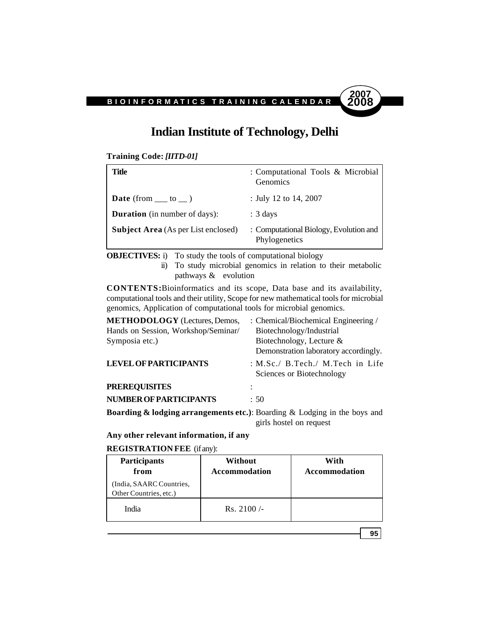### **Indian Institute of Technology, Delhi**

**Training Code:** *[IITD-01]*

| Title                                      | : Computational Tools & Microbial<br>Genomics           |
|--------------------------------------------|---------------------------------------------------------|
| <b>Date</b> (from $\_\_$ to $\_\)$ )       | : July 12 to 14, 2007                                   |
| <b>Duration</b> (in number of days):       | $: 3 \text{ days}$                                      |
| <b>Subject Area</b> (As per List enclosed) | : Computational Biology, Evolution and<br>Phylogenetics |

**OBJECTIVES:** i) To study the tools of computational biology

ii) To study microbial genomics in relation to their metabolic pathways & evolution

**CONTENTS:**Bioinformatics and its scope, Data base and its availability, computational tools and their utility, Scope for new mathematical tools for microbial genomics, Application of computational tools for microbial genomics.

| <b>METHODOLOGY</b> (Lectures, Demos,                                                  | : Chemical/Biochemical Engineering /                             |
|---------------------------------------------------------------------------------------|------------------------------------------------------------------|
| Hands on Session, Workshop/Seminar/                                                   | Biotechnology/Industrial                                         |
| Symposia etc.)                                                                        | Biotechnology, Lecture &                                         |
|                                                                                       | Demonstration laboratory accordingly.                            |
| <b>LEVEL OF PARTICIPANTS</b>                                                          | : M.Sc./ $B.Tech$ ./ M.Tech in Life<br>Sciences or Biotechnology |
| <b>PREREQUISITES</b>                                                                  |                                                                  |
| <b>NUMBER OF PARTICIPANTS</b>                                                         | : 50                                                             |
| <b>Roarding &amp; lodging arrangements atc</b> ): Roarding & Lodging in the house and |                                                                  |

**Boarding & lodging arrangements etc.)**: Boarding & Lodging in the boys and girls hostel on request

**Any other relevant information, if any**

**REGISTRATION FEE** (if any):

| <b>Participants</b><br>from                        | Without<br>Accommodation | With<br><b>Accommodation</b> |
|----------------------------------------------------|--------------------------|------------------------------|
| (India, SAARC Countries,<br>Other Countries, etc.) |                          |                              |
| India                                              | Rs. $2100/-$             |                              |

**95**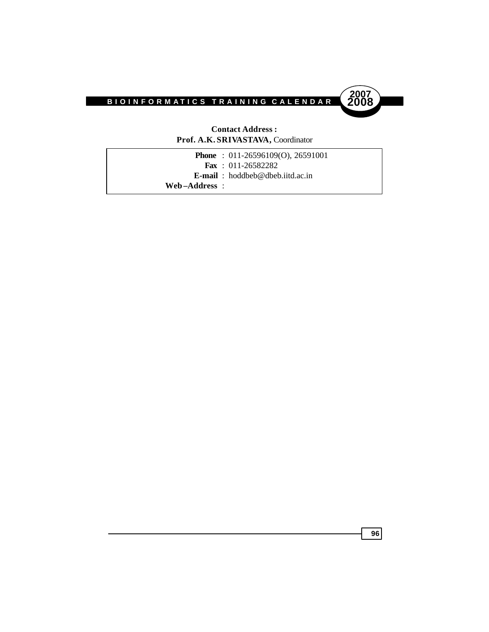

#### **Contact Address : Prof. A.K. SRIVASTAVA,** Coordinator

| <b>Phone</b> : $011-26596109(0)$ , 26591001 |  |
|---------------------------------------------|--|
| <b>Fax</b> : $011-26582282$                 |  |
| <b>E-mail</b> : hoddbeb@dbeb.iitd.ac.in     |  |
| Web-Address :                               |  |
|                                             |  |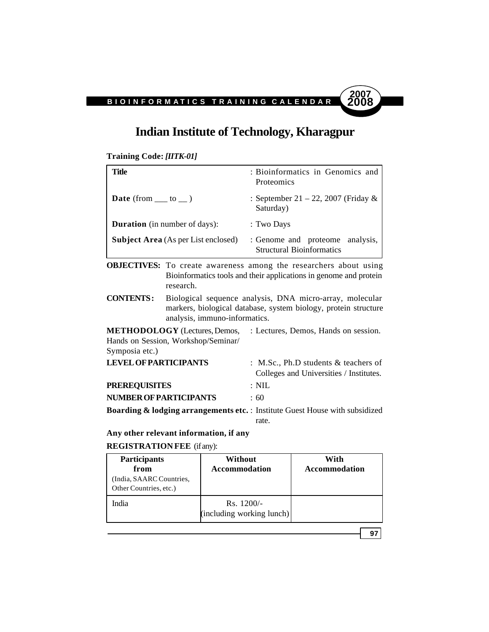### **Indian Institute of Technology, Kharagpur**

#### **Training Code:** *[IITK-01]*

| Title                                      | : Bioinformatics in Genomics and<br><b>Proteomics</b>               |
|--------------------------------------------|---------------------------------------------------------------------|
| <b>Date</b> (from $\_\_$ to $\_\)$ )       | : September 21 – 22, 2007 (Friday $\&$<br>Saturday)                 |
| <b>Duration</b> (in number of days):       | : Two Days                                                          |
| <b>Subject Area</b> (As per List enclosed) | : Genome and proteome analysis,<br><b>Structural Bioinformatics</b> |

**OBJECTIVES:** To create awareness among the researchers about using Bioinformatics tools and their applications in genome and protein research.

**CONTENTS :** Biological sequence analysis, DNA micro-array, molecular markers, biological database, system biology, protein structure analysis, immuno-informatics.

**METHODOLOGY** (Lectures, Demos, : Lectures, Demos, Hands on session. Hands on Session, Workshop/Seminar/ Symposia etc.)

| <b>LEVEL OF PARTICIPANTS</b>                                                            | : M.Sc., Ph.D students $&$ teachers of<br>Colleges and Universities / Institutes. |
|-----------------------------------------------------------------------------------------|-----------------------------------------------------------------------------------|
| <b>PREREOUISITES</b>                                                                    | $\pm$ NIL.                                                                        |
| <b>NUMBER OF PARTICIPANTS</b>                                                           | .60                                                                               |
| <b>Boarding &amp; lodging arrangements etc.</b> : Institute Guest House with subsidized |                                                                                   |

rate.

**Any other relevant information, if any**

#### **REGISTRATION FEE** (if any):

| <b>Participants</b><br>from<br>(India, SAARC Countries,<br>Other Countries, etc.) | Without<br><b>Accommodation</b>                  | With<br>Accommodation |
|-----------------------------------------------------------------------------------|--------------------------------------------------|-----------------------|
| India                                                                             | $\text{Rs.} 1200/-$<br>(including working lunch) |                       |

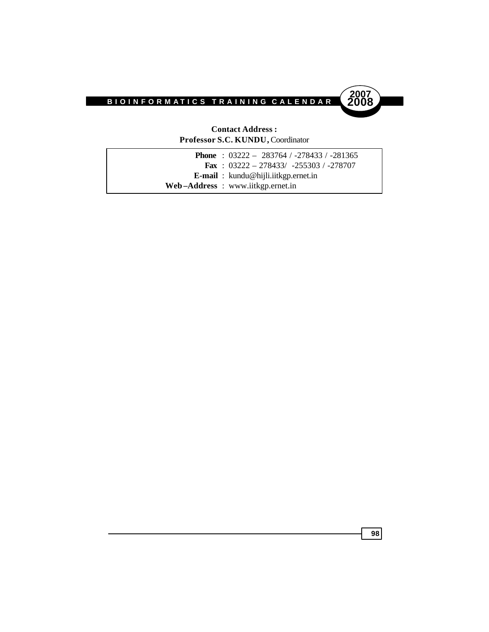

#### **Contact Address : Professor S.C. KUNDU,** Coordinator

| <b>Phone</b> : $03222 - 283764 / -278433 / -281365$ |
|-----------------------------------------------------|
| <b>Fax</b> : $03222 - 278433/ -255303 / -278707$    |
| <b>E-mail</b> : kundu@hijli.iitkgp.ernet.in         |
| Web-Address: www.iitkgp.ernet.in                    |
|                                                     |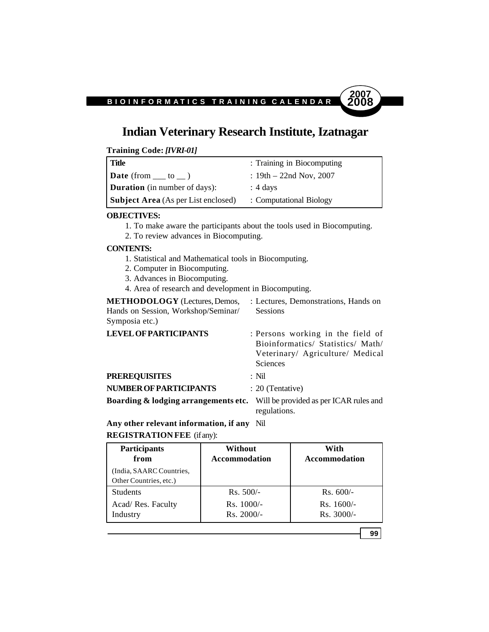### **Indian Veterinary Research Institute, Izatnagar**

**Training Code:** *[IVRI-01]*

| <b>Title</b>                               | : Training in Biocomputing |
|--------------------------------------------|----------------------------|
| <b>Date</b> (from $\_\_$ to $\_\)$ )       | : $19th - 22nd Nov, 2007$  |
| <b>Duration</b> (in number of days):       | $: 4$ days                 |
| <b>Subject Area</b> (As per List enclosed) | : Computational Biology    |

#### **OBJECTIVES:**

- 1. To make aware the participants about the tools used in Biocomputing.
- 2. To review advances in Biocomputing.

#### **CONTENTS:**

- 1. Statistical and Mathematical tools in Biocomputing.
- 2. Computer in Biocomputing.
- 3. Advances in Biocomputing.
- 4. Area of research and development in Biocomputing.

**METHODOLOGY** (Lectures, Demos, : Lectures, Demonstrations, Hands on Hands on Session, Workshop/Seminar/ Sessions Symposia etc.)

| <b>LEVEL OF PARTICIPANTS</b>         | : Persons working in the field of<br>Bioinformatics/ Statistics/ Math/<br>Veterinary/ Agriculture/ Medical<br><b>Sciences</b> |
|--------------------------------------|-------------------------------------------------------------------------------------------------------------------------------|
| <b>PREREQUISITES</b>                 | $\cdot$ Nil                                                                                                                   |
| NUMBER OF PARTICIPANTS               | : 20 (Tentative)                                                                                                              |
| Boarding & lodging arrangements etc. | Will be provided as per ICAR rules and<br>regulations.                                                                        |

#### **Any other relevant information, if any** Nil **REGISTRATION FEE** (if any):

| <b>Participants</b><br>from                        | Without<br><b>Accommodation</b> | With<br><b>Accommodation</b> |
|----------------------------------------------------|---------------------------------|------------------------------|
| (India, SAARC Countries,<br>Other Countries, etc.) |                                 |                              |
| <b>Students</b>                                    | $Rs. 500/-$                     | $Rs. 600/-$                  |
| Acad/ Res. Faculty                                 | $Rs. 1000/-$                    | $Rs. 1600/-$                 |
| Industry                                           | $Rs. 2000/-$                    | $Rs. 3000/-$                 |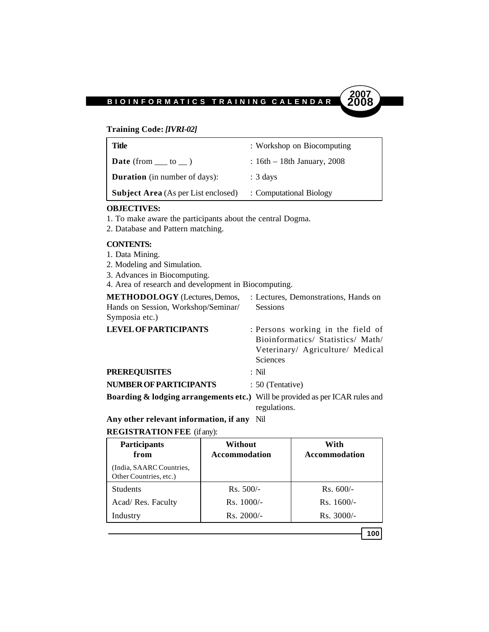#### **Training Code:** *[IVRI-02]*

| : Workshop on Biocomputing    |
|-------------------------------|
| $: 16th - 18th$ January, 2008 |
| $: 3 \text{ days}$            |
| : Computational Biology       |
|                               |

#### **OBJECTIVES:**

- 1. To make aware the participants about the central Dogma.
- 2. Database and Pattern matching.

#### **CONTENTS:**

- 1. Data Mining.
- 2. Modeling and Simulation.
- 3. Advances in Biocomputing.
- 4. Area of research and development in Biocomputing.

| <b>METHODOLOGY</b> (Lectures, Demos,                                                    | : Lectures, Demonstrations, Hands on                                                                                          |
|-----------------------------------------------------------------------------------------|-------------------------------------------------------------------------------------------------------------------------------|
| Hands on Session, Workshop/Seminar/                                                     | <b>Sessions</b>                                                                                                               |
| Symposia etc.)                                                                          |                                                                                                                               |
| <b>LEVEL OF PARTICIPANTS</b>                                                            | : Persons working in the field of<br>Bioinformatics/ Statistics/ Math/<br>Veterinary/ Agriculture/ Medical<br><b>Sciences</b> |
| <b>PREREQUISITES</b>                                                                    | : Nil                                                                                                                         |
| <b>NUMBER OF PARTICIPANTS</b>                                                           | : 50 (Tentative)                                                                                                              |
| <b>Boarding &amp; lodging arrangements etc.)</b> Will be provided as per ICAR rules and | regulations.                                                                                                                  |
|                                                                                         |                                                                                                                               |

**Any other relevant information, if any** Nil

#### **REGISTRATION FEE** (if any):

| <b>Participants</b><br>from                        | Without<br>Accommodation | With<br>Accommodation |
|----------------------------------------------------|--------------------------|-----------------------|
| (India, SAARC Countries,<br>Other Countries, etc.) |                          |                       |
| <b>Students</b>                                    | $Rs. 500/-$              | $Rs. 600/-$           |
| Acad/ Res. Faculty                                 | $Rs. 1000/-$             | $Rs. 1600/-$          |
| Industry                                           | $Rs. 2000/-$             | $Rs. 3000/-$          |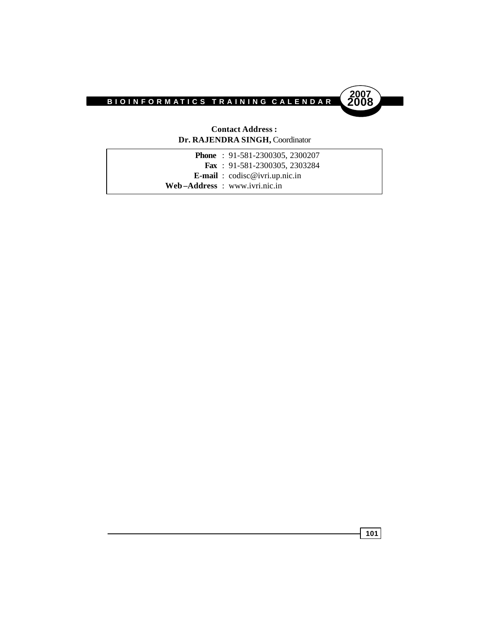

#### **Contact Address : Dr. RAJENDRA SINGH,** Coordinator

|  | <b>Phone</b> : $91-581-2300305$ , 2300207      |
|--|------------------------------------------------|
|  | <b>Fax</b> : $91-581-2300305$ , 2303284        |
|  | <b>E-mail</b> : $\text{codisc@ivri.up.nic.in}$ |
|  | Web-Address: www.ivri.nic.in                   |
|  |                                                |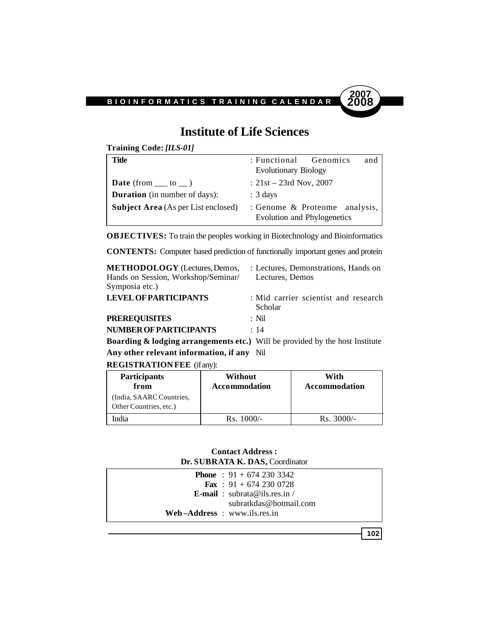

### **Institute of Life Sciences**

**Training Code:** *[ILS-01]*

| Title                                      | and<br>: Functional Genomics                                 |
|--------------------------------------------|--------------------------------------------------------------|
|                                            | <b>Evolutionary Biology</b>                                  |
| <b>Date</b> (from $\_\_$ to $\_\)$ )       | : $21st - 23rd$ Nov, 2007                                    |
| <b>Duration</b> (in number of days):       | $: 3 \text{ days}$                                           |
| <b>Subject Area</b> (As per List enclosed) | : Genome & Proteome analysis,<br>Evolution and Phylogenetics |

**OBJECTIVES:** To train the peoples working in Biotechnology and Bioinformatics

**CONTENTS:** Computer based prediction of functionally important genes and protein

| <b>METHODOLOGY</b> (Lectures, Demos, | : Lectures, Demonstrations, Hands on            |
|--------------------------------------|-------------------------------------------------|
| Hands on Session, Workshop/Seminar/  | Lectures, Demos                                 |
| Symposia etc.)                       |                                                 |
| <b>LEVEL OF PARTICIPANTS</b>         | : Mid carrier scientist and research<br>Scholar |
| <b>PREREOUISITES</b>                 | $\cdot$ Nil                                     |
| NUMBER OF PARTICIPANTS               | : 14                                            |

**Boarding & lodging arrangements etc.)** Will be provided by the host Institute **Any other relevant information, if any** Nil

**REGISTRATION FEE** (if any):

| <b>Participants</b><br>from                        | Without<br>Accommodation | With<br>Accommodation |
|----------------------------------------------------|--------------------------|-----------------------|
| (India, SAARC Countries,<br>Other Countries, etc.) |                          |                       |
| India                                              | $Rs. 1000/-$             | $Rs. 3000/-$          |

#### **Contact Address : Dr. SUBRATA K. DAS,** Coordinator

| <b>Phone</b> : $91 + 6742303342$                |  |
|-------------------------------------------------|--|
| <b>Fax</b> : $91 + 6742300728$                  |  |
| <b>E-mail</b> : $\text{subrata@ils.}$ res. in / |  |
| subratkdas@hotmail.com                          |  |
| $Web-Address: www.ils.res.in$                   |  |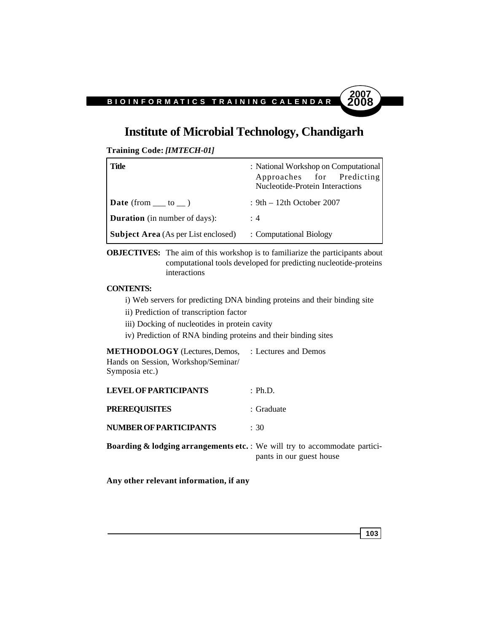### **Institute of Microbial Technology, Chandigarh**

**Training Code:** *[IMTECH-01]*

| <b>Title</b>                               | : National Workshop on Computational<br>Approaches for Predicting<br>Nucleotide-Protein Interactions |
|--------------------------------------------|------------------------------------------------------------------------------------------------------|
| <b>Date</b> (from $\_\_$ to $\_\)$ )       | : $9th - 12th$ October 2007                                                                          |
| <b>Duration</b> (in number of days):       | : 4                                                                                                  |
| <b>Subject Area</b> (As per List enclosed) | : Computational Biology                                                                              |

**OBJECTIVES:** The aim of this workshop is to familiarize the participants about computational tools developed for predicting nucleotide-proteins interactions

#### **CONTENTS:**

i) Web servers for predicting DNA binding proteins and their binding site

- ii) Prediction of transcription factor
- iii) Docking of nucleotides in protein cavity
- iv) Prediction of RNA binding proteins and their binding sites

**METHODOLOGY** (Lectures, Demos, : Lectures and Demos Hands on Session, Workshop/Seminar/ Symposia etc.)

| <b>LEVEL OF PARTICIPANTS</b>                                                          | : Ph.D.                  |
|---------------------------------------------------------------------------------------|--------------------------|
| <b>PREREQUISITES</b>                                                                  | : Graduate               |
| <b>NUMBER OF PARTICIPANTS</b>                                                         | : 30                     |
| <b>Boarding &amp; lodging arrangements etc.</b> : We will try to accommodate partici- | pants in our guest house |

**Any other relevant information, if any**

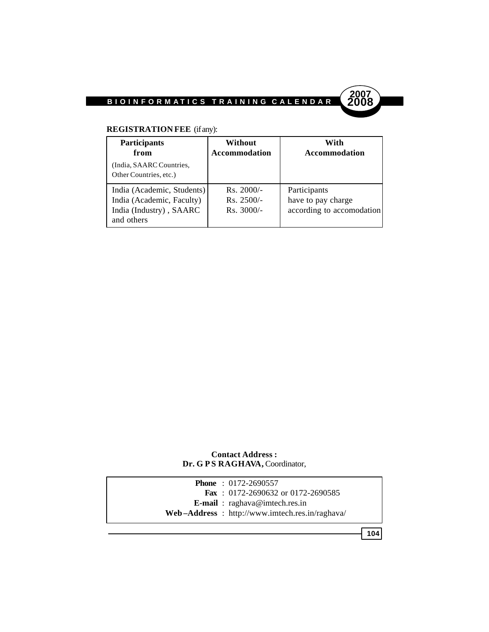

### **REGISTRATION FEE** (if any):

| <b>Participants</b><br>from<br>(India, SAARC Countries,<br>Other Countries, etc.)                | Without<br><b>Accommodation</b>              | With<br><b>Accommodation</b>                                    |
|--------------------------------------------------------------------------------------------------|----------------------------------------------|-----------------------------------------------------------------|
| India (Academic, Students)<br>India (Academic, Faculty)<br>India (Industry), SAARC<br>and others | $Rs. 2000/-$<br>$Rs. 2500/-$<br>$Rs. 3000/-$ | Participants<br>have to pay charge<br>according to accomodation |

### **Contact Address :** Dr. G P S RAGHAVA, Coordinator,

|  | <b>Phone</b> : $0172 - 2690557$                |
|--|------------------------------------------------|
|  | <b>Fax</b> : $0172-2690632$ or $0172-2690585$  |
|  | <b>E-mail</b> : $raghava@imtech,res.in$        |
|  | Web-Address: http://www.imtech.res.in/raghava/ |
|  |                                                |

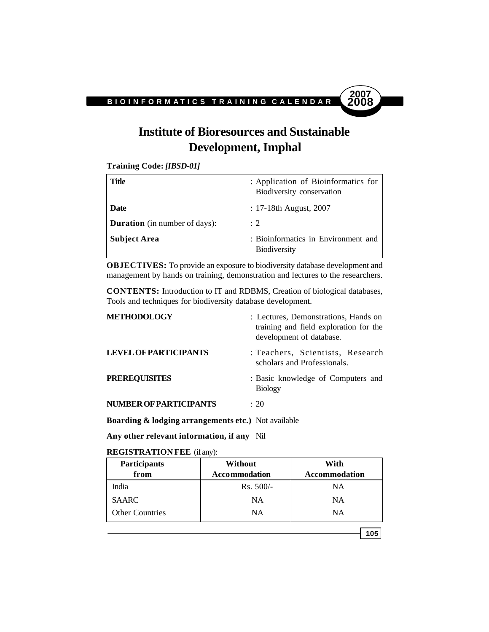# **2007**

# **Institute of Bioresources and Sustainable Development, Imphal**

**Training Code:** *[IBSD-01]*

| Title                                | : Application of Bioinformatics for<br>Biodiversity conservation |
|--------------------------------------|------------------------------------------------------------------|
| <b>Date</b>                          | $: 17-18$ th August, 2007                                        |
| <b>Duration</b> (in number of days): | $\div$ 2                                                         |
| <b>Subject Area</b>                  | : Bioinformatics in Environment and<br><b>Biodiversity</b>       |

**OBJECTIVES:** To provide an exposure to biodiversity database development and management by hands on training, demonstration and lectures to the researchers.

**CONTENTS:** Introduction to IT and RDBMS, Creation of biological databases, Tools and techniques for biodiversity database development.

| <b>METHODOLOGY</b>            | : Lectures, Demonstrations, Hands on<br>training and field exploration for the<br>development of database. |
|-------------------------------|------------------------------------------------------------------------------------------------------------|
| <b>LEVEL OF PARTICIPANTS</b>  | : Teachers, Scientists, Research<br>scholars and Professionals.                                            |
| <b>PREREQUISITES</b>          | : Basic knowledge of Computers and<br><b>Biology</b>                                                       |
| <b>NUMBER OF PARTICIPANTS</b> | $\div$ 20                                                                                                  |

**Boarding & lodging arrangements etc.)** Not available

**Any other relevant information, if any** Nil

**REGISTRATION FEE** (if any):

| <b>Participants</b>    | <b>Without</b>       | With                 |
|------------------------|----------------------|----------------------|
| from                   | <b>Accommodation</b> | <b>Accommodation</b> |
| India                  | $Rs. 500/-$          | NΑ                   |
| <b>SAARC</b>           | NΑ                   | NA                   |
| <b>Other Countries</b> | NΑ                   | NΑ                   |

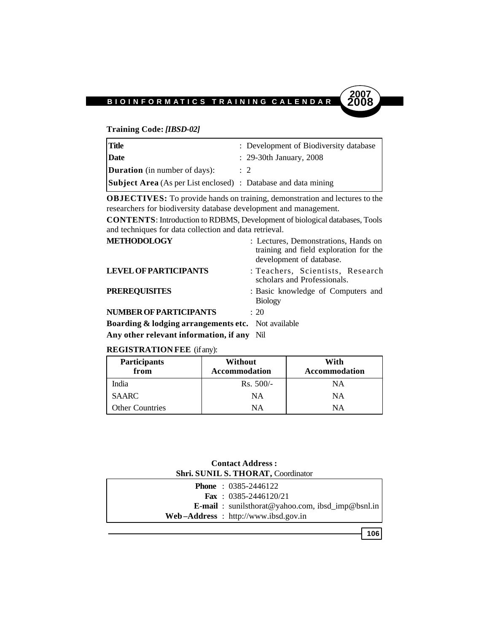### **Training Code:** *[IBSD-02]*

| <b>Title</b>                                                          | : Development of Biodiversity database |
|-----------------------------------------------------------------------|----------------------------------------|
| Date                                                                  | $\therefore$ 29-30th January, 2008     |
| <b>Duration</b> (in number of days):                                  | $\therefore$ 2                         |
| <b>Subject Area</b> (As per List enclosed) : Database and data mining |                                        |

**OBJECTIVES:** To provide hands on training, demonstration and lectures to the researchers for biodiversity database development and management.

**CONTENTS**: Introduction to RDBMS, Development of biological databases, Tools and techniques for data collection and data retrieval.

| <b>METHODOLOGY</b>                                            | : Lectures, Demonstrations, Hands on<br>training and field exploration for the<br>development of database. |
|---------------------------------------------------------------|------------------------------------------------------------------------------------------------------------|
| <b>LEVEL OF PARTICIPANTS</b>                                  | : Teachers, Scientists, Research<br>scholars and Professionals.                                            |
| <b>PREREQUISITES</b>                                          | : Basic knowledge of Computers and<br><b>Biology</b>                                                       |
| NUMBER OF PARTICIPANTS                                        | $\div$ 20                                                                                                  |
| <b>Roarding &amp; lodging arrangements etc.</b> Not available |                                                                                                            |

**boarding & lodging arrangements etc.** Not available **Any other relevant information, if any** Nil

**REGISTRATION FEE** (if any):

| <b>Participants</b><br>from | Without<br><b>Accommodation</b> | With<br><b>Accommodation</b> |
|-----------------------------|---------------------------------|------------------------------|
| India                       | $Rs. 500/-$                     | NΑ                           |
| <b>SAARC</b>                | NΑ                              | NΑ                           |
| <b>Other Countries</b>      | NΑ                              | NΑ                           |

### **Contact Address : Shri. SUNIL S. THORAT,** Coordinator

|  | <b>Phone</b> : $0385-2446122$                            |
|--|----------------------------------------------------------|
|  | <b>Fax</b> : $0385-2446120/21$                           |
|  | <b>E-mail</b> : sunilsthorat@yahoo.com, ibsd_imp@bsnl.in |
|  | $Web-Address$ : http://www.ibsd.gov.in                   |

**106**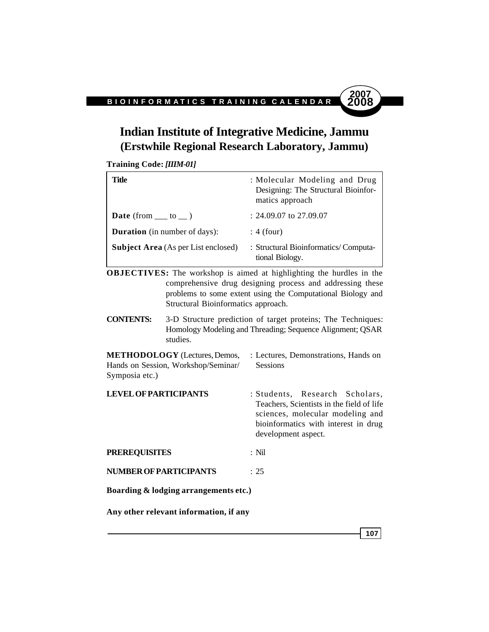### **Indian Institute of Integrative Medicine, Jammu (Erstwhile Regional Research Laboratory, Jammu)**

**Training Code:** *[IIIM-01]*

| Title                                      | : Molecular Modeling and Drug<br>Designing: The Structural Bioinfor-<br>matics approach |
|--------------------------------------------|-----------------------------------------------------------------------------------------|
| <b>Date</b> (from $\_\_$ to $\_\)$ )       | $: 24.09.07$ to 27.09.07                                                                |
| <b>Duration</b> (in number of days):       | $: 4$ (four)                                                                            |
| <b>Subject Area</b> (As per List enclosed) | : Structural Bioinformatics/Computa-<br>tional Biology.                                 |

**OBJECTIVES:** The workshop is aimed at highlighting the hurdles in the comprehensive drug designing process and addressing these problems to some extent using the Computational Biology and Structural Bioinformatics approach.

**CONTENTS:** 3-D Structure prediction of target proteins; The Techniques: Homology Modeling and Threading; Sequence Alignment; QSAR studies.

**METHODOLOGY** (Lectures, Demos, : Lectures, Demonstrations, Hands on Hands on Session, Workshop/Seminar/ Sessions Symposia etc.)

**LEVEL OF PARTICIPANTS** : Students, Research Scholars, Teachers, Scientists in the field of life sciences, molecular modeling and bioinformatics with interest in drug development aspect.

- **PREREQUISITES** : Nil
- **NUMBER OF PARTICIPANTS** : 25
- **Boarding & lodging arrangements etc.)**

**Any other relevant information, if any**

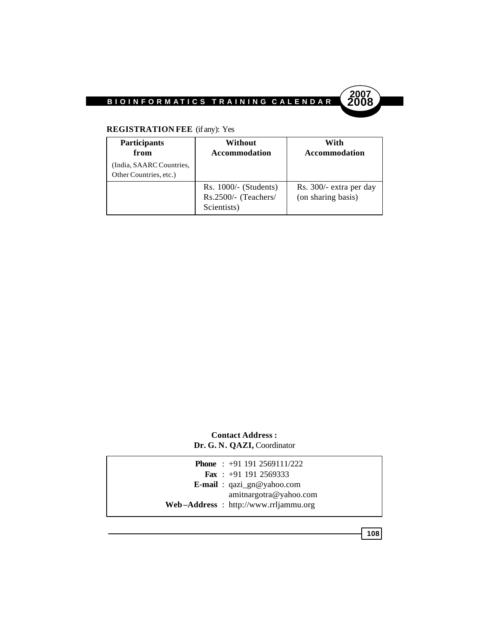

### **REGISTRATION FEE** (if any): Yes

| <b>Participants</b><br>from                        | Without<br><b>Accommodation</b>                                | With<br><b>Accommodation</b>                  |
|----------------------------------------------------|----------------------------------------------------------------|-----------------------------------------------|
| (India, SAARC Countries,<br>Other Countries, etc.) |                                                                |                                               |
|                                                    | $Rs. 1000/- (Students)$<br>Rs.2500/- (Teachers/<br>Scientists) | Rs. 300/- extra per day<br>(on sharing basis) |

### **Contact Address : Dr. G. N. QAZI,** Coordinator

|  | <b>Phone</b> : $+91$ 191 2569111/222    |
|--|-----------------------------------------|
|  | <b>Fax</b> : $+91$ 191 2569333          |
|  | <b>E-mail</b> : $qazi\_gn@yahoo.com$    |
|  | amitnargotra@yahoo.com                  |
|  | $Web-Address$ : http://www.rrljammu.org |
|  |                                         |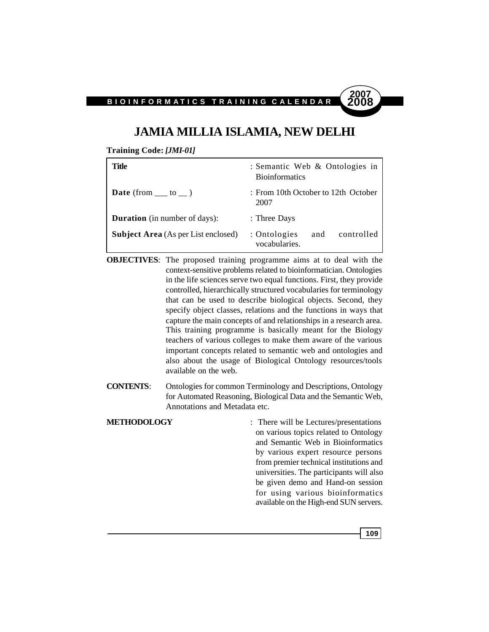### **JAMIA MILLIA ISLAMIA, NEW DELHI**

**Training Code:** *[JMI-01]*

| Title                                      | : Semantic Web & Ontologies in<br><b>Bioinformatics</b> |
|--------------------------------------------|---------------------------------------------------------|
| <b>Date</b> (from $\_\_$ to $\_\)$ )       | : From 10th October to 12th October<br>2007             |
| <b>Duration</b> (in number of days):       | : Three Days                                            |
| <b>Subject Area</b> (As per List enclosed) | : Ontologies<br>controlled<br>and<br>vocabularies.      |

- **OBJECTIVES**: The proposed training programme aims at to deal with the context-sensitive problems related to bioinformatician. Ontologies in the life sciences serve two equal functions. First, they provide controlled, hierarchically structured vocabularies for terminology that can be used to describe biological objects. Second, they specify object classes, relations and the functions in ways that capture the main concepts of and relationships in a research area. This training programme is basically meant for the Biology teachers of various colleges to make them aware of the various important concepts related to semantic web and ontologies and also about the usage of Biological Ontology resources/tools available on the web.
- **CONTENTS**: Ontologies for common Terminology and Descriptions, Ontology for Automated Reasoning, Biological Data and the Semantic Web, Annotations and Metadata etc.
- **METHODOLOGY** : There will be Lectures/presentations on various topics related to Ontology and Semantic Web in Bioinformatics by various expert resource persons from premier technical institutions and universities. The participants will also be given demo and Hand-on session for using various bioinformatics available on the High-end SUN servers.

**109**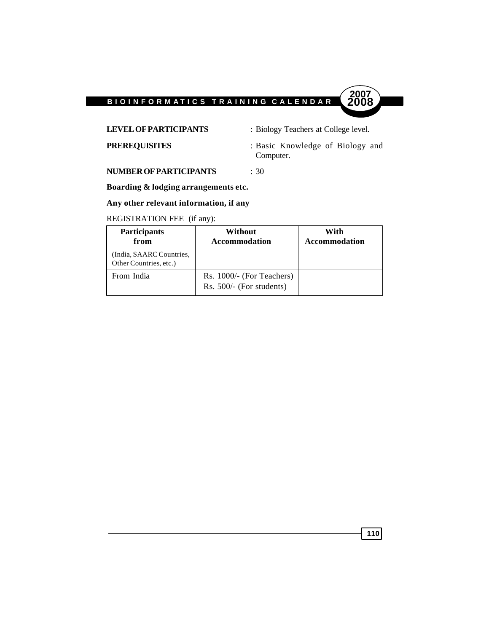

**LEVEL OF PARTICIPANTS** : Biology Teachers at College level.

**PREREQUISITES** : Basic Knowledge of Biology and Computer.

**NUMBER OF PARTICIPANTS** : 30

**Boarding & lodging arrangements etc.**

### **Any other relevant information, if any**

### REGISTRATION FEE (if any):

| <b>Participants</b><br>from                        | <b>Without</b><br><b>Accommodation</b>                | With<br><b>Accommodation</b> |
|----------------------------------------------------|-------------------------------------------------------|------------------------------|
| (India, SAARC Countries,<br>Other Countries, etc.) |                                                       |                              |
| From India                                         | Rs. 1000/- (For Teachers)<br>Rs. 500/- (For students) |                              |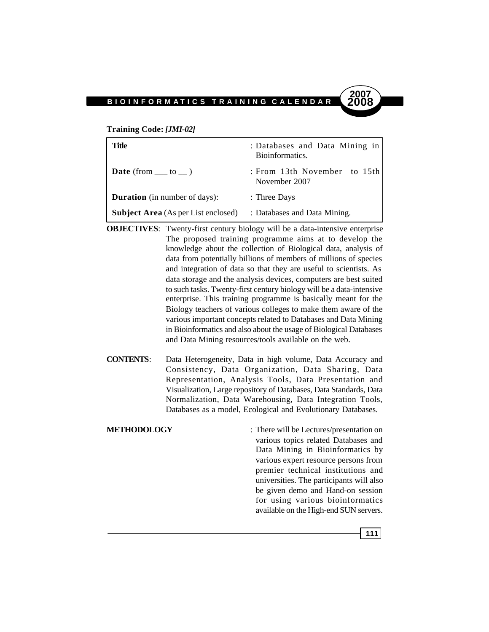#### **Training Code:** *[JMI-02]*

| Title                                      | : Databases and Data Mining in<br>Bioinformatics. |
|--------------------------------------------|---------------------------------------------------|
| <b>Date</b> (from $\_\_$ to $\_\)$ )       | : From 13th November to $15th$<br>November 2007   |
| <b>Duration</b> (in number of days):       | : Three Days                                      |
| <b>Subject Area</b> (As per List enclosed) | : Databases and Data Mining.                      |

- **OBJECTIVES:** Twenty-first century biology will be a data-intensive enterprise The proposed training programme aims at to develop the knowledge about the collection of Biological data, analysis of data from potentially billions of members of millions of species and integration of data so that they are useful to scientists. As data storage and the analysis devices, computers are best suited to such tasks. Twenty-first century biology will be a data-intensive enterprise. This training programme is basically meant for the Biology teachers of various colleges to make them aware of the various important concepts related to Databases and Data Mining in Bioinformatics and also about the usage of Biological Databases and Data Mining resources/tools available on the web.
- **CONTENTS**: Data Heterogeneity, Data in high volume, Data Accuracy and Consistency, Data Organization, Data Sharing, Data Representation, Analysis Tools, Data Presentation and Visualization, Large repository of Databases, Data Standards, Data Normalization, Data Warehousing, Data Integration Tools, Databases as a model, Ecological and Evolutionary Databases.
- **METHODOLOGY** : There will be Lectures/presentation on various topics related Databases and Data Mining in Bioinformatics by various expert resource persons from premier technical institutions and universities. The participants will also be given demo and Hand-on session for using various bioinformatics available on the High-end SUN servers.

**111**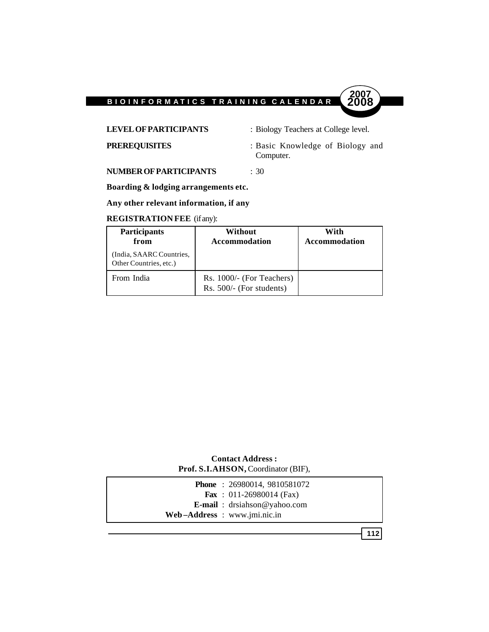

**LEVEL OF PARTICIPANTS** : Biology Teachers at College level.

**PREREQUISITES** : Basic Knowledge of Biology and Computer.

**2007**

**NUMBER OF PARTICIPANTS** : 30

**Boarding & lodging arrangements etc.**

**Any other relevant information, if any**

### **REGISTRATION FEE** (if any):

| <b>Participants</b><br>from                        | Without<br>Accommodation                              | With<br><b>Accommodation</b> |
|----------------------------------------------------|-------------------------------------------------------|------------------------------|
| (India, SAARC Countries,<br>Other Countries, etc.) |                                                       |                              |
| From India                                         | Rs. 1000/- (For Teachers)<br>Rs. 500/- (For students) |                              |

### **Contact Address : Prof. S.I.AHSON,** Coordinator (BIF),

| <b>Phone</b> : $26980014, 9810581072$     |  |
|-------------------------------------------|--|
| <b>Fax</b> : $011-26980014$ (Fax)         |  |
| <b>E-mail</b> : $dr\sinh\omega$ wahoo.com |  |
| Web-Address : www.jmi.nic.in              |  |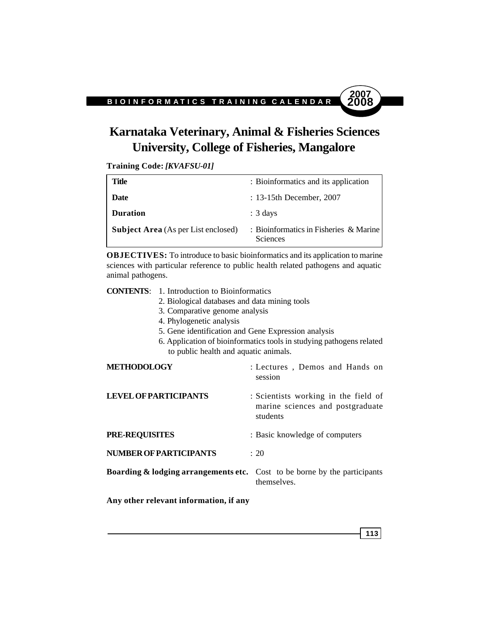# **Karnataka Veterinary, Animal & Fisheries Sciences University, College of Fisheries, Mangalore**

**Training Code:** *[KVAFSU-01]*

| Title                                      | : Bioinformatics and its application                      |
|--------------------------------------------|-----------------------------------------------------------|
| Date                                       | $: 13-15$ th December, 2007                               |
| <b>Duration</b>                            | $: 3 \text{ days}$                                        |
| <b>Subject Area</b> (As per List enclosed) | : Bioinformatics in Fisheries & Marine<br><b>Sciences</b> |

**OBJECTIVES:** To introduce to basic bioinformatics and its application to marine sciences with particular reference to public health related pathogens and aquatic animal pathogens.

**CONTENTS**: 1. Introduction to Bioinformatics 2. Biological databases and data mining tools 3. Comparative genome analysis 4. Phylogenetic analysis 5. Gene identification and Gene Expression analysis 6. Application of bioinformatics tools in studying pathogens related to public health and aquatic animals. **METHODOLOGY** : Lectures , Demos and Hands on session **LEVEL OF PARTICIPANTS** : Scientists working in the field of marine sciences and postgraduate students **PRE-REQUISITES** : Basic knowledge of computers **NUMBER OF PARTICIPANTS** : 20 **Boarding & lodging arrangements etc.** Cost to be borne by the participants themselves.

**Any other relevant information, if any**

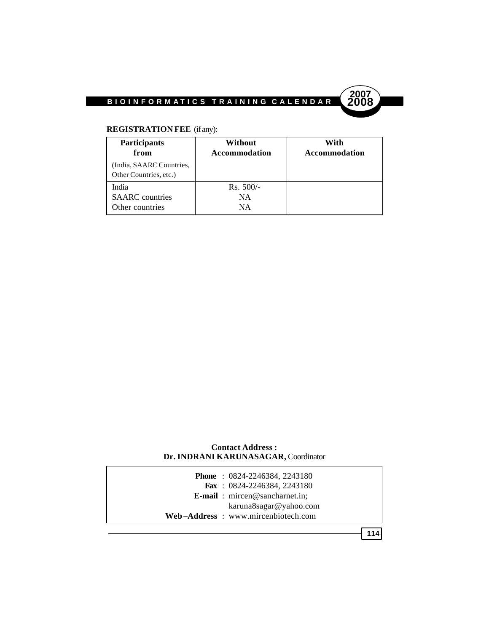

### **REGISTRATION FEE** (if any):

| <b>Participants</b><br>from                        | Without<br>Accommodation | With<br>Accommodation |
|----------------------------------------------------|--------------------------|-----------------------|
| (India, SAARC Countries,<br>Other Countries, etc.) |                          |                       |
| India                                              | $Rs. 500/-$              |                       |
| <b>SAARC</b> countries                             | NA                       |                       |
| Other countries                                    | NA.                      |                       |

### **Contact Address : Dr. INDRANI KARUNASAGAR,** Coordinator

| <b>Phone</b> : $0824 - 2246384$ , $2243180$   |
|-----------------------------------------------|
| Fax: $0824 - 2246384$ , 2243180               |
| <b>E-mail</b> : $\text{micro@sancharnet.in:}$ |
| karuna8sagar@yahoo.com                        |
| Web-Address: www.mircenbiotech.com            |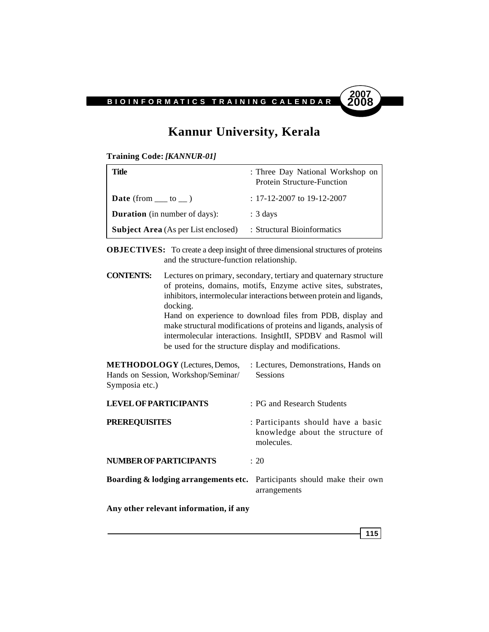

### **Kannur University, Kerala**

**Training Code:** *[KANNUR-01]*

| Title                                      | : Three Day National Workshop on<br><b>Protein Structure-Function</b> |
|--------------------------------------------|-----------------------------------------------------------------------|
| <b>Date</b> (from $\_\_$ to $\_\)$ )       | $: 17 - 12 - 2007$ to 19-12-2007                                      |
| <b>Duration</b> (in number of days):       | $: 3 \text{ days}$                                                    |
| <b>Subject Area</b> (As per List enclosed) | : Structural Bioinformatics                                           |

**OBJECTIVES:** To create a deep insight of three dimensional structures of proteins and the structure-function relationship.

**CONTENTS:** Lectures on primary, secondary, tertiary and quaternary structure of proteins, domains, motifs, Enzyme active sites, substrates, inhibitors, intermolecular interactions between protein and ligands, docking. Hand on experience to download files from PDB, display and

make structural modifications of proteins and ligands, analysis of intermolecular interactions. InsightII, SPDBV and Rasmol will be used for the structure display and modifications.

**METHODOLOGY** (Lectures, Demos, : Lectures, Demonstrations, Hands on Hands on Session, Workshop/Seminar/ Sessions Symposia etc.)

| <b>LEVEL OF PARTICIPANTS</b>                                                       | : PG and Research Students                                                           |
|------------------------------------------------------------------------------------|--------------------------------------------------------------------------------------|
| <b>PREREQUISITES</b>                                                               | : Participants should have a basic<br>knowledge about the structure of<br>molecules. |
| <b>NUMBER OF PARTICIPANTS</b>                                                      | $\div$ 20                                                                            |
| <b>Boarding &amp; lodging arrangements etc.</b> Participants should make their own | arrangements                                                                         |
| Any other relevant information, if any                                             |                                                                                      |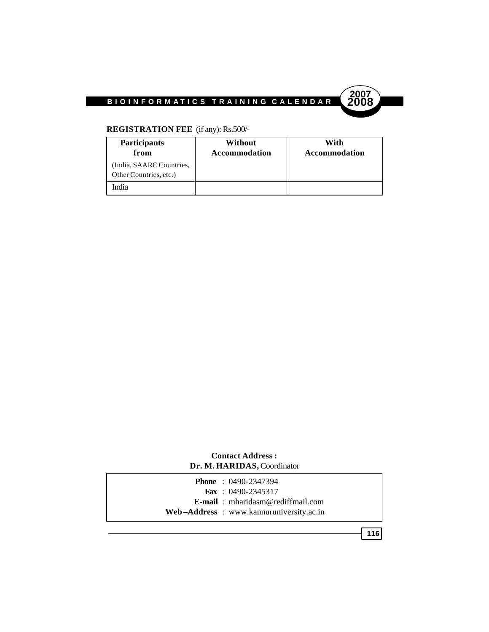

### **REGISTRATION FEE** (if any): Rs.500/-

| <b>Participants</b><br>from                        | Without<br>Accommodation | With<br>Accommodation |
|----------------------------------------------------|--------------------------|-----------------------|
| (India, SAARC Countries,<br>Other Countries, etc.) |                          |                       |
| India                                              |                          |                       |

### **Contact Address : Dr. M. HARIDAS,** Coordinator

| <b>Phone</b> : $0490 - 2347394$          |
|------------------------------------------|
| <b>Fax</b> : $0490 - 2345317$            |
| <b>E-mail</b> : mharidasm@rediffmail.com |
| Web-Address: www.kannuruniversity.ac.in  |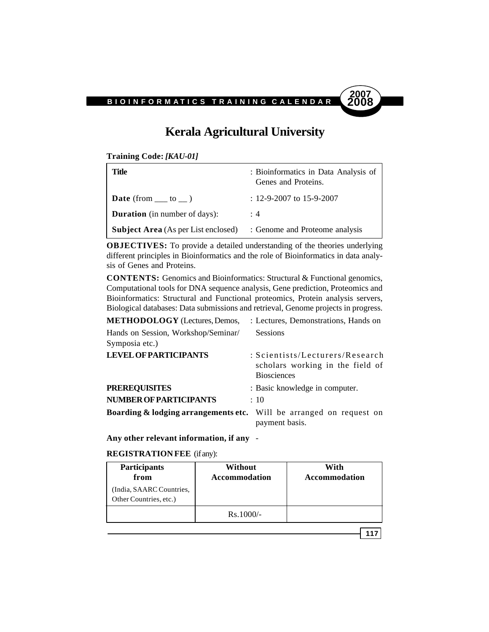# **2007**

### **Kerala Agricultural University**

**Training Code:** *[KAU-01]*

| Title                                      | : Bioinformatics in Data Analysis of<br>Genes and Proteins. |
|--------------------------------------------|-------------------------------------------------------------|
| <b>Date</b> (from $\_\_$ to $\_\)$ )       | $: 12 - 9 - 2007$ to 15-9-2007                              |
| <b>Duration</b> (in number of days):       | :4                                                          |
| <b>Subject Area</b> (As per List enclosed) | : Genome and Proteome analysis                              |

**OBJECTIVES:** To provide a detailed understanding of the theories underlying different principles in Bioinformatics and the role of Bioinformatics in data analysis of Genes and Proteins.

**CONTENTS:** Genomics and Bioinformatics: Structural & Functional genomics, Computational tools for DNA sequence analysis, Gene prediction, Proteomics and Bioinformatics: Structural and Functional proteomics, Protein analysis servers, Biological databases: Data submissions and retrieval, Genome projects in progress.

| <b>METHODOLOGY</b> (Lectures, Demos,                                           | : Lectures, Demonstrations, Hands on                                                      |
|--------------------------------------------------------------------------------|-------------------------------------------------------------------------------------------|
| Hands on Session, Workshop/Seminar/<br>Symposia etc.)                          | <b>Sessions</b>                                                                           |
| <b>LEVEL OF PARTICIPANTS</b>                                                   | : Scientists/Lecturers/Research<br>scholars working in the field of<br><b>Biosciences</b> |
| <b>PREREQUISITES</b>                                                           | : Basic knowledge in computer.                                                            |
| <b>NUMBER OF PARTICIPANTS</b>                                                  | $\div$ 10                                                                                 |
| <b>Boarding &amp; lodging arrangements etc.</b> Will be arranged on request on | payment basis.                                                                            |

**Any other relevant information, if any** -

**REGISTRATION FEE** (if any):

| <b>Participants</b><br>from                       | Without<br>Accommodation | With<br>Accommodation |
|---------------------------------------------------|--------------------------|-----------------------|
| India, SAARC Countries,<br>Other Countries, etc.) |                          |                       |
|                                                   | $Rs.1000/-$              |                       |
|                                                   |                          |                       |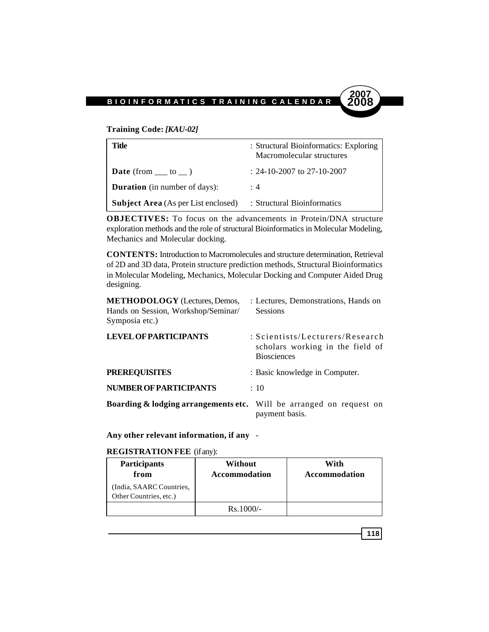#### **Training Code:** *[KAU-02]*

| Title                                      | : Structural Bioinformatics: Exploring<br>Macromolecular structures |
|--------------------------------------------|---------------------------------------------------------------------|
| <b>Date</b> (from $\_\_$ to $\_\)$ )       | $: 24-10-2007$ to 27-10-2007                                        |
| <b>Duration</b> (in number of days):       | : 4                                                                 |
| <b>Subject Area</b> (As per List enclosed) | : Structural Bioinformatics                                         |

**OBJECTIVES:** To focus on the advancements in Protein/DNA structure exploration methods and the role of structural Bioinformatics in Molecular Modeling, Mechanics and Molecular docking.

**CONTENTS:** Introduction to Macromolecules and structure determination, Retrieval of 2D and 3D data, Protein structure prediction methods, Structural Bioinformatics in Molecular Modeling, Mechanics, Molecular Docking and Computer Aided Drug designing.

| <b>METHODOLOGY</b> (Lectures, Demos,<br>Hands on Session, Workshop/Seminar/<br>Symposia etc.) | : Lectures, Demonstrations, Hands on<br><b>Sessions</b>                                   |
|-----------------------------------------------------------------------------------------------|-------------------------------------------------------------------------------------------|
| <b>LEVEL OF PARTICIPANTS</b>                                                                  | : Scientists/Lecturers/Research<br>scholars working in the field of<br><b>Biosciences</b> |
| <b>PREREQUISITES</b>                                                                          | : Basic knowledge in Computer.                                                            |
| <b>NUMBER OF PARTICIPANTS</b>                                                                 | $\div$ 10                                                                                 |
| <b>Boarding &amp; lodging arrangements etc.</b> Will be arranged on request on                | payment basis.                                                                            |

**Any other relevant information, if any** -

#### **REGISTRATION FEE** (if any):

| <b>Participants</b><br>from                        | Without<br><b>Accommodation</b> | With<br><b>Accommodation</b> |
|----------------------------------------------------|---------------------------------|------------------------------|
| (India, SAARC Countries,<br>Other Countries, etc.) |                                 |                              |
|                                                    | $Rs.1000/-$                     |                              |

$$
118
$$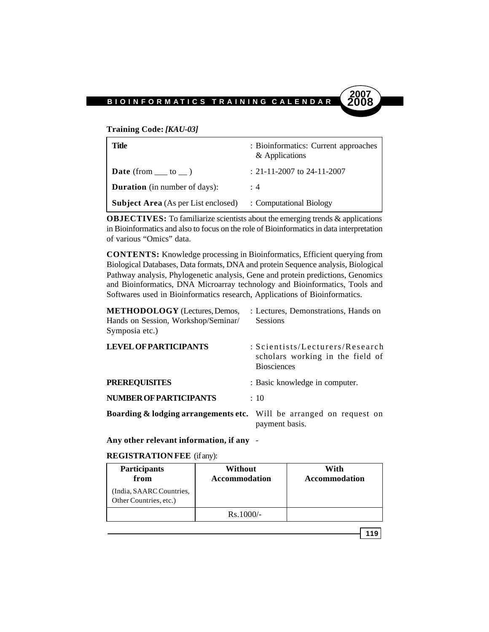#### **Training Code:** *[KAU-03]*

| Title                                                              | : Bioinformatics: Current approaches<br>& Applications |
|--------------------------------------------------------------------|--------------------------------------------------------|
| <b>Date</b> (from $\_\_$ to $\_\)$ )                               | : 21-11-2007 to 24-11-2007                             |
| <b>Duration</b> (in number of days):                               | : 4                                                    |
| <b>Subject Area</b> (As per List enclosed) : Computational Biology |                                                        |

**OBJECTIVES:** To familiarize scientists about the emerging trends & applications in Bioinformatics and also to focus on the role of Bioinformatics in data interpretation of various "Omics" data.

**CONTENTS:** Knowledge processing in Bioinformatics, Efficient querying from Biological Databases, Data formats, DNA and protein Sequence analysis, Biological Pathway analysis, Phylogenetic analysis, Gene and protein predictions, Genomics and Bioinformatics, DNA Microarray technology and Bioinformatics, Tools and Softwares used in Bioinformatics research, Applications of Bioinformatics.

| <b>METHODOLOGY</b> (Lectures, Demos,<br>Hands on Session, Workshop/Seminar/<br>Symposia etc.) | : Lectures, Demonstrations, Hands on<br><b>Sessions</b>                                   |
|-----------------------------------------------------------------------------------------------|-------------------------------------------------------------------------------------------|
| <b>LEVEL OF PARTICIPANTS</b>                                                                  | : Scientists/Lecturers/Research<br>scholars working in the field of<br><b>Biosciences</b> |
| <b>PREREQUISITES</b>                                                                          | : Basic knowledge in computer.                                                            |
| <b>NUMBER OF PARTICIPANTS</b>                                                                 | $\div$ 10                                                                                 |
| <b>Boarding &amp; lodging arrangements etc.</b> Will be arranged on request on                | payment basis.                                                                            |

**Any other relevant information, if any** -

#### **REGISTRATION FEE** (if any):

| <b>Participants</b><br>from                       | Without<br>Accommodation | With<br>Accommodation |
|---------------------------------------------------|--------------------------|-----------------------|
| India, SAARC Countries,<br>Other Countries, etc.) |                          |                       |
|                                                   | $Rs.1000/-$              |                       |

**119**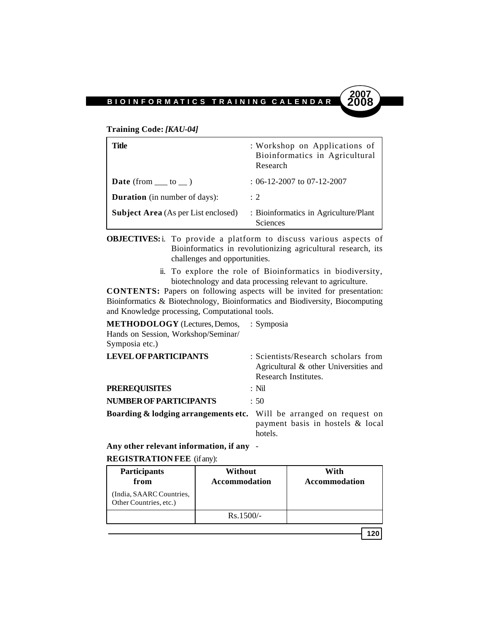#### **Training Code:** *[KAU-04]*

| Title                                      | : Workshop on Applications of<br>Bioinformatics in Agricultural<br>Research |
|--------------------------------------------|-----------------------------------------------------------------------------|
| <b>Date</b> (from $\_\_$ to $\_\)$ )       | $: 06-12-2007$ to 07-12-2007                                                |
| <b>Duration</b> (in number of days):       | $\div$ 2                                                                    |
| <b>Subject Area</b> (As per List enclosed) | : Bioinformatics in Agriculture/Plant<br><b>Sciences</b>                    |

**OBJECTIVES:**i. To provide a platform to discuss various aspects of Bioinformatics in revolutionizing agricultural research, its challenges and opportunities.

> ii. To explore the role of Bioinformatics in biodiversity, biotechnology and data processing relevant to agriculture.

**CONTENTS:** Papers on following aspects will be invited for presentation: Bioinformatics & Biotechnology, Bioinformatics and Biodiversity, Biocomputing and Knowledge processing, Computational tools.

### **METHODOLOGY** (Lectures, Demos, : Symposia Hands on Session, Workshop/Seminar/ Symposia etc.) **LEVEL OF PARTICIPANTS** : Scientists/Research scholars from Agricultural & other Universities and Research Institutes. **PREREQUISITES** : Nil **NUMBER OF PARTICIPANTS** : 50 **Boarding & lodging arrangements etc.** Will be arranged on request on

payment basis in hostels & local hotels.

**2007**

**Any other relevant information, if any** -

#### **REGISTRATION FEE** (if any):

| <b>Participants</b><br>from                        | Without<br><b>Accommodation</b> | With<br><b>Accommodation</b> |
|----------------------------------------------------|---------------------------------|------------------------------|
| (India, SAARC Countries,<br>Other Countries, etc.) |                                 |                              |
|                                                    | $Rs.1500/-$                     |                              |
|                                                    |                                 |                              |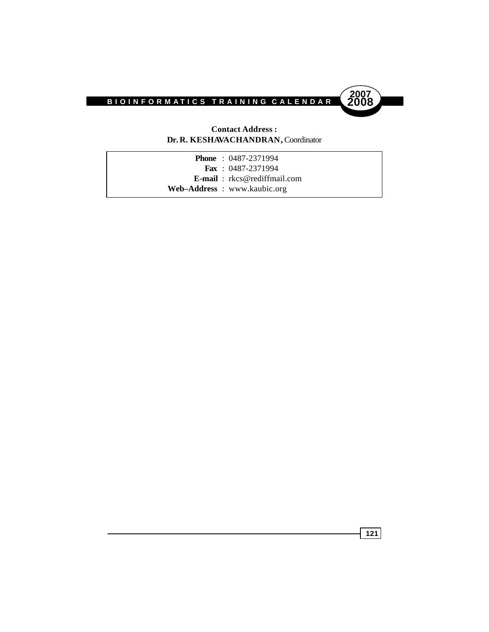

### **Contact Address : Dr. R. KESHAVACHANDRAN,** Coordinator

| <b>Phone</b> : $0487-2371994$          |
|----------------------------------------|
| <b>Fax</b> : $0487-2371994$            |
| <b>E-mail</b> : $rkcs@$ rediffmail.com |
| Web–Address: www.kaubic.org            |
|                                        |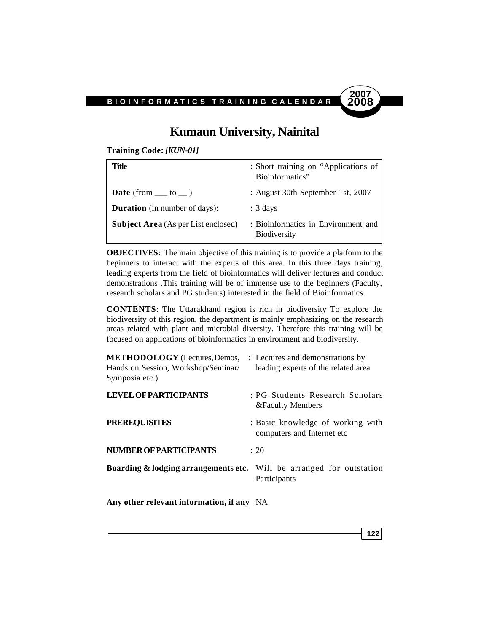

### **Kumaun University, Nainital**

**Training Code:** *[KUN-01]*

| Title                                      | : Short training on "Applications of<br>Bioinformatics"    |
|--------------------------------------------|------------------------------------------------------------|
| <b>Date</b> (from $\_\_$ to $\_\)$ )       | : August 30th-September 1st, 2007                          |
| <b>Duration</b> (in number of days):       | $: 3 \text{ days}$                                         |
| <b>Subject Area</b> (As per List enclosed) | : Bioinformatics in Environment and<br><b>Biodiversity</b> |

**OBJECTIVES:** The main objective of this training is to provide a platform to the beginners to interact with the experts of this area. In this three days training, leading experts from the field of bioinformatics will deliver lectures and conduct demonstrations .This training will be of immense use to the beginners (Faculty, research scholars and PG students) interested in the field of Bioinformatics.

**CONTENTS**: The Uttarakhand region is rich in biodiversity To explore the biodiversity of this region, the department is mainly emphasizing on the research areas related with plant and microbial diversity. Therefore this training will be focused on applications of bioinformatics in environment and biodiversity.

| <b>METHODOLOGY</b> (Lectures, Demos,<br>Hands on Session, Workshop/Seminar/<br>Symposia etc.) | : Lectures and demonstrations by<br>leading experts of the related area |
|-----------------------------------------------------------------------------------------------|-------------------------------------------------------------------------|
| <b>LEVEL OF PARTICIPANTS</b>                                                                  | : PG Students Research Scholars<br><b>&amp;Faculty Members</b>          |
| <b>PREREQUISITES</b>                                                                          | : Basic knowledge of working with<br>computers and Internet etc         |
| <b>NUMBER OF PARTICIPANTS</b>                                                                 | : 20                                                                    |
| <b>Boarding &amp; lodging arrangements etc.</b> Will be arranged for outstation               | Participants                                                            |
| April other relations information if one MA                                                   |                                                                         |

**Any other relevant information, if any** NA

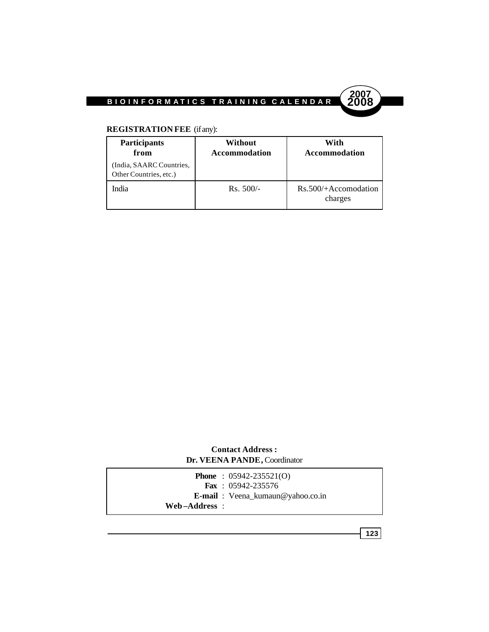



### **REGISTRATION FEE** (if any):

| <b>Participants</b><br>from                        | Without<br><b>Accommodation</b> | With<br><b>Accommodation</b>      |
|----------------------------------------------------|---------------------------------|-----------------------------------|
| (India, SAARC Countries,<br>Other Countries, etc.) |                                 |                                   |
| India                                              | $Rs. 500/-$                     | $Rs.500/+Accomodation$<br>charges |

**Contact Address : Dr. VEENA PANDE,** Coordinator

|               | <b>Phone</b> : $05942 - 235521(0)$<br><b>Fax</b> : $05942 - 235576$ |
|---------------|---------------------------------------------------------------------|
| Web–Address : | <b>E-mail</b> : Veena_kumaun@yahoo.co.in                            |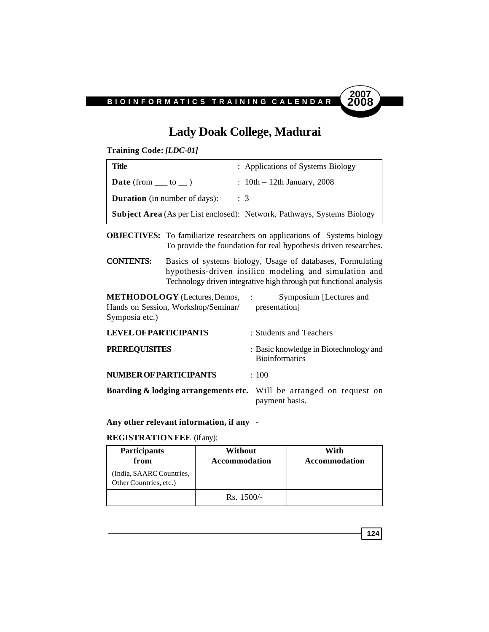

### **Lady Doak College, Madurai**

**Training Code:** *[LDC-01]*

| Title                                | : Applications of Systems Biology                                              |
|--------------------------------------|--------------------------------------------------------------------------------|
| <b>Date</b> (from $\_\_$ to $\_\)$ ) | : $10th - 12th$ January, 2008                                                  |
| <b>Duration</b> (in number of days): | $\therefore$ 3                                                                 |
|                                      | <b>Subject Area</b> (As per List enclosed): Network, Pathways, Systems Biology |

**OBJECTIVES:** To familiarize researchers on applications of Systems biology To provide the foundation for real hypothesis driven researches.

**CONTENTS:** Basics of systems biology, Usage of databases, Formulating hypothesis-driven insilico modeling and simulation and Technology driven integrative high through put functional analysis

**METHODOLOGY** (Lectures, Demos, : Symposium [Lectures and Hands on Session, Workshop/Seminar/ presentation] Symposia etc.) **LEVEL OF PARTICIPANTS** : Students and Teachers

| <b>PREREQUISITES</b>                                                           | : Basic knowledge in Biotechnology and<br><b>Bioinformatics</b> |
|--------------------------------------------------------------------------------|-----------------------------------------------------------------|
| <b>NUMBER OF PARTICIPANTS</b>                                                  | : 100                                                           |
| <b>Boarding &amp; lodging arrangements etc.</b> Will be arranged on request on | payment basis.                                                  |

**Any other relevant information, if any -**

#### **REGISTRATION FEE** (if any):

| <b>Participants</b><br>from                        | Without<br><b>Accommodation</b> | With<br>Accommodation |
|----------------------------------------------------|---------------------------------|-----------------------|
| (India, SAARC Countries,<br>Other Countries, etc.) |                                 |                       |
|                                                    | $Rs. 1500/-$                    |                       |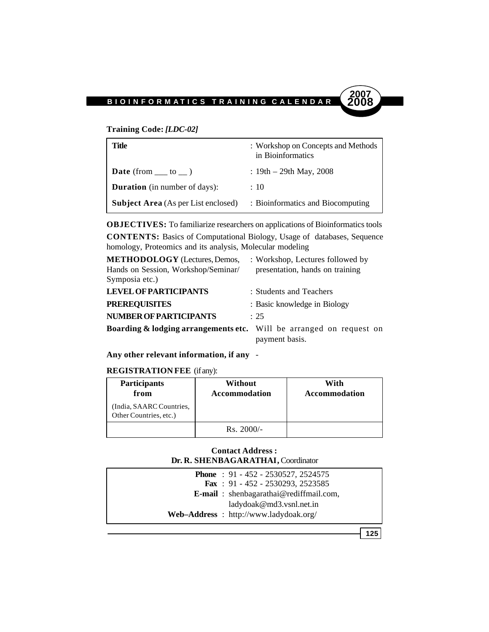### **Training Code:** *[LDC-02]*

| Title                                      | : Workshop on Concepts and Methods<br>in Bioinformatics |
|--------------------------------------------|---------------------------------------------------------|
| <b>Date</b> (from $\_\_$ to $\_\)$ )       | : $19th - 29th$ May, $2008$                             |
| <b>Duration</b> (in number of days):       | : 10                                                    |
| <b>Subject Area</b> (As per List enclosed) | : Bioinformatics and Biocomputing                       |

**OBJECTIVES:** To familiarize researchers on applications of Bioinformatics tools **CONTENTS:** Basics of Computational Biology, Usage of databases, Sequence homology, Proteomics and its analysis, Molecular modeling

| <b>METHODOLOGY</b> (Lectures, Demos,                                           | : Workshop, Lectures followed by |
|--------------------------------------------------------------------------------|----------------------------------|
| Hands on Session, Workshop/Seminar/<br>Symposia etc.)                          | presentation, hands on training  |
| <b>LEVEL OF PARTICIPANTS</b>                                                   | : Students and Teachers          |
| <b>PREREQUISITES</b>                                                           | : Basic knowledge in Biology     |
| <b>NUMBER OF PARTICIPANTS</b>                                                  | $\cdot$ 25                       |
| <b>Boarding &amp; lodging arrangements etc.</b> Will be arranged on request on | payment basis.                   |

**Any other relevant information, if any** -

### **REGISTRATION FEE** (if any):

| <b>Participants</b><br>from                        | Without<br><b>Accommodation</b> | With<br>Accommodation |
|----------------------------------------------------|---------------------------------|-----------------------|
| (India, SAARC Countries,<br>Other Countries, etc.) |                                 |                       |
|                                                    | $Rs. 2000/-$                    |                       |

### **Contact Address : Dr. R. SHENBAGARATHAI,** Coordinator

|  | <b>Phone</b> : 91 - 452 - 2530527, 2524575     |
|--|------------------------------------------------|
|  | <b>Fax</b> : 91 - 452 - 2530293, 2523585       |
|  | <b>E-mail</b> : shenbagarathai@rediffmail.com. |
|  | ladydoak@md3.vsnl.net.in                       |
|  | Web-Address: http://www.ladydoak.org/          |

**125**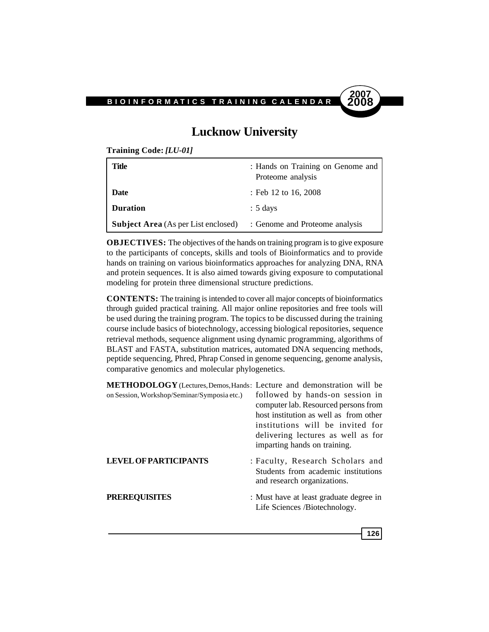

### **Lucknow University**

**Training Code:** *[LU-01]*

| Title                                      | : Hands on Training on Genome and<br>Proteome analysis |
|--------------------------------------------|--------------------------------------------------------|
| <b>Date</b>                                | : Feb 12 to 16, 2008                                   |
| <b>Duration</b>                            | $: 5 \text{ days}$                                     |
| <b>Subject Area</b> (As per List enclosed) | : Genome and Proteome analysis                         |

**OBJECTIVES:** The objectives of the hands on training program is to give exposure to the participants of concepts, skills and tools of Bioinformatics and to provide hands on training on various bioinformatics approaches for analyzing DNA, RNA and protein sequences. It is also aimed towards giving exposure to computational modeling for protein three dimensional structure predictions.

**CONTENTS:** The training is intended to cover all major concepts of bioinformatics through guided practical training. All major online repositories and free tools will be used during the training program. The topics to be discussed during the training course include basics of biotechnology, accessing biological repositories, sequence retrieval methods, sequence alignment using dynamic programming, algorithms of BLAST and FASTA, substitution matrices, automated DNA sequencing methods, peptide sequencing, Phred, Phrap Consed in genome sequencing, genome analysis, comparative genomics and molecular phylogenetics.

| <b>METHODOLOGY</b> (Lectures, Demos, Hands: Lecture and demonstration will be<br>on Session, Workshop/Seminar/Symposia etc.) | followed by hands-on session in<br>computer lab. Resourced persons from<br>host institution as well as from other<br>institutions will be invited for<br>delivering lectures as well as for<br>imparting hands on training. |
|------------------------------------------------------------------------------------------------------------------------------|-----------------------------------------------------------------------------------------------------------------------------------------------------------------------------------------------------------------------------|
| <b>LEVEL OF PARTICIPANTS</b>                                                                                                 | : Faculty, Research Scholars and<br>Students from academic institutions<br>and research organizations.                                                                                                                      |
| <b>PREREQUISITES</b>                                                                                                         | : Must have at least graduate degree in<br>Life Sciences /Biotechnology.                                                                                                                                                    |

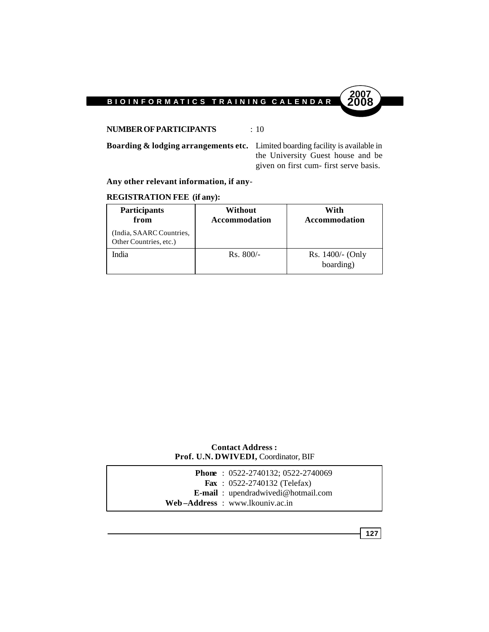**NUMBER OF PARTICIPANTS** : 10

**Boarding & lodging arrangements etc.** Limited boarding facility is available in the University Guest house and be given on first cum- first serve basis.

**2007**

### **Any other relevant information, if any**-

### **REGISTRATION FEE (if any):**

| <b>Participants</b><br>from                        | Without<br><b>Accommodation</b> | With<br>Accommodation           |  |
|----------------------------------------------------|---------------------------------|---------------------------------|--|
| (India, SAARC Countries,<br>Other Countries, etc.) |                                 |                                 |  |
| India                                              | $Rs. 800/-$                     | $Rs. 1400/-$ (Only<br>boarding) |  |

#### **Contact Address : Prof. U.N. DWIVEDI,** Coordinator, BIF

|  | <b>Phone</b> : $0522 - 2740132$ : $0522 - 2740069$ |
|--|----------------------------------------------------|
|  | <b>Fax</b> : $0522 - 2740132$ (Telefax)            |
|  | <b>E-mail</b> : upendradwivedi@hotmail.com         |
|  | Web-Address: www.lkouniv.ac.in                     |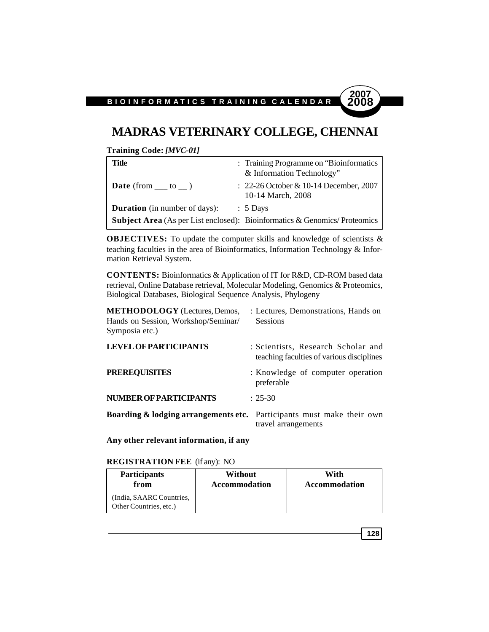### **MADRAS VETERINARY COLLEGE, CHENNAI**

**Training Code:** *[MVC-01]*

| Title                                | : Training Programme on "Bioinformatics"<br>& Information Technology"            |
|--------------------------------------|----------------------------------------------------------------------------------|
| <b>Date</b> (from $\_\_$ to $\_\)$ ) | $: 22-26$ October & 10-14 December, 2007<br>10-14 March, 2008                    |
| <b>Duration</b> (in number of days): | $\therefore$ 5 Days                                                              |
|                                      | <b>Subject Area</b> (As per List enclosed): Bioinformatics & Genomics/Proteomics |

**OBJECTIVES:** To update the computer skills and knowledge of scientists & teaching faculties in the area of Bioinformatics, Information Technology & Information Retrieval System.

**CONTENTS:** Bioinformatics & Application of IT for R&D, CD-ROM based data retrieval, Online Database retrieval, Molecular Modeling, Genomics & Proteomics, Biological Databases, Biological Sequence Analysis, Phylogeny

| <b>METHODOLOGY</b> (Lectures, Demos,<br>Hands on Session, Workshop/Seminar/<br>Symposia etc.) | : Lectures, Demonstrations, Hands on<br><b>Sessions</b>                         |
|-----------------------------------------------------------------------------------------------|---------------------------------------------------------------------------------|
| <b>LEVEL OF PARTICIPANTS</b>                                                                  | : Scientists, Research Scholar and<br>teaching faculties of various disciplines |
| <b>PREREQUISITES</b>                                                                          | : Knowledge of computer operation<br>preferable                                 |
| <b>NUMBER OF PARTICIPANTS</b>                                                                 | $: 25-30$                                                                       |
| <b>Boarding &amp; lodging arrangements etc.</b> Participants must make their own              | travel arrangements                                                             |

**Any other relevant information, if any**

**REGISTRATION FEE** (if any): NO

| <b>Participants</b>                                | Without              | With          |
|----------------------------------------------------|----------------------|---------------|
| from                                               | <b>Accommodation</b> | Accommodation |
| (India, SAARC Countries,<br>Other Countries, etc.) |                      |               |

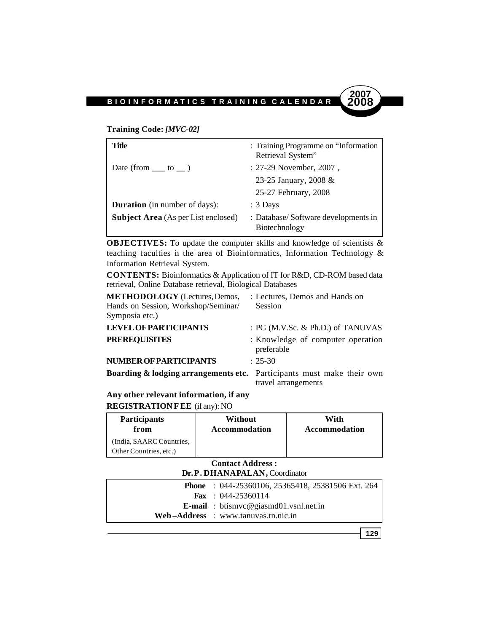### **Training Code:** *[MVC-02]*

| Title                                      | : Training Programme on "Information"<br>Retrieval System" |
|--------------------------------------------|------------------------------------------------------------|
| Date (from $\_\_\_$ to $\_\)$ )            | : 27-29 November, 2007,                                    |
|                                            | 23-25 January, 2008 &                                      |
|                                            | 25-27 February, 2008                                       |
| <b>Duration</b> (in number of days):       | $: 3$ Days                                                 |
| <b>Subject Area</b> (As per List enclosed) | : Database/Software developments in<br>Biotechnology       |

**OBJECTIVES:** To update the computer skills and knowledge of scientists & teaching faculties in the area of Bioinformatics, Information Technology & Information Retrieval System.

**CONTENTS:** Bioinformatics & Application of IT for R&D, CD-ROM based data retrieval, Online Database retrieval, Biological Databases

| <b>METHODOLOGY</b> (Lectures, Demos,<br>Hands on Session, Workshop/Seminar/<br>Symposia etc.) | : Lectures, Demos and Hands on<br>Session       |
|-----------------------------------------------------------------------------------------------|-------------------------------------------------|
| <b>LEVEL OF PARTICIPANTS</b>                                                                  | : PG (M.V.Sc. & Ph.D.) of TANUVAS               |
| <b>PREREQUISITES</b>                                                                          | : Knowledge of computer operation<br>preferable |
| <b>NUMBER OF PARTICIPANTS</b>                                                                 | $: 25-30$                                       |
| <b>Boarding &amp; lodging arrangements etc.</b> Participants must make their own              | travel arrangements                             |

**Any other relevant information, if any REGISTRATION FEE** (if any): NO

| <b>Participants</b>                                | Without       | With          |
|----------------------------------------------------|---------------|---------------|
| from                                               | Accommodation | Accommodation |
| (India, SAARC Countries,<br>Other Countries, etc.) |               |               |

### **Contact Address :**

| <b>Phone</b> : 044-25360106, 25365418, 25381506 Ext. 264 |
|----------------------------------------------------------|
| <b>Fax</b> : $044-25360114$                              |
| <b>E-mail</b> : btismvc@giasmd01.vsnl.net.in             |
| $Web-Address : www.tanuvas.tn.nic.in$                    |

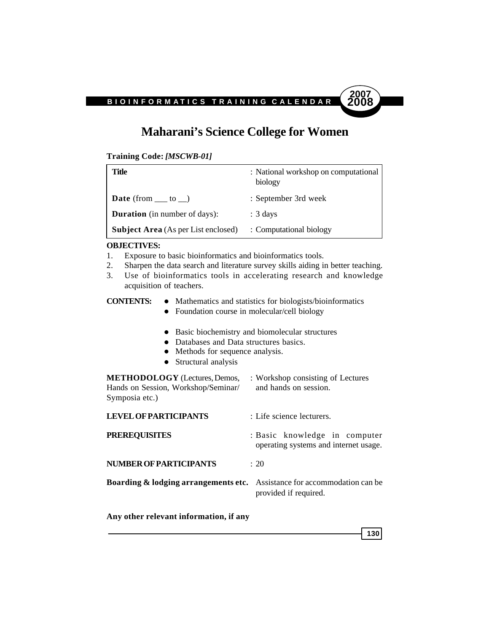# **Maharani's Science College for Women**

**Training Code:** *[MSCWB-01]*

| Title                                      | : National workshop on computational<br>biology |
|--------------------------------------------|-------------------------------------------------|
| <b>Date</b> (from $\_\_$ to $\_\)$ )       | : September 3rd week                            |
| <b>Duration</b> (in number of days):       | $: 3 \text{ days}$                              |
| <b>Subject Area</b> (As per List enclosed) | : Computational biology                         |

#### **OBJECTIVES:**

- 1. Exposure to basic bioinformatics and bioinformatics tools.
- 2. Sharpen the data search and literature survey skills aiding in better teaching.
- 3. Use of bioinformatics tools in accelerating research and knowledge acquisition of teachers.
- **CONTENTS:**  $\bullet$  Mathematics and statistics for biologists/bioinformatics
	- Foundation course in molecular/cell biology
	- Basic biochemistry and biomolecular structures
	- Databases and Data structures basics.
	- Methods for sequence analysis.
	- $\bullet$  Structural analysis

**METHODOLOGY** (Lectures, Demos, : Workshop consisting of Lectures Hands on Session, Workshop/Seminar/ and hands on session. Symposia etc.)

| <b>LEVEL OF PARTICIPANTS</b>                                                        | : Life science lecturers.                                              |
|-------------------------------------------------------------------------------------|------------------------------------------------------------------------|
| <b>PREREQUISITES</b>                                                                | : Basic knowledge in computer<br>operating systems and internet usage. |
| <b>NUMBER OF PARTICIPANTS</b>                                                       | $\div$ 20                                                              |
| <b>Boarding &amp; lodging arrangements etc.</b> Assistance for accommodation can be | provided if required.                                                  |

**Any other relevant information, if any**

**130**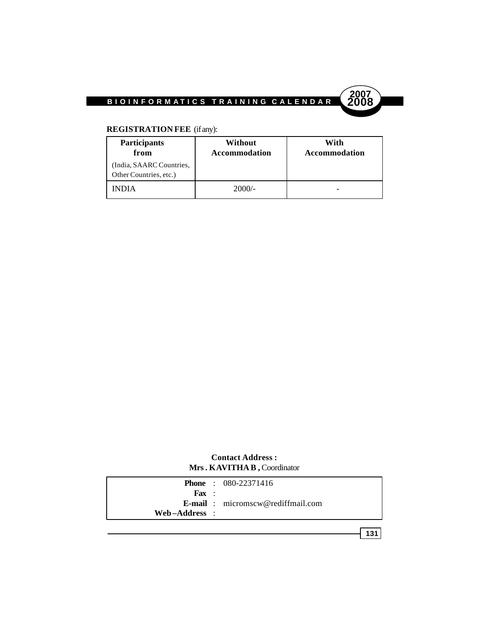



### **REGISTRATION FEE** (if any):

| <b>Participants</b><br>from                        | Without<br><b>Accommodation</b> | With<br><b>Accommodation</b> |
|----------------------------------------------------|---------------------------------|------------------------------|
| (India, SAARC Countries,<br>Other Countries, etc.) |                                 |                              |
| INDIA                                              | $2000/-$                        |                              |

### **Contact Address : Mrs. KAVITHA B ,** Coordinator

|                  | <b>Phone</b> : $080-22371416$                     |
|------------------|---------------------------------------------------|
| $\mathbf{F}$ ax: |                                                   |
|                  | <b>E-mail</b> : $\text{micromscw@rediffmail.com}$ |
| Web-Address :    |                                                   |
|                  |                                                   |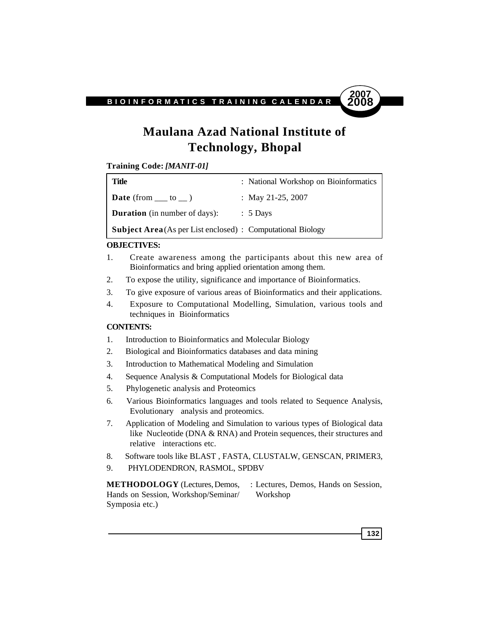

# **Maulana Azad National Institute of Technology, Bhopal**

**Training Code:** *[MANIT-01]*

| Title                                                              | : National Workshop on Bioinformatics |
|--------------------------------------------------------------------|---------------------------------------|
| <b>Date</b> (from $\_\_$ to $\_\_$ )                               | : May 21-25, 2007                     |
| <b>Duration</b> (in number of days):                               | $\therefore$ 5 Days                   |
| <b>Subject Area</b> (As per List enclosed) : Computational Biology |                                       |

### **OBJECTIVES:**

- 1. Create awareness among the participants about this new area of Bioinformatics and bring applied orientation among them.
- 2. To expose the utility, significance and importance of Bioinformatics.
- 3. To give exposure of various areas of Bioinformatics and their applications.
- 4. Exposure to Computational Modelling, Simulation, various tools and techniques in Bioinformatics

### **CONTENTS:**

- 1. Introduction to Bioinformatics and Molecular Biology
- 2. Biological and Bioinformatics databases and data mining
- 3. Introduction to Mathematical Modeling and Simulation
- 4. Sequence Analysis & Computational Models for Biological data
- 5. Phylogenetic analysis and Proteomics
- 6. Various Bioinformatics languages and tools related to Sequence Analysis, Evolutionary analysis and proteomics.
- 7. Application of Modeling and Simulation to various types of Biological data like Nucleotide (DNA & RNA) and Protein sequences, their structures and relative interactions etc.
- 8. Software tools like BLAST , FASTA, CLUSTALW, GENSCAN, PRIMER3,
- 9. PHYLODENDRON, RASMOL, SPDBV

**METHODOLOGY** (Lectures, Demos, : Lectures, Demos, Hands on Session, Hands on Session, Workshop/Seminar/ Workshop Symposia etc.)

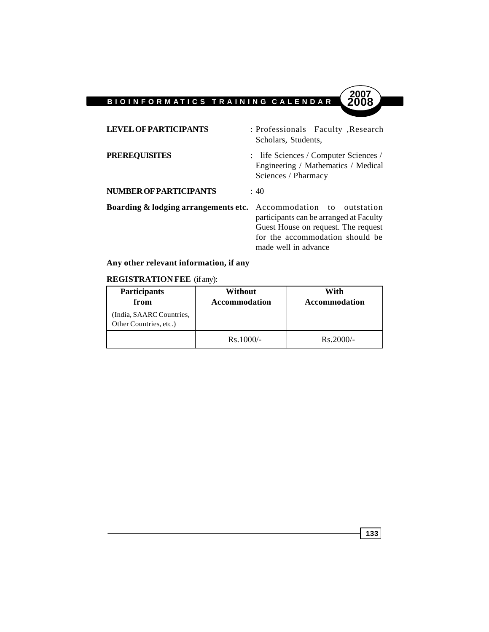| <b>LEVEL OF PARTICIPANTS</b>                                                | : Professionals Faculty, Research<br>Scholars, Students,                                                                                  |
|-----------------------------------------------------------------------------|-------------------------------------------------------------------------------------------------------------------------------------------|
| <b>PREREQUISITES</b>                                                        | : life Sciences / Computer Sciences /<br>Engineering / Mathematics / Medical<br>Sciences / Pharmacy                                       |
| NUMBER OF PARTICIPANTS                                                      | : 40                                                                                                                                      |
| <b>Boarding &amp; lodging arrangements etc.</b> Accommodation to outstation | participants can be arranged at Faculty<br>Guest House on request. The request<br>for the accommodation should be<br>made well in advance |

### **Any other relevant information, if any**

### **REGISTRATION FEE** (if any):

| <b>Participants</b><br>from                        | Without<br><b>Accommodation</b> | With<br><b>Accommodation</b> |
|----------------------------------------------------|---------------------------------|------------------------------|
| (India, SAARC Countries,<br>Other Countries, etc.) |                                 |                              |
|                                                    | $Rs.1000/-$                     | $Rs.2000/-$                  |

**133**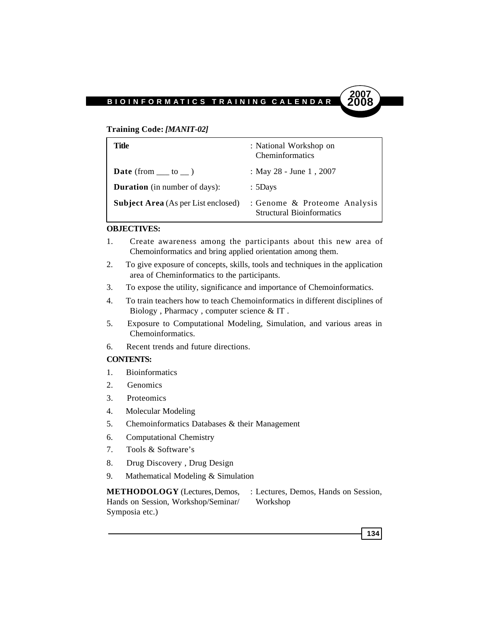#### **Training Code:** *[MANIT-02]*

| Title                                      | : National Workshop on<br>Cheminformatics                        |
|--------------------------------------------|------------------------------------------------------------------|
| <b>Date</b> (from $\_\_$ to $\_\)$ )       | : May 28 - June 1, 2007                                          |
| <b>Duration</b> (in number of days):       | $: 5$ Days                                                       |
| <b>Subject Area</b> (As per List enclosed) | : Genome & Proteome Analysis<br><b>Structural Bioinformatics</b> |

### **OBJECTIVES:**

- 1. Create awareness among the participants about this new area of Chemoinformatics and bring applied orientation among them.
- 2. To give exposure of concepts, skills, tools and techniques in the application area of Cheminformatics to the participants.
- 3. To expose the utility, significance and importance of Chemoinformatics.
- 4. To train teachers how to teach Chemoinformatics in different disciplines of Biology , Pharmacy , computer science & IT .
- 5. Exposure to Computational Modeling, Simulation, and various areas in Chemoinformatics.
- 6. Recent trends and future directions.

#### **CONTENTS:**

- 1. Bioinformatics
- 2. Genomics
- 3. Proteomics
- 4. Molecular Modeling
- 5. Chemoinformatics Databases & their Management
- 6. Computational Chemistry
- 7. Tools & Software's
- 8. Drug Discovery , Drug Design
- 9. Mathematical Modeling & Simulation

**METHODOLOGY** (Lectures, Demos, : Lectures, Demos, Hands on Session, Hands on Session, Workshop/Seminar/ Workshop Symposia etc.)

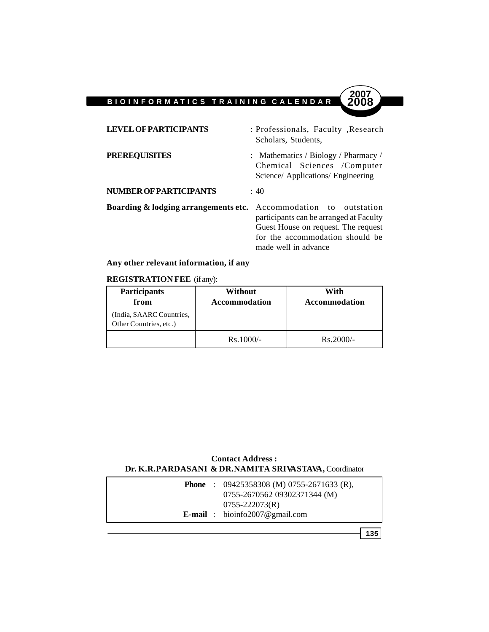| <b>LEVEL OF PARTICIPANTS</b>         | : Professionals, Faculty, Research<br>Scholars, Students,                                                                                                                |
|--------------------------------------|--------------------------------------------------------------------------------------------------------------------------------------------------------------------------|
| <b>PREREQUISITES</b>                 | : Mathematics / Biology / Pharmacy /<br>Chemical Sciences /Computer<br>Science/ Applications/ Engineering                                                                |
| <b>NUMBER OF PARTICIPANTS</b>        | $\div$ 40                                                                                                                                                                |
| Boarding & lodging arrangements etc. | Accommodation to outstation<br>participants can be arranged at Faculty<br>Guest House on request. The request<br>for the accommodation should be<br>made well in advance |

### **Any other relevant information, if any**

### **REGISTRATION FEE** (if any):

| <b>Participants</b><br>from                        | Without<br>Accommodation | With<br><b>Accommodation</b> |
|----------------------------------------------------|--------------------------|------------------------------|
| (India, SAARC Countries,<br>Other Countries, etc.) |                          |                              |
|                                                    | $Rs.1000/-$              | $Rs.2000/-$                  |

### **Contact Address : Dr. K.R.PARDASANI & DR.NAMITA SRIVASTAVA,** Coordinator

|  | <b>Phone</b> : $09425358308$ (M) $0755-2671633$ (R),<br>0755-2670562 09302371344 (M) |
|--|--------------------------------------------------------------------------------------|
|  | $0755 - 222073(R)$<br><b>E-mail</b> : bioinfo2007@gmail.com                          |
|  |                                                                                      |

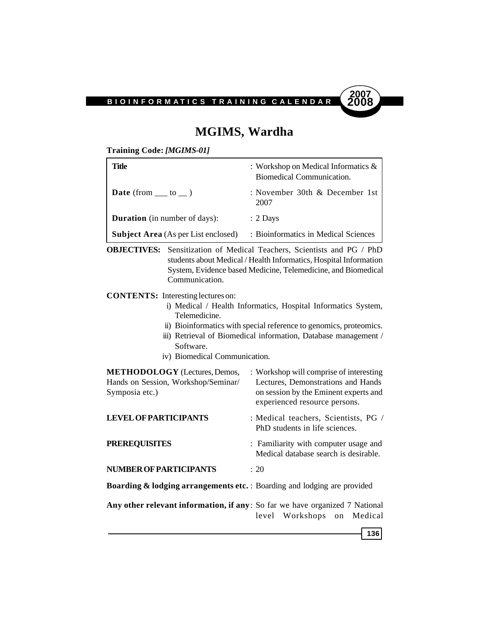

### **MGIMS, Wardha**

**Training Code:** *[MGIMS-01]*

| Title                                      | : Workshop on Medical Informatics $\&$<br>Biomedical Communication. |
|--------------------------------------------|---------------------------------------------------------------------|
| <b>Date</b> (from $\_\_$ to $\_\)$ )       | : November 30th & December 1st<br>2007                              |
| <b>Duration</b> (in number of days):       | $: 2$ Days                                                          |
| <b>Subject Area</b> (As per List enclosed) | : Bioinformatics in Medical Sciences                                |

**OBJECTIVES:** Sensitization of Medical Teachers, Scientists and PG / PhD students about Medical / Health Informatics, Hospital Information System, Evidence based Medicine, Telemedicine, and Biomedical Communication.

**CONTENTS:** Interesting lectures on:

- i) Medical / Health Informatics, Hospital Informatics System, Telemedicine.
- ii) Bioinformatics with special reference to genomics, proteomics.
- iii) Retrieval of Biomedical information, Database management / Software.
- iv) Biomedical Communication.

| <b>METHODOLOGY</b> (Lectures, Demos,<br>Hands on Session, Workshop/Seminar/<br>Symposia etc.) | : Workshop will comprise of interesting<br>Lectures, Demonstrations and Hands<br>on session by the Eminent experts and<br>experienced resource persons. |
|-----------------------------------------------------------------------------------------------|---------------------------------------------------------------------------------------------------------------------------------------------------------|
| <b>LEVEL OF PARTICIPANTS</b>                                                                  | : Medical teachers, Scientists, PG /<br>PhD students in life sciences.                                                                                  |
| <b>PREREQUISITES</b>                                                                          | : Familiarity with computer usage and<br>Medical database search is desirable.                                                                          |
| <b>NUMBER OF PARTICIPANTS</b>                                                                 | $\div$ 20                                                                                                                                               |
| <b>Boarding &amp; lodging arrangements etc.</b> : Boarding and lodging are provided           |                                                                                                                                                         |
|                                                                                               |                                                                                                                                                         |

**Any other relevant information, if any**: So far we have organized 7 National level Workshops on Medical

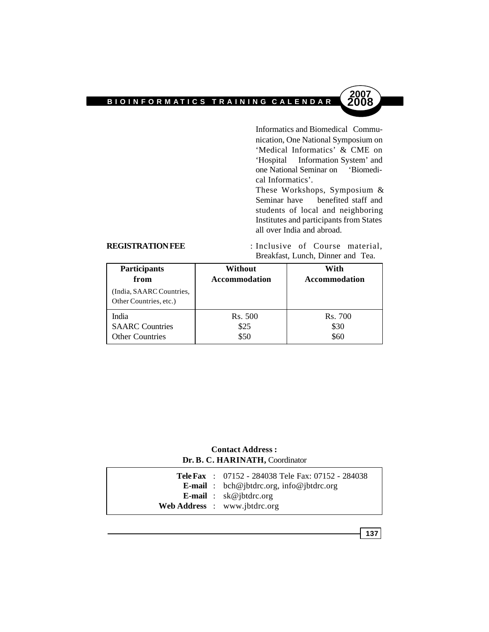Informatics and Biomedical Communication, One National Symposium on 'Medical Informatics' & CME on 'Hospital Information System' and one National Seminar on 'Biomedical Informatics'.

**2007**

These Workshops, Symposium & Seminar have benefited staff and students of local and neighboring Institutes and participants from States all over India and abroad.

**REGISTRATION FEE** : Inclusive of Course material, Breakfast, Lunch, Dinner and Tea.

| <b>Participants</b><br>from<br>(India, SAARC Countries,<br>Other Countries, etc.) | Without<br><b>Accommodation</b> | With<br><b>Accommodation</b> |
|-----------------------------------------------------------------------------------|---------------------------------|------------------------------|
| India                                                                             | Rs. 500                         | Rs. 700                      |
| <b>SAARC</b> Countries                                                            | \$25                            | \$30                         |
| <b>Other Countries</b>                                                            | \$50                            | \$60                         |

### **Contact Address : Dr. B. C. HARINATH,** Coordinator

|  | <b>Tele Fax</b> : $07152 - 284038$ Tele Fax: $07152 - 284038$ |
|--|---------------------------------------------------------------|
|  | <b>E-mail</b> : bch@jbtdrc.org, info@jbtdrc.org               |
|  | <b>E-mail</b> : $sk@ibtdrc.org$                               |
|  | Web Address : www.jbtdrc.org                                  |

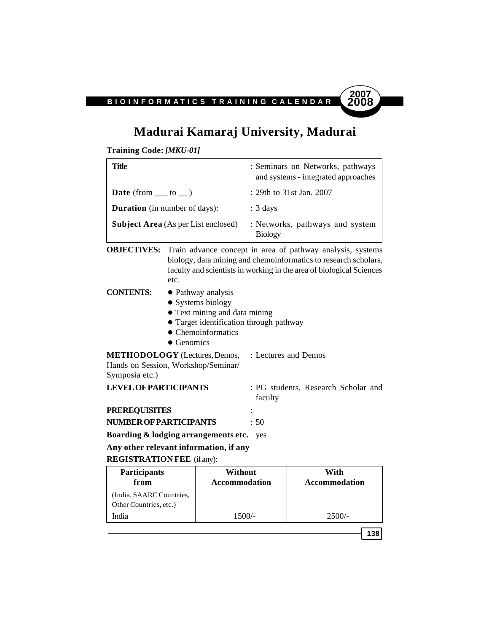

**138**

# **Madurai Kamaraj University, Madurai**

**Training Code:** *[MKU-01]*

| Title                                      | : Seminars on Networks, pathways<br>and systems - integrated approaches |
|--------------------------------------------|-------------------------------------------------------------------------|
| <b>Date</b> (from $\_\_$ to $\_\)$ )       | : 29th to 31st Jan. 2007                                                |
| <b>Duration</b> (in number of days):       | $: 3 \text{ days}$                                                      |
| <b>Subject Area</b> (As per List enclosed) | : Networks, pathways and system<br><b>Biology</b>                       |

**OBJECTIVES:** Train advance concept in area of pathway analysis, systems biology, data mining and chemoinformatics to research scholars, faculty and scientists in working in the area of biological Sciences etc.

**CONTENTS:**  $\bullet$  Pathway analysis

- $\bullet$  Systems biology
- Text mining and data mining
- Target identification through pathway
- Chemoinformatics
- $\bullet$  Genomics

**METHODOLOGY** (Lectures, Demos, : Lectures and Demos

Hands on Session, Workshop/Seminar/

Symposia etc.)

| <b>LEVEL OF PARTICIPANTS</b> | : PG students, Research Scholar and<br>faculty |
|------------------------------|------------------------------------------------|
| <b>PREREOUISITES</b>         |                                                |
| NUMBER OF PARTICIPANTS       | : 50                                           |

**Boarding & lodging arrangements etc.** yes

**Any other relevant information, if any**

**REGISTRATION FEE** (if any):

| <b>Participants</b><br>from                        | Without<br><b>Accommodation</b> | With<br>Accommodation |
|----------------------------------------------------|---------------------------------|-----------------------|
| (India, SAARC Countries,<br>Other Countries, etc.) |                                 |                       |
| India                                              | 1500/-                          | $2500/-$              |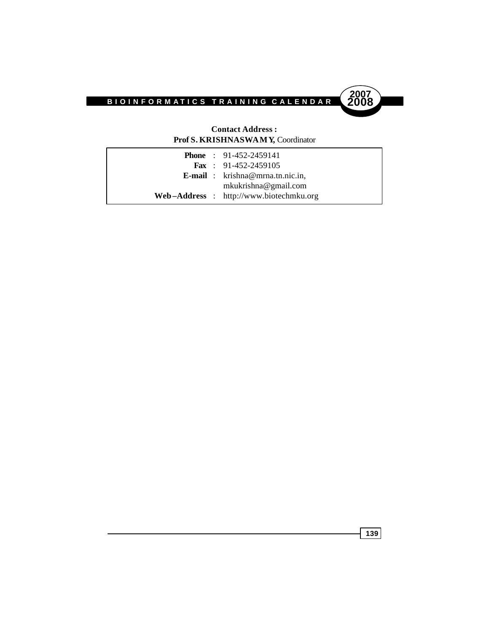



#### **Contact Address : Prof S. KRISHNASWAMY,** Coordinator

|  | <b>Phone</b> : 91-452-2459141              |
|--|--------------------------------------------|
|  | <b>Fax</b> : $91-452-2459105$              |
|  | <b>E-mail</b> : $k$ rishna@mrna.tn.nic.in, |
|  | mkukrishna@gmail.com                       |
|  | $Web-Address$ : http://www.biotechmku.org  |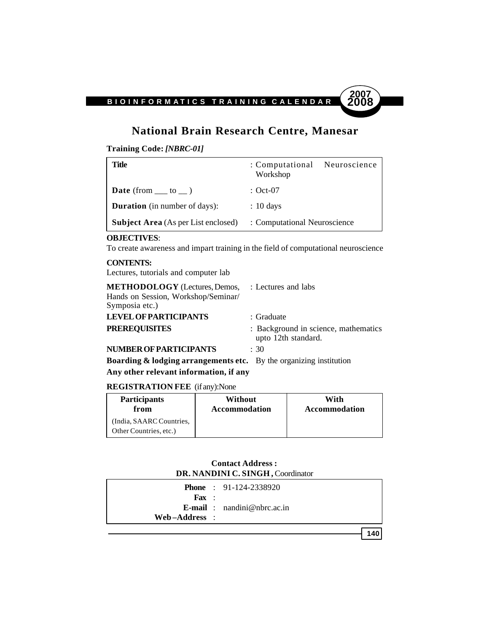# **National Brain Research Centre, Manesar**

**Training Code:** *[NBRC-01]*

| Title                                      | : Computational Neuroscience<br>Workshop |  |
|--------------------------------------------|------------------------------------------|--|
| <b>Date</b> (from $\_\_$ to $\_\)$ )       | : Oct-07                                 |  |
| <b>Duration</b> (in number of days):       | $: 10 \text{ days}$                      |  |
| <b>Subject Area</b> (As per List enclosed) | : Computational Neuroscience             |  |

#### **OBJECTIVES**:

To create awareness and impart training in the field of computational neuroscience

#### **CONTENTS:**

Lectures, tutorials and computer lab

| <b>METHODOLOGY</b> (Lectures, Demos, : Lectures and labs                                    |                                                             |
|---------------------------------------------------------------------------------------------|-------------------------------------------------------------|
| Hands on Session, Workshop/Seminar/<br>Symposia etc.)                                       |                                                             |
| <b>LEVEL OF PARTICIPANTS</b>                                                                | : Graduate                                                  |
| <b>PREREQUISITES</b>                                                                        | : Background in science, mathematics<br>upto 12th standard. |
| <b>NUMBER OF PARTICIPANTS</b>                                                               | $\div$ 30                                                   |
| <b>Boarding <math>\&amp;</math> lodging arrangements etc.</b> By the organizing institution |                                                             |

#### **Any other relevant information, if any**

### **REGISTRATION FEE** (if any):None

| <b>Participants</b>                                | <b>Without</b>       | With          |
|----------------------------------------------------|----------------------|---------------|
| from                                               | <b>Accommodation</b> | Accommodation |
| (India, SAARC Countries,<br>Other Countries, etc.) |                      |               |

#### **Contact Address : DR. NANDINI C. SINGH ,** Coordinator

|                   | <b>Phone</b> : $91-124-2338920$       |
|-------------------|---------------------------------------|
| $\mathbf{F}$ ax : |                                       |
|                   | <b>E-mail</b> : $n$ andini@nbrc.ac.in |
| Web-Address :     |                                       |
|                   |                                       |

**140**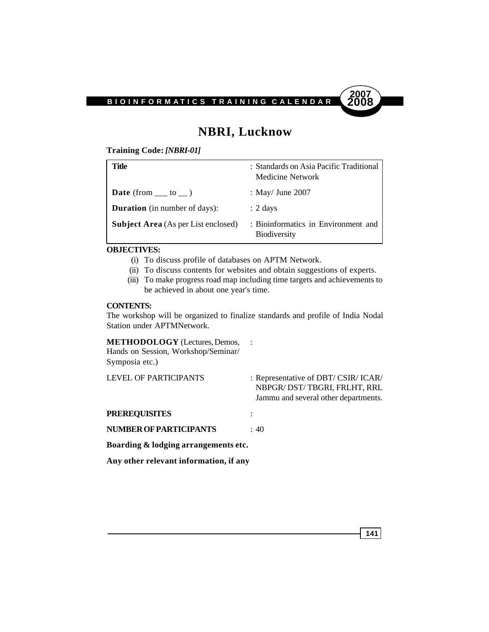

# **NBRI, Lucknow**

**Training Code:** *[NBRI-01]*

| Title                                      | : Standards on Asia Pacific Traditional<br><b>Medicine Network</b> |
|--------------------------------------------|--------------------------------------------------------------------|
| <b>Date</b> (from $\_\_$ to $\_\)$ )       | : May/ June $2007$                                                 |
| <b>Duration</b> (in number of days):       | $: 2 \text{ days}$                                                 |
| <b>Subject Area</b> (As per List enclosed) | : Bioinformatics in Environment and<br><b>Biodiversity</b>         |

#### **OBJECTIVES:**

- (i) To discuss profile of databases on APTM Network.
- (ii) To discuss contents for websites and obtain suggestions of experts.
- (iii) To make progress road map including time targets and achievements to be achieved in about one year's time.

#### **CONTENTS:**

The workshop will be organized to finalize standards and profile of India Nodal Station under APTMNetwork.

#### **METHODOLOGY** (Lectures, Demos, : Hands on Session, Workshop/Seminar/ Symposia etc.)

| <b>LEVEL OF PARTICIPANTS</b>           | : Representative of DBT/ CSIR/ ICAR/<br>NBPGR/DST/TBGRI, FRLHT, RRL<br>Jammu and several other departments. |
|----------------------------------------|-------------------------------------------------------------------------------------------------------------|
| <b>PREREQUISITES</b>                   |                                                                                                             |
| <b>NUMBER OF PARTICIPANTS</b>          | : 40                                                                                                        |
| Boarding & lodging arrangements etc.   |                                                                                                             |
| Any other relevant information, if any |                                                                                                             |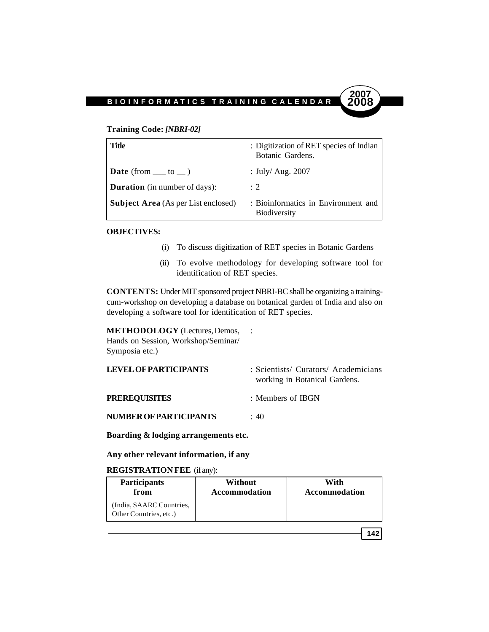#### **Training Code:** *[NBRI-02]*

| Title                                      | : Digitization of RET species of Indian<br>Botanic Gardens. |
|--------------------------------------------|-------------------------------------------------------------|
| <b>Date</b> (from $\_\_$ to $\_\)$ )       | : July/ Aug. $2007$                                         |
| <b>Duration</b> (in number of days):       | $\div$ 2                                                    |
| <b>Subject Area</b> (As per List enclosed) | : Bioinformatics in Environment and<br><b>Biodiversity</b>  |

#### **OBJECTIVES:**

- (i) To discuss digitization of RET species in Botanic Gardens
- (ii) To evolve methodology for developing software tool for identification of RET species.

**CONTENTS:** Under MIT sponsored project NBRI-BC shall be organizing a trainingcum-workshop on developing a database on botanical garden of India and also on developing a software tool for identification of RET species.

### **METHODOLOGY** (Lectures, Demos, :

Hands on Session, Workshop/Seminar/ Symposia etc.)

| <b>LEVEL OF PARTICIPANTS</b>  | : Scientists/ Curators/ Academicians<br>working in Botanical Gardens. |
|-------------------------------|-----------------------------------------------------------------------|
| <b>PREREOUISITES</b>          | : Members of IBGN                                                     |
| <b>NUMBER OF PARTICIPANTS</b> | : 40                                                                  |

**Boarding & lodging arrangements etc.**

**Any other relevant information, if any**

#### **REGISTRATION FEE** (if any):

| <b>Participants</b>                                | Without       | With          |
|----------------------------------------------------|---------------|---------------|
| from                                               | Accommodation | Accommodation |
| (India, SAARC Countries,<br>Other Countries, etc.) |               |               |

**142**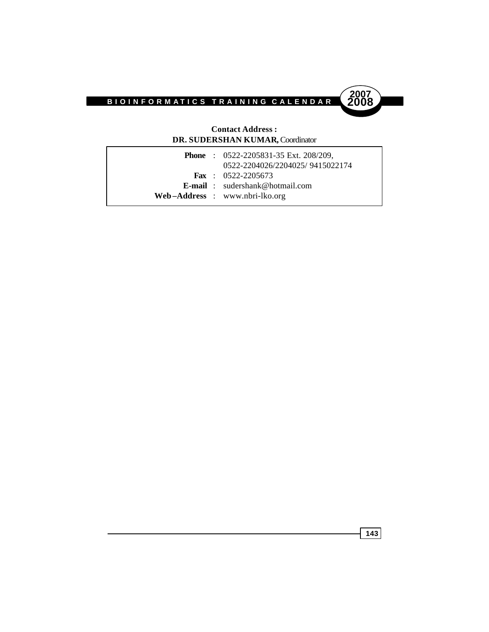

#### **Contact Address : DR. SUDERSHAN KUMAR,** Coordinator

|  | <b>Phone</b> : $0522 - 2205831 - 35$ Ext. 208/209,<br>0522-2204026/2204025/9415022174 |
|--|---------------------------------------------------------------------------------------|
|  | <b>Fax</b> : $0522 - 2205673$                                                         |
|  | <b>E-mail</b> : $sudershank@hotmail.com$                                              |
|  | $Web-Address : www.nbri-lko.org$                                                      |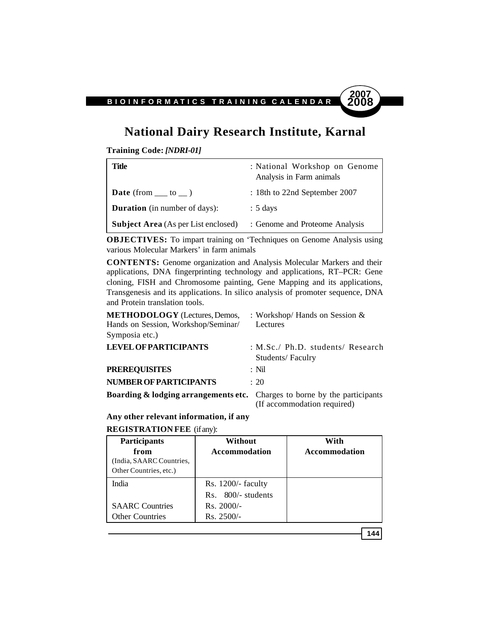# **National Dairy Research Institute, Karnal**

**Training Code:** *[NDRI-01]*

| Title                                      | : National Workshop on Genome<br>Analysis in Farm animals |
|--------------------------------------------|-----------------------------------------------------------|
| <b>Date</b> (from $\_\_\_$ to $\_\_$ )     | $: 18$ th to 22nd September 2007                          |
| <b>Duration</b> (in number of days):       | $: 5 \text{ days}$                                        |
| <b>Subject Area</b> (As per List enclosed) | : Genome and Proteome Analysis                            |

**OBJECTIVES:** To impart training on 'Techniques on Genome Analysis using various Molecular Markers' in farm animals

**CONTENTS:** Genome organization and Analysis Molecular Markers and their applications, DNA fingerprinting technology and applications, RT–PCR: Gene cloning, FISH and Chromosome painting, Gene Mapping and its applications, Transgenesis and its applications. In silico analysis of promoter sequence, DNA and Protein translation tools.

| <b>METHODOLOGY</b> (Lectures, Demos,<br>Hands on Session, Workshop/Seminar/<br>Symposia etc.) | : Workshop/ Hands on Session $&$<br>Lectures          |
|-----------------------------------------------------------------------------------------------|-------------------------------------------------------|
| <b>LEVEL OF PARTICIPANTS</b>                                                                  | : M.Sc./ Ph.D. students/ Research<br>Students/Faculry |
| <b>PREREQUISITES</b>                                                                          | $:$ Nil                                               |
| <b>NUMBER OF PARTICIPANTS</b>                                                                 | $\div$ 20                                             |
| <b>Boarding &amp; lodging arrangements etc.</b> Charges to borne by the participants          | (If accommodation required)                           |

**Any other relevant information, if any**

**REGISTRATION FEE** (if any):

| <b>Participants</b>                                | Without              | With                 |
|----------------------------------------------------|----------------------|----------------------|
| from                                               | Accommodation        | <b>Accommodation</b> |
| (India, SAARC Countries,<br>Other Countries, etc.) |                      |                      |
| India                                              | $Rs. 1200/-$ faculty |                      |
|                                                    | Rs. 800/- students   |                      |
| <b>SAARC</b> Countries                             | $Rs. 2000/-$         |                      |
| <b>Other Countries</b>                             | $Rs. 2500/-$         |                      |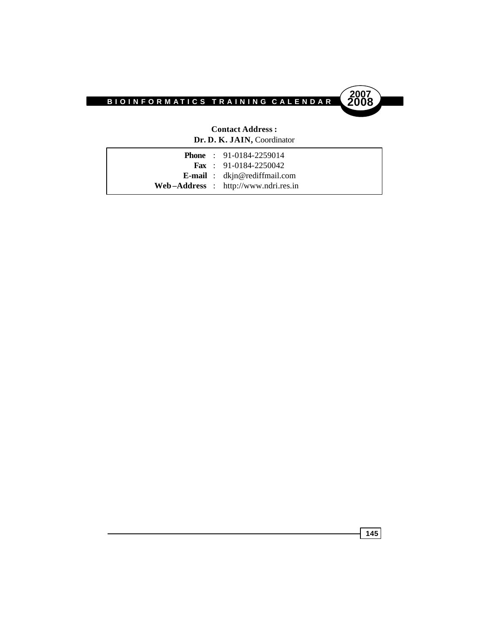

#### **Contact Address : Dr. D. K. JAIN,** Coordinator

|  | <b>Phone</b> : $91-0184-2259014$       |
|--|----------------------------------------|
|  | <b>Fax</b> : 91-0184-2250042           |
|  | <b>E-mail</b> : $dkin@rediffmail.com$  |
|  | $Web-Address : http://www.ndri.res.in$ |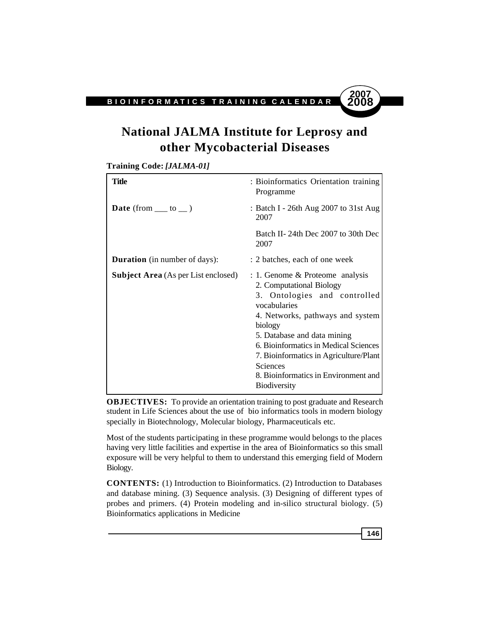

# **National JALMA Institute for Leprosy and other Mycobacterial Diseases**

**Training Code:** *[JALMA-01]*

| Title                                      | : Bioinformatics Orientation training<br>Programme                                                                                                                                                                                                                                                                                                               |
|--------------------------------------------|------------------------------------------------------------------------------------------------------------------------------------------------------------------------------------------------------------------------------------------------------------------------------------------------------------------------------------------------------------------|
| <b>Date</b> (from $\_\_$ to $\_\_$ )       | : Batch I - 26th Aug 2007 to 31st Aug<br>2007                                                                                                                                                                                                                                                                                                                    |
|                                            | Batch II- 24th Dec 2007 to 30th Dec<br>2007                                                                                                                                                                                                                                                                                                                      |
| <b>Duration</b> (in number of days):       | : 2 batches, each of one week                                                                                                                                                                                                                                                                                                                                    |
| <b>Subject Area</b> (As per List enclosed) | $: 1.$ Genome & Proteome analysis<br>2. Computational Biology<br>3. Ontologies and controlled<br>vocabularies<br>4. Networks, pathways and system<br>biology<br>5. Database and data mining<br>6. Bioinformatics in Medical Sciences<br>7. Bioinformatics in Agriculture/Plant<br><b>Sciences</b><br>8. Bioinformatics in Environment and<br><b>Biodiversity</b> |

**OBJECTIVES:** To provide an orientation training to post graduate and Research student in Life Sciences about the use of bio informatics tools in modern biology specially in Biotechnology, Molecular biology, Pharmaceuticals etc.

Most of the students participating in these programme would belongs to the places having very little facilities and expertise in the area of Bioinformatics so this small exposure will be very helpful to them to understand this emerging field of Modern Biology.

**CONTENTS:** (1) Introduction to Bioinformatics. (2) Introduction to Databases and database mining. (3) Sequence analysis. (3) Designing of different types of probes and primers. (4) Protein modeling and in-silico structural biology. (5) Bioinformatics applications in Medicine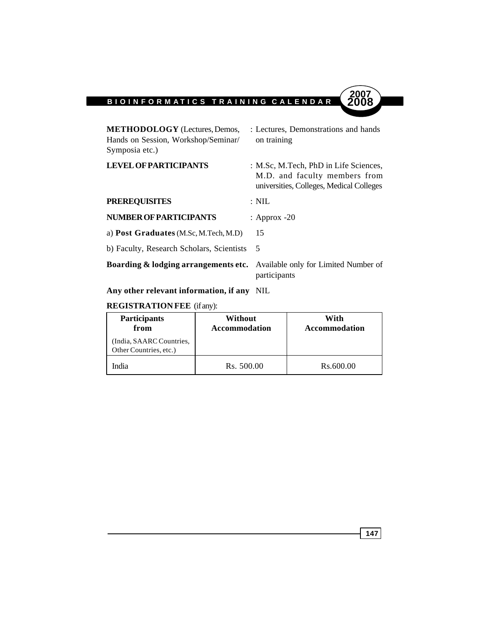

| <b>METHODOLOGY</b> (Lectures, Demos,<br>Hands on Session, Workshop/Seminar/<br>Symposia etc.) | : Lectures, Demonstrations and hands<br>on training                                                                |  |
|-----------------------------------------------------------------------------------------------|--------------------------------------------------------------------------------------------------------------------|--|
| <b>LEVEL OF PARTICIPANTS</b>                                                                  | : M.Sc, M.Tech, PhD in Life Sciences,<br>M.D. and faculty members from<br>universities, Colleges, Medical Colleges |  |
| <b>PREREQUISITES</b>                                                                          | $: \mathrm{NIL}$                                                                                                   |  |
| <b>NUMBER OF PARTICIPANTS</b>                                                                 | : Approx $-20$                                                                                                     |  |

| a) <b>Post Graduates</b> (M.Sc, M.Tech, M.D) |  |
|----------------------------------------------|--|
| b) Faculty, Research Scholars, Scientists    |  |

**Boarding & lodging arrangements etc.** Available only for Limited Number of participants

**Any other relevant information, if any** NIL

# **REGISTRATION FEE** (if any):

| <b>Participants</b><br>from                        | Without<br><b>Accommodation</b> | With<br><b>Accommodation</b> |
|----------------------------------------------------|---------------------------------|------------------------------|
| (India, SAARC Countries,<br>Other Countries, etc.) |                                 |                              |
| India                                              | Rs. 500.00                      | Rs.600.00                    |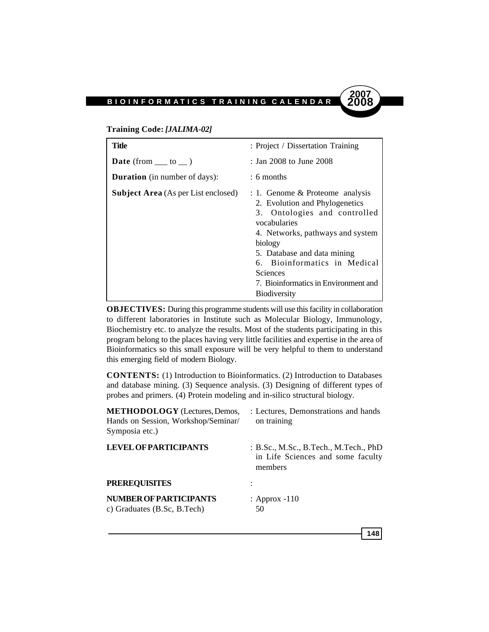#### **Training Code:** *[JALIMA-02]*

| Title                                      | : Project / Dissertation Training                                                                                                                                                                                                                                                                                   |
|--------------------------------------------|---------------------------------------------------------------------------------------------------------------------------------------------------------------------------------------------------------------------------------------------------------------------------------------------------------------------|
| <b>Date</b> (from $\_\_$ to $\_\)$ )       | : Jan 2008 to June 2008                                                                                                                                                                                                                                                                                             |
| <b>Duration</b> (in number of days):       | $: 6$ months                                                                                                                                                                                                                                                                                                        |
| <b>Subject Area</b> (As per List enclosed) | $: 1.$ Genome & Proteome analysis<br>2. Evolution and Phylogenetics<br>3. Ontologies and controlled<br>vocabularies<br>4. Networks, pathways and system<br>biology<br>5. Database and data mining<br>6. Bioinformatics in Medical<br><b>Sciences</b><br>7. Bioinformatics in Environment and<br><b>Biodiversity</b> |

**OBJECTIVES:** During this programme students will use this facility in collaboration to different laboratories in Institute such as Molecular Biology, Immunology, Biochemistry etc. to analyze the results. Most of the students participating in this program belong to the places having very little facilities and expertise in the area of Bioinformatics so this small exposure will be very helpful to them to understand this emerging field of modern Biology.

**CONTENTS:** (1) Introduction to Bioinformatics. (2) Introduction to Databases and database mining. (3) Sequence analysis. (3) Designing of different types of probes and primers. (4) Protein modeling and in-silico structural biology.

| <b>METHODOLOGY</b> (Lectures, Demos,<br>Hands on Session, Workshop/Seminar/<br>Symposia etc.) | : Lectures, Demonstrations and hands<br>on training                                   |
|-----------------------------------------------------------------------------------------------|---------------------------------------------------------------------------------------|
| <b>LEVEL OF PARTICIPANTS</b>                                                                  | : B.Sc., M.Sc., B.Tech., M.Tech., PhD<br>in Life Sciences and some faculty<br>members |
| <b>PREREQUISITES</b>                                                                          |                                                                                       |
| <b>NUMBER OF PARTICIPANTS</b><br>c) Graduates $(B.Sc, B.Tech)$                                | : Approx $-110$<br>50                                                                 |

**148**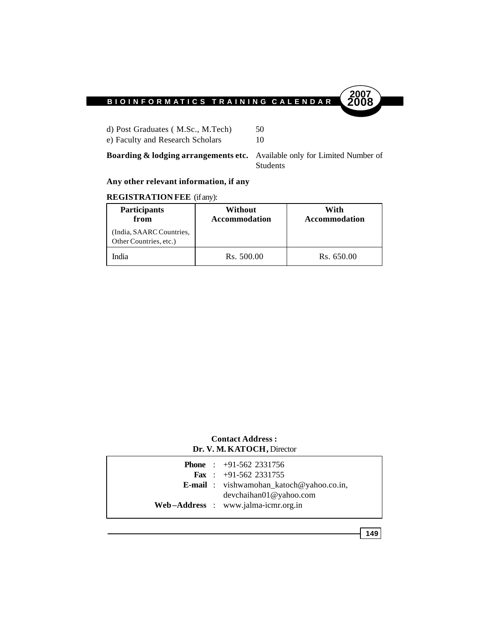

d) Post Graduates (M.Sc., M.Tech) 50 e) Faculty and Research Scholars 10

**Boarding & lodging arrangements etc.** Available only for Limited Number of Students

### **Any other relevant information, if any**

#### **REGISTRATION FEE** (if any):

| <b>Participants</b><br>from                        | Without<br><b>Accommodation</b> | With<br>Accommodation |
|----------------------------------------------------|---------------------------------|-----------------------|
| (India, SAARC Countries,<br>Other Countries, etc.) |                                 |                       |
| India                                              | Rs. 500.00                      | Rs. 650.00            |

#### **Contact Address : Dr. V. M. KATOCH,** Director

|  | <b>Phone</b> : $+91-562$ 2331756<br><b>Fax</b> : $+91-562$ 2331755 |
|--|--------------------------------------------------------------------|
|  | <b>E-mail</b> : vishwamohan_katoch@yahoo.co.in,                    |
|  | devchainan01@vahoo.com<br>Web-Address : www.jalma-icmr.org.in      |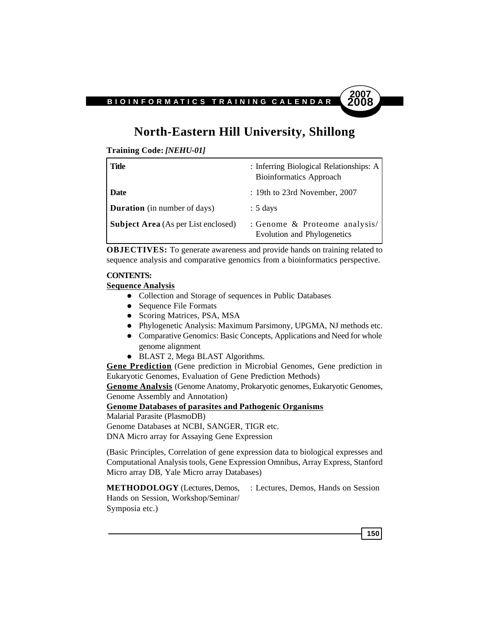# **North-Eastern Hill University, Shillong**

**Training Code:** *[NEHU-01]*

| Title                                      | : Inferring Biological Relationships: A<br><b>Bioinformatics Approach</b> |
|--------------------------------------------|---------------------------------------------------------------------------|
| <b>Date</b>                                | : 19th to 23rd November, 2007                                             |
| <b>Duration</b> (in number of days)        | $: 5 \text{ days}$                                                        |
| <b>Subject Area</b> (As per List enclosed) | : Genome & Proteome analysis/<br>Evolution and Phylogenetics              |

**OBJECTIVES:** To generate awareness and provide hands on training related to sequence analysis and comparative genomics from a bioinformatics perspective.

#### **CONTENTS:**

**Sequence Analysis**

- Collection and Storage of sequences in Public Databases
- Sequence File Formats
- Scoring Matrices, PSA, MSA
- Phylogenetic Analysis: Maximum Parsimony, UPGMA, NJ methods etc.
- Comparative Genomics: Basic Concepts, Applications and Need for whole genome alignment
- BLAST 2, Mega BLAST Algorithms.

**Gene Prediction** (Gene prediction in Microbial Genomes, Gene prediction in Eukaryotic Genomes, Evaluation of Gene Prediction Methods)

**Genome Analysis** (Genome Anatomy, Prokaryotic genomes, Eukaryotic Genomes, Genome Assembly and Annotation)

**Genome Databases of parasites and Pathogenic Organisms**

Malarial Parasite (PlasmoDB)

Genome Databases at NCBI, SANGER, TIGR etc.

DNA Micro array for Assaying Gene Expression

(Basic Principles, Correlation of gene expression data to biological expresses and Computational Analysis tools, Gene Expression Omnibus, Array Express, Stanford Micro array DB, Yale Micro array Databases)

**METHODOLOGY** (Lectures, Demos, : Lectures, Demos, Hands on Session Hands on Session, Workshop/Seminar/ Symposia etc.)

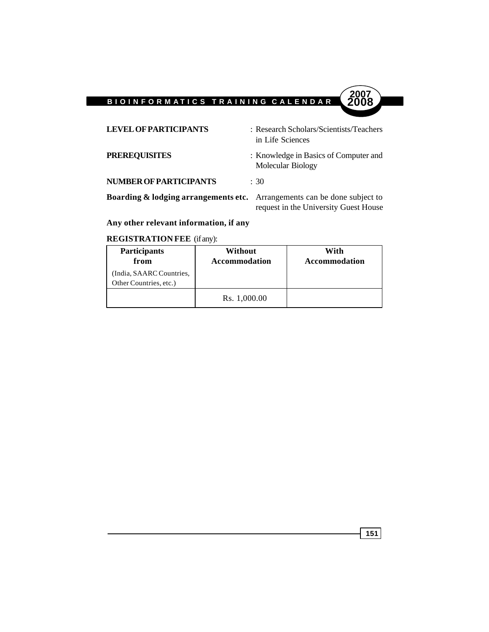

### **Any other relevant information, if any**

#### **REGISTRATION FEE** (if any):

| <b>Participants</b><br>from                        | Without<br><b>Accommodation</b> | With<br><b>Accommodation</b> |
|----------------------------------------------------|---------------------------------|------------------------------|
| (India, SAARC Countries,<br>Other Countries, etc.) |                                 |                              |
|                                                    | Rs. 1,000.00                    |                              |

**151**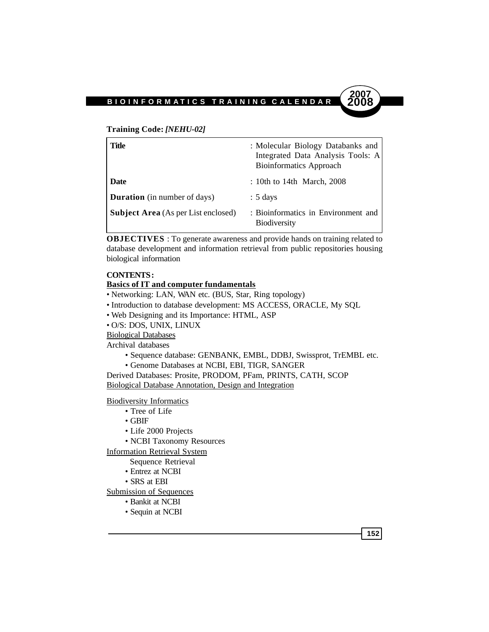#### **Training Code:** *[NEHU-02]*

| Title                                      | : Molecular Biology Databanks and<br>Integrated Data Analysis Tools: A<br><b>Bioinformatics Approach</b> |
|--------------------------------------------|----------------------------------------------------------------------------------------------------------|
| <b>Date</b>                                | : 10th to 14th March, $2008$                                                                             |
| <b>Duration</b> (in number of days)        | $: 5 \text{ days}$                                                                                       |
| <b>Subject Area</b> (As per List enclosed) | : Bioinformatics in Environment and<br><b>Biodiversity</b>                                               |

**OBJECTIVES** : To generate awareness and provide hands on training related to database development and information retrieval from public repositories housing biological information

#### **CONTENTS :**

#### **Basics of IT and computer fundamentals**

- Networking: LAN, WAN etc. (BUS, Star, Ring topology)
- Introduction to database development: MS ACCESS, ORACLE, My SQL
- Web Designing and its Importance: HTML, ASP
- O/S: DOS, UNIX, LINUX
- Biological Databases

Archival databases

- Sequence database: GENBANK, EMBL, DDBJ, Swissprot, TrEMBL etc.
- Genome Databases at NCBI, EBI, TIGR, SANGER

Derived Databases: Prosite, PRODOM, PFam, PRINTS, CATH, SCOP Biological Database Annotation, Design and Integration

Biodiversity Informatics

- Tree of Life
- GBIF
- Life 2000 Projects
- NCBI Taxonomy Resources

Information Retrieval System

- Sequence Retrieval
- Entrez at NCBI
- SRS at EBI

Submission of Sequences

- Bankit at NCBI
- Sequin at NCBI

**152**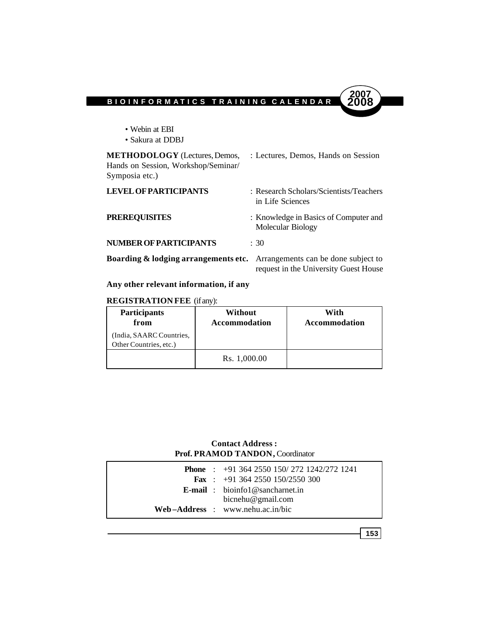

| • Webin at EBI<br>• Sakura at DDBJ                                                            |                                                                              |
|-----------------------------------------------------------------------------------------------|------------------------------------------------------------------------------|
| <b>METHODOLOGY</b> (Lectures, Demos,<br>Hands on Session, Workshop/Seminar/<br>Symposia etc.) | : Lectures, Demos, Hands on Session                                          |
| <b>LEVEL OF PARTICIPANTS</b>                                                                  | : Research Scholars/Scientists/Teachers<br>in Life Sciences                  |
| <b>PREREQUISITES</b>                                                                          | : Knowledge in Basics of Computer and<br>Molecular Biology                   |
| NUMBER OF PARTICIPANTS                                                                        | : 30                                                                         |
| Boarding & lodging arrangements etc.                                                          | Arrangements can be done subject to<br>request in the University Guest House |

# **Any other relevant information, if any**

### **REGISTRATION FEE** (if any):

| <b>Participants</b><br>from                        | Without<br><b>Accommodation</b> | With<br><b>Accommodation</b> |
|----------------------------------------------------|---------------------------------|------------------------------|
| (India, SAARC Countries,<br>Other Countries, etc.) |                                 |                              |
|                                                    | Rs. 1,000.00                    |                              |

### **Contact Address : Prof. PRAMOD TANDON,** Coordinator

|  | <b>Phone</b> : $+91\,364\,2550\,150/272\,1242/272\,1241$ |
|--|----------------------------------------------------------|
|  | <b>Fax</b> : $+91\,364\,2550\,150/2550\,300$             |
|  | <b>E-mail</b> : bioinfol@sancharnet.in                   |
|  | bicnehu@gmail.com                                        |
|  | $Web-Address : www.netu.ac.in/bic$                       |
|  |                                                          |

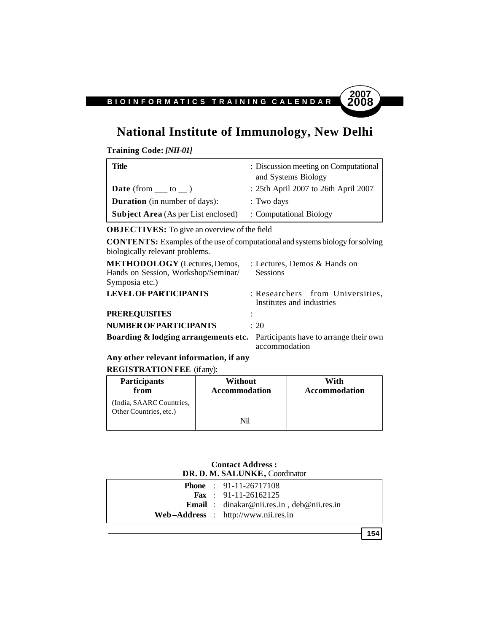# **National Institute of Immunology, New Delhi**

**Training Code:** *[NII-01]*

| Title                                      | : Discussion meeting on Computational<br>and Systems Biology |
|--------------------------------------------|--------------------------------------------------------------|
| <b>Date</b> (from $\_\_$ to $\_\)$ )       | : 25th April 2007 to 26th April 2007                         |
| <b>Duration</b> (in number of days):       | : Two days                                                   |
| <b>Subject Area</b> (As per List enclosed) | : Computational Biology                                      |

**OBJECTIVES:** To give an overview of the field

**CONTENTS:** Examples of the use of computational and systems biology for solving biologically relevant problems.

| <b>METHODOLOGY</b> (Lectures, Demos,<br>Hands on Session, Workshop/Seminar/            | : Lectures, Demos & Hands on<br><b>Sessions</b>               |
|----------------------------------------------------------------------------------------|---------------------------------------------------------------|
| Symposia etc.)                                                                         |                                                               |
| <b>LEVEL OF PARTICIPANTS</b>                                                           | : Researchers from Universities,<br>Institutes and industries |
| <b>PREREQUISITES</b>                                                                   |                                                               |
| NUMBER OF PARTICIPANTS                                                                 | $\div$ 20                                                     |
| <b>Boarding &amp; lodging arrangements etc.</b> Participants have to arrange their own | accommodation                                                 |

**Any other relevant information, if any**

**REGISTRATION FEE** (if any):

| Participants<br>from                               | Without<br><b>Accommodation</b> | With<br><b>Accommodation</b> |
|----------------------------------------------------|---------------------------------|------------------------------|
| (India, SAARC Countries,<br>Other Countries, etc.) |                                 |                              |
|                                                    | Nil                             |                              |

#### **Contact Address : DR. D. M. SALUNKE,** Coordinator

|  | <b>Phone</b> : $91-11-26717108$                             |
|--|-------------------------------------------------------------|
|  | <b>Fax</b> : 91-11-26162125                                 |
|  | <b>Email</b> : dinakar@nii.res.in, $de{\theta}$ @nii.res.in |
|  | $Web-Address : http://www.nii.res.in$                       |

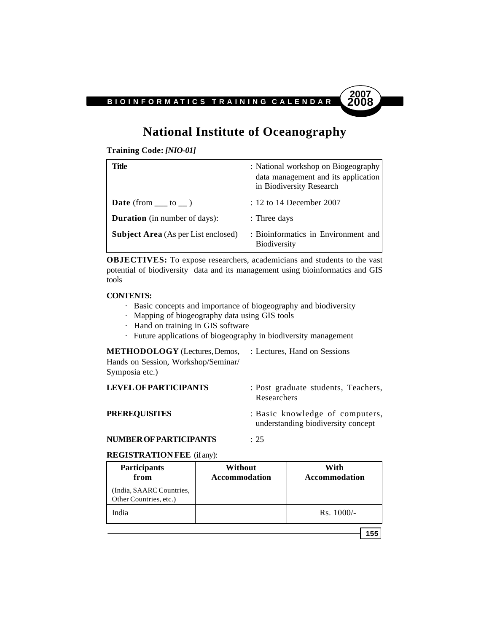

# **National Institute of Oceanography**

**Training Code:** *[NIO-01]*

| Title                                      | : National workshop on Biogeography<br>data management and its application<br>in Biodiversity Research |
|--------------------------------------------|--------------------------------------------------------------------------------------------------------|
| <b>Date</b> (from $\_\_$ to $\_\)$ )       | $: 12$ to 14 December 2007                                                                             |
| <b>Duration</b> (in number of days):       | : Three days                                                                                           |
| <b>Subject Area</b> (As per List enclosed) | : Bioinformatics in Environment and<br><b>Biodiversity</b>                                             |

**OBJECTIVES:** To expose researchers, academicians and students to the vast potential of biodiversity data and its management using bioinformatics and GIS tools

#### **CONTENTS:**

- · Basic concepts and importance of biogeography and biodiversity
- · Mapping of biogeography data using GIS tools
- · Hand on training in GIS software
- · Future applications of biogeography in biodiversity management

**METHODOLOGY** (Lectures, Demos, : Lectures, Hand on Sessions Hands on Session, Workshop/Seminar/ Symposia etc.)

| <b>LEVEL OF PARTICIPANTS</b> | : Post graduate students, Teachers,<br>Researchers                    |
|------------------------------|-----------------------------------------------------------------------|
| <b>PREREOUISITES</b>         | : Basic knowledge of computers,<br>understanding biodiversity concept |

#### **NUMBER OF PARTICIPANTS** : 25

#### **REGISTRATION FEE** (if any):

| <b>Participants</b><br>from                        | Without<br><b>Accommodation</b> | With<br><b>Accommodation</b> |
|----------------------------------------------------|---------------------------------|------------------------------|
| (India, SAARC Countries,<br>Other Countries, etc.) |                                 |                              |
| India                                              |                                 | $Rs. 1000/-$                 |
|                                                    |                                 | $155 -$                      |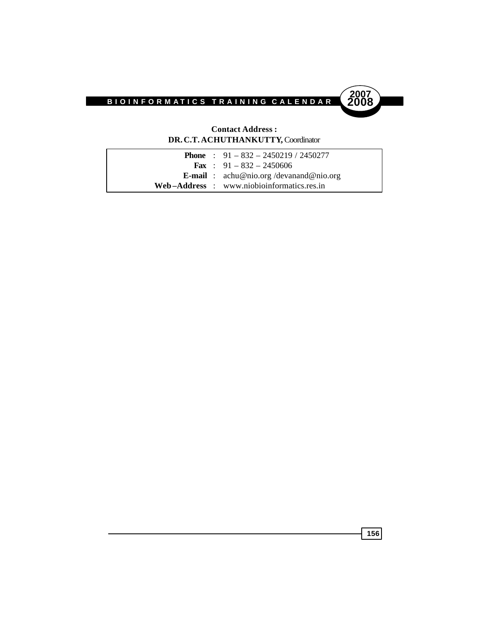

#### **Contact Address : DR. C.T. ACHUTHANKUTTY,** Coordinator

| <b>Phone</b> : $91 - 832 - 2450219 / 2450277$                 |
|---------------------------------------------------------------|
| <b>Fax</b> : $91 - 832 - 2450606$                             |
| <b>E-mail</b> : $\text{achu@nio.org}/\text{devanand@nio.org}$ |
| Web-Address: www.niobioinformatics.res.in                     |
|                                                               |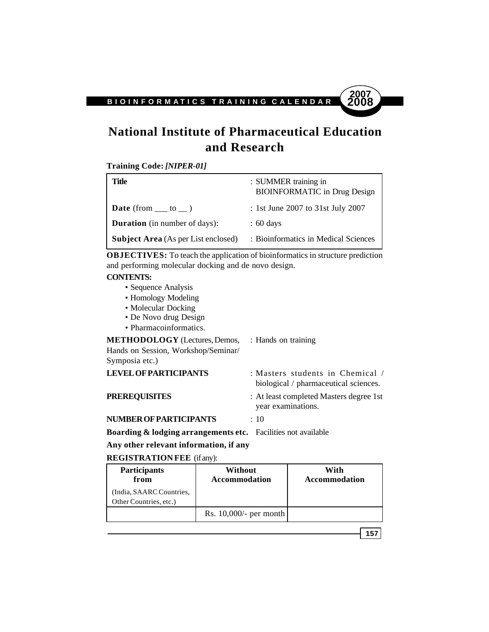# **National Institute of Pharmaceutical Education and Research**

**Training Code:** *[NIPER-01]*

| Title                                      | : SUMMER training in<br><b>BIOINFORMATIC</b> in Drug Design |
|--------------------------------------------|-------------------------------------------------------------|
| <b>Date</b> (from $\_\_$ to $\_\)$ )       | : 1st June 2007 to 31st July 2007                           |
| <b>Duration</b> (in number of days):       | $\therefore$ 60 days                                        |
| <b>Subject Area</b> (As per List enclosed) | : Bioinformatics in Medical Sciences                        |

**OBJECTIVES:** To teach the application of bioinformatics in structure prediction and performing molecular docking and de novo design.

#### **CONTENTS:**

- Sequence Analysis
- Homology Modeling
- Molecular Docking
- De Novo drug Design
- Pharmacoinformatics.

| <b>METHODOLOGY</b> (Lectures, Demos, : Hands on training<br>Hands on Session, Workshop/Seminar/<br>Symposia etc.) |                                                                           |
|-------------------------------------------------------------------------------------------------------------------|---------------------------------------------------------------------------|
| <b>LEVEL OF PARTICIPANTS</b>                                                                                      | : Masters students in Chemical /<br>biological / pharmaceutical sciences. |
| <b>PREREQUISITES</b>                                                                                              | : At least completed Masters degree 1st<br>year examinations.             |
| NUMBER OF PARTICIPANTS                                                                                            | : 10                                                                      |
| Deanding & Ladging annoncoments at a Equilities not evoilable                                                     |                                                                           |

**Boarding & lodging arrangements etc.** Facilities not available **Any other relevant information, if any**

**REGISTRATION FEE** (if any):

| <b>Participants</b><br>from                       | Without<br><b>Accommodation</b> | With<br><b>Accommodation</b> |
|---------------------------------------------------|---------------------------------|------------------------------|
| India, SAARC Countries,<br>Other Countries, etc.) |                                 |                              |
|                                                   | Rs. $10,000/$ - per month       |                              |

**157**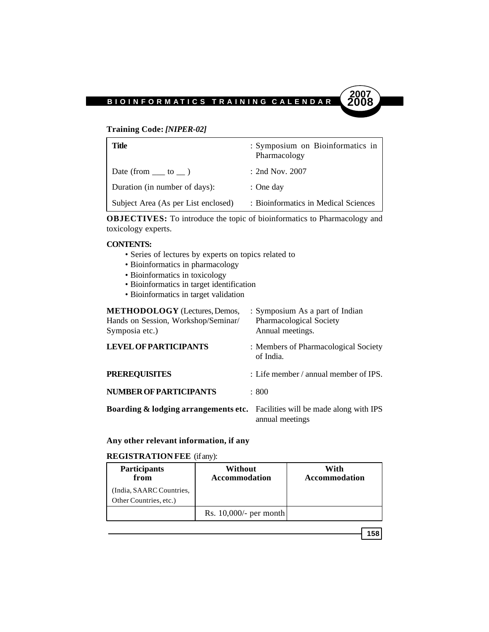#### **Training Code:** *[NIPER-02]*

| Title                                                     | : Symposium on Bioinformatics in<br>Pharmacology |
|-----------------------------------------------------------|--------------------------------------------------|
| Date (from $\rule{1em}{0.15mm}$ to $\rule{1em}{0.15mm}$ ) | $:$ 2nd Nov. 2007                                |
| Duration (in number of days):                             | $:$ One day                                      |
| Subject Area (As per List enclosed)                       | : Bioinformatics in Medical Sciences             |

**OBJECTIVES:** To introduce the topic of bioinformatics to Pharmacology and toxicology experts.

#### **CONTENTS:**

- Series of lectures by experts on topics related to
- Bioinformatics in pharmacology
- Bioinformatics in toxicology
- Bioinformatics in target identification
- Bioinformatics in target validation

| <b>METHODOLOGY</b> (Lectures, Demos,<br>Hands on Session, Workshop/Seminar/<br>Symposia etc.) | : Symposium As a part of Indian<br>Pharmacological Society<br>Annual meetings. |
|-----------------------------------------------------------------------------------------------|--------------------------------------------------------------------------------|
| <b>LEVEL OF PARTICIPANTS</b>                                                                  | : Members of Pharmacological Society<br>of India.                              |
| <b>PREREQUISITES</b>                                                                          | : Life member / annual member of IPS.                                          |
| <b>NUMBER OF PARTICIPANTS</b>                                                                 | : 800                                                                          |
| <b>Boarding &amp; lodging arrangements etc.</b> Facilities will be made along with IPS        | annual meetings                                                                |

#### **Any other relevant information, if any**

#### **REGISTRATION FEE** (if any):

| Participants<br>from                               | Without<br><b>Accommodation</b> | With<br><b>Accommodation</b> |
|----------------------------------------------------|---------------------------------|------------------------------|
| (India, SAARC Countries,<br>Other Countries, etc.) |                                 |                              |
|                                                    | Rs. $10,000/$ - per month       |                              |

$$
158
$$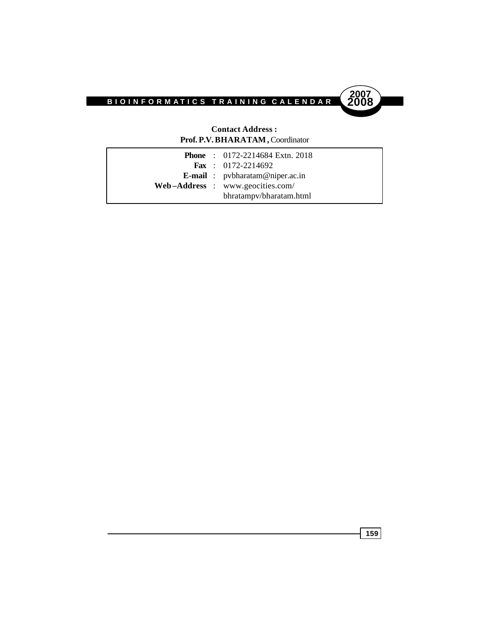

#### **Contact Address : Prof. P.V. BHARATAM,** Coordinator

|  | <b>Phone</b> : $0172 - 2214684$ Extn. 2018 |
|--|--------------------------------------------|
|  | <b>Fax</b> : $0172 - 2214692$              |
|  | <b>E-mail</b> : pybharatam@niper.ac.in     |
|  | $Web-Address: www.geocities.com/$          |
|  | bhratampy/bharatam.html                    |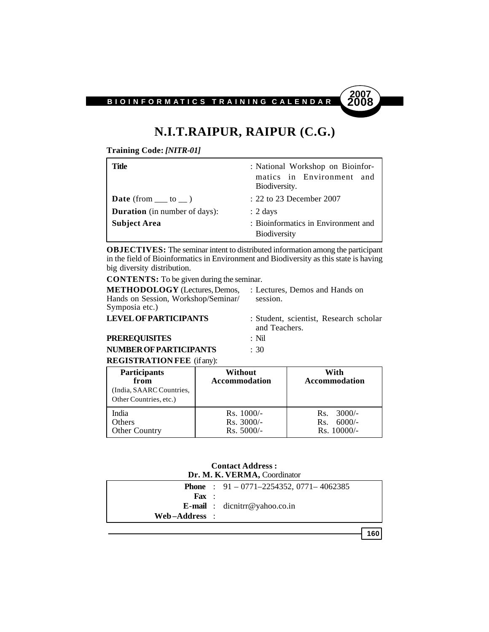

# **N.I.T.RAIPUR, RAIPUR (C.G.)**

**Training Code:** *[NITR-01]*

| Title                                | : National Workshop on Bioinfor-<br>matics in Environment and<br>Biodiversity. |
|--------------------------------------|--------------------------------------------------------------------------------|
| <b>Date</b> (from $\_\_$ to $\_\)$ ) | : 22 to 23 December 2007                                                       |
| <b>Duration</b> (in number of days): | $: 2 \text{ days}$                                                             |
| <b>Subject Area</b>                  | : Bioinformatics in Environment and<br><b>Biodiversity</b>                     |

**OBJECTIVES:** The seminar intent to distributed information among the participant in the field of Bioinformatics in Environment and Biodiversity as this state is having big diversity distribution.

**CONTENTS:** To be given during the seminar.

**METHODOLOGY** (Lectures, Demos, : Lectures, Demos and Hands on Hands on Session, Workshop/Seminar/ session. Symposia etc.)

**LEVEL OF PARTICIPANTS** : Student, scientist, Research scholar and Teachers.

**PREREQUISITES** : Nil

**NUMBER OF PARTICIPANTS** : 30 **REGISTRATION FEE** (if any):

| <b>Participants</b><br>from<br>(India, SAARC Countries,<br>Other Countries, etc.) | Without<br><b>Accommodation</b>              | With<br><b>Accommodation</b>                        |
|-----------------------------------------------------------------------------------|----------------------------------------------|-----------------------------------------------------|
| India<br><b>Others</b><br><b>Other Country</b>                                    | $Rs. 1000/-$<br>$Rs. 3000/-$<br>$Rs. 5000/-$ | $3000/-$<br>Rs.<br>$6000/-$<br>Rs.<br>$Rs. 10000/-$ |

#### **Contact Address : Dr. M. K. VERMA,** Coordinator

|                   | <b>Phone</b> : $91 - 0771 - 2254352$ , $0771 - 4062385$ |
|-------------------|---------------------------------------------------------|
| $\mathbf{F}$ ax : |                                                         |
|                   | <b>E-mail</b> : $divr@yahoo.co.in$                      |
| Web-Address :     |                                                         |
|                   |                                                         |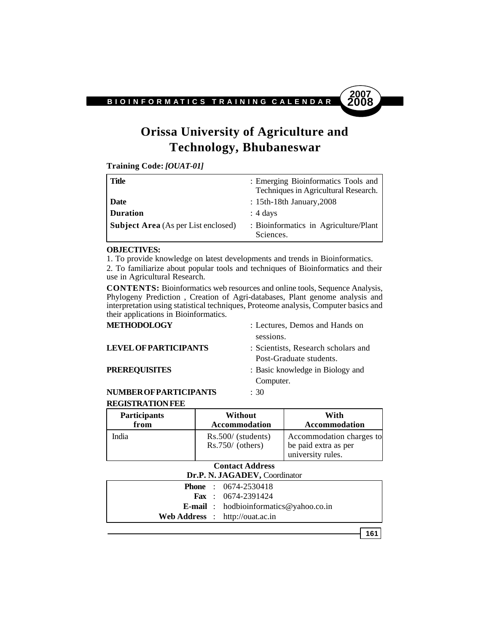

# **Orissa University of Agriculture and Technology, Bhubaneswar**

**Training Code:** *[OUAT-01]*

| <b>Title</b>                               | : Emerging Bioinformatics Tools and<br>Techniques in Agricultural Research. |
|--------------------------------------------|-----------------------------------------------------------------------------|
| Date                                       | : 15th-18th January, 2008                                                   |
| <b>Duration</b>                            | $: 4 \text{ days}$                                                          |
| <b>Subject Area</b> (As per List enclosed) | : Bioinformatics in Agriculture/Plant<br>Sciences.                          |

#### **OBJECTIVES:**

1. To provide knowledge on latest developments and trends in Bioinformatics. 2. To familiarize about popular tools and techniques of Bioinformatics and their use in Agricultural Research.

**CONTENTS:** Bioinformatics web resources and online tools, Sequence Analysis, Phylogeny Prediction , Creation of Agri-databases, Plant genome analysis and interpretation using statistical techniques, Proteome analysis, Computer basics and their applications in Bioinformatics.

| METHODOLOGY                  | : Lectures, Demos and Hands on      |
|------------------------------|-------------------------------------|
|                              | sessions.                           |
| <b>LEVEL OF PARTICIPANTS</b> | : Scientists, Research scholars and |
|                              | Post-Graduate students.             |
| <b>PREREQUISITES</b>         | : Basic knowledge in Biology and    |
|                              | Computer.                           |
|                              |                                     |

#### **NUMBER OF PARTICIPANTS** : 30 **REGISTRATION FEE**

| <b>Participants</b> | Without                                    | With                                                                  |
|---------------------|--------------------------------------------|-----------------------------------------------------------------------|
| from                | <b>Accommodation</b>                       | <b>Accommodation</b>                                                  |
| India               | $Rs.500/$ (students)<br>$Rs.750/$ (others) | Accommodation charges to<br>be paid extra as per<br>university rules. |

#### **Contact Address Dr.P. N. JAGADEV,** Coordinator

| $\mathbf{D} \mathbf{r} \cdot \mathbf{r} \cdot \mathbf{N} \cdot \mathbf{J} \mathbf{A} \mathbf{U} \mathbf{A} \mathbf{D} \mathbf{E} \mathbf{V} \cdot \mathbf{U}$ |  |                                               |
|---------------------------------------------------------------------------------------------------------------------------------------------------------------|--|-----------------------------------------------|
|                                                                                                                                                               |  | <b>Phone</b> : $0674-2530418$                 |
|                                                                                                                                                               |  | <b>Fax</b> : $0674-2391424$                   |
|                                                                                                                                                               |  | <b>E-mail</b> : hodbioinformatics@yahoo.co.in |
|                                                                                                                                                               |  | <b>Web Address</b> : http://ouat.ac.in        |
|                                                                                                                                                               |  |                                               |

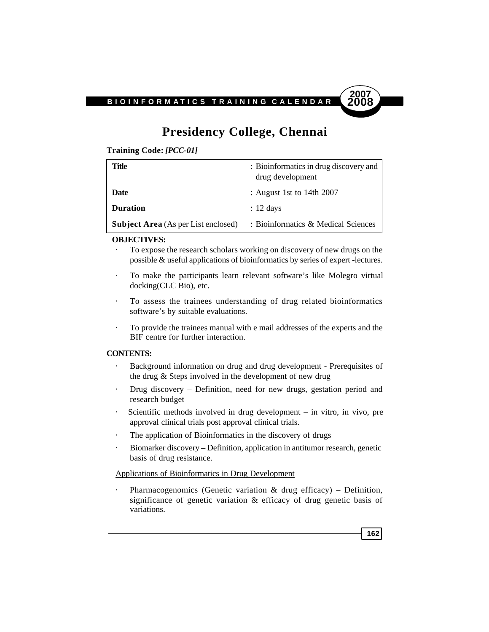

# **Presidency College, Chennai**

**Training Code:** *[PCC-01]*

| Title                                      | : Bioinformatics in drug discovery and<br>drug development |
|--------------------------------------------|------------------------------------------------------------|
| Date                                       | : August 1st to 14th $2007$                                |
| <b>Duration</b>                            | $: 12 \text{ days}$                                        |
| <b>Subject Area</b> (As per List enclosed) | : Bioinformatics & Medical Sciences                        |

#### **OBJECTIVES:**

- To expose the research scholars working on discovery of new drugs on the possible & useful applications of bioinformatics by series of expert -lectures.
- · To make the participants learn relevant software's like Molegro virtual docking(CLC Bio), etc.
- · To assess the trainees understanding of drug related bioinformatics software's by suitable evaluations.
- · To provide the trainees manual with e mail addresses of the experts and the BIF centre for further interaction.

#### **CONTENTS:**

- · Background information on drug and drug development Prerequisites of the drug & Steps involved in the development of new drug
- · Drug discovery Definition, need for new drugs, gestation period and research budget
- · Scientific methods involved in drug development in vitro, in vivo, pre approval clinical trials post approval clinical trials.
- · The application of Bioinformatics in the discovery of drugs
- Biomarker discovery Definition, application in antitumor research, genetic basis of drug resistance.

#### Applications of Bioinformatics in Drug Development

Pharmacogenomics (Genetic variation  $\&$  drug efficacy) – Definition, significance of genetic variation & efficacy of drug genetic basis of variations.

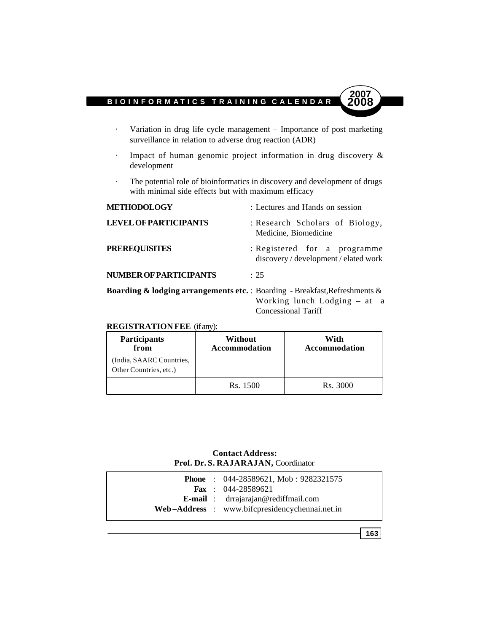- · Variation in drug life cycle management Importance of post marketing surveillance in relation to adverse drug reaction (ADR)
- · Impact of human genomic project information in drug discovery & development
- · The potential role of bioinformatics in discovery and development of drugs with minimal side effects but with maximum efficacy

| <b>METHODOLOGY</b>                                                                     | : Lectures and Hands on session                                       |
|----------------------------------------------------------------------------------------|-----------------------------------------------------------------------|
| <b>LEVEL OF PARTICIPANTS</b>                                                           | : Research Scholars of Biology,<br>Medicine, Biomedicine              |
| <b>PREREQUISITES</b>                                                                   | : Registered for a programme<br>discovery / development / elated work |
| NUMBER OF PARTICIPANTS                                                                 | $\cdot$ 25                                                            |
| <b>Boarding &amp; lodging arrangements etc.</b> : Boarding - Breakfast, Refreshments & |                                                                       |

Working lunch Lodging – at a Concessional Tariff

#### **REGISTRATION FEE** (if any):

| Participants<br>from                               | Without<br><b>Accommodation</b> | With<br><b>Accommodation</b> |
|----------------------------------------------------|---------------------------------|------------------------------|
| (India, SAARC Countries,<br>Other Countries, etc.) |                                 |                              |
|                                                    | Rs. 1500                        | Rs. 3000                     |

#### **Contact Address: Prof. Dr. S. RAJARAJAN,** Coordinator

|  | <b>Phone</b> : $044-28589621$ , Mob : $9282321575$ |
|--|----------------------------------------------------|
|  | <b>Fax</b> : $044-28589621$                        |
|  | <b>E-mail</b> : dragarajan@rediffmail.com          |
|  | Web-Address : www.bifcpresidencychennai.net.in     |
|  |                                                    |

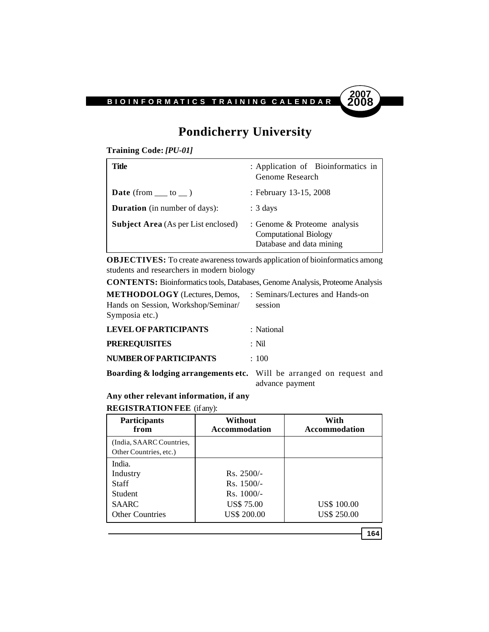

# **Pondicherry University**

**Training Code:** *[PU-01]*

| Title                                      | : Application of Bioinformatics in<br>Genome Research                                    |
|--------------------------------------------|------------------------------------------------------------------------------------------|
| <b>Date</b> (from $\_\_$ to $\_\)$ )       | : February 13-15, 2008                                                                   |
| <b>Duration</b> (in number of days):       | $: 3 \text{ days}$                                                                       |
| <b>Subject Area</b> (As per List enclosed) | : Genome & Proteome analysis<br><b>Computational Biology</b><br>Database and data mining |

**OBJECTIVES:** To create awareness towards application of bioinformatics among students and researchers in modern biology

**CONTENTS:** Bioinformatics tools, Databases, Genome Analysis, Proteome Analysis

| <b>METHODOLOGY</b> (Lectures, Demos, : Seminars/Lectures and Hands-on |         |
|-----------------------------------------------------------------------|---------|
| Hands on Session, Workshop/Seminar/                                   | session |
| Symposia etc.)                                                        |         |
|                                                                       |         |

| <b>LEVEL OF PARTICIPANTS</b>                | : National |
|---------------------------------------------|------------|
| <b>PREREQUISITES</b>                        | : Nil      |
| <b>NUMBER OF PARTICIPANTS</b>               | $\div$ 100 |
| $\sim$ $\sim$<br>$\cdots$ $\cdots$ $\cdots$ |            |

**Boarding & lodging arrangements etc.** Will be arranged on request and advance payment

### **Any other relevant information, if any**

#### **REGISTRATION FEE** (if any):

| <b>Participants</b><br>from                                                      | Without<br><b>Accommodation</b>                                                         | With<br><b>Accommodation</b>             |
|----------------------------------------------------------------------------------|-----------------------------------------------------------------------------------------|------------------------------------------|
| (India, SAARC Countries,<br>Other Countries, etc.)                               |                                                                                         |                                          |
| India.<br>Industry<br>Staff<br>Student<br><b>SAARC</b><br><b>Other Countries</b> | $Rs. 2500/-$<br>$Rs. 1500/-$<br>$Rs. 1000/-$<br><b>US\$ 75.00</b><br><b>US\$ 200.00</b> | <b>US\$ 100.00</b><br><b>US\$ 250.00</b> |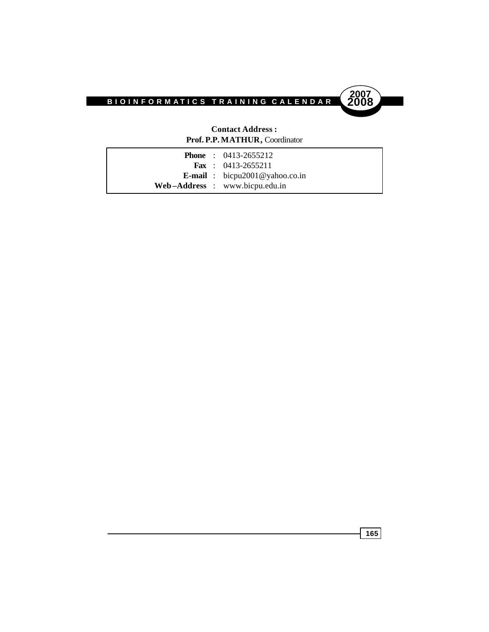



### **Contact Address : Prof. P.P. MATHUR,** Coordinator

|  | <b>Phone</b> : $0413-2655212$         |
|--|---------------------------------------|
|  | <b>Fax</b> : $0413 - 2655211$         |
|  | <b>E-mail</b> : bicpu2001@yahoo.co.in |
|  | Web-Address : www.bicpu.edu.in        |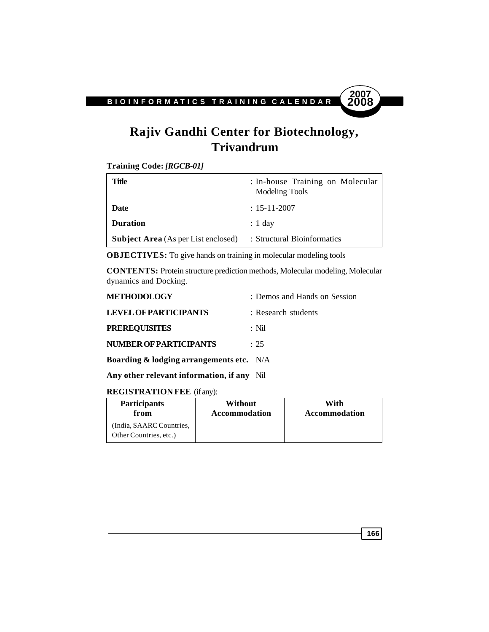

# **Rajiv Gandhi Center for Biotechnology, Trivandrum**

**Training Code:** *[RGCB-01]*

| Title                                      | : In-house Training on Molecular<br>Modeling Tools |
|--------------------------------------------|----------------------------------------------------|
| Date                                       | $: 15 - 11 - 2007$                                 |
| <b>Duration</b>                            | $: 1$ day                                          |
| <b>Subject Area</b> (As per List enclosed) | : Structural Bioinformatics                        |

**OBJECTIVES:** To give hands on training in molecular modeling tools

**CONTENTS:** Protein structure prediction methods, Molecular modeling, Molecular dynamics and Docking.

| <b>METHODOLOGY</b>                                  | : Demos and Hands on Session |
|-----------------------------------------------------|------------------------------|
| <b>LEVEL OF PARTICIPANTS</b>                        | : Research students          |
| <b>PREREQUISITES</b>                                | : Nil                        |
| <b>NUMBER OF PARTICIPANTS</b>                       | $\div$ 25                    |
| <b>Boarding &amp; lodging arrangements etc.</b> N/A |                              |

**Any other relevant information, if any** Nil

### **REGISTRATION FEE** (if any):

| <b>Participants</b>                                | Without              | With                 |
|----------------------------------------------------|----------------------|----------------------|
| from                                               | <b>Accommodation</b> | <b>Accommodation</b> |
| (India, SAARC Countries,<br>Other Countries, etc.) |                      |                      |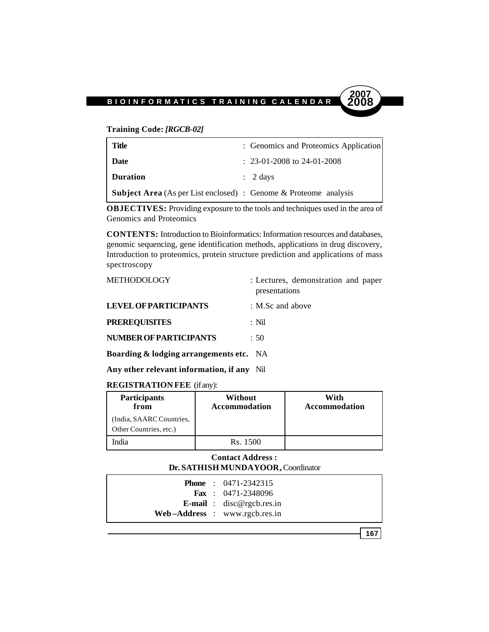**Training Code:** *[RGCB-02]*

| <b>Title</b>                                                            | : Genomics and Proteomics Application |
|-------------------------------------------------------------------------|---------------------------------------|
| <b>Date</b>                                                             | $: 23-01-2008$ to 24-01-2008          |
| <b>Duration</b>                                                         | $\therefore$ 2 days                   |
| <b>Subject Area</b> (As per List enclosed) : Genome & Proteome analysis |                                       |

**OBJECTIVES:** Providing exposure to the tools and techniques used in the area of Genomics and Proteomics

**CONTENTS:** Introduction to Bioinformatics: Information resources and databases, genomic sequencing, gene identification methods, applications in drug discovery, Introduction to proteomics, protein structure prediction and applications of mass spectroscopy

| <b>METHODOLOGY</b>                      | : Lectures, demonstration and paper<br>presentations |
|-----------------------------------------|------------------------------------------------------|
| LEVEL OF PARTICIPANTS                   | $\therefore$ M.Sc and above                          |
| <b>PREREQUISITES</b>                    | $\cdot$ Nil                                          |
| <b>NUMBER OF PARTICIPANTS</b>           | : 50                                                 |
| Boarding & lodging arrangements etc. NA |                                                      |
|                                         |                                                      |

**Any other relevant information, if any** Nil

#### **REGISTRATION FEE** (if any):

| <b>Participants</b><br>from                        | Without<br><b>Accommodation</b> | With<br><b>Accommodation</b> |
|----------------------------------------------------|---------------------------------|------------------------------|
| (India, SAARC Countries,<br>Other Countries, etc.) |                                 |                              |
| India                                              | Rs. 1500                        |                              |

#### **Contact Address : Dr. SATHISH MUNDAYOOR,** Coordinator

|  | <b>Phone</b> : $0471 - 2342315$   |
|--|-----------------------------------|
|  | <b>Fax</b> : $0471-2348096$       |
|  | <b>E-mail</b> : $disc@rgcbres.in$ |
|  | $Web-Address: www.rgcb.res.in$    |

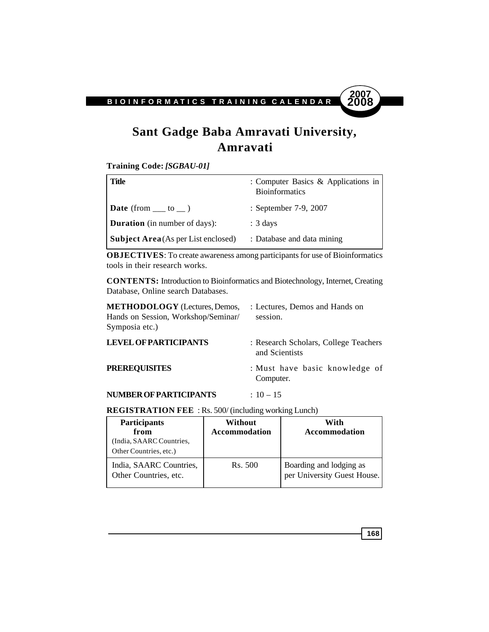

# **Sant Gadge Baba Amravati University, Amravati**

**Training Code:** *[SGBAU-01]*

| Title                                      | : Computer Basics & Applications in<br><b>Bioinformatics</b> |
|--------------------------------------------|--------------------------------------------------------------|
| <b>Date</b> (from $\_\_$ to $\_\_$ )       | : September 7-9, 2007                                        |
| <b>Duration</b> (in number of days):       | $: 3 \text{ days}$                                           |
| <b>Subject Area</b> (As per List enclosed) | : Database and data mining                                   |

**OBJECTIVES**: To create awareness among participants for use of Bioinformatics tools in their research works.

**CONTENTS:** Introduction to Bioinformatics and Biotechnology, Internet, Creating Database, Online search Databases.

| <b>METHODOLOGY</b> (Lectures, Demos,<br>Hands on Session, Workshop/Seminar/<br>Symposia etc.) | : Lectures, Demos and Hands on<br>session.              |
|-----------------------------------------------------------------------------------------------|---------------------------------------------------------|
| <b>LEVEL OF PARTICIPANTS</b>                                                                  | : Research Scholars, College Teachers<br>and Scientists |

| <b>PREREQUISITES</b> | : Must have basic knowledge of |
|----------------------|--------------------------------|
|                      | Computer.                      |

### **NUMBER OF PARTICIPANTS** : 10 – 15

#### **REGISTRATION FEE** : Rs. 500/ (including working Lunch)

| <b>Participants</b><br>from<br>(India, SAARC Countries,<br>Other Countries, etc.) | Without<br><b>Accommodation</b> | With<br><b>Accommodation</b>                           |
|-----------------------------------------------------------------------------------|---------------------------------|--------------------------------------------------------|
| India, SAARC Countries,<br>Other Countries, etc.                                  | Rs. 500                         | Boarding and lodging as<br>per University Guest House. |

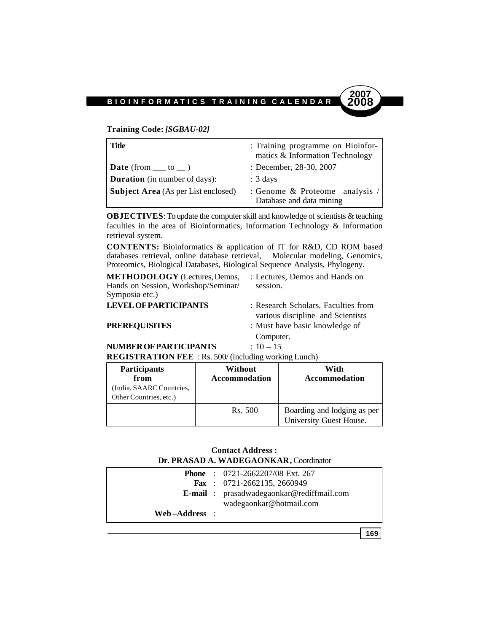**Training Code:** *[SGBAU-02]*

| <b>Title</b>                               | : Training programme on Bioinfor-<br>matics & Information Technology |
|--------------------------------------------|----------------------------------------------------------------------|
| <b>Date</b> (from $\_\_$ to $\_\)$ )       | : December, 28-30, 2007                                              |
| <b>Duration</b> (in number of days):       | $: 3 \text{ days}$                                                   |
| <b>Subject Area</b> (As per List enclosed) | : Genome & Proteome analysis /<br>Database and data mining           |

**OBJECTIVES**: To update the computer skill and knowledge of scientists & teaching faculties in the area of Bioinformatics, Information Technology & Information retrieval system.

**CONTENTS:** Bioinformatics & application of IT for R&D, CD ROM based databases retrieval, online database retrieval, Molecular modeling, Genomics, Proteomics, Biological Databases, Biological Sequence Analysis, Phylogeny.

**METHODOLOGY** (Lectures, Demos, : Lectures, Demos and Hands on Hands on Session, Workshop/Seminar/ session. Symposia etc.)

**2007**

**LEVEL OF PARTICIPANTS** : Research Scholars, Faculties from various discipline and Scientists

- **PREREQUISITES** : Must have basic knowledge of
	- Computer.

**NUMBER OF PARTICIPANTS** : 10 – 15

**REGISTRATION FEE** : Rs. 500/ (including working Lunch)

| <b>Participants</b><br>from<br>India, SAARC Countries,<br>Other Countries, etc.) | Without<br><b>Accommodation</b> | With<br>Accommodation                                  |
|----------------------------------------------------------------------------------|---------------------------------|--------------------------------------------------------|
|                                                                                  | Rs. 500                         | Boarding and lodging as per<br>University Guest House. |

#### **Contact Address : Dr. PRASAD A. WADEGAONKAR,** Coordinator

|               | <b>Phone</b> : $0721 - 2662207/08$ Ext. 267<br><b>Fax</b> : $0721 - 2662135$ , 2660949 |
|---------------|----------------------------------------------------------------------------------------|
|               | <b>E-mail</b> : prasadwadegaonkar@rediffmail.com                                       |
| Web–Address : | wadegaonkar@hotmail.com                                                                |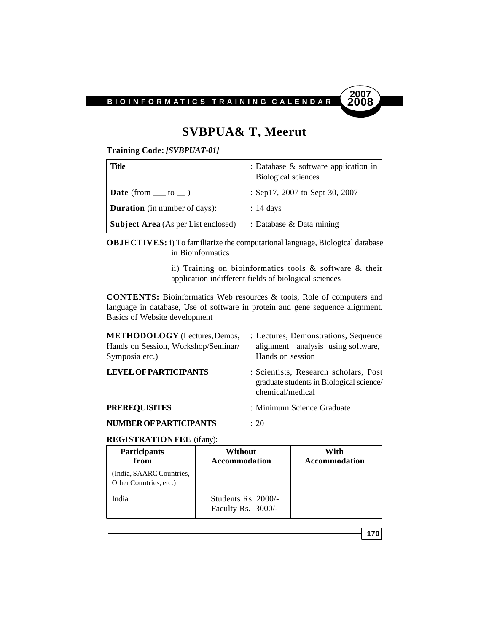

# **SVBPUA& T, Meerut**

**Training Code:** *[SVBPUAT-01]*

| Title                                      | : Database $\&$ software application in<br>Biological sciences |
|--------------------------------------------|----------------------------------------------------------------|
| $\vert$ Date (from __ to _)                | : Sep17, 2007 to Sept 30, 2007                                 |
| <b>Duration</b> (in number of days):       | $: 14 \text{ days}$                                            |
| <b>Subject Area</b> (As per List enclosed) | : Database $\&$ Data mining                                    |

**OBJECTIVES:** i) To familiarize the computational language, Biological database in Bioinformatics

> ii) Training on bioinformatics tools & software & their application indifferent fields of biological sciences

**CONTENTS:** Bioinformatics Web resources & tools, Role of computers and language in database, Use of software in protein and gene sequence alignment. Basics of Website development

| <b>METHODOLOGY</b> (Lectures, Demos,<br>Hands on Session, Workshop/Seminar/<br>Symposia etc.) | : Lectures, Demonstrations, Sequence<br>alignment analysis using software,<br>Hands on session        |
|-----------------------------------------------------------------------------------------------|-------------------------------------------------------------------------------------------------------|
| <b>LEVEL OF PARTICIPANTS</b>                                                                  | : Scientists, Research scholars, Post<br>graduate students in Biological science/<br>chemical/medical |
| <b>PREREQUISITES</b>                                                                          | : Minimum Science Graduate                                                                            |
| <b>NUMBER OF PARTICIPANTS</b>                                                                 | : 20                                                                                                  |

**REGISTRATION FEE** (if any):

| <b>Participants</b><br>from                        | Without<br><b>Accommodation</b>           | With<br><b>Accommodation</b> |
|----------------------------------------------------|-------------------------------------------|------------------------------|
| (India, SAARC Countries,<br>Other Countries, etc.) |                                           |                              |
| India                                              | Students Rs. 2000/-<br>Faculty Rs. 3000/- |                              |

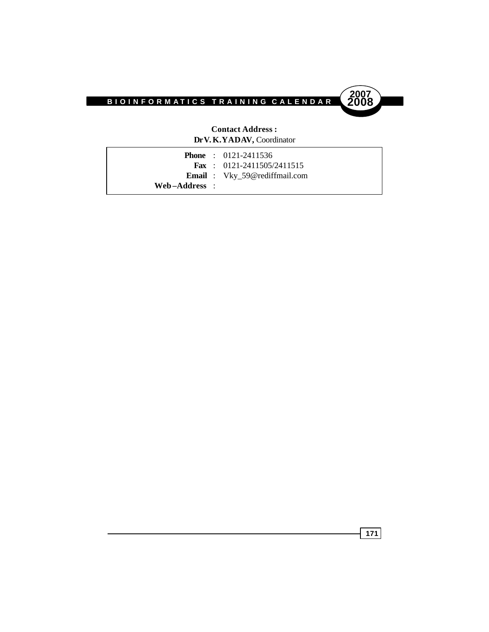



#### **Contact Address : Dr V.K.YADAV,** Coordinator

|               | <b>Phone</b> : $0121-2411536$        |
|---------------|--------------------------------------|
|               | <b>Fax</b> : $0121-2411505/2411515$  |
|               | <b>Email</b> : Vky_59@rediffmail.com |
| Web–Address : |                                      |

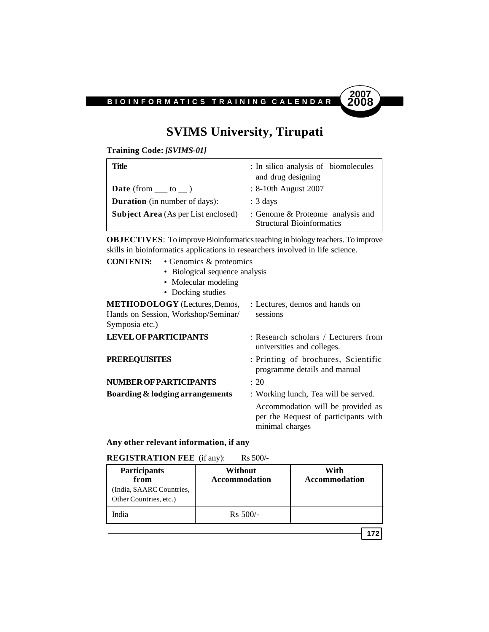

# **SVIMS University, Tirupati**

**Training Code:** *[SVIMS-01]*

| Title                                      | : In silico analysis of biomolecules<br>and drug designing           |  |
|--------------------------------------------|----------------------------------------------------------------------|--|
| <b>Date</b> (from $\_\_$ to $\_\)$ )       | : 8-10th August 2007                                                 |  |
| <b>Duration</b> (in number of days):       | $: 3 \text{ days}$                                                   |  |
| <b>Subject Area</b> (As per List enclosed) | : Genome & Proteome analysis and<br><b>Structural Bioinformatics</b> |  |

**OBJECTIVES**: To improve Bioinformatics teaching in biology teachers. To improve skills in bioinformatics applications in researchers involved in life science.

# **CONTENTS:** • Genomics & proteomics

- Biological sequence analysis
- Molecular modeling
- Docking studies

| <b>METHODOLOGY</b> (Lectures, Demos,<br>Hands on Session, Workshop/Seminar/<br>Symposia etc.) | : Lectures, demos and hands on<br>sessions                                                   |  |
|-----------------------------------------------------------------------------------------------|----------------------------------------------------------------------------------------------|--|
|                                                                                               |                                                                                              |  |
| <b>LEVEL OF PARTICIPANTS</b>                                                                  | : Research scholars / Lecturers from<br>universities and colleges.                           |  |
| <b>PREREQUISITES</b>                                                                          | : Printing of brochures, Scientific<br>programme details and manual                          |  |
| NUMBER OF PARTICIPANTS                                                                        | : 20                                                                                         |  |
| Boarding & lodging arrangements                                                               | : Working lunch, Tea will be served.                                                         |  |
|                                                                                               | Accommodation will be provided as<br>per the Request of participants with<br>minimal charges |  |

#### **Any other relevant information, if any**

#### **REGISTRATION FEE** (if any): Rs 500/-

| <b>Participants</b><br>from<br>(India, SAARC Countries,<br>Other Countries, etc.) | Without<br><b>Accommodation</b> | With<br><b>Accommodation</b> |
|-----------------------------------------------------------------------------------|---------------------------------|------------------------------|
| India                                                                             | $Rs 500/-$                      |                              |
|                                                                                   |                                 |                              |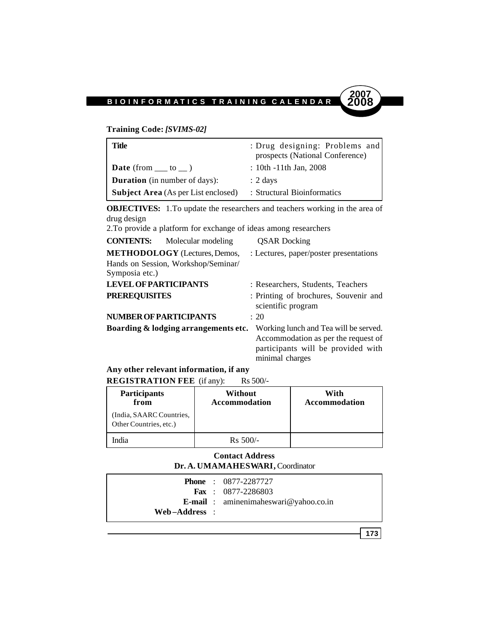#### **Training Code:** *[SVIMS-02]*

| Title                                      | : Drug designing: Problems and<br>prospects (National Conference) |  |
|--------------------------------------------|-------------------------------------------------------------------|--|
| <b>Date</b> (from $\_\_$ to $\_\)$ )       | $: 10th - 11th$ Jan, 2008                                         |  |
| <b>Duration</b> (in number of days):       | $: 2 \text{ days}$                                                |  |
| <b>Subject Area</b> (As per List enclosed) | : Structural Bioinformatics                                       |  |

**OBJECTIVES:** 1.To update the researchers and teachers working in the area of drug design

2.To provide a platform for exchange of ideas among researchers

| <b>CONTENTS:</b><br>Molecular modeling | <b>QSAR</b> Docking                                                                                                                   |
|----------------------------------------|---------------------------------------------------------------------------------------------------------------------------------------|
| <b>METHODOLOGY</b> (Lectures, Demos,   | : Lectures, paper/poster presentations                                                                                                |
| Hands on Session, Workshop/Seminar/    |                                                                                                                                       |
| Symposia etc.)                         |                                                                                                                                       |
| <b>LEVEL OF PARTICIPANTS</b>           | : Researchers, Students, Teachers                                                                                                     |
| <b>PREREQUISITES</b>                   | : Printing of brochures, Souvenir and<br>scientific program                                                                           |
| NUMBER OF PARTICIPANTS                 | $\div$ 20                                                                                                                             |
| Boarding & lodging arrangements etc.   | Working lunch and Tea will be served.<br>Accommodation as per the request of<br>participants will be provided with<br>minimal charges |

#### **Any other relevant information, if any REGISTRATION FEE** (if any): Rs 500/-

| Participants<br>from                               | Without<br><b>Accommodation</b> | With<br><b>Accommodation</b> |
|----------------------------------------------------|---------------------------------|------------------------------|
| (India, SAARC Countries,<br>Other Countries, etc.) |                                 |                              |
| ndia                                               | $Rs 500/-$                      |                              |

#### **Contact Address Dr. A. UMAMAHESWARI,** Coordinator

|               | <b>Phone</b> : 0877-2287727                  |
|---------------|----------------------------------------------|
|               | <b>Fax</b> : $0877 - 2286803$                |
|               | <b>E-mail</b> : aminenimaleswari@yahoo.co.in |
| Web–Address : |                                              |
|               |                                              |

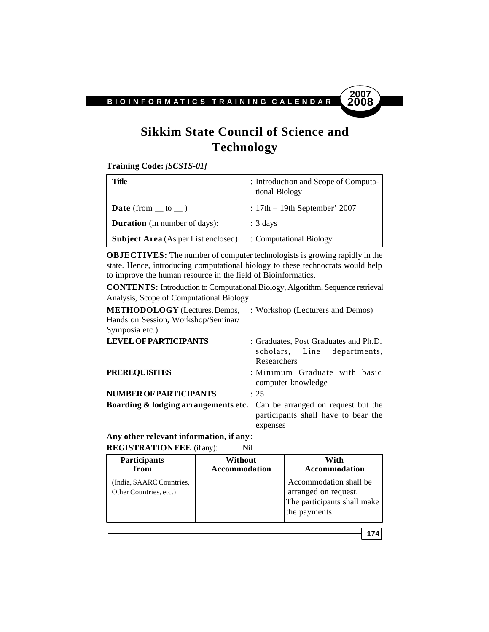

# **Sikkim State Council of Science and Technology**

**Training Code:** *[SCSTS-01]*

| Title                                      | : Introduction and Scope of Computa-<br>tional Biology |
|--------------------------------------------|--------------------------------------------------------|
| <b>Date</b> (from $\_\$ to $\_\)$ )        | : $17th - 19th$ September' 2007                        |
| <b>Duration</b> (in number of days):       | $: 3 \text{ days}$                                     |
| <b>Subject Area</b> (As per List enclosed) | : Computational Biology                                |

**OBJECTIVES:** The number of computer technologists is growing rapidly in the state. Hence, introducing computational biology to these technocrats would help to improve the human resource in the field of Bioinformatics.

**CONTENTS:** Introduction to Computational Biology, Algorithm, Sequence retrieval Analysis, Scope of Computational Biology.

| <b>METHODOLOGY</b> (Lectures, Demos,<br>Hands on Session, Workshop/Seminar/        | : Workshop (Lecturers and Demos)                                                    |
|------------------------------------------------------------------------------------|-------------------------------------------------------------------------------------|
| Symposia etc.)                                                                     |                                                                                     |
| <b>LEVEL OF PARTICIPANTS</b>                                                       | : Graduates, Post Graduates and Ph.D.<br>scholars, Line departments,<br>Researchers |
| <b>PREREQUISITES</b>                                                               | : Minimum Graduate with basic<br>computer knowledge                                 |
| <b>NUMBER OF PARTICIPANTS</b>                                                      | : 25                                                                                |
| <b>Boarding &amp; lodging arrangements etc.</b> Can be arranged on request but the | participants shall have to bear the<br>expenses                                     |

**Any other relevant information, if any**: **REGISTRATION FEE** (if any): Nil

| Participants                                       | Without              | With                                                                                           |
|----------------------------------------------------|----------------------|------------------------------------------------------------------------------------------------|
| from                                               | <b>Accommodation</b> | Accommodation                                                                                  |
| (India, SAARC Countries,<br>Other Countries, etc.) |                      | Accommodation shall be<br>arranged on request.<br>The participants shall make<br>the payments. |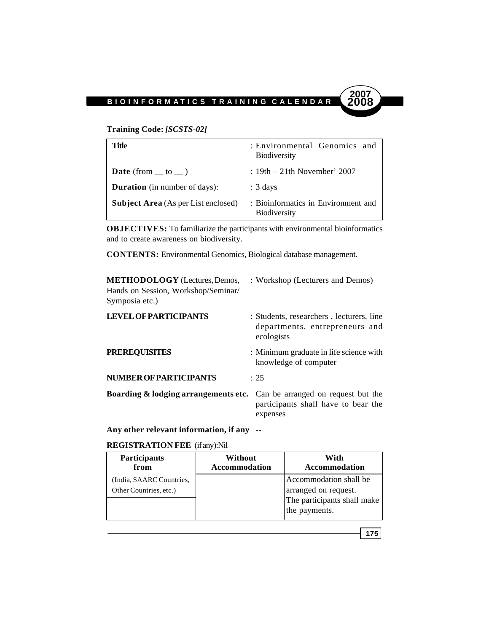#### **Training Code:** *[SCSTS-02]*

| Title                                      | : Environmental Genomics and<br><b>Biodiversity</b>        |
|--------------------------------------------|------------------------------------------------------------|
| <b>Date</b> (from $\_\$ to $\_\)$ )        | $: 19th - 21th$ November' 2007                             |
| <b>Duration</b> (in number of days):       | $: 3 \text{ days}$                                         |
| <b>Subject Area</b> (As per List enclosed) | : Bioinformatics in Environment and<br><b>Biodiversity</b> |

**OBJECTIVES:** To familiarize the participants with environmental bioinformatics and to create awareness on biodiversity.

**CONTENTS:** Environmental Genomics, Biological database management.

| <b>METHODOLOGY</b> (Lectures, Demos,<br>Hands on Session, Workshop/Seminar/<br>Symposia etc.) | : Workshop (Lecturers and Demos)                                                         |
|-----------------------------------------------------------------------------------------------|------------------------------------------------------------------------------------------|
| <b>LEVEL OF PARTICIPANTS</b>                                                                  | : Students, researchers, lecturers, line<br>departments, entrepreneurs and<br>ecologists |
| <b>PREREQUISITES</b>                                                                          | : Minimum graduate in life science with<br>knowledge of computer                         |
| <b>NUMBER OF PARTICIPANTS</b>                                                                 | : 25                                                                                     |
| <b>Boarding &amp; lodging arrangements etc.</b> Can be arranged on request but the            | participants shall have to bear the<br>expenses                                          |

**Any other relevant information, if any** --

#### **REGISTRATION FEE** (if any):Nil

| <b>Participants</b>                                | Without              | With                                                                                           |
|----------------------------------------------------|----------------------|------------------------------------------------------------------------------------------------|
| from                                               | <b>Accommodation</b> | <b>Accommodation</b>                                                                           |
| (India, SAARC Countries,<br>Other Countries, etc.) |                      | Accommodation shall be<br>arranged on request.<br>The participants shall make<br>the payments. |

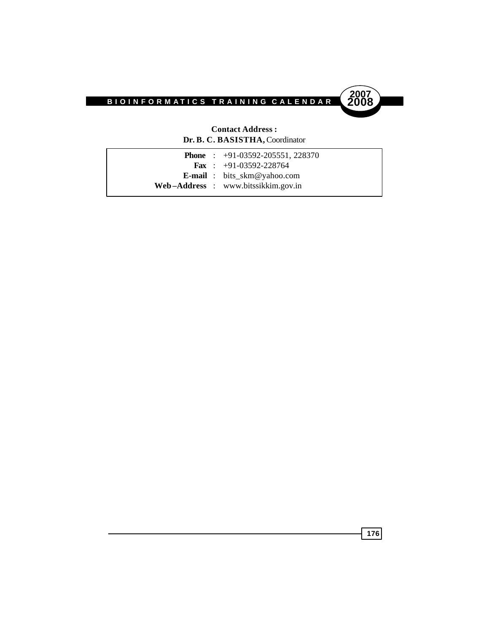



#### **Contact Address : Dr. B. C. BASISTHA,** Coordinator

|  | <b>Phone</b> : $+91-03592-205551, 228370$ |
|--|-------------------------------------------|
|  | <b>Fax</b> : $+91-03592-228764$           |
|  | <b>E-mail</b> : bits_skm@yahoo.com        |
|  | Web-Address : www.bitssikkim.gov.in       |
|  |                                           |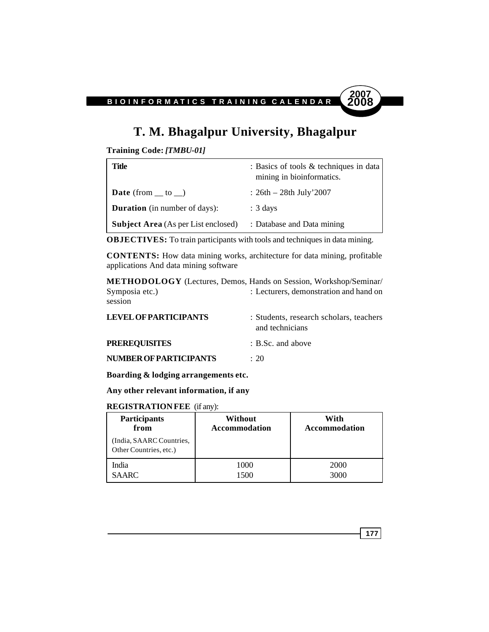## **T. M. Bhagalpur University, Bhagalpur**

**Training Code:** *[TMBU-01]*

| Title                                      | : Basics of tools & techniques in data<br>mining in bioinformatics. |
|--------------------------------------------|---------------------------------------------------------------------|
| <b>Date</b> (from $\_\_$ to $\_\)$ )       | : $26th - 28th$ July' $2007$                                        |
| <b>Duration</b> (in number of days):       | $: 3 \text{ days}$                                                  |
| <b>Subject Area</b> (As per List enclosed) | : Database and Data mining                                          |

**OBJECTIVES:** To train participants with tools and techniques in data mining.

**CONTENTS:** How data mining works, architecture for data mining, profitable applications And data mining software

**METHODOLOGY** (Lectures, Demos, Hands on Session, Workshop/Seminar/ Symposia etc.) : Lecturers, demonstration and hand on session

| <b>LEVEL OF PARTICIPANTS</b>  | : Students, research scholars, teachers<br>and technicians |  |
|-------------------------------|------------------------------------------------------------|--|
| <b>PREREQUISITES</b>          | $\therefore$ B.Sc. and above                               |  |
| <b>NUMBER OF PARTICIPANTS</b> | $\div$ 20                                                  |  |

**Boarding & lodging arrangements etc.**

**Any other relevant information, if any**

#### **REGISTRATION FEE** (if any):

| <b>Participants</b>                                | Without              | With          |
|----------------------------------------------------|----------------------|---------------|
| from                                               | <b>Accommodation</b> | Accommodation |
| (India, SAARC Countries,<br>Other Countries, etc.) |                      |               |
| India                                              | 1000                 | 2000          |
| <b>SAARC</b>                                       | 1500                 | 3000          |

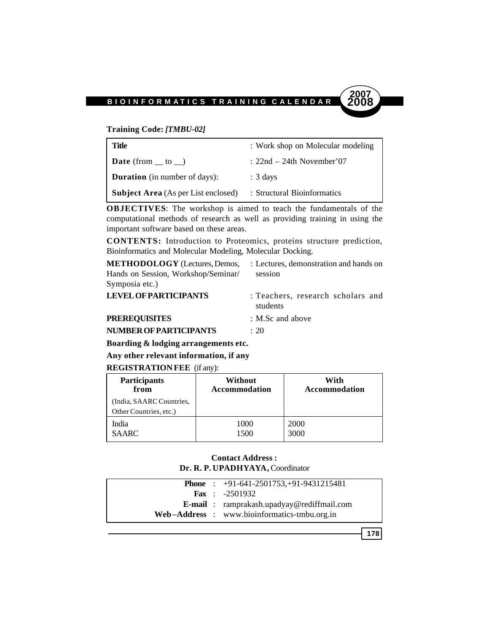#### **Training Code:** *[TMBU-02]*

| Title                                      | : Work shop on Molecular modeling |
|--------------------------------------------|-----------------------------------|
| <b>Date</b> (from $\_\$ to $\_\)$ )        | $: 22nd - 24th$ November'07       |
| <b>Duration</b> (in number of days):       | $: 3 \text{ days}$                |
| <b>Subject Area</b> (As per List enclosed) | : Structural Bioinformatics       |

**OBJECTIVES**: The workshop is aimed to teach the fundamentals of the computational methods of research as well as providing training in using the important software based on these areas.

**CONTENTS:** Introduction to Proteomics, proteins structure prediction, Bioinformatics and Molecular Modeling, Molecular Docking.

| <b>METHODOLOGY</b> (Lectures, Demos, | : Lectures, demonstration and hands on        |
|--------------------------------------|-----------------------------------------------|
| Hands on Session, Workshop/Seminar/  | session                                       |
| Symposia etc.)                       |                                               |
| <b>LEVEL OF PARTICIPANTS</b>         | : Teachers, research scholars and<br>students |
| <b>PREREQUISITES</b>                 | $\therefore$ M.Sc and above                   |
| NUMBER OF PARTICIPANTS               | : 20                                          |

**Boarding & lodging arrangements etc.**

**Any other relevant information, if any**

#### **REGISTRATION FEE** (if any):

| <b>Participants</b>                                | Without              | With                 |
|----------------------------------------------------|----------------------|----------------------|
| from                                               | <b>Accommodation</b> | <b>Accommodation</b> |
| (India, SAARC Countries,<br>Other Countries, etc.) |                      |                      |
| India                                              | 1000                 | 2000                 |
| <b>SAARC</b>                                       | 1500                 | 3000                 |

#### **Contact Address : Dr. R. P. UPADHYAYA,** Coordinator

|  | <b>Phone</b> : $+91-641-2501753+91-9431215481$    |
|--|---------------------------------------------------|
|  | <b>Fax</b> : $-2501932$                           |
|  | <b>E-mail</b> : ramprakash.upadyay@rediffmail.com |
|  | Web-Address : www.bioinformatics-tmbu.org.in      |

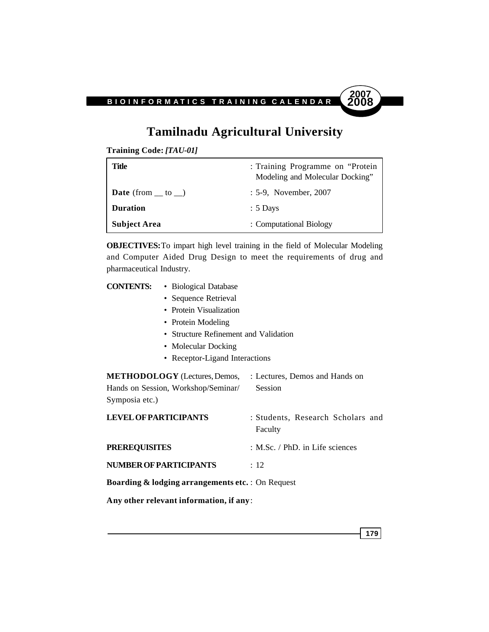## **Tamilnadu Agricultural University**

**Training Code:** *[TAU-01]*

| Title                               | : Training Programme on "Protein"<br>Modeling and Molecular Docking" |
|-------------------------------------|----------------------------------------------------------------------|
| <b>Date</b> (from $\_\$ to $\_\)$ ) | : 5-9, November, 2007                                                |
| <b>Duration</b>                     | $: 5$ Days                                                           |
| <b>Subject Area</b>                 | : Computational Biology                                              |

**OBJECTIVES:**To impart high level training in the field of Molecular Modeling and Computer Aided Drug Design to meet the requirements of drug and pharmaceutical Industry.

| <b>CONTENTS:</b><br>• Biological Database                                                     |                                              |  |  |
|-----------------------------------------------------------------------------------------------|----------------------------------------------|--|--|
| • Sequence Retrieval                                                                          |                                              |  |  |
| • Protein Visualization                                                                       |                                              |  |  |
| • Protein Modeling                                                                            |                                              |  |  |
| • Structure Refinement and Validation                                                         |                                              |  |  |
| • Molecular Docking                                                                           |                                              |  |  |
| • Receptor-Ligand Interactions                                                                |                                              |  |  |
| <b>METHODOLOGY</b> (Lectures, Demos,<br>Hands on Session, Workshop/Seminar/<br>Symposia etc.) | : Lectures, Demos and Hands on<br>Session    |  |  |
| <b>LEVEL OF PARTICIPANTS</b>                                                                  | : Students, Research Scholars and<br>Faculty |  |  |
| <b>PREREQUISITES</b>                                                                          | : M.Sc. / PhD. in Life sciences              |  |  |
| <b>NUMBER OF PARTICIPANTS</b>                                                                 | : 12                                         |  |  |
| <b>Boarding &amp; lodging arrangements etc.</b> : On Request                                  |                                              |  |  |
| Any other relevant information, if any:                                                       |                                              |  |  |

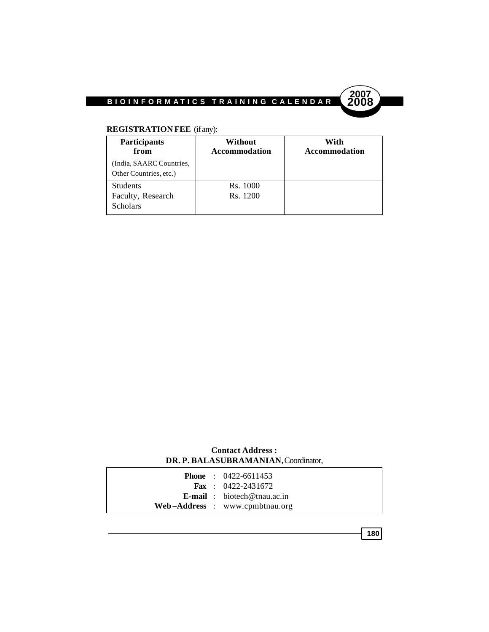

### **REGISTRATION FEE** (if any):

| <b>Participants</b><br>from | Without<br><b>Accommodation</b> | With<br><b>Accommodation</b> |
|-----------------------------|---------------------------------|------------------------------|
| (India, SAARC Countries,    |                                 |                              |
| Other Countries, etc.)      |                                 |                              |
| <b>Students</b>             | Rs. 1000                        |                              |
| Faculty, Research           | Rs. 1200                        |                              |
| <b>Scholars</b>             |                                 |                              |

#### **Contact Address : DR. P. BALASUBRAMANIAN,** Coordinator,

|  | <b>Phone</b> : $0422-6611453$      |
|--|------------------------------------|
|  | <b>Fax</b> : $0422 - 2431672$      |
|  | <b>E-mail</b> : biotech@tnau.ac.in |
|  | Web-Address : www.cpmbtnau.org     |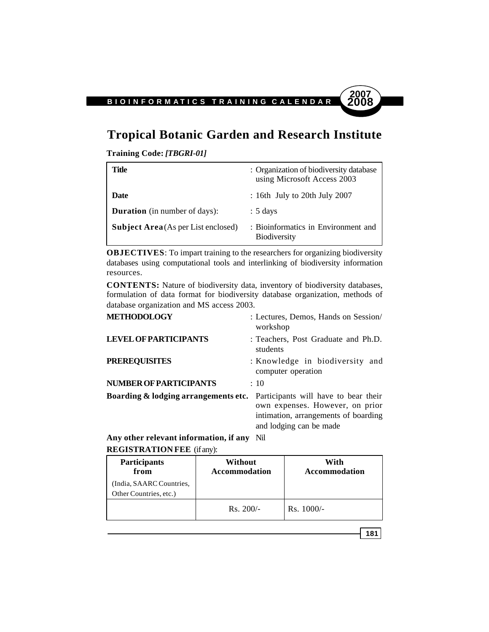## **Tropical Botanic Garden and Research Institute**

**Training Code:** *[TBGRI-01]*

| Title                                      | : Organization of biodiversity database<br>using Microsoft Access 2003 |
|--------------------------------------------|------------------------------------------------------------------------|
| Date                                       | $\pm$ 16th July to 20th July 2007                                      |
| <b>Duration</b> (in number of days):       | $: 5 \text{ days}$                                                     |
| <b>Subject Area</b> (As per List enclosed) | : Bioinformatics in Environment and<br><b>Biodiversity</b>             |

**OBJECTIVES**: To impart training to the researchers for organizing biodiversity databases using computational tools and interlinking of biodiversity information resources.

**CONTENTS:** Nature of biodiversity data, inventory of biodiversity databases, formulation of data format for biodiversity database organization, methods of database organization and MS access 2003.

| <b>METHODOLOGY</b>                                                                   | : Lectures, Demos, Hands on Session/<br>workshop                                                   |
|--------------------------------------------------------------------------------------|----------------------------------------------------------------------------------------------------|
| <b>LEVEL OF PARTICIPANTS</b>                                                         | : Teachers, Post Graduate and Ph.D.<br>students                                                    |
| <b>PREREQUISITES</b>                                                                 | : Knowledge in biodiversity and<br>computer operation                                              |
| <b>NUMBER OF PARTICIPANTS</b>                                                        | $\div$ 10                                                                                          |
| <b>Boarding &amp; lodging arrangements etc.</b> Participants will have to bear their | own expenses. However, on prior<br>intimation, arrangements of boarding<br>and lodging can be made |
|                                                                                      |                                                                                                    |

**Any other relevant information, if any** Nil **REGISTRATION FEE** (if any):

| <b>Participants</b><br>from                        | Without<br><b>Accommodation</b> | With<br><b>Accommodation</b> |
|----------------------------------------------------|---------------------------------|------------------------------|
| (India, SAARC Countries,<br>Other Countries, etc.) |                                 |                              |
|                                                    | $Rs. 200/-$                     | $Rs. 1000/-$                 |

**181**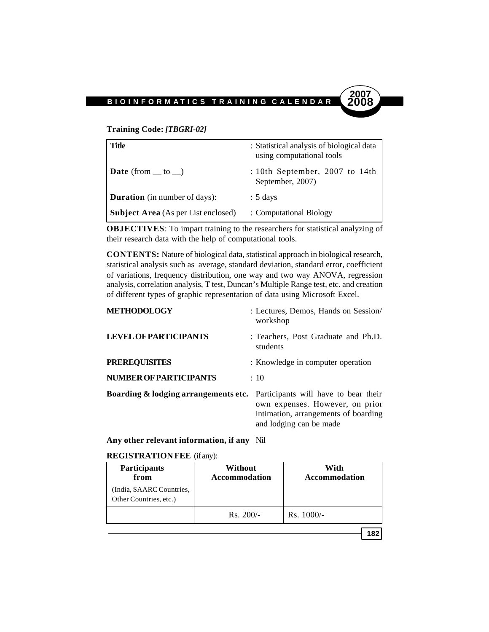#### **Training Code:** *[TBGRI-02]*

| <b>Title</b>                               | : Statistical analysis of biological data<br>using computational tools |  |
|--------------------------------------------|------------------------------------------------------------------------|--|
| <b>Date</b> (from $\_\$ to $\_\)$ )        | : 10th September, 2007 to 14th<br>September, 2007)                     |  |
| <b>Duration</b> (in number of days):       | $: 5 \text{ days}$                                                     |  |
| <b>Subject Area</b> (As per List enclosed) | : Computational Biology                                                |  |

**OBJECTIVES**: To impart training to the researchers for statistical analyzing of their research data with the help of computational tools.

**CONTENTS:** Nature of biological data, statistical approach in biological research, statistical analysis such as average, standard deviation, standard error, coefficient of variations, frequency distribution, one way and two way ANOVA, regression analysis, correlation analysis, T test, Duncan's Multiple Range test, etc. and creation of different types of graphic representation of data using Microsoft Excel.

| <b>METHODOLOGY</b>                                                                   | : Lectures, Demos, Hands on Session<br>workshop                                                    |
|--------------------------------------------------------------------------------------|----------------------------------------------------------------------------------------------------|
| <b>LEVEL OF PARTICIPANTS</b>                                                         | : Teachers, Post Graduate and Ph.D.<br>students                                                    |
| <b>PREREQUISITES</b>                                                                 | : Knowledge in computer operation                                                                  |
| <b>NUMBER OF PARTICIPANTS</b>                                                        | $\div$ 10                                                                                          |
| <b>Boarding &amp; lodging arrangements etc.</b> Participants will have to bear their | own expenses. However, on prior<br>intimation, arrangements of boarding<br>and lodging can be made |

**Any other relevant information, if any** Nil

#### **REGISTRATION FEE** (if any):

| <b>Participants</b><br>from                        | Without<br><b>Accommodation</b> | With<br><b>Accommodation</b> |
|----------------------------------------------------|---------------------------------|------------------------------|
| (India, SAARC Countries,<br>Other Countries, etc.) |                                 |                              |
|                                                    | $Rs. 200/-$                     | $Rs. 1000/-$                 |

**182**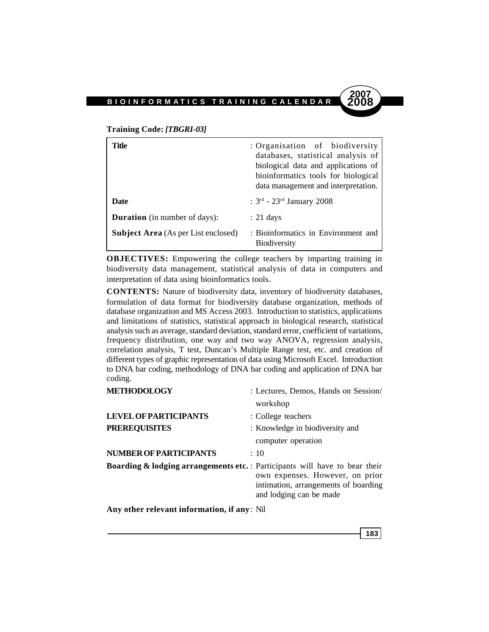#### **Training Code:** *[TBGRI-03]*

| Title                                      | : Organisation of biodiversity<br>databases, statistical analysis of<br>biological data and applications of<br>bioinformatics tools for biological<br>data management and interpretation. |
|--------------------------------------------|-------------------------------------------------------------------------------------------------------------------------------------------------------------------------------------------|
| <b>Date</b>                                | : $3^{\text{rd}}$ - $23^{\text{rd}}$ January 2008                                                                                                                                         |
| <b>Duration</b> (in number of days):       | $: 21 \text{ days}$                                                                                                                                                                       |
| <b>Subject Area</b> (As per List enclosed) | : Bioinformatics in Environment and<br><b>Biodiversity</b>                                                                                                                                |

**OBJECTIVES:** Empowering the college teachers by imparting training in biodiversity data management, statistical analysis of data in computers and interpretation of data using bioinformatics tools.

**CONTENTS:** Nature of biodiversity data, inventory of biodiversity databases, formulation of data format for biodiversity database organization, methods of database organization and MS Access 2003. Introduction to statistics, applications and limitations of statistics, statistical approach in biological research, statistical analysis such as average, standard deviation, standard error, coefficient of variations, frequency distribution, one way and two way ANOVA, regression analysis, correlation analysis, T test, Duncan's Multiple Range test, etc. and creation of different types of graphic representation of data using Microsoft Excel. Introduction to DNA bar coding, methodology of DNA bar coding and application of DNA bar coding.

| <b>METHODOLOGY</b>                                                                     | : Lectures, Demos, Hands on Session                                                                |
|----------------------------------------------------------------------------------------|----------------------------------------------------------------------------------------------------|
|                                                                                        | workshop                                                                                           |
| <b>LEVEL OF PARTICIPANTS</b>                                                           | : College teachers                                                                                 |
| <b>PREREQUISITES</b>                                                                   | : Knowledge in biodiversity and                                                                    |
|                                                                                        | computer operation                                                                                 |
| NUMBER OF PARTICIPANTS                                                                 | $\div$ 10                                                                                          |
| <b>Boarding &amp; lodging arrangements etc.</b> : Participants will have to bear their | own expenses. However, on prior<br>intimation, arrangements of boarding<br>and lodging can be made |
| Any other relevant information, if any: Nil                                            |                                                                                                    |

**183**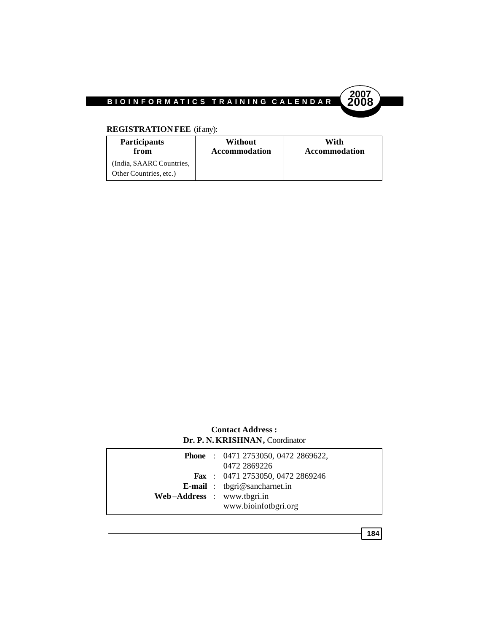

### **REGISTRATION FEE** (if any):

| <b>Participants</b>                                | Without              | With                 |
|----------------------------------------------------|----------------------|----------------------|
| from                                               | <b>Accommodation</b> | <b>Accommodation</b> |
| (India, SAARC Countries,<br>Other Countries, etc.) |                      |                      |

#### **Contact Address : Dr. P. N. KRISHNAN,** Coordinator

|                            | <b>Phone</b> : 0471 2753050, 0472 2869622,<br>0472 2869226 |
|----------------------------|------------------------------------------------------------|
|                            | Fax: 0471 2753050, 0472 2869246                            |
|                            | <b>E-mail</b> : tbgri@sancharnet.in                        |
| Web-Address : www.tbgri.in |                                                            |
|                            | www.bioinfotbgri.org                                       |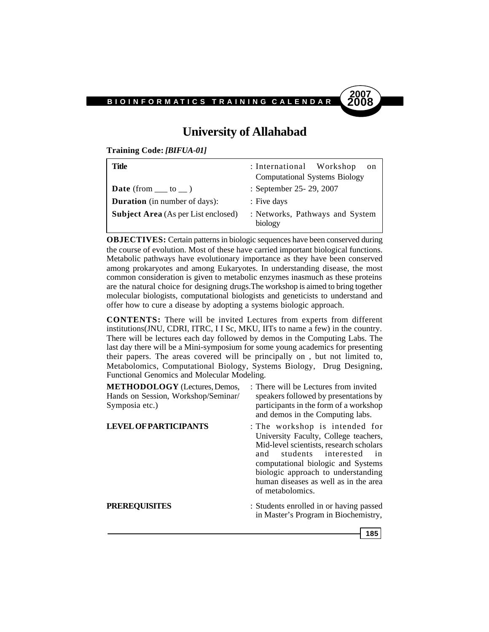# **2007**

**185**

## **University of Allahabad**

**Training Code:** *[BIFUA-01]*

| Title                                      | : International Workshop<br>on<br><b>Computational Systems Biology</b> |
|--------------------------------------------|------------------------------------------------------------------------|
| <b>Date</b> (from $\_\_$ to $\_\)$ )       | : September 25- 29, 2007                                               |
| <b>Duration</b> (in number of days):       | : Five days                                                            |
| <b>Subject Area</b> (As per List enclosed) | : Networks, Pathways and System<br>biology                             |

**OBJECTIVES:** Certain patterns in biologic sequences have been conserved during the course of evolution. Most of these have carried important biological functions. Metabolic pathways have evolutionary importance as they have been conserved among prokaryotes and among Eukaryotes. In understanding disease, the most common consideration is given to metabolic enzymes inasmuch as these proteins are the natural choice for designing drugs.The workshop is aimed to bring together molecular biologists, computational biologists and geneticists to understand and offer how to cure a disease by adopting a systems biologic approach.

**CONTENTS:** There will be invited Lectures from experts from different institutions(JNU, CDRI, ITRC, I I Sc, MKU, IITs to name a few) in the country. There will be lectures each day followed by demos in the Computing Labs. The last day there will be a Mini-symposium for some young academics for presenting their papers. The areas covered will be principally on , but not limited to, Metabolomics, Computational Biology, Systems Biology, Drug Designing, Functional Genomics and Molecular Modeling.

| <b>METHODOLOGY</b> (Lectures, Demos,<br>Hands on Session, Workshop/Seminar/<br>Symposia etc.) | : There will be Lectures from invited<br>speakers followed by presentations by<br>participants in the form of a workshop<br>and demos in the Computing labs.                                                                                                                                     |
|-----------------------------------------------------------------------------------------------|--------------------------------------------------------------------------------------------------------------------------------------------------------------------------------------------------------------------------------------------------------------------------------------------------|
| <b>LEVEL OF PARTICIPANTS</b>                                                                  | : The workshop is intended for<br>University Faculty, College teachers,<br>Mid-level scientists, research scholars<br>students interested<br>and<br>in.<br>computational biologic and Systems<br>biologic approach to understanding<br>human diseases as well as in the area<br>of metabolomics. |
| <b>PREREQUISITES</b>                                                                          | : Students enrolled in or having passed<br>in Master's Program in Biochemistry,                                                                                                                                                                                                                  |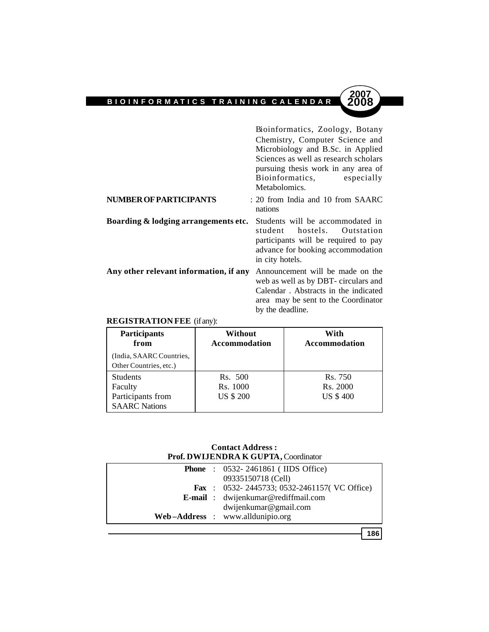Bioinformatics, Zoology, Botany Chemistry, Computer Science and Microbiology and B.Sc. in Applied Sciences as well as research scholars pursuing thesis work in any area of Bioinformatics, especially Metabolomics.

area may be sent to the Coordinator

by the deadline.

**2007**

| <b>NUMBER OF PARTICIPANTS</b>          | : 20 from India and 10 from SAARC<br>nations                                                                                                                    |
|----------------------------------------|-----------------------------------------------------------------------------------------------------------------------------------------------------------------|
| Boarding & lodging arrangements etc.   | Students will be accommodated in<br>student hostels. Outstation<br>participants will be required to pay<br>advance for booking accommodation<br>in city hotels. |
| Any other relevant information, if any | Announcement will be made on the<br>web as well as by DBT- circulars and<br>Calendar . Abstracts in the indicated                                               |

#### **REGISTRATION FEE** (if any):

| <b>Participants</b><br>from<br>(India, SAARC Countries,<br>Other Countries, etc.) | Without<br><b>Accommodation</b>         | With<br>Accommodation                  |
|-----------------------------------------------------------------------------------|-----------------------------------------|----------------------------------------|
| <b>Students</b><br>Faculty<br>Participants from<br><b>SAARC</b> Nations           | Rs. 500<br>Rs. 1000<br><b>US \$ 200</b> | Rs. 750<br>Rs. 2000<br><b>US \$400</b> |

#### **Contact Address : Prof. DWIJENDRA K GUPTA,** Coordinator

|  | <b>Phone</b> : 0532-2461861 (IIDS Office)           |
|--|-----------------------------------------------------|
|  | 09335150718 (Cell)                                  |
|  | <b>Fax</b> : 0532-2445733; 0532-2461157( VC Office) |
|  | E-mail: dwijenkumar@rediffmail.com                  |
|  | dwijenkumar@gmail.com                               |
|  | Web-Address : www.alldunipio.org                    |
|  |                                                     |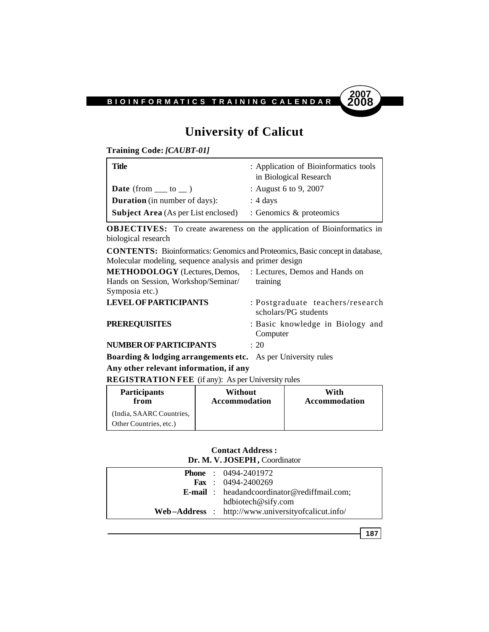

## **University of Calicut**

**Training Code:** *[CAUBT-01]*

| Title                                      | : Application of Bioinformatics tools<br>in Biological Research |
|--------------------------------------------|-----------------------------------------------------------------|
| <b>Date</b> (from $\_\_$ to $\_\)$ )       | : August 6 to 9, 2007                                           |
| <b>Duration</b> (in number of days):       | $\therefore$ 4 days                                             |
| <b>Subject Area</b> (As per List enclosed) | : Genomics $\&$ proteomics                                      |

**OBJECTIVES:** To create awareness on the application of Bioinformatics in biological research

**CONTENTS:** Bioinformatics: Genomics and Proteomics, Basic concept in database, Molecular modeling, sequence analysis and primer design

| <b>METHODOLOGY</b> (Lectures, Demos,                                    | : Lectures, Demos and Hands on                           |
|-------------------------------------------------------------------------|----------------------------------------------------------|
| Hands on Session, Workshop/Seminar/                                     | training                                                 |
| Symposia etc.)                                                          |                                                          |
| <b>LEVEL OF PARTICIPANTS</b>                                            | : Postgraduate teachers/research<br>scholars/PG students |
| <b>PREREQUISITES</b>                                                    | : Basic knowledge in Biology and<br>Computer             |
| <b>NUMBER OF PARTICIPANTS</b>                                           | $\div$ 20                                                |
| <b>Roarding &amp; lodging arrangements etc.</b> As per University rules |                                                          |

**Boarding & lodging arrangements etc.** As per University rules **Any other relevant information, if any**

**REGISTRATION FEE** (if any): As per University rules

| <b>Participants</b><br>from | Without<br><b>Accommodation</b> | With<br>Accommodation |
|-----------------------------|---------------------------------|-----------------------|
| (India, SAARC Countries,    |                                 |                       |
| Other Countries, etc.)      |                                 |                       |

#### **Contact Address : Dr. M. V. JOSEPH,** Coordinator

| <b>E-mail</b> : headandcoordinator@rediffmail.com; |
|----------------------------------------------------|
|                                                    |
| Web-Address : http://www.universityofcalicut.info/ |
|                                                    |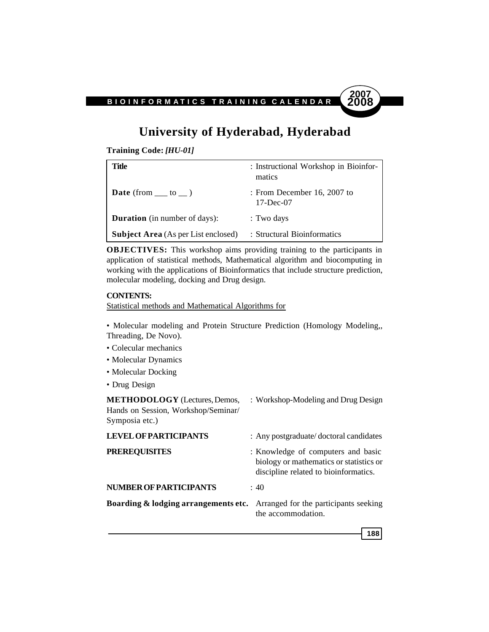# **2007**

## **University of Hyderabad, Hyderabad**

**Training Code:** *[HU-01]*

| Title                                      | : Instructional Workshop in Bioinfor-<br>matics |
|--------------------------------------------|-------------------------------------------------|
| <b>Date</b> (from $\_\_\_$ to $\_\_$ )     | : From December 16, 2007 to<br>$17 - Dec-07$    |
| <b>Duration</b> (in number of days):       | : Two days                                      |
| <b>Subject Area</b> (As per List enclosed) | : Structural Bioinformatics                     |

**OBJECTIVES:** This workshop aims providing training to the participants in application of statistical methods, Mathematical algorithm and biocomputing in working with the applications of Bioinformatics that include structure prediction, molecular modeling, docking and Drug design.

#### **CONTENTS:**

Statistical methods and Mathematical Algorithms for

- Molecular modeling and Protein Structure Prediction (Homology Modeling,, Threading, De Novo).
- Colecular mechanics
- Molecular Dynamics
- Molecular Docking
- Drug Design

**METHODOLOGY** (Lectures, Demos, : Workshop-Modeling and Drug Design Hands on Session, Workshop/Seminar/ Symposia etc.) **LEVEL OF PARTICIPANTS** : Any postgraduate/ doctoral candidates

| <b>PREREQUISITES</b>                                                                  | : Knowledge of computers and basic<br>biology or mathematics or statistics or<br>discipline related to bioinformatics. |
|---------------------------------------------------------------------------------------|------------------------------------------------------------------------------------------------------------------------|
| <b>NUMBER OF PARTICIPANTS</b>                                                         | : 40                                                                                                                   |
| <b>Boarding &amp; lodging arrangements etc.</b> Arranged for the participants seeking | the accommodation.                                                                                                     |
|                                                                                       |                                                                                                                        |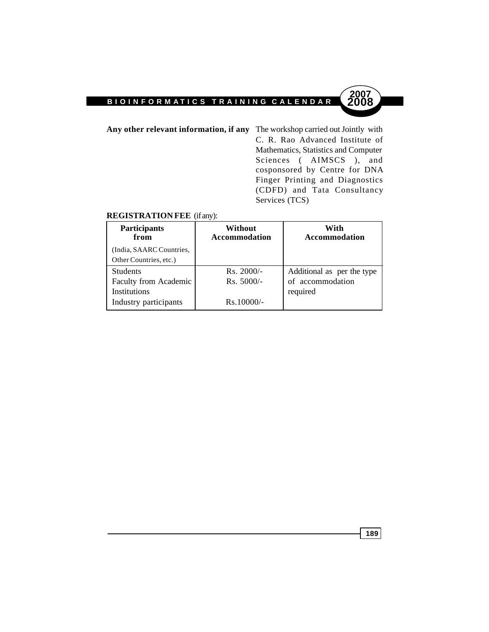**Any other relevant information, if any** The workshop carried out Jointly with C. R. Rao Advanced Institute of Mathematics, Statistics and Computer Sciences ( AIMSCS ), and cosponsored by Centre for DNA Finger Printing and Diagnostics (CDFD) and Tata Consultancy Services (TCS)

#### **REGISTRATION FEE** (if any):

| Participants<br>from     | Without<br><b>Accommodation</b> | With<br><b>Accommodation</b> |
|--------------------------|---------------------------------|------------------------------|
| (India, SAARC Countries, |                                 |                              |
| Other Countries, etc.)   |                                 |                              |
| <b>Students</b>          | $Rs. 2000/-$                    | Additional as per the type   |
| Faculty from Academic    | $Rs. 5000/-$                    | of accommodation             |
| <b>Institutions</b>      |                                 | required                     |
| Industry participants    | $Rs.10000/-$                    |                              |

**189**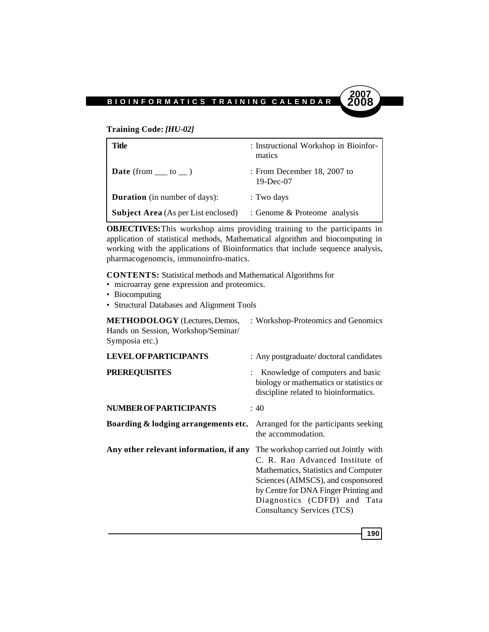

#### **Training Code:** *[HU-02]*

| Title                                      | : Instructional Workshop in Bioinfor-<br>matics |
|--------------------------------------------|-------------------------------------------------|
| <b>Date</b> (from $\_\_\_$ to $\_\_$ )     | : From December 18, 2007 to<br>$19-Dec-07$      |
| <b>Duration</b> (in number of days):       | : Two days                                      |
| <b>Subject Area</b> (As per List enclosed) | : Genome & Proteome analysis                    |

**OBJECTIVES:**This workshop aims providing training to the participants in application of statistical methods, Mathematical algorithm and biocomputing in working with the applications of Bioinformatics that include sequence analysis, pharmacogenomcis, immunoinfro-matics.

**CONTENTS:** Statistical methods and Mathematical Algorithms for

- microarray gene expression and proteomics.
- Biocomputing
- Structural Databases and Alignment Tools

**METHODOLOGY** (Lectures, Demos, : Workshop-Proteomics and Genomics Hands on Session, Workshop/Seminar/ Symposia etc.)

| <b>LEVEL OF PARTICIPANTS</b>           | : Any postgraduate/doctoral candidates                                                                                                                                                                                                                              |
|----------------------------------------|---------------------------------------------------------------------------------------------------------------------------------------------------------------------------------------------------------------------------------------------------------------------|
| <b>PREREQUISITES</b>                   | Knowledge of computers and basic<br>biology or mathematics or statistics or<br>discipline related to bioinformatics.                                                                                                                                                |
| <b>NUMBER OF PARTICIPANTS</b>          | : 40                                                                                                                                                                                                                                                                |
| Boarding & lodging arrangements etc.   | Arranged for the participants seeking<br>the accommodation.                                                                                                                                                                                                         |
| Any other relevant information, if any | The workshop carried out Jointly with<br>C. R. Rao Advanced Institute of<br>Mathematics, Statistics and Computer<br>Sciences (AIMSCS), and cosponsored<br>by Centre for DNA Finger Printing and<br>Diagnostics (CDFD) and Tata<br><b>Consultancy Services (TCS)</b> |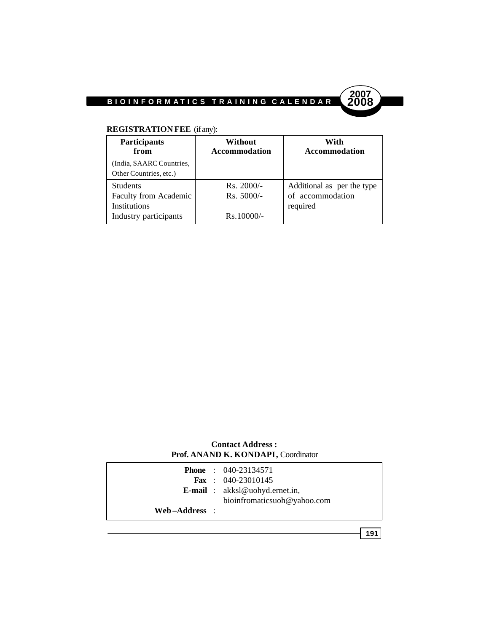

#### **REGISTRATION FEE** (if any):

| Participants<br>from     | Without<br><b>Accommodation</b> | With<br><b>Accommodation</b> |
|--------------------------|---------------------------------|------------------------------|
| (India, SAARC Countries, |                                 |                              |
| Other Countries, etc.)   |                                 |                              |
| <b>Students</b>          | $Rs. 2000/-$                    | Additional as per the type   |
| Faculty from Academic    | $Rs. 5000/-$                    | of accommodation             |
| <b>Institutions</b>      |                                 | required                     |
| Industry participants    | $Rs.10000/-$                    |                              |

#### **Contact Address : Prof. ANAND K. KONDAPI,** Coordinator

|               | <b>Phone</b> : 040-23134571             |
|---------------|-----------------------------------------|
|               | <b>Fax</b> : $040-23010145$             |
|               | <b>E-mail</b> : $akksl@uohyd.ernet.in,$ |
|               | bioinfromaticsuoh@yahoo.com             |
| Web-Address : |                                         |
|               |                                         |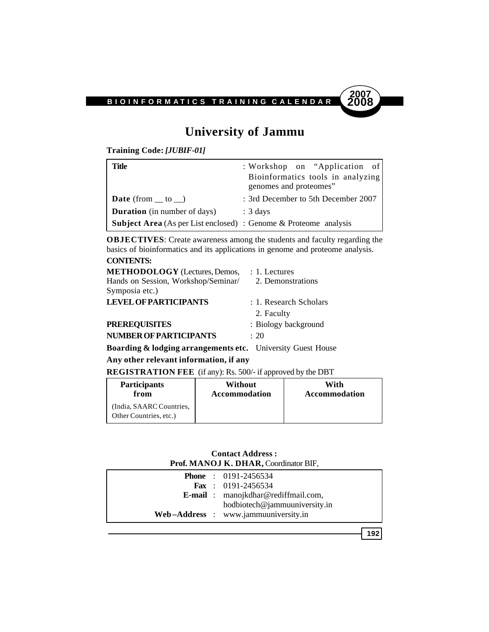

## **University of Jammu**

**Training Code:** *[JUBIF-01]*

| Title                                                                   | : Workshop on "Application of<br>Bioinformatics tools in analyzing<br>genomes and proteomes" |
|-------------------------------------------------------------------------|----------------------------------------------------------------------------------------------|
| <b>Date</b> (from $\_\$ to $\_\)$ )                                     | : 3rd December to 5th December 2007                                                          |
| <b>Duration</b> (in number of days)                                     | $: 3 \text{ days}$                                                                           |
| <b>Subject Area</b> (As per List enclosed) : Genome & Proteome analysis |                                                                                              |

**OBJECTIVES**: Create awareness among the students and faculty regarding the basics of bioinformatics and its applications in genome and proteome analysis. **CONTENTS:**

| <b>METHODOLOGY</b> (Lectures, Demos,<br>Hands on Session, Workshop/Seminar/<br>Symposia etc.) | $: 1.$ Lectures<br>2. Demonstrations |
|-----------------------------------------------------------------------------------------------|--------------------------------------|
| <b>LEVEL OF PARTICIPANTS</b>                                                                  | : 1. Research Scholars               |
|                                                                                               | 2. Faculty                           |
| <b>PREREQUISITES</b>                                                                          | : Biology background                 |
| <b>NUMBER OF PARTICIPANTS</b>                                                                 | $\cdot$ 20                           |

**Boarding & lodging arrangements etc.** University Guest House

#### **Any other relevant information, if any**

**REGISTRATION FEE** (if any): Rs. 500/- if approved by the DBT

| <b>Participants</b>                                | Without       | With                 |
|----------------------------------------------------|---------------|----------------------|
| from                                               | Accommodation | <b>Accommodation</b> |
| (India, SAARC Countries,<br>Other Countries, etc.) |               |                      |

#### **Contact Address : Prof. MANOJ K. DHAR,** Coordinator BIF,

|  | <b>Phone</b> : 0191-2456534                |
|--|--------------------------------------------|
|  | <b>Fax</b> : 0191-2456534                  |
|  | <b>E-mail</b> : manojkdhar@rediffmail.com, |
|  | hodbiotech@jammuuniversity.in              |
|  | Web-Address : www.jammuuniversity.in       |
|  |                                            |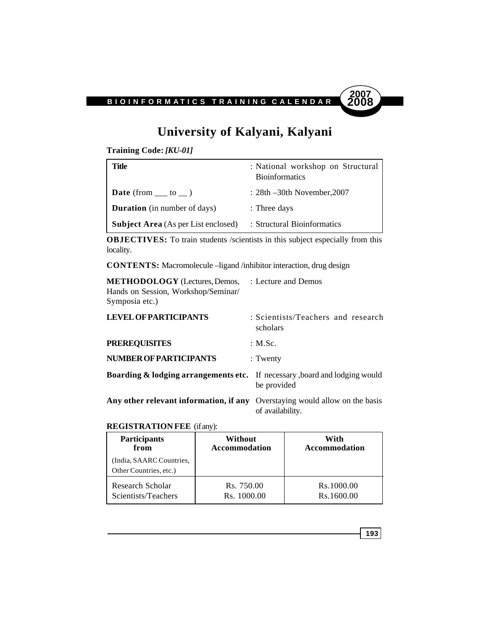

## **University of Kalyani, Kalyani**

**Training Code:** *[KU-01]*

| Title                                      | : National workshop on Structural<br><b>Bioinformatics</b> |
|--------------------------------------------|------------------------------------------------------------|
| <b>Date</b> (from $\_\_$ to $\_\)$ )       | $: 28th -30th$ November, 2007                              |
| <b>Duration</b> (in number of days)        | $:$ Three days                                             |
| <b>Subject Area</b> (As per List enclosed) | : Structural Bioinformatics                                |

**OBJECTIVES:** To train students /scientists in this subject especially from this locality.

**CONTENTS:** Macromolecule –ligand /inhibitor interaction, drug design

| <b>METHODOLOGY</b> (Lectures, Demos,<br>Hands on Session, Workshop/Seminar/<br>Symposia etc.) | : Lecture and Demos                                      |
|-----------------------------------------------------------------------------------------------|----------------------------------------------------------|
| <b>LEVEL OF PARTICIPANTS</b>                                                                  | : Scientists/Teachers and research<br>scholars           |
| <b>PREREQUISITES</b>                                                                          | : M.Sc.                                                  |
| <b>NUMBER OF PARTICIPANTS</b>                                                                 | $:$ Twenty                                               |
| <b>Boarding &amp; lodging arrangements etc.</b> If necessary, board and lodging would         | be provided                                              |
| Any other relevant information, if any                                                        | Overstaying would allow on the basis<br>of availability. |

#### **REGISTRATION FEE** (if any):

| Participants                                       | Without              | With                 |  |
|----------------------------------------------------|----------------------|----------------------|--|
| from                                               | <b>Accommodation</b> | <b>Accommodation</b> |  |
| (India, SAARC Countries,<br>Other Countries, etc.) |                      |                      |  |
| Research Scholar                                   | Rs. 750.00           | Rs.1000.00           |  |
| Scientists/Teachers                                | Rs. 1000.00          | Rs.1600.00           |  |

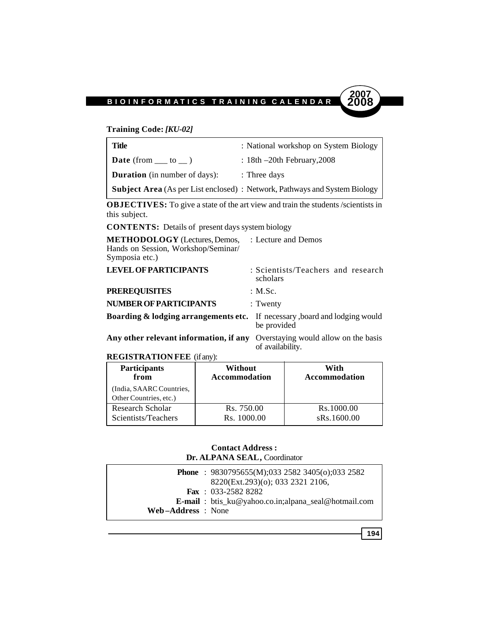

#### **Training Code:** *[KU-02]*

| Title                                  | : National workshop on System Biology                                             |
|----------------------------------------|-----------------------------------------------------------------------------------|
| <b>Date</b> (from $\_\_\_$ to $\_\_$ ) | : 18th $-20$ th February, 2008                                                    |
| <b>Duration</b> (in number of days):   | $\therefore$ Three days                                                           |
|                                        | <b>Subject Area</b> (As per List enclosed) : Network, Pathways and System Biology |

**OBJECTIVES:** To give a state of the art view and train the students /scientists in this subject.

**CONTENTS:** Details of present days system biology

| <b>METHODOLOGY</b> (Lectures, Demos, : Lecture and Demos<br>Hands on Session, Workshop/Seminar/<br>Symposia etc.) |                                                          |
|-------------------------------------------------------------------------------------------------------------------|----------------------------------------------------------|
| <b>LEVEL OF PARTICIPANTS</b>                                                                                      | : Scientists/Teachers and research<br>scholars           |
| <b>PREREQUISITES</b>                                                                                              | : M.Sc.                                                  |
| <b>NUMBER OF PARTICIPANTS</b>                                                                                     | $:$ Twenty                                               |
| <b>Boarding &amp; lodging arrangements etc.</b> If necessary, board and lodging would                             | be provided                                              |
| Any other relevant information, if any                                                                            | Overstaying would allow on the basis<br>of availability. |
|                                                                                                                   |                                                          |

**REGISTRATION FEE** (if any):

| <b>Participants</b>                                | Without              | With                 |
|----------------------------------------------------|----------------------|----------------------|
| from                                               | <b>Accommodation</b> | <b>Accommodation</b> |
| (India, SAARC Countries,<br>Other Countries, etc.) |                      |                      |
| Research Scholar                                   | Rs. 750.00           | Rs.1000.00           |
| Scientists/Teachers                                | Rs. 1000.00          | sRs.1600.00          |

#### **Contact Address : Dr. ALPANA SEAL,** Coordinator

|                   | <b>Phone</b> : $9830795655(M);03325823405(0);0332582$<br>8220(Ext.293)(o); 033 2321 2106, |
|-------------------|-------------------------------------------------------------------------------------------|
|                   | Fax: $033-25828282$                                                                       |
|                   | <b>E-mail</b> : btis_ku@yahoo.co.in;alpana_seal@hotmail.com                               |
| Web-Address: None |                                                                                           |

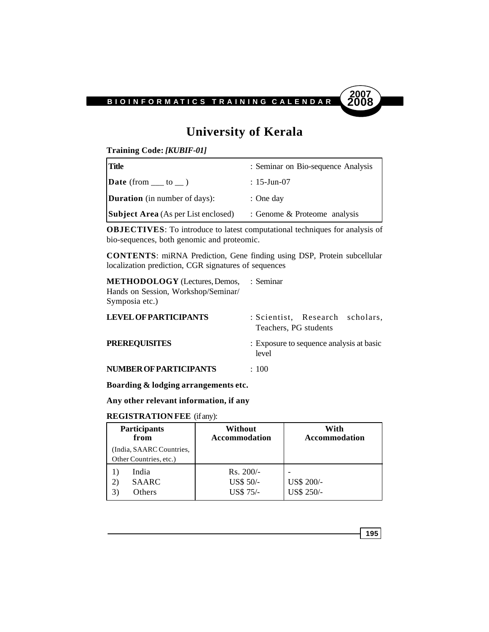

## **University of Kerala**

**Training Code:** *[KUBIF-01]*

| <b>Title</b>                                                                     | : Seminar on Bio-sequence Analysis |
|----------------------------------------------------------------------------------|------------------------------------|
| $\mathbf{Date}$ (from $\underline{\hspace{2cm}}$ to $\underline{\hspace{2cm}}$ ) | : 15-Jun-07                        |
| <b>Duration</b> (in number of days):                                             | : One day                          |
| <b>Subject Area</b> (As per List enclosed)                                       | : Genome & Proteome analysis       |

**OBJECTIVES**: To introduce to latest computational techniques for analysis of bio-sequences, both genomic and proteomic.

**CONTENTS**: miRNA Prediction, Gene finding using DSP, Protein subcellular localization prediction, CGR signatures of sequences

**METHODOLOGY** (Lectures, Demos, : Seminar Hands on Session, Workshop/Seminar/ Symposia etc.)

| <b>LEVEL OF PARTICIPANTS</b> | : Scientist, Research scholars,<br>Teachers, PG students |
|------------------------------|----------------------------------------------------------|
| <b>PREREQUISITES</b>         | : Exposure to sequence analysis at basic<br>level        |
| NUMBER OF PARTICIPANTS       | : 100                                                    |

**Boarding & lodging arrangements etc.**

**Any other relevant information, if any**

#### **REGISTRATION FEE** (if any):

| <b>Participants</b><br>from                        | Without<br><b>Accommodation</b>              | With<br><b>Accommodation</b> |
|----------------------------------------------------|----------------------------------------------|------------------------------|
| (India, SAARC Countries,<br>Other Countries, etc.) |                                              |                              |
| India<br><b>SAARC</b><br>Others                    | $Rs. 200/-$<br>US\$ 50/-<br><b>US\$ 75/-</b> | US\$ 200/-<br>US\$ 250/-     |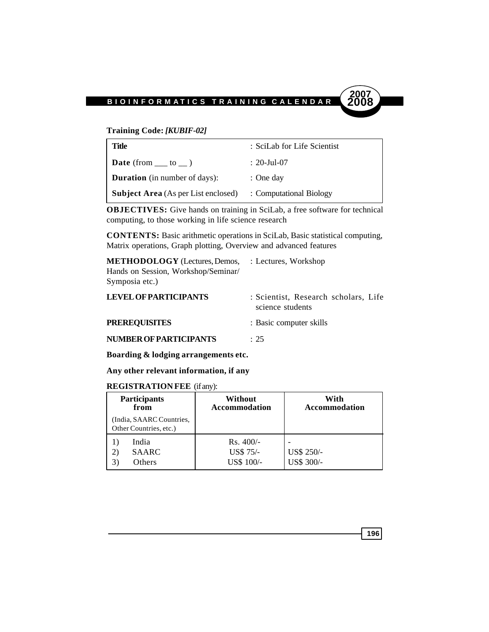#### **Training Code:** *[KUBIF-02]*

| Title                                      | : SciLab for Life Scientist |
|--------------------------------------------|-----------------------------|
| <b>Date</b> (from $\_\_$ to $\_\)$ )       | $: 20$ -Jul-07              |
| <b>Duration</b> (in number of days):       | $:$ One day                 |
| <b>Subject Area</b> (As per List enclosed) | : Computational Biology     |

**OBJECTIVES:** Give hands on training in SciLab, a free software for technical computing, to those working in life science research

**CONTENTS:** Basic arithmetic operations in SciLab, Basic statistical computing, Matrix operations, Graph plotting, Overview and advanced features

| <b>METHODOLOGY</b> (Lectures, Demos, | : Lectures, Workshop                                     |
|--------------------------------------|----------------------------------------------------------|
| Hands on Session, Workshop/Seminar/  |                                                          |
| Symposia etc.)                       |                                                          |
| <b>LEVEL OF PARTICIPANTS</b>         | : Scientist, Research scholars, Life<br>science students |
| <b>PREREQUISITES</b>                 | : Basic computer skills                                  |
| <b>NUMBER OF PARTICIPANTS</b>        | $\div$ 25                                                |

**Boarding & lodging arrangements etc.**

**Any other relevant information, if any**

#### **REGISTRATION FEE** (if any):

| <b>Participants</b><br>Without<br>from<br><b>Accommodation</b> |                                       | With<br><b>Accommodation</b> |
|----------------------------------------------------------------|---------------------------------------|------------------------------|
| (India, SAARC Countries,<br>Other Countries, etc.)             |                                       |                              |
| India<br><b>SAARC</b><br>21<br>Others                          | $Rs.400/-$<br>US\$ 75/-<br>US\$ 100/- | US\$ 250/-<br>US\$ 300/-     |

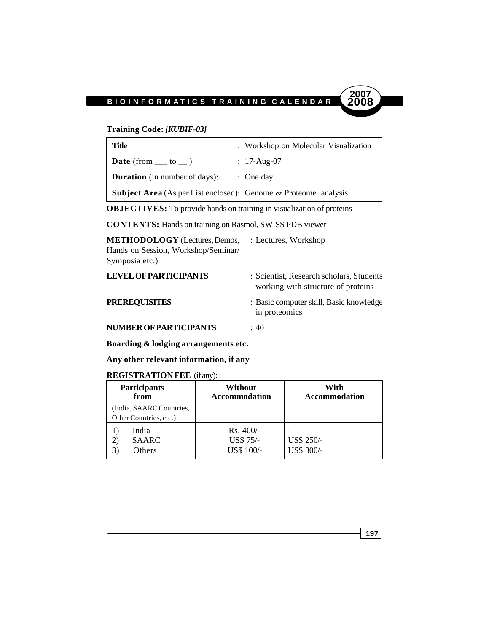#### **Training Code:** *[KUBIF-03]*

| <b>Title</b>                                                           | : Workshop on Molecular Visualization |
|------------------------------------------------------------------------|---------------------------------------|
| <b>Date</b> (from $\_\_\_$ to $\_\_$ )                                 | : $17$ -Aug-07                        |
| <b>Duration</b> (in number of days):                                   | $\therefore$ One day                  |
| <b>Subject Area</b> (As per List enclosed): Genome & Proteome analysis |                                       |

**OBJECTIVES:** To provide hands on training in visualization of proteins

**CONTENTS:** Hands on training on Rasmol, SWISS PDB viewer

| <b>METHODOLOGY</b> (Lectures, Demos, | : Lectures, Workshop                                                           |
|--------------------------------------|--------------------------------------------------------------------------------|
| Hands on Session, Workshop/Seminar/  |                                                                                |
| Symposia etc.)                       |                                                                                |
| <b>LEVEL OF PARTICIPANTS</b>         | : Scientist, Research scholars, Students<br>working with structure of proteins |
| <b>PREREQUISITES</b>                 | : Basic computer skill, Basic knowledge<br>in proteomics                       |
| <b>NUMBER OF PARTICIPANTS</b>        | : 40                                                                           |

**Boarding & lodging arrangements etc.**

**Any other relevant information, if any**

#### **REGISTRATION FEE** (if any):

| <b>Participants</b><br>from                        | Without<br><b>Accommodation</b>       | With<br><b>Accommodation</b> |
|----------------------------------------------------|---------------------------------------|------------------------------|
| (India, SAARC Countries,<br>Other Countries, etc.) |                                       |                              |
| India<br><b>SAARC</b><br>2)<br>Others              | $Rs.400/-$<br>US\$ 75/-<br>US\$ 100/- | US\$ 250/-<br>US\$ 300/-     |

**197**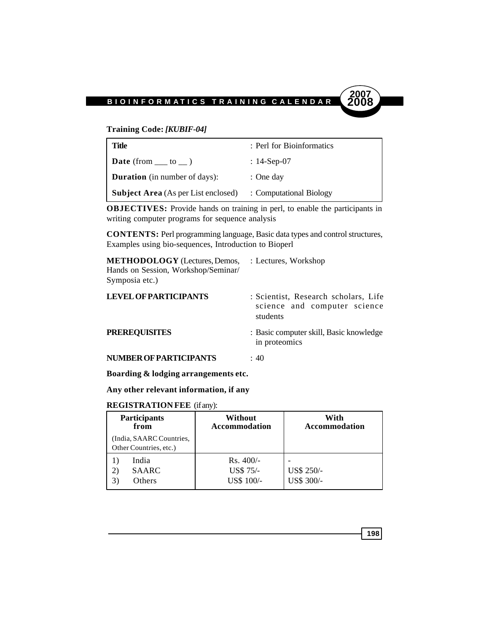#### **Training Code:** *[KUBIF-04]*

| Title                                      | : Perl for Bioinformatics |
|--------------------------------------------|---------------------------|
| <b>Date</b> (from $\_\_$ to $\_\)$ )       | : 14-Sep-07               |
| <b>Duration</b> (in number of days):       | $:$ One day               |
| <b>Subject Area</b> (As per List enclosed) | : Computational Biology   |

**OBJECTIVES:** Provide hands on training in perl, to enable the participants in writing computer programs for sequence analysis

**CONTENTS:** Perl programming language, Basic data types and control structures, Examples using bio-sequences, Introduction to Bioperl

| <b>METHODOLOGY</b> (Lectures, Demos,<br>Hands on Session, Workshop/Seminar/<br>Symposia etc.) | : Lectures, Workshop                                                             |
|-----------------------------------------------------------------------------------------------|----------------------------------------------------------------------------------|
| <b>LEVEL OF PARTICIPANTS</b>                                                                  | : Scientist, Research scholars, Life<br>science and computer science<br>students |
| <b>PREREQUISITES</b>                                                                          | : Basic computer skill, Basic knowledge<br>in proteomics                         |
| <b>NUMBER OF PARTICIPANTS</b>                                                                 | : 40                                                                             |

**Boarding & lodging arrangements etc.**

**Any other relevant information, if any**

#### **REGISTRATION FEE** (if any):

| <b>Participants</b><br>from                        | Without<br><b>Accommodation</b>              | With<br><b>Accommodation</b> |
|----------------------------------------------------|----------------------------------------------|------------------------------|
| (India, SAARC Countries,<br>Other Countries, etc.) |                                              |                              |
| India<br><b>SAARC</b><br>2)<br>Others              | $Rs.400/-$<br><b>US\$ 75/-</b><br>US\$ 100/- | US\$ 250/-<br>US\$ 300/-     |

**198**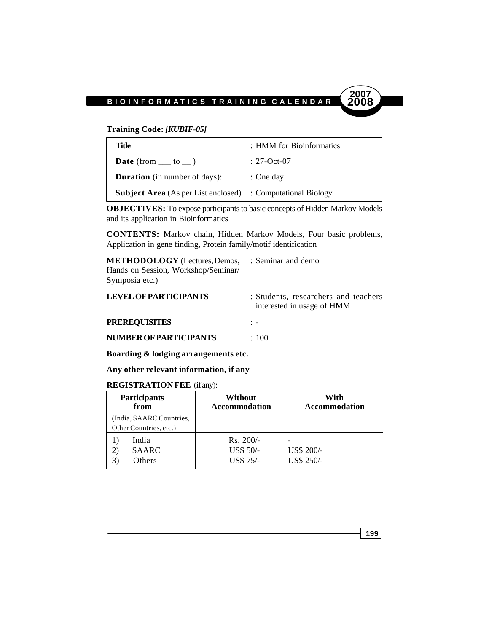

**Training Code:** *[KUBIF-05]*

| Title                                                              | : HMM for Bioinformatics |
|--------------------------------------------------------------------|--------------------------|
| <b>Date</b> (from $\_\_$ to $\_\)$ )                               | : 27-Oct-07              |
| <b>Duration</b> (in number of days):                               | $:$ One day              |
| <b>Subject Area</b> (As per List enclosed) : Computational Biology |                          |

**OBJECTIVES:** To expose participants to basic concepts of Hidden Markov Models and its application in Bioinformatics

**CONTENTS:** Markov chain, Hidden Markov Models, Four basic problems, Application in gene finding, Protein family/motif identification

| <b>METHODOLOGY</b> (Lectures, Demos, : Seminar and demo<br>Hands on Session, Workshop/Seminar/<br>Symposia etc.) |                                                                             |
|------------------------------------------------------------------------------------------------------------------|-----------------------------------------------------------------------------|
| <b>LEVEL OF PARTICIPANTS</b>                                                                                     | : Students, researchers and teachers<br>$intomoted in no \alpha of \Pi \Pi$ |

|                        | interested in usage of HMM |
|------------------------|----------------------------|
| <b>PREREQUISITES</b>   |                            |
| NUMBER OF PARTICIPANTS | $\div$ 100                 |

**Boarding & lodging arrangements etc.**

**Any other relevant information, if any**

#### **REGISTRATION FEE** (if any):

| <b>Participants</b><br>from                        | Without<br>Accommodation                     | With<br><b>Accommodation</b> |
|----------------------------------------------------|----------------------------------------------|------------------------------|
| (India, SAARC Countries,<br>Other Countries, etc.) |                                              |                              |
| India<br><b>SAARC</b><br>2)<br>Others              | $Rs. 200/-$<br>US\$ 50/-<br><b>US\$ 75/-</b> | US\$ 200/-<br>US\$ 250/-     |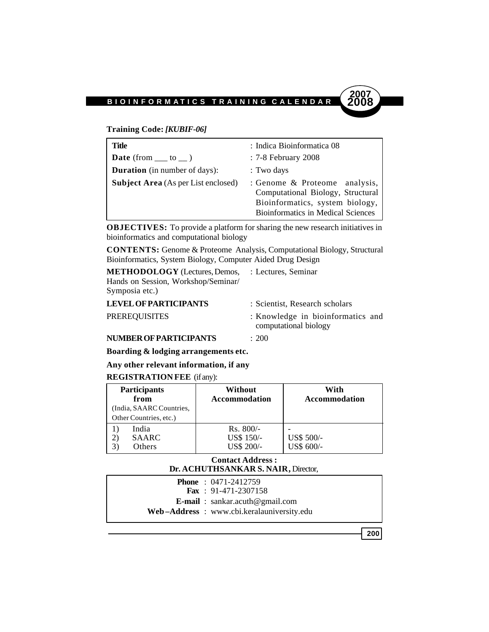#### **Training Code:** *[KUBIF-06]*

| Title                                      | : Indica Bioinformatica 08                                                                                                                         |
|--------------------------------------------|----------------------------------------------------------------------------------------------------------------------------------------------------|
| <b>Date</b> (from $\_\_$ to $\_\)$ )       | : 7-8 February 2008                                                                                                                                |
| <b>Duration</b> (in number of days):       | : Two days                                                                                                                                         |
| <b>Subject Area</b> (As per List enclosed) | : Genome & Proteome analysis,<br>Computational Biology, Structural<br>Bioinformatics, system biology,<br><b>Bioinformatics in Medical Sciences</b> |

**OBJECTIVES:** To provide a platform for sharing the new research initiatives in bioinformatics and computational biology

**CONTENTS:** Genome & Proteome Analysis, Computational Biology, Structural Bioinformatics, System Biology, Computer Aided Drug Design

**METHODOLOGY** (Lectures, Demos, : Lectures, Seminar Hands on Session, Workshop/Seminar/ Symposia etc.)

| <b>LEVEL OF PARTICIPANTS</b> | : Scientist. Research scholars    |  |
|------------------------------|-----------------------------------|--|
| <b>PREREQUISITES</b>         | : Knowledge in bioinformatics and |  |
|                              | computational biology             |  |

#### **NUMBER OF PARTICIPANTS** : 200

**Boarding & lodging arrangements etc.**

### **Any other relevant information, if any**

#### **REGISTRATION FEE** (if any):

| <b>Participants</b><br>from<br>(India, SAARC Countries,   | Without<br><b>Accommodation</b>         | With<br><b>Accommodation</b> |
|-----------------------------------------------------------|-----------------------------------------|------------------------------|
| Other Countries, etc.)<br>India<br><b>SAARC</b><br>Others | $Rs. 800/-$<br>US\$ 150/-<br>US\$ 200/- | US\$ 500/-<br>US\$ 600/-     |

#### **Contact Address : Dr. ACHUTHSANKAR S. NAIR,** Director,

| <b>Phone</b> : $0471-2412759$             |  |
|-------------------------------------------|--|
| <b>Fax</b> : $91-471-2307158$             |  |
| <b>E-mail</b> : $sankar.acuth@gmail.com$  |  |
| Web-Address: www.cbi.keralauniversity.edu |  |
|                                           |  |

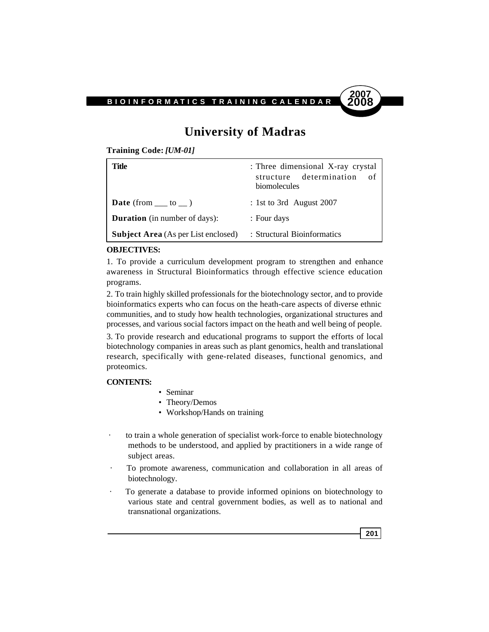

## **University of Madras**

**Training Code:** *[UM-01]*

| Title                                      | : Three dimensional X-ray crystal<br>structure determination<br>- of<br>biomolecules |
|--------------------------------------------|--------------------------------------------------------------------------------------|
| <b>Date</b> (from $\_\_$ to $\_\)$ )       | : 1st to 3rd August 2007                                                             |
| <b>Duration</b> (in number of days):       | : Four days                                                                          |
| <b>Subject Area</b> (As per List enclosed) | : Structural Bioinformatics                                                          |

#### **OBJECTIVES:**

1. To provide a curriculum development program to strengthen and enhance awareness in Structural Bioinformatics through effective science education programs.

2. To train highly skilled professionals for the biotechnology sector, and to provide bioinformatics experts who can focus on the heath-care aspects of diverse ethnic communities, and to study how health technologies, organizational structures and processes, and various social factors impact on the heath and well being of people.

3. To provide research and educational programs to support the efforts of local biotechnology companies in areas such as plant genomics, health and translational research, specifically with gene-related diseases, functional genomics, and proteomics.

#### **CONTENTS:**

- Seminar
- Theory/Demos
- Workshop/Hands on training
- to train a whole generation of specialist work-force to enable biotechnology methods to be understood, and applied by practitioners in a wide range of subject areas.
- · To promote awareness, communication and collaboration in all areas of biotechnology.
- · To generate a database to provide informed opinions on biotechnology to various state and central government bodies, as well as to national and transnational organizations.

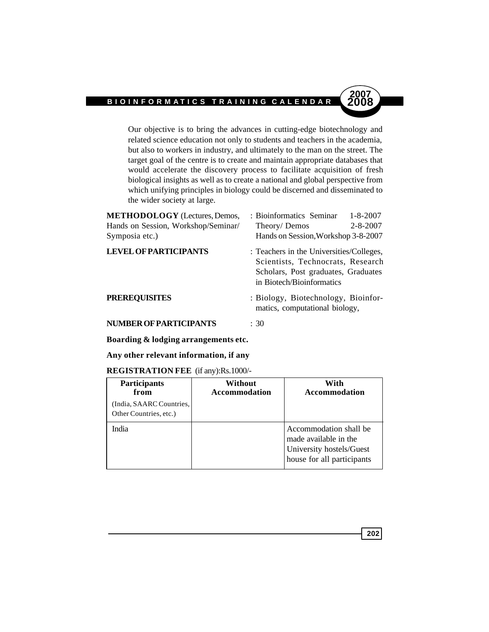Our objective is to bring the advances in cutting-edge biotechnology and related science education not only to students and teachers in the academia, but also to workers in industry, and ultimately to the man on the street. The target goal of the centre is to create and maintain appropriate databases that would accelerate the discovery process to facilitate acquisition of fresh biological insights as well as to create a national and global perspective from which unifying principles in biology could be discerned and disseminated to the wider society at large.

| <b>METHODOLOGY</b> (Lectures, Demos, | : Bioinformatics Seminar<br>$1 - 8 - 2007$                                                                                                        |
|--------------------------------------|---------------------------------------------------------------------------------------------------------------------------------------------------|
| Hands on Session, Workshop/Seminar/  | $2 - 8 - 2007$<br>Theory/Demos                                                                                                                    |
| Symposia etc.)                       | Hands on Session, Workshop 3-8-2007                                                                                                               |
| <b>LEVEL OF PARTICIPANTS</b>         | : Teachers in the Universities/Colleges,<br>Scientists, Technocrats, Research<br>Scholars, Post graduates, Graduates<br>in Biotech/Bioinformatics |
| <b>PREREQUISITES</b>                 | : Biology, Biotechnology, Bioinfor-<br>matics, computational biology,                                                                             |
| <b>NUMBER OF PARTICIPANTS</b>        | : 30                                                                                                                                              |

#### **Boarding & lodging arrangements etc.**

#### **Any other relevant information, if any**

#### **REGISTRATION FEE** (if any):Rs.1000/-

| <b>Participants</b><br>from<br>(India, SAARC Countries,<br>Other Countries, etc.) | Without<br><b>Accommodation</b> | With<br><b>Accommodation</b>                                                                              |
|-----------------------------------------------------------------------------------|---------------------------------|-----------------------------------------------------------------------------------------------------------|
| India                                                                             |                                 | Accommodation shall be<br>made available in the<br>University hostels/Guest<br>house for all participants |

**202**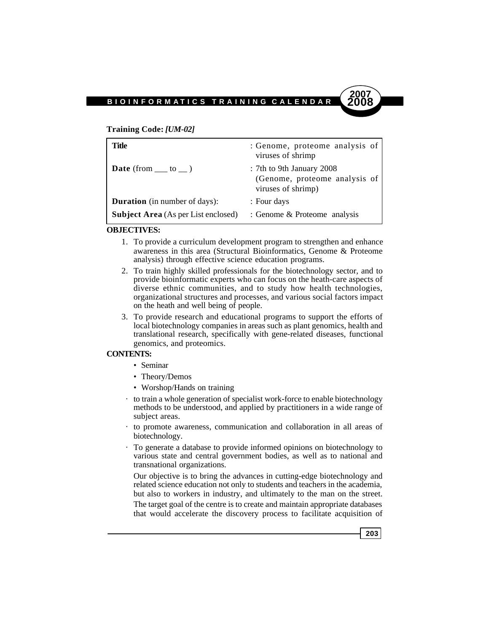#### **Training Code:** *[UM-02]*

| Title                                      | : Genome, proteome analysis of<br>viruses of shrimp                              |
|--------------------------------------------|----------------------------------------------------------------------------------|
| <b>Date</b> (from $\_\_\_$ to $\_\_$ )     | : 7th to 9th January 2008<br>(Genome, proteome analysis of<br>viruses of shrimp) |
| <b>Duration</b> (in number of days):       | : Four days                                                                      |
| <b>Subject Area</b> (As per List enclosed) | : Genome & Proteome analysis                                                     |

#### **OBJECTIVES:**

- 1. To provide a curriculum development program to strengthen and enhance awareness in this area (Structural Bioinformatics, Genome & Proteome analysis) through effective science education programs.
- 2. To train highly skilled professionals for the biotechnology sector, and to provide bioinformatic experts who can focus on the heath-care aspects of diverse ethnic communities, and to study how health technologies, organizational structures and processes, and various social factors impact on the heath and well being of people.
- 3. To provide research and educational programs to support the efforts of local biotechnology companies in areas such as plant genomics, health and translational research, specifically with gene-related diseases, functional genomics, and proteomics.

#### **CONTENTS:**

- Seminar
- Theory/Demos
- Worshop/Hands on training
- · to train a whole generation of specialist work-force to enable biotechnology methods to be understood, and applied by practitioners in a wide range of subject areas.
- · to promote awareness, communication and collaboration in all areas of biotechnology.
- · To generate a database to provide informed opinions on biotechnology to various state and central government bodies, as well as to national and transnational organizations.

Our objective is to bring the advances in cutting-edge biotechnology and related science education not only to students and teachers in the academia, but also to workers in industry, and ultimately to the man on the street. The target goal of the centre is to create and maintain appropriate databases that would accelerate the discovery process to facilitate acquisition of

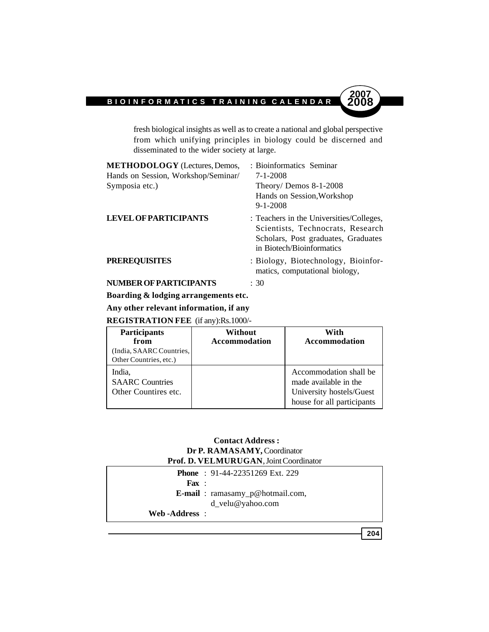fresh biological insights as well as to create a national and global perspective from which unifying principles in biology could be discerned and disseminated to the wider society at large.

| <b>METHODOLOGY</b> (Lectures, Demos, | : Bioinformatics Seminar                                                                                                                          |
|--------------------------------------|---------------------------------------------------------------------------------------------------------------------------------------------------|
| Hands on Session, Workshop/Seminar/  | $7 - 1 - 2008$                                                                                                                                    |
| Symposia etc.)                       | Theory/Demos $8-1-2008$<br>Hands on Session, Workshop<br>$9 - 1 - 2008$                                                                           |
| <b>LEVEL OF PARTICIPANTS</b>         | : Teachers in the Universities/Colleges,<br>Scientists, Technocrats, Research<br>Scholars, Post graduates, Graduates<br>in Biotech/Bioinformatics |
| <b>PREREQUISITES</b>                 | : Biology, Biotechnology, Bioinfor-<br>matics, computational biology,                                                                             |
| <b>NUMBER OF PARTICIPANTS</b>        | : 30                                                                                                                                              |

**Boarding & lodging arrangements etc.**

**Any other relevant information, if any**

**REGISTRATION FEE** (if any):Rs.1000/-

| <b>Participants</b><br>from<br>(India, SAARC Countries,<br>Other Countries, etc.) | Without<br><b>Accommodation</b> | With<br><b>Accommodation</b>                                                                              |
|-----------------------------------------------------------------------------------|---------------------------------|-----------------------------------------------------------------------------------------------------------|
| India,<br><b>SAARC</b> Countries<br>Other Countires etc.                          |                                 | Accommodation shall be<br>made available in the<br>University hostels/Guest<br>house for all participants |

#### **Contact Address : Dr P. RAMASAMY,** Coordinator **Prof. D. VELMURUGAN**, Joint Coordinator

|                          | <b>Phone</b> : $91-44-22351269$ Ext. 229 |
|--------------------------|------------------------------------------|
| $\mathbf{F}$ <b>ax</b> : |                                          |
|                          | <b>E-mail</b> : ramasamy_p@hotmail.com,  |
|                          | $d$ velu@yahoo.com                       |
| Web-Address:             |                                          |

**204**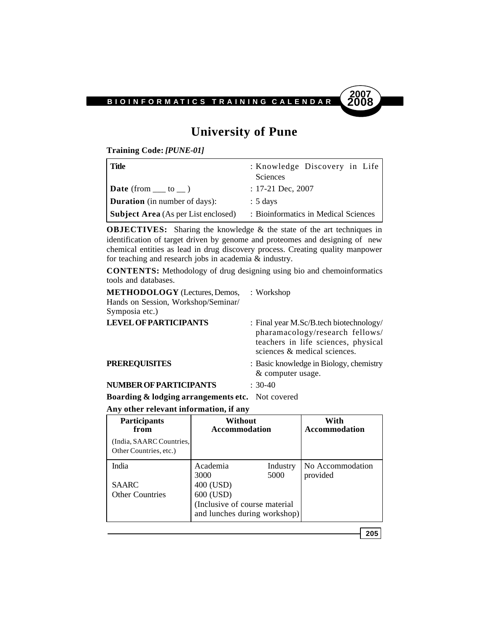

## **University of Pune**

**Training Code:** *[PUNE-01]*

| Title                                      | : Knowledge Discovery in Life<br><b>Sciences</b> |
|--------------------------------------------|--------------------------------------------------|
| $\mathbf{Date}$ (from __ to _)             | $: 17-21$ Dec, 2007                              |
| <b>Duration</b> (in number of days):       | $: 5 \text{ days}$                               |
| <b>Subject Area</b> (As per List enclosed) | : Bioinformatics in Medical Sciences             |

**OBJECTIVES:** Sharing the knowledge & the state of the art techniques in identification of target driven by genome and proteomes and designing of new chemical entities as lead in drug discovery process. Creating quality manpower for teaching and research jobs in academia & industry.

**CONTENTS:** Methodology of drug designing using bio and chemoinformatics tools and databases.

| <b>METHODOLOGY</b> (Lectures, Demos,<br>Hands on Session, Workshop/Seminar/<br>Symposia etc.) | : Workshop                                                                                                                                        |
|-----------------------------------------------------------------------------------------------|---------------------------------------------------------------------------------------------------------------------------------------------------|
| <b>LEVEL OF PARTICIPANTS</b>                                                                  | : Final year M.Sc/B.tech biotechnology/<br>pharamacology/research fellows/<br>teachers in life sciences, physical<br>sciences & medical sciences. |
| <b>PREREQUISITES</b>                                                                          | : Basic knowledge in Biology, chemistry<br>& computer usage.                                                                                      |
| <b>NUMBER OF PARTICIPANTS</b>                                                                 | $: 30-40$                                                                                                                                         |
| <b>Boarding &amp; lodging arrangements etc.</b> Not covered                                   |                                                                                                                                                   |

**Any other relevant information, if any**

| <b>Participants</b>                                | Without                                                                                 |          | With                 |
|----------------------------------------------------|-----------------------------------------------------------------------------------------|----------|----------------------|
| from                                               | <b>Accommodation</b>                                                                    |          | <b>Accommodation</b> |
| (India, SAARC Countries,<br>Other Countries, etc.) |                                                                                         |          |                      |
| India                                              | Academia                                                                                | Industry | No Accommodation     |
|                                                    | 3000                                                                                    | 5000     | provided             |
| <b>SAARC</b><br><b>Other Countries</b>             | 400 (USD)<br>600 (USD)<br>(Inclusive of course material<br>and lunches during workshop) |          |                      |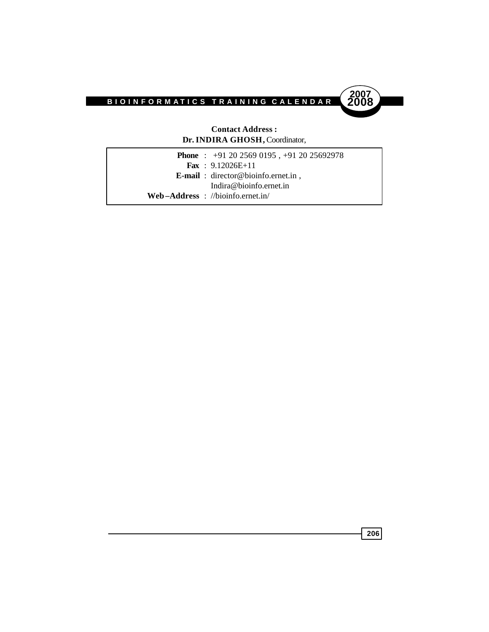



#### **Contact Address : Dr. INDIRA GHOSH,** Coordinator,

**Phone** : +91 20 2569 0195 , +91 20 25692978 **Fax** : 9.12026E+11 **E-mail** : director@bioinfo.ernet.in , Indira@bioinfo.ernet.in **Web –Address** : //bioinfo.ernet.in/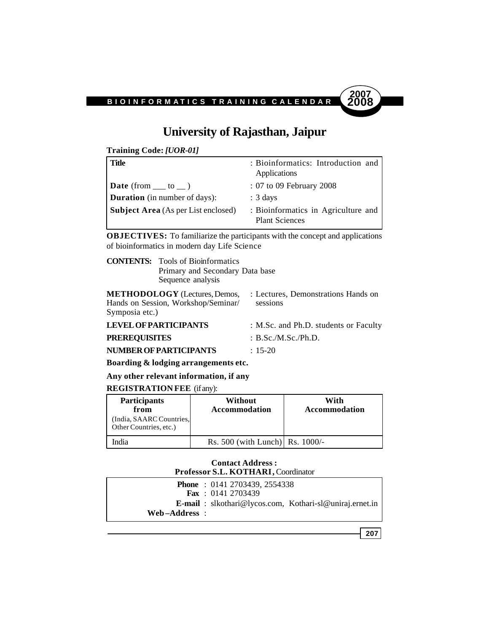

## **University of Rajasthan, Jaipur**

**Training Code:** *[UOR-01]*

| <b>Title</b>                               | : Bioinformatics: Introduction and<br>Applications           |
|--------------------------------------------|--------------------------------------------------------------|
| <b>Date</b> (from $\_\_$ to $\_\)$ )       | : 07 to 09 February 2008                                     |
| <b>Duration</b> (in number of days):       | $: 3 \text{ days}$                                           |
| <b>Subject Area</b> (As per List enclosed) | : Bioinformatics in Agriculture and<br><b>Plant Sciences</b> |

**OBJECTIVES:** To familiarize the participants with the concept and applications of bioinformatics in modern day Life Science

**CONTENTS:** Tools of Bioinformatics Primary and Secondary Data base Sequence analysis

**METHODOLOGY** (Lectures, Demos, : Lectures, Demonstrations Hands on Hands on Session, Workshop/Seminar/ sessions Symposia etc.)

| <b>LEVEL OF PARTICIPANTS</b>  | : M.Sc. and Ph.D. students or Faculty |
|-------------------------------|---------------------------------------|
| <b>PREREQUISITES</b>          | : $B.Sc.M.Sc./Ph.D.$                  |
| <b>NUMBER OF PARTICIPANTS</b> | $\div$ 15-20                          |

**Boarding & lodging arrangements etc.**

**Any other relevant information, if any**

#### **REGISTRATION FEE** (if any):

| <b>Participants</b><br>from<br>(India, SAARC Countries,<br>Other Countries, etc.) | Without<br><b>Accommodation</b>     | With<br><b>Accommodation</b> |
|-----------------------------------------------------------------------------------|-------------------------------------|------------------------------|
| India                                                                             | Rs. $500$ (with Lunch) Rs. $1000/-$ |                              |

#### **Contact Address : Professor S.L. KOTHARI,** Coordinator

|               | <b>Phone</b> : $0141\,2703439, 2554338$                         |
|---------------|-----------------------------------------------------------------|
|               | <b>Fax</b> : $01412703439$                                      |
|               | <b>E-mail</b> : slkothari@lycos.com, Kothari-sl@uniraj.ernet.in |
| Web–Address : |                                                                 |

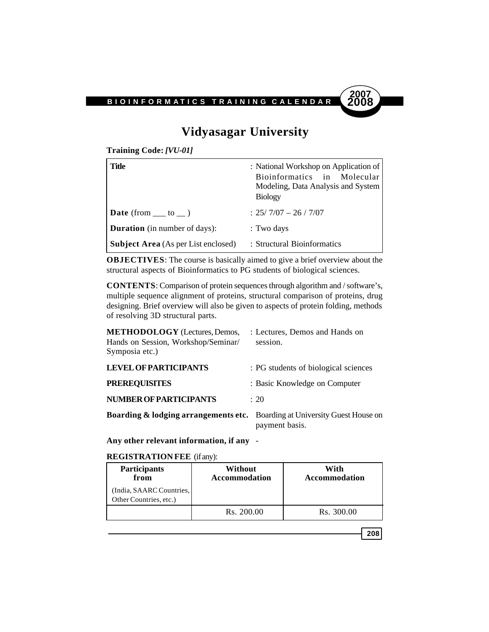

## **Vidyasagar University**

**Training Code:** *[VU-01]*

| Title                                      | : National Workshop on Application of<br>Bioinformatics in Molecular<br>Modeling, Data Analysis and System<br><b>Biology</b> |
|--------------------------------------------|------------------------------------------------------------------------------------------------------------------------------|
| <b>Date</b> (from $\_\_$ to $\_\)$ )       | $: 25/7/07 - 26/7/07$                                                                                                        |
| <b>Duration</b> (in number of days):       | : Two days                                                                                                                   |
| <b>Subject Area</b> (As per List enclosed) | : Structural Bioinformatics                                                                                                  |

**OBJECTIVES**: The course is basically aimed to give a brief overview about the structural aspects of Bioinformatics to PG students of biological sciences.

**CONTENTS**: Comparison of protein sequences through algorithm and / software's, multiple sequence alignment of proteins, structural comparison of proteins, drug designing. Brief overview will also be given to aspects of protein folding, methods of resolving 3D structural parts.

| <b>METHODOLOGY</b> (Lectures, Demos,<br>Hands on Session, Workshop/Seminar/<br>Symposia etc.) | : Lectures, Demos and Hands on<br>session. |
|-----------------------------------------------------------------------------------------------|--------------------------------------------|
| <b>LEVEL OF PARTICIPANTS</b>                                                                  | : PG students of biological sciences       |
| <b>PREREQUISITES</b>                                                                          | : Basic Knowledge on Computer              |
| <b>NUMBER OF PARTICIPANTS</b>                                                                 | $\div$ 20                                  |
| <b>Boarding &amp; lodging arrangements etc.</b> Boarding at University Guest House on         | payment basis.                             |

**Any other relevant information, if any** -

#### **REGISTRATION FEE** (if any):

| <b>Participants</b><br>from                        | Without<br><b>Accommodation</b> | With<br>Accommodation |
|----------------------------------------------------|---------------------------------|-----------------------|
| (India, SAARC Countries,<br>Other Countries, etc.) |                                 |                       |
|                                                    | Rs. 200.00                      | Rs. 300.00            |

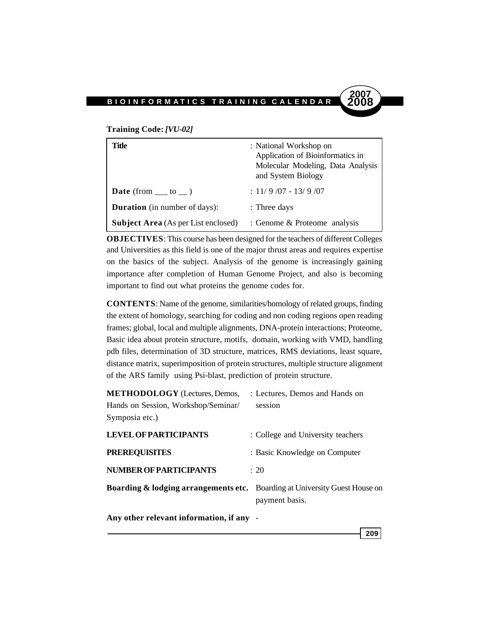#### **Training Code:** *[VU-02]*

| Title                                      | : National Workshop on<br>Application of Bioinformatics in<br>Molecular Modeling, Data Analysis<br>and System Biology |
|--------------------------------------------|-----------------------------------------------------------------------------------------------------------------------|
| <b>Date</b> (from $\_\_$ to $\_\)$ )       | $: 11/9/07 - 13/9/07$                                                                                                 |
| <b>Duration</b> (in number of days):       | : Three days                                                                                                          |
| <b>Subject Area</b> (As per List enclosed) | : Genome & Proteome analysis                                                                                          |

**OBJECTIVES**: This course has been designed for the teachers of different Colleges and Universities as this field is one of the major thrust areas and requires expertise on the basics of the subject. Analysis of the genome is increasingly gaining importance after completion of Human Genome Project, and also is becoming important to find out what proteins the genome codes for.

**CONTENTS**: Name of the genome, similarities/homology of related groups, finding the extent of homology, searching for coding and non coding regions open reading frames; global, local and multiple alignments, DNA-protein interactions; Proteome, Basic idea about protein structure, motifs, domain, working with VMD, handling pdb files, determination of 3D structure, matrices, RMS deviations, least square, distance matrix, superimposition of protein structures, multiple structure alignment of the ARS family using Psi-blast, prediction of protein structure.

| <b>METHODOLOGY</b> (Lectures, Demos,                                                  | : Lectures, Demos and Hands on    |
|---------------------------------------------------------------------------------------|-----------------------------------|
| Hands on Session, Workshop/Seminar/                                                   | session                           |
| Symposia etc.)                                                                        |                                   |
| <b>LEVEL OF PARTICIPANTS</b>                                                          | : College and University teachers |
| <b>PREREQUISITES</b>                                                                  | : Basic Knowledge on Computer     |
| <b>NUMBER OF PARTICIPANTS</b>                                                         | $\div$ 20                         |
| <b>Boarding &amp; lodging arrangements etc.</b> Boarding at University Guest House on | payment basis.                    |
|                                                                                       |                                   |

**Any other relevant information, if any** -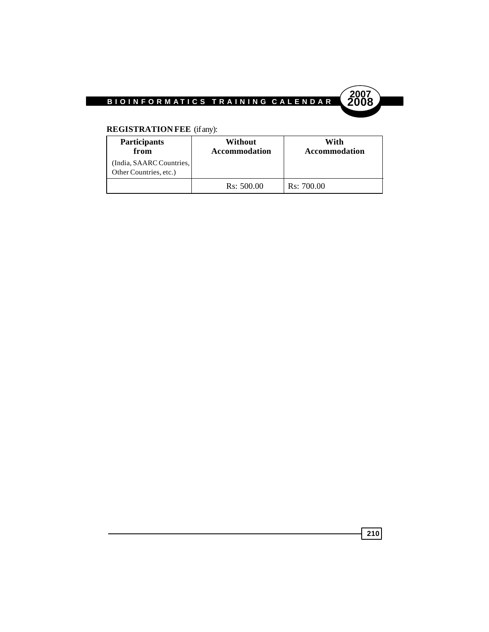



### **REGISTRATION FEE** (if any):

| <b>Participants</b><br>from                        | Without<br><b>Accommodation</b> | With<br><b>Accommodation</b> |
|----------------------------------------------------|---------------------------------|------------------------------|
| (India, SAARC Countries,<br>Other Countries, etc.) |                                 |                              |
|                                                    | Rs: 500.00                      | Rs: 700.00                   |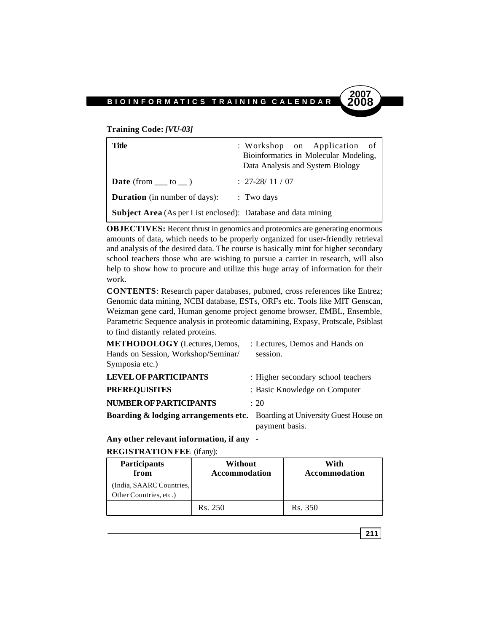#### **Training Code:** *[VU-03]*

| Title                                                                | : Workshop on Application of<br>Bioinformatics in Molecular Modeling,<br>Data Analysis and System Biology |
|----------------------------------------------------------------------|-----------------------------------------------------------------------------------------------------------|
| <b>Date</b> (from $\_\_$ to $\_\)$ )                                 | $: 27-28/11/07$                                                                                           |
| <b>Duration</b> (in number of days):                                 | $\therefore$ Two days                                                                                     |
| <b>Subject Area</b> (As per List enclosed): Database and data mining |                                                                                                           |

**OBJECTIVES:** Recent thrust in genomics and proteomics are generating enormous amounts of data, which needs to be properly organized for user-friendly retrieval and analysis of the desired data. The course is basically mint for higher secondary school teachers those who are wishing to pursue a carrier in research, will also help to show how to procure and utilize this huge array of information for their work.

**CONTENTS**: Research paper databases, pubmed, cross references like Entrez; Genomic data mining, NCBI database, ESTs, ORFs etc. Tools like MIT Genscan, Weizman gene card, Human genome project genome browser, EMBL, Ensemble, Parametric Sequence analysis in proteomic datamining, Expasy, Protscale, Psiblast to find distantly related proteins.

| <b>METHODOLOGY</b> (Lectures, Demos,<br>Hands on Session, Workshop/Seminar/           | : Lectures, Demos and Hands on<br>session. |
|---------------------------------------------------------------------------------------|--------------------------------------------|
| Symposia etc.)                                                                        |                                            |
| <b>LEVEL OF PARTICIPANTS</b>                                                          | : Higher secondary school teachers         |
| <b>PREREQUISITES</b>                                                                  | : Basic Knowledge on Computer              |
| <b>NUMBER OF PARTICIPANTS</b>                                                         | $\div$ 20                                  |
| <b>Boarding &amp; lodging arrangements etc.</b> Boarding at University Guest House on | payment basis.                             |

**Any other relevant information, if any** -

#### **REGISTRATION FEE** (if any):

| <b>Participants</b><br>from                        | Without<br><b>Accommodation</b> | With<br><b>Accommodation</b> |
|----------------------------------------------------|---------------------------------|------------------------------|
| (India, SAARC Countries,<br>Other Countries, etc.) |                                 |                              |
|                                                    | Rs. 250                         | Rs. 350                      |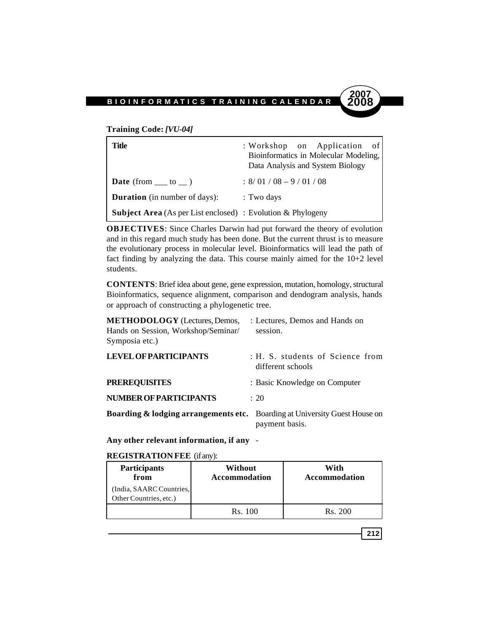**Training Code:** *[VU-04]*

| Title                                                              | : Workshop on Application of<br>Bioinformatics in Molecular Modeling,<br>Data Analysis and System Biology |
|--------------------------------------------------------------------|-----------------------------------------------------------------------------------------------------------|
| <b>Date</b> (from $\_\_$ to $\_\)$ )                               | $\div$ 8/01/08 - 9/01/08                                                                                  |
| <b>Duration</b> (in number of days):                               | : Two days                                                                                                |
| <b>Subject Area</b> (As per List enclosed) : Evolution & Phylogeny |                                                                                                           |

**OBJECTIVES**: Since Charles Darwin had put forward the theory of evolution and in this regard much study has been done. But the current thrust is to measure the evolutionary process in molecular level. Bioinformatics will lead the path of fact finding by analyzing the data. This course mainly aimed for the 10+2 level students.

**CONTENTS**: Brief idea about gene, gene expression, mutation, homology, structural Bioinformatics, sequence alignment, comparison and dendogram analysis, hands or approach of constructing a phylogenetic tree.

| <b>METHODOLOGY</b> (Lectures, Demos,                                                  | : Lectures, Demos and Hands on                        |
|---------------------------------------------------------------------------------------|-------------------------------------------------------|
| Hands on Session, Workshop/Seminar/                                                   | session.                                              |
| Symposia etc.)                                                                        |                                                       |
| <b>LEVEL OF PARTICIPANTS</b>                                                          | : H. S. students of Science from<br>different schools |
| <b>PREREQUISITES</b>                                                                  | : Basic Knowledge on Computer                         |
| NUMBER OF PARTICIPANTS                                                                | $\div 20$                                             |
| <b>Boarding &amp; lodging arrangements etc.</b> Boarding at University Guest House on | payment basis.                                        |

**Any other relevant information, if any** -

**REGISTRATION FEE** (if any):

| <b>Participants</b><br>from                        | Without<br><b>Accommodation</b> | With<br><b>Accommodation</b> |
|----------------------------------------------------|---------------------------------|------------------------------|
| (India, SAARC Countries,<br>Other Countries, etc.) |                                 |                              |
|                                                    | Rs. 100                         | Rs. 200                      |

$$
212
$$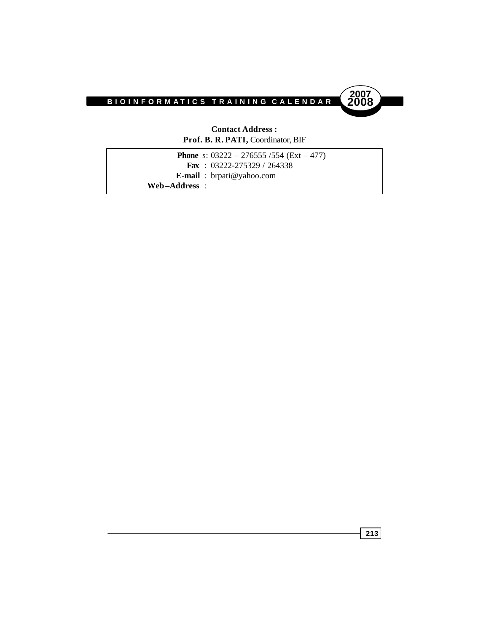

#### **Contact Address : Prof. B. R. PATI,** Coordinator, BIF

|               | <b>Phone</b> s: $03222 - 276555/554$ (Ext – 477) |
|---------------|--------------------------------------------------|
|               | <b>Fax</b> : $03222 - 275329 / 264338$           |
|               | <b>E-mail</b> : $b$ rpati@yahoo.com              |
| Web-Address : |                                                  |
|               |                                                  |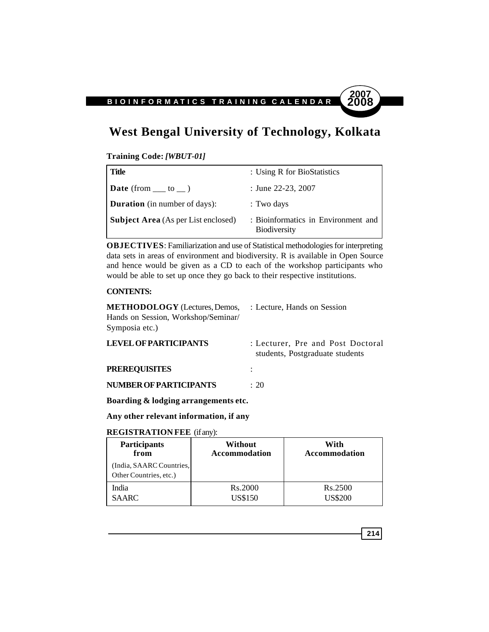# **West Bengal University of Technology, Kolkata**

#### **Training Code:** *[WBUT-01]*

| Title                                      | : Using R for BioStatistics                                |
|--------------------------------------------|------------------------------------------------------------|
| <b>Date</b> (from $\_\_$ to $\_\)$ )       | : June 22-23, 2007                                         |
| <b>Duration</b> (in number of days):       | : Two days                                                 |
| <b>Subject Area</b> (As per List enclosed) | : Bioinformatics in Environment and<br><b>Biodiversity</b> |

**OBJECTIVES**: Familiarization and use of Statistical methodologies for interpreting data sets in areas of environment and biodiversity. R is available in Open Source and hence would be given as a CD to each of the workshop participants who would be able to set up once they go back to their respective institutions.

#### **CONTENTS:**

| <b>METHODOLOGY</b> (Lectures, Demos, | : Lecture, Hands on Session |
|--------------------------------------|-----------------------------|
| Hands on Session, Workshop/Seminar/  |                             |
| Symposia etc.)                       |                             |

| <b>LEVEL OF PARTICIPANTS</b>  | : Lecturer, Pre and Post Doctoral<br>students, Postgraduate students |
|-------------------------------|----------------------------------------------------------------------|
| <b>PREREOUISITES</b>          |                                                                      |
| <b>NUMBER OF PARTICIPANTS</b> | $\div$ 20                                                            |

**Boarding & lodging arrangements etc.**

#### **Any other relevant information, if any**

#### **REGISTRATION FEE** (if any):

| <b>Participants</b>                                | Without              | With                 |
|----------------------------------------------------|----------------------|----------------------|
| from                                               | <b>Accommodation</b> | <b>Accommodation</b> |
| (India, SAARC Countries,<br>Other Countries, etc.) |                      |                      |
| India                                              | Rs.2000              | Rs.2500              |
| <b>SAARC</b>                                       | <b>US\$150</b>       | <b>US\$200</b>       |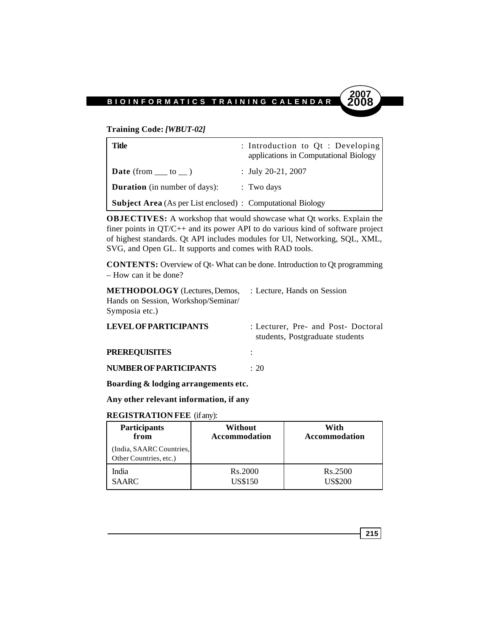#### **Training Code:** *[WBUT-02]*

| Title                                                              | : Introduction to Qt : Developing<br>applications in Computational Biology |
|--------------------------------------------------------------------|----------------------------------------------------------------------------|
| <b>Date</b> (from $\_\_\_$ to $\_\_$ )                             | : July 20-21, 2007                                                         |
| <b>Duration</b> (in number of days):                               | $\therefore$ Two days                                                      |
| <b>Subject Area</b> (As per List enclosed) : Computational Biology |                                                                            |

**OBJECTIVES:** A workshop that would showcase what Qt works. Explain the finer points in QT/C++ and its power API to do various kind of software project of highest standards. Qt API includes modules for UI, Networking, SQL, XML, SVG, and Open GL. It supports and comes with RAD tools.

**CONTENTS:** Overview of Qt- What can be done. Introduction to Qt programming – How can it be done?

| <b>METHODOLOGY</b> (Lectures, Demos,<br>Hands on Session, Workshop/Seminar/<br>Symposia etc.) | : Lecture, Hands on Session                                            |
|-----------------------------------------------------------------------------------------------|------------------------------------------------------------------------|
| <b>LEVEL OF PARTICIPANTS</b>                                                                  | : Lecturer, Pre- and Post- Doctoral<br>students, Postgraduate students |
| <b>PREREQUISITES</b>                                                                          | ÷                                                                      |
| <b>NUMBER OF PARTICIPANTS</b>                                                                 | : 20                                                                   |

**Boarding & lodging arrangements etc.**

**Any other relevant information, if any**

#### **REGISTRATION FEE** (if any):

| <b>Participants</b>                                | Without              | With                 |
|----------------------------------------------------|----------------------|----------------------|
| from                                               | <b>Accommodation</b> | <b>Accommodation</b> |
| (India, SAARC Countries,<br>Other Countries, etc.) |                      |                      |
| India                                              | Rs.2000              | R <sub>s</sub> .2500 |
| <b>SAARC</b>                                       | <b>US\$150</b>       | <b>JS\$200</b>       |

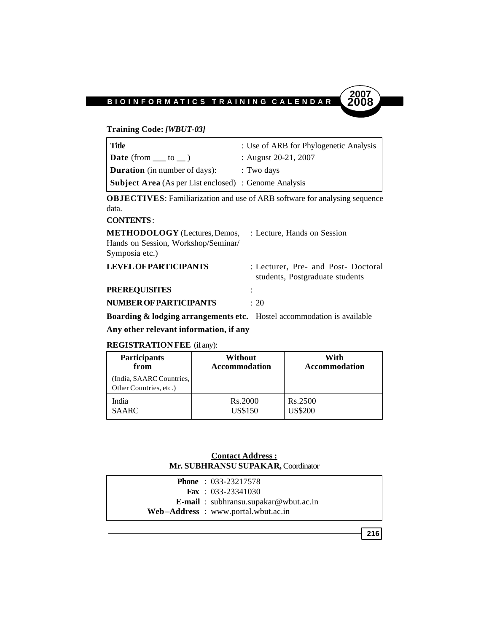#### **Training Code:** *[WBUT-03]*

| Title                                                        | : Use of ARB for Phylogenetic Analysis |
|--------------------------------------------------------------|----------------------------------------|
| <b>Date</b> (from $\_\_$ to $\_\_$ )                         | : August $20-21$ , $2007$              |
| <b>Duration</b> (in number of days):                         | : Two days                             |
| <b>Subject Area</b> (As per List enclosed) : Genome Analysis |                                        |

**OBJECTIVES**: Familiarization and use of ARB software for analysing sequence data.

### **CONTENTS** :

| <b>METHODOLOGY</b> (Lectures, Demos, | : Lecture, Hands on Session                                            |  |
|--------------------------------------|------------------------------------------------------------------------|--|
| Hands on Session, Workshop/Seminar/  |                                                                        |  |
| Symposia etc.)                       |                                                                        |  |
| <b>LEVEL OF PARTICIPANTS</b>         | : Lecturer, Pre- and Post- Doctoral<br>students, Postgraduate students |  |
| <b>PREREQUISITES</b>                 |                                                                        |  |
| <b>NUMBER OF PARTICIPANTS</b>        | $\div$ 20                                                              |  |
|                                      |                                                                        |  |

**Boarding & lodging arrangements etc.** Hostel accommodation is available

### **Any other relevant information, if any**

### **REGISTRATION FEE** (if any):

| <b>Participants</b>                               | Without              | With                 |
|---------------------------------------------------|----------------------|----------------------|
| from                                              | <b>Accommodation</b> | <b>Accommodation</b> |
| India, SAARC Countries,<br>Other Countries, etc.) |                      |                      |
| India                                             | <b>Rs.2000</b>       | Rs.2500              |
| SAARC                                             | <b>US\$150</b>       | US\$200              |

#### **Contact Address : Mr. SUBHRANSU SUPAKAR,** Coordinator

| <b>Phone</b> : $033-23217578$                |
|----------------------------------------------|
| <b>Fax</b> : $033-23341030$                  |
| <b>E-mail</b> : subhransu.supakar@wbut.ac.in |
| Web-Address: www.portal.wbut.ac.in           |
|                                              |

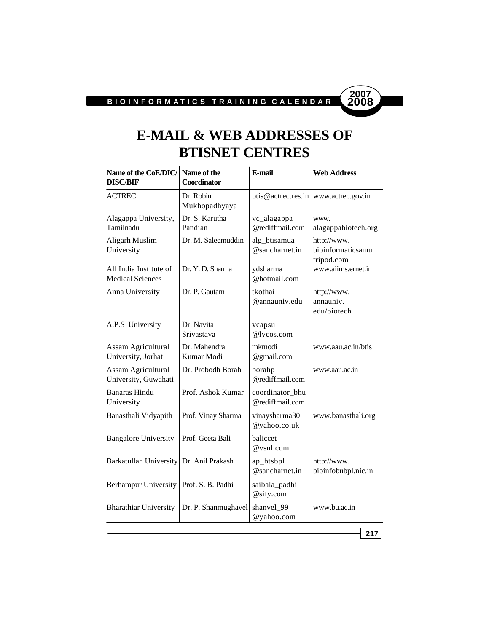

# **E-MAIL & WEB ADDRESSES OF BTISNET CENTRES**

| <b>ACTREC</b>                                     |                            |                                    |                                                 |
|---------------------------------------------------|----------------------------|------------------------------------|-------------------------------------------------|
|                                                   | Dr. Robin<br>Mukhopadhyaya | btis@actrec.res.in                 | www.actrec.gov.in                               |
| Alagappa University,<br>Tamilnadu                 | Dr. S. Karutha<br>Pandian  | vc_alagappa<br>@rediffmail.com     | www.<br>alagappabiotech.org                     |
| Aligarh Muslim<br>University                      | Dr. M. Saleemuddin         | alg_btisamua<br>@sancharnet.in     | http://www.<br>bioinformaticsamu.<br>tripod.com |
| All India Institute of<br><b>Medical Sciences</b> | Dr. Y. D. Sharma           | ydsharma<br>@hotmail.com           | www.aiims.ernet.in                              |
| Anna University                                   | Dr. P. Gautam              | tkothai<br>@annauniv.edu           | http://www.<br>annauniv.<br>edu/biotech         |
| A.P.S University                                  | Dr. Navita<br>Srivastava   | vcapsu<br>@lycos.com               |                                                 |
| Assam Agricultural<br>University, Jorhat          | Dr. Mahendra<br>Kumar Modi | mkmodi<br>@gmail.com               | www.aau.ac.in/btis                              |
| Assam Agricultural<br>University, Guwahati        | Dr. Probodh Borah          | borahp<br>@rediffmail.com          | www.aau.ac.in                                   |
| <b>Banaras Hindu</b><br>University                | Prof. Ashok Kumar          | coordinator_bhu<br>@rediffmail.com |                                                 |
| Banasthali Vidyapith                              | Prof. Vinay Sharma         | vinaysharma30<br>@yahoo.co.uk      | www.banasthali.org                              |
| <b>Bangalore University</b>                       | Prof. Geeta Bali           | baliccet<br>@vsnl.com              |                                                 |
| <b>Barkatullah University</b>                     | Dr. Anil Prakash           | ap_btsbpl<br>@sancharnet.in        | http://www.<br>bioinfobubpl.nic.in              |
| <b>Berhampur University</b>                       | Prof. S. B. Padhi          | saibala_padhi<br>@sify.com         |                                                 |
| <b>Bharathiar University</b>                      | Dr. P. Shanmughavel        | shanvel_99<br>@yahoo.com           | www.bu.ac.in                                    |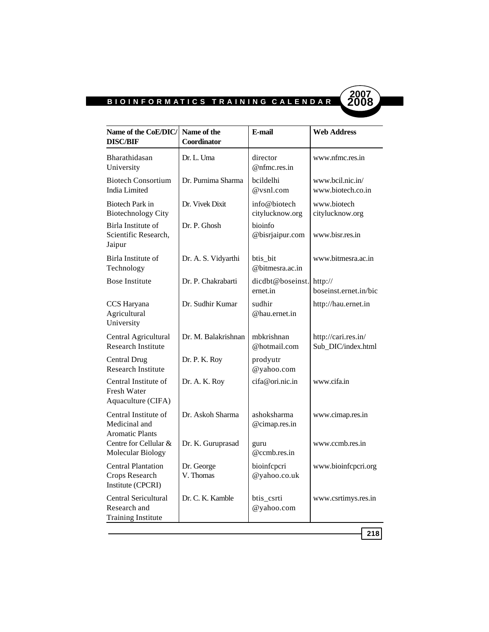

| Name of the CoE/DIC/<br><b>DISC/BIF</b>                           | Name of the<br>Coordinator | E-mail                          | <b>Web Address</b>                        |
|-------------------------------------------------------------------|----------------------------|---------------------------------|-------------------------------------------|
| Bharathidasan<br>University                                       | Dr. L. Uma                 | director<br>$@n$ fmc.res.in     | www.nfmc.res.in                           |
| <b>Biotech Consortium</b><br>India Limited                        | Dr. Purnima Sharma         | bcildelhi<br>@vsnl.com          | www.bcil.nic.in/<br>www.biotech.co.in     |
| Biotech Park in<br><b>Biotechnology City</b>                      | Dr. Vivek Dixit            | info@biotech<br>citylucknow.org | www.biotech<br>citylucknow.org            |
| Birla Institute of<br>Scientific Research,<br>Jaipur              | Dr. P. Ghosh               | bioinfo<br>@bisrjaipur.com      | www.bisr.res.in                           |
| Birla Institute of<br>Technology                                  | Dr. A. S. Vidyarthi        | btis_bit<br>@bitmesra.ac.in     | www.bitmesra.ac.in                        |
| <b>Bose Institute</b>                                             | Dr. P. Chakrabarti         | dicdbt@boseinst.<br>ernet.in    | http://<br>boseinst.ernet.in/bic          |
| CCS Haryana<br>Agricultural<br>University                         | Dr. Sudhir Kumar           | sudhir<br>@hau.ernet.in         | http://hau.ernet.in                       |
| Central Agricultural<br><b>Research Institute</b>                 | Dr. M. Balakrishnan        | mbkrishnan<br>@hotmail.com      | http://cari.res.in/<br>Sub DIC/index.html |
| <b>Central Drug</b><br><b>Research Institute</b>                  | Dr. P. K. Roy              | prodyutr<br>@yahoo.com          |                                           |
| Central Institute of<br>Fresh Water<br>Aquaculture (CIFA)         | Dr. A. K. Roy              | cifa@ori.nic.in                 | www.cifa.in                               |
| Central Institute of<br>Medicinal and<br><b>Aromatic Plants</b>   | Dr. Askoh Sharma           | ashoksharma<br>@cimap.res.in    | www.cimap.res.in                          |
| Centre for Cellular &<br>Molecular Biology                        | Dr. K. Guruprasad          | guru<br>@ccmb.res.in            | www.ccmb.res.in                           |
| <b>Central Plantation</b><br>Crops Research<br>Institute (CPCRI)  | Dr. George<br>V. Thomas    | bioinfcpcri<br>@yahoo.co.uk     | www.bioinfcpcri.org                       |
| Central Sericultural<br>Research and<br><b>Training Institute</b> | Dr. C. K. Kamble           | btis_csrti<br>@yahoo.com        | www.csrtimys.res.in                       |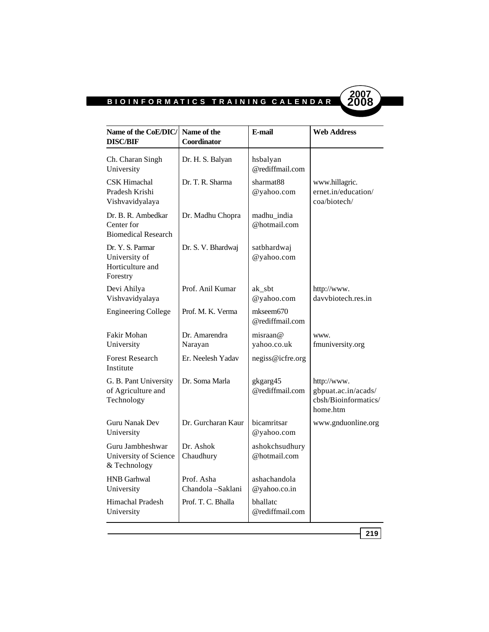ı



| Name of the CoE/DIC/<br><b>DISC/BIF</b>                           | Name of the<br>Coordinator      | E-mail                         | <b>Web Address</b>                                                     |
|-------------------------------------------------------------------|---------------------------------|--------------------------------|------------------------------------------------------------------------|
| Ch. Charan Singh<br>University                                    | Dr. H. S. Balyan                | hsbalyan<br>@rediffmail.com    |                                                                        |
| <b>CSK Himachal</b><br>Pradesh Krishi<br>Vishvavidyalaya          | Dr. T. R. Sharma                | sharmat88<br>@yahoo.com        | www.hillagric.<br>ernet.in/education/<br>coa/biotech/                  |
| Dr. B. R. Ambedkar<br>Center for<br><b>Biomedical Research</b>    | Dr. Madhu Chopra                | madhu_india<br>@hotmail.com    |                                                                        |
| Dr. Y. S. Parmar<br>University of<br>Horticulture and<br>Forestry | Dr. S. V. Bhardwaj              | satbhardwaj<br>@yahoo.com      |                                                                        |
| Devi Ahilya<br>Vishvavidyalaya                                    | Prof. Anil Kumar                | ak_sbt<br>@yahoo.com           | http://www.<br>davvbiotech.res.in                                      |
| <b>Engineering College</b>                                        | Prof. M. K. Verma               | mkseem670<br>@rediffmail.com   |                                                                        |
| Fakir Mohan<br>University                                         | Dr. Amarendra<br>Narayan        | misraan@<br>yahoo.co.uk        | www.<br>fmuniversity.org                                               |
| <b>Forest Research</b><br>Institute                               | Er. Neelesh Yadav               | negiss@icfre.org               |                                                                        |
| G. B. Pant University<br>of Agriculture and<br>Technology         | Dr. Soma Marla                  | gkgarg45<br>@rediffmail.com    | http://www.<br>gbpuat.ac.in/acads/<br>cbsh/Bioinformatics/<br>home.htm |
| <b>Guru Nanak Dev</b><br>University                               | Dr. Gurcharan Kaur              | bicamritsar<br>@yahoo.com      | www.gnduonline.org                                                     |
| Guru Jambheshwar<br>University of Science<br>& Technology         | Dr. Ashok<br>Chaudhury          | ashokchsudhury<br>@hotmail.com |                                                                        |
| <b>HNB</b> Garhwal<br>University                                  | Prof. Asha<br>Chandola -Saklani | ashachandola<br>@yahoo.co.in   |                                                                        |
| Himachal Pradesh<br>University                                    | Prof. T. C. Bhalla              | bhallatc<br>@rediffmail.com    |                                                                        |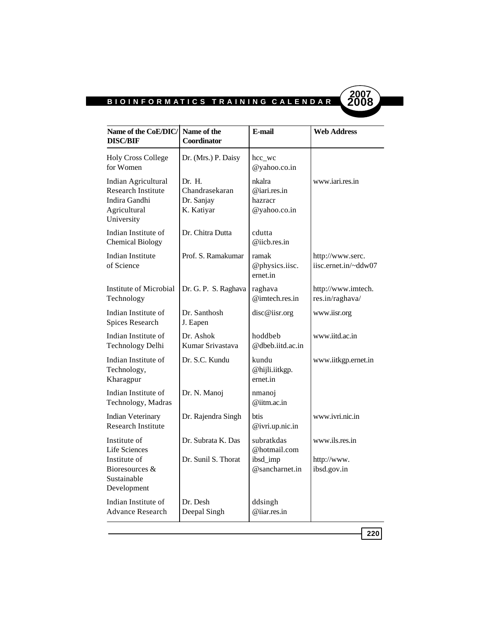

| Name of the CoE/DIC/<br><b>DISC/BIF</b>                                                              | Name of the<br>Coordinator                           | E-mail                                                   | <b>Web Address</b>                           |
|------------------------------------------------------------------------------------------------------|------------------------------------------------------|----------------------------------------------------------|----------------------------------------------|
| <b>Holy Cross College</b><br>for Women                                                               | Dr. (Mrs.) P. Daisy                                  | hcc_wc<br>@yahoo.co.in                                   |                                              |
| Indian Agricultural<br><b>Research Institute</b><br>Indira Gandhi<br>Agricultural<br>University      | Dr. H.<br>Chandrasekaran<br>Dr. Sanjay<br>K. Katiyar | nkalra<br>@iari,res.in<br>hazracr<br>@yahoo.co.in        | www.jari.res.in                              |
| Indian Institute of<br><b>Chemical Biology</b>                                                       | Dr. Chitra Dutta                                     | cdutta<br>@iicb.res.in                                   |                                              |
| Indian Institute<br>of Science                                                                       | Prof. S. Ramakumar                                   | ramak<br>@physics.iisc.<br>ernet.in                      | http://www.serc.<br>iisc.ernet.in/~ddw07     |
| Institute of Microbial<br>Technology                                                                 | Dr. G. P. S. Raghava                                 | raghava<br>$@$ imtech.res.in                             | http://www.imtech.<br>res.in/raghava/        |
| Indian Institute of<br>Spices Research                                                               | Dr. Santhosh<br>J. Eapen                             | disc@iisr.org                                            | www.iisr.org                                 |
| Indian Institute of<br>Technology Delhi                                                              | Dr. Ashok<br>Kumar Srivastava                        | hoddbeb<br>@dbeb.iitd.ac.in                              | www.iitd.ac.in                               |
| Indian Institute of<br>Technology,<br>Kharagpur                                                      | Dr. S.C. Kundu                                       | kundu<br>@hijli.iitkgp.<br>ernet.in                      | www.iitkgp.ernet.in                          |
| Indian Institute of<br>Technology, Madras                                                            | Dr. N. Manoj                                         | nmanoj<br>@iitm.ac.in                                    |                                              |
| <b>Indian Veterinary</b><br><b>Research Institute</b>                                                | Dr. Rajendra Singh                                   | <b>btis</b><br>@ivri.up.nic.in                           | www.ivri.nic.in                              |
| Institute of<br><b>Life Sciences</b><br>Institute of<br>Bioresources &<br>Sustainable<br>Development | Dr. Subrata K. Das<br>Dr. Sunil S. Thorat            | subratkdas<br>@hotmail.com<br>ibsd_imp<br>@sancharnet.in | www.ils.res.in<br>http://www.<br>ibsd.gov.in |
| Indian Institute of<br><b>Advance Research</b>                                                       | Dr. Desh<br>Deepal Singh                             | ddsingh<br>@iiar.res.in                                  |                                              |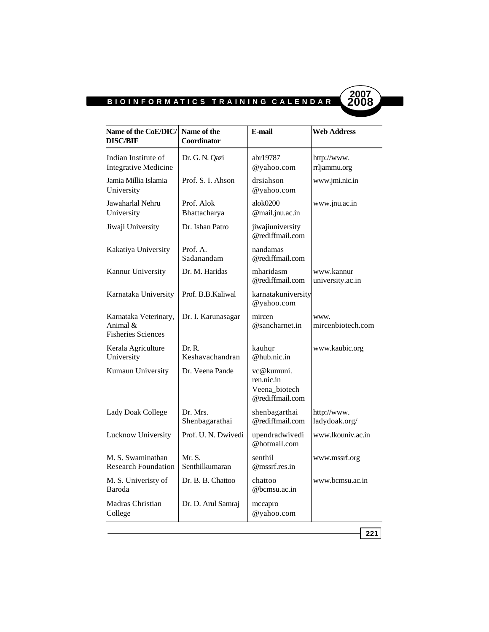$\overline{\phantom{a}}$ 



| Name of the CoE/DIC/<br><b>DISC/BIF</b>                           | Name of the<br>Coordinator | E-mail                                                       | <b>Web Address</b>             |
|-------------------------------------------------------------------|----------------------------|--------------------------------------------------------------|--------------------------------|
| Indian Institute of<br><b>Integrative Medicine</b>                | Dr. G. N. Qazi             | abr19787<br>@yahoo.com                                       | http://www.<br>rrljammu.org    |
| Jamia Millia Islamia<br>University                                | Prof. S. I. Ahson          | drsiahson<br>@yahoo.com                                      | www.jmi.nic.in                 |
| Jawaharlal Nehru<br>University                                    | Prof. Alok<br>Bhattacharya | alok0200<br>@mail.jnu.ac.in                                  | www.jnu.ac.in                  |
| Jiwaji University                                                 | Dr. Ishan Patro            | jiwajiuniversity<br>@rediffmail.com                          |                                |
| Kakatiya University                                               | Prof. A.<br>Sadanandam     | nandamas<br>@rediffmail.com                                  |                                |
| Kannur University                                                 | Dr. M. Haridas             | mharidasm<br>@rediffmail.com                                 | www.kannur<br>university.ac.in |
| Karnataka University                                              | Prof. B.B.Kaliwal          | karnatakuniversity<br>@yahoo.com                             |                                |
| Karnataka Veterinary,<br>Animal $\&$<br><b>Fisheries Sciences</b> | Dr. I. Karunasagar         | mircen<br>@sancharnet.in                                     | www.<br>mircenbiotech.com      |
| Kerala Agriculture<br>University                                  | Dr. R.<br>Keshavachandran  | kauhqr<br>@hub.nic.in                                        | www.kaubic.org                 |
| Kumaun University                                                 | Dr. Veena Pande            | vc@kumuni.<br>ren.nic.in<br>Veena biotech<br>@rediffmail.com |                                |
| <b>Lady Doak College</b>                                          | Dr. Mrs.<br>Shenbagarathai | shenbagarthai<br>@rediffmail.com                             | http://www.<br>ladydoak.org/   |
| Lucknow University                                                | Prof. U. N. Dwivedi        | upendradwivedi<br>@hotmail.com                               | www.lkouniv.ac.in              |
| M. S. Swaminathan<br><b>Research Foundation</b>                   | Mr. S.<br>Senthilkumaran   | senthil<br>@mssrf.res.in                                     | www.mssrf.org                  |
| M. S. Univeristy of<br>Baroda                                     | Dr. B. B. Chattoo          | chattoo<br>@bcmsu.ac.in                                      | www.bcmsu.ac.in                |
| Madras Christian<br>College                                       | Dr. D. Arul Samraj         | mccapro<br>@yahoo.com                                        |                                |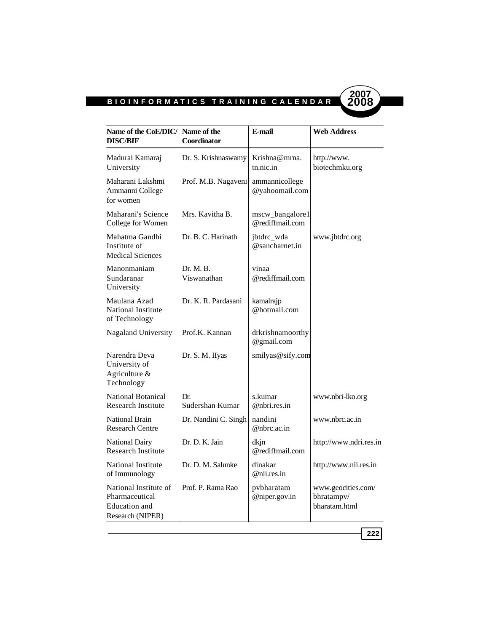

| Name of the CoE/DIC/<br><b>DISC/BIF</b>                                      | Name of the<br>Coordinator | E-mail                             | <b>Web Address</b>                                |
|------------------------------------------------------------------------------|----------------------------|------------------------------------|---------------------------------------------------|
| Madurai Kamaraj<br>University                                                | Dr. S. Krishnaswamy        | Krishna@mrna.<br>tn.nic.in         | http://www.<br>biotechmku.org                     |
| Maharani Lakshmi<br>Ammanni College<br>for women                             | Prof. M.B. Nagaveni        | ammannicollege<br>@yahoomail.com   |                                                   |
| Maharani's Science<br>College for Women                                      | Mrs. Kavitha B.            | mscw_bangalore1<br>@rediffmail.com |                                                   |
| Mahatma Gandhi<br>Institute of<br><b>Medical Sciences</b>                    | Dr. B. C. Harinath         | jbtdrc_wda<br>@sancharnet.in       | www.jbtdrc.org                                    |
| Manonmaniam<br>Sundaranar<br>University                                      | Dr. M. B.<br>Viswanathan   | vinaa<br>@rediffmail.com           |                                                   |
| Maulana Azad<br><b>National Institute</b><br>of Technology                   | Dr. K. R. Pardasani        | kamalrajp<br>@hotmail.com          |                                                   |
| Nagaland University                                                          | Prof.K. Kannan             | drkrishnamoorthy<br>@gmail.com     |                                                   |
| Narendra Deva<br>University of<br>Agriculture &<br>Technology                | Dr. S. M. IIyas            | smilyas@sify.com                   |                                                   |
| National Botanical<br><b>Research Institute</b>                              | Dr.<br>Sudershan Kumar     | s.kumar<br>@ntrires.in             | www.nbri-lko.org                                  |
| <b>National Brain</b><br><b>Research Centre</b>                              | Dr. Nandini C. Singh       | nandini<br>@nbrc.ac.in             | www.nbrc.ac.in                                    |
| National Dairy<br><b>Research Institute</b>                                  | Dr. D. K. Jain             | dkjn<br>@rediffmail.com            | http://www.ndri.res.in                            |
| <b>National Institute</b><br>of Immunology                                   | Dr. D. M. Salunke          | dinakar<br>@ni.res.in              | http://www.nii.res.in                             |
| National Institute of<br>Pharmaceutical<br>Education and<br>Research (NIPER) | Prof. P. Rama Rao          | pvbharatam<br>@niper.gov.in        | www.geocities.com/<br>bhratampv/<br>bharatam.html |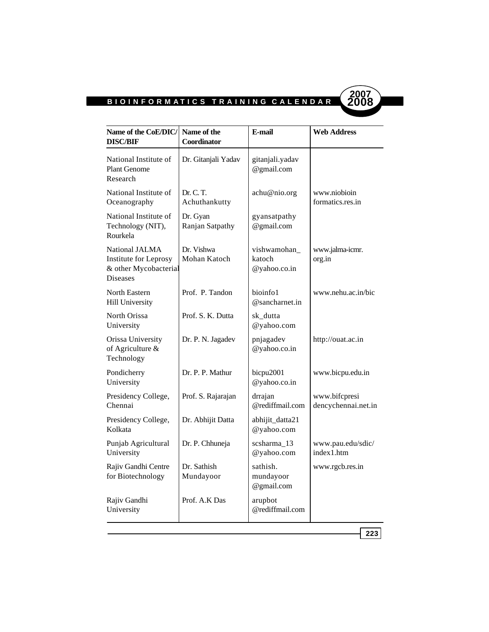ı



| Name of the CoE/DIC/<br><b>DISC/BIF</b>                                             | Name of the<br>Coordinator  | E-mail                                 | <b>Web Address</b>                   |
|-------------------------------------------------------------------------------------|-----------------------------|----------------------------------------|--------------------------------------|
| National Institute of<br><b>Plant Genome</b><br>Research                            | Dr. Gitanjali Yadav         | gitanjali.yadav<br>@gmail.com          |                                      |
| National Institute of<br>Oceanography                                               | Dr. C. T.<br>Achuthankutty  | achu@nio.org                           | www.niobioin<br>formatics.res.in     |
| National Institute of<br>Technology (NIT),<br>Rourkela                              | Dr. Gyan<br>Ranjan Satpathy | gyansatpathy<br>@gmail.com             |                                      |
| National JALMA<br>Institute for Leprosy<br>& other Mycobacterial<br><b>Diseases</b> | Dr. Vishwa<br>Mohan Katoch  | vishwamohan_<br>katoch<br>@yahoo.co.in | www.jalma-icmr.<br>org.in            |
| North Eastern<br><b>Hill University</b>                                             | Prof. P. Tandon             | bioinfo1<br>@sancharnet.in             | www.nehu.ac.in/bic                   |
| North Orissa<br>University                                                          | Prof. S. K. Dutta           | sk dutta<br>@yahoo.com                 |                                      |
| Orissa University<br>of Agriculture &<br>Technology                                 | Dr. P. N. Jagadev           | pnjagadev<br>@yahoo.co.in              | http://ouat.ac.in                    |
| Pondicherry<br>University                                                           | Dr. P. P. Mathur            | bicpu2001<br>@yahoo.co.in              | www.bicpu.edu.in                     |
| Presidency College,<br>Chennai                                                      | Prof. S. Rajarajan          | drrajan<br>@rediffmail.com             | www.bifcpresi<br>dencychennai.net.in |
| Presidency College,<br>Kolkata                                                      | Dr. Abhijit Datta           | abhijit_datta21<br>@yahoo.com          |                                      |
| Punjab Agricultural<br>University                                                   | Dr. P. Chhuneja             | scsharma_13<br>@yahoo.com              | www.pau.edu/sdic/<br>index1.htm      |
| Rajiv Gandhi Centre<br>for Biotechnology                                            | Dr. Sathish<br>Mundayoor    | sathish.<br>mundayoor<br>@gmail.com    | www.rgcb.res.in                      |
| Rajiv Gandhi<br>University                                                          | Prof. A.K Das               | arupbot<br>@rediffmail.com             |                                      |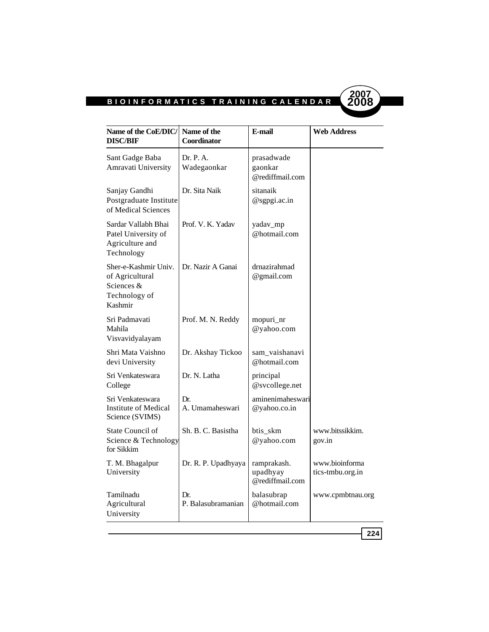

| Name of the CoE/DIC/<br><b>DISC/BIF</b>                                           | Name of the<br>Coordinator | E-mail                                     | <b>Web Address</b>                 |
|-----------------------------------------------------------------------------------|----------------------------|--------------------------------------------|------------------------------------|
| Sant Gadge Baba<br>Amravati University                                            | Dr. P. A.<br>Wadegaonkar   | prasadwade<br>gaonkar<br>@rediffmail.com   |                                    |
| Sanjay Gandhi<br>Postgraduate Institute<br>of Medical Sciences                    | Dr. Sita Naik              | sitanaik<br>@sgpgi.ac.in                   |                                    |
| Sardar Vallabh Bhai<br>Patel University of<br>Agriculture and<br>Technology       | Prof. V. K. Yadav          | yadav_mp<br>@hotmail.com                   |                                    |
| Sher-e-Kashmir Univ.<br>of Agricultural<br>Sciences &<br>Technology of<br>Kashmir | Dr. Nazir A Ganai          | drnazirahmad<br>@gmail.com                 |                                    |
| Sri Padmavati<br>Mahila<br>Visvavidyalayam                                        | Prof. M. N. Reddy          | mopuri_nr<br>@yahoo.com                    |                                    |
| Shri Mata Vaishno<br>devi University                                              | Dr. Akshay Tickoo          | sam vaishanavi<br>@hotmail.com             |                                    |
| Sri Venkateswara<br>College                                                       | Dr. N. Latha               | principal<br>@svcollege.net                |                                    |
| Sri Venkateswara<br>Institute of Medical<br>Science (SVIMS)                       | Dr.<br>A. Umamaheswari     | aminenimaheswari<br>@yahoo.co.in           |                                    |
| State Council of<br>Science & Technology<br>for Sikkim                            | Sh. B. C. Basistha         | btis skm<br>@yahoo.com                     | www.bitssikkim.<br>gov.in          |
| T. M. Bhagalpur<br>University                                                     | Dr. R. P. Upadhyaya        | ramprakash.<br>upadhyay<br>@rediffmail.com | www.bioinforma<br>tics-tmbu.org.in |
| Tamilnadu<br>Agricultural<br>University                                           | Dr.<br>P. Balasubramanian  | balasubrap<br>@hotmail.com                 | www.cpmbtnau.org                   |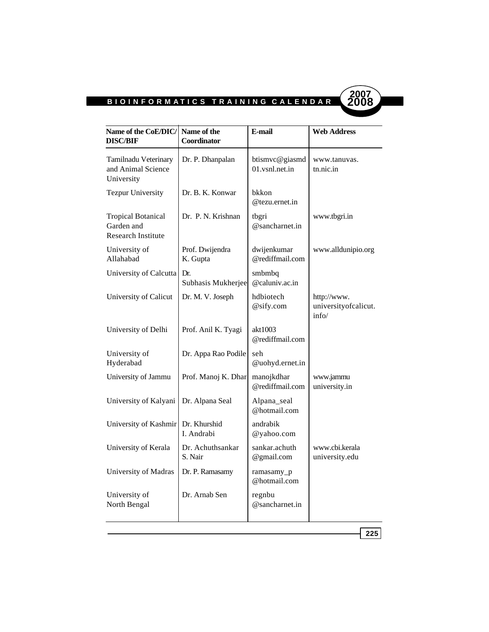ı



| Name of the CoE/DIC/<br><b>DISC/BIF</b>                              | Name of the<br>Coordinator  | E-mail                           | <b>Web Address</b>                           |
|----------------------------------------------------------------------|-----------------------------|----------------------------------|----------------------------------------------|
| Tamilnadu Veterinary<br>and Animal Science<br>University             | Dr. P. Dhanpalan            | btismvc@giasmd<br>01.vsnl.net.in | www.tanuvas.<br>tn.nic.in                    |
| <b>Tezpur University</b>                                             | Dr. B. K. Konwar            | bkkon<br>$@$ tezu.ernet.in       |                                              |
| <b>Tropical Botanical</b><br>Garden and<br><b>Research Institute</b> | Dr. P. N. Krishnan          | tbgri<br>@sancharnet.in          | www.tbgri.in                                 |
| University of<br>Allahabad                                           | Prof. Dwijendra<br>K. Gupta | dwijenkumar<br>@rediffmail.com   | www.alldunipio.org                           |
| University of Calcutta                                               | Dr.<br>Subhasis Mukherjee   | smbmbq<br>$@$ caluniv.ac.in      |                                              |
| University of Calicut                                                | Dr. M. V. Joseph            | hdbiotech<br>@sify.com           | http://www.<br>universityofcalicut.<br>info/ |
| University of Delhi                                                  | Prof. Anil K. Tyagi         | akt1003<br>@rediffmail.com       |                                              |
| University of<br>Hyderabad                                           | Dr. Appa Rao Podile         | seh<br>@uohyd.ernet.in           |                                              |
| University of Jammu                                                  | Prof. Manoj K. Dhar         | manojkdhar<br>@rediffmail.com    | www.jammu<br>university.in                   |
| University of Kalyani                                                | Dr. Alpana Seal             | Alpana_seal<br>@hotmail.com      |                                              |
| University of Kashmir                                                | Dr. Khurshid<br>I. Andrabi  | andrabik<br>@yahoo.com           |                                              |
| University of Kerala                                                 | Dr. Achuthsankar<br>S. Nair | sankar.achuth<br>@gmail.com      | www.cbi.kerala<br>university.edu             |
| University of Madras                                                 | Dr. P. Ramasamy             | ramasamy_p<br>@hotmail.com       |                                              |
| University of<br>North Bengal                                        | Dr. Arnab Sen               | regnbu<br>@sancharnet.in         |                                              |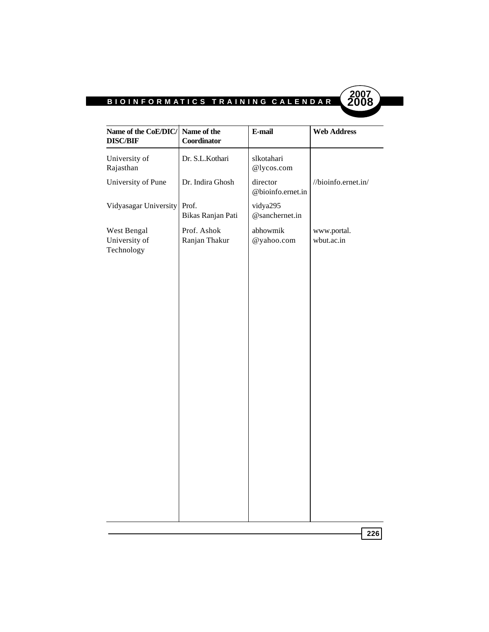

| University of<br>Rajasthan<br>University of Pune | Dr. S.L.Kothari              | slkotahari                    |                           |
|--------------------------------------------------|------------------------------|-------------------------------|---------------------------|
|                                                  |                              | @lycos.com                    |                           |
|                                                  | Dr. Indira Ghosh             | director<br>@bioinfo.ernet.in | //bioinfo.ernet.in/       |
| Vidyasagar University                            | Prof.<br>Bikas Ranjan Pati   | vidya295<br>@sanchernet.in    |                           |
| West Bengal<br>University of<br>Technology       | Prof. Ashok<br>Ranjan Thakur | abhowmik<br>@yahoo.com        | www.portal.<br>wbut.ac.in |
|                                                  |                              |                               |                           |
|                                                  |                              |                               |                           |